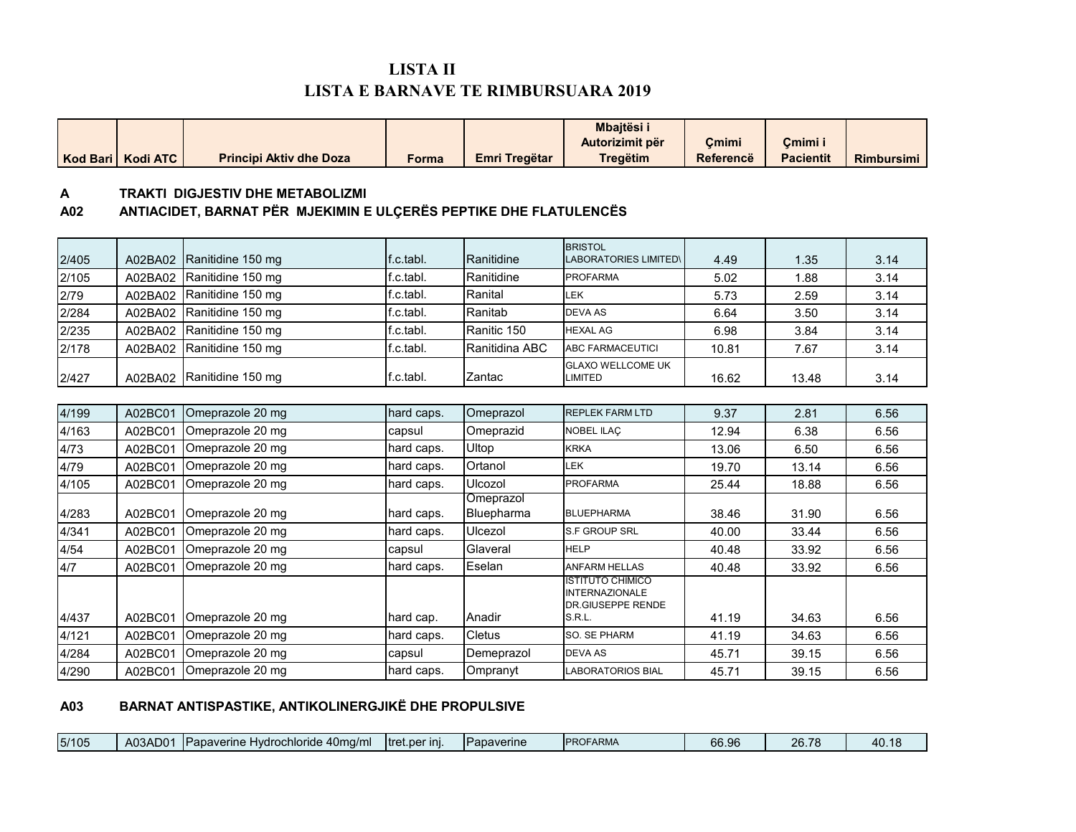# **LISTA II LISTA E BARNAVE TE RIMBURSUARA 2019**

| Kod Bari | <b>Kodi ATC</b> | <b>Principi Aktiv dhe Doza</b>                                                                               | <b>Forma</b> | <b>Emri Tregëtar</b>    | Mbajtësi i<br>Autorizimit për<br><b>Tregëtim</b>                                       | Çmimi<br><b>Referencë</b> | Çmimi i<br><b>Pacientit</b> | <b>Rimbursimi</b> |
|----------|-----------------|--------------------------------------------------------------------------------------------------------------|--------------|-------------------------|----------------------------------------------------------------------------------------|---------------------------|-----------------------------|-------------------|
| A<br>A02 |                 | <b>TRAKTI DIGJESTIV DHE METABOLIZMI</b><br>ANTIACIDET, BARNAT PËR MJEKIMIN E ULÇERËS PEPTIKE DHE FLATULENCËS |              |                         |                                                                                        |                           |                             |                   |
| 2/405    | A02BA02         | Ranitidine 150 mg                                                                                            | f.c.tabl.    | Ranitidine              | <b>BRISTOL</b><br><b>LABORATORIES LIMITED\</b>                                         | 4.49                      | 1.35                        | 3.14              |
| 2/105    | A02BA02         | Ranitidine 150 mg                                                                                            | f.c.tabl.    | Ranitidine              | <b>PROFARMA</b>                                                                        | 5.02                      | 1.88                        | 3.14              |
| 2/79     | A02BA02         | Ranitidine 150 mg                                                                                            | f.c.tabl.    | Ranital                 | <b>LEK</b>                                                                             | 5.73                      | 2.59                        | 3.14              |
| 2/284    | A02BA02         | Ranitidine 150 mg                                                                                            | f.c.tabl.    | Ranitab                 | <b>DEVA AS</b>                                                                         | 6.64                      | 3.50                        | 3.14              |
| 2/235    | A02BA02         | Ranitidine 150 mg                                                                                            | f.c.tabl.    | Ranitic 150             | <b>HEXAL AG</b>                                                                        | 6.98                      | 3.84                        | 3.14              |
| 2/178    | A02BA02         | Ranitidine 150 mg                                                                                            | f.c.tabl.    | Ranitidina ABC          | <b>ABC FARMACEUTICI</b>                                                                | 10.81                     | 7.67                        | 3.14              |
| 2/427    |                 | A02BA02 Ranitidine 150 mg                                                                                    | f.c.tabl.    | Zantac                  | <b>GLAXO WELLCOME UK</b><br><b>LIMITED</b>                                             | 16.62                     | 13.48                       | 3.14              |
|          |                 |                                                                                                              |              |                         |                                                                                        |                           |                             |                   |
| 4/199    | A02BC01         | Omeprazole 20 mg                                                                                             | hard caps.   | Omeprazol               | <b>REPLEK FARM LTD</b>                                                                 | 9.37                      | 2.81                        | 6.56              |
| 4/163    | A02BC01         | Omeprazole 20 mg                                                                                             | capsul       | Omeprazid               | NOBEL ILAÇ                                                                             | 12.94                     | 6.38                        | 6.56              |
| 4/73     | A02BC01         | Omeprazole 20 mg                                                                                             | hard caps.   | Ultop                   | <b>KRKA</b>                                                                            | 13.06                     | 6.50                        | 6.56              |
| 4/79     | A02BC01         | Omeprazole 20 mg                                                                                             | hard caps.   | Ortanol                 | <b>LEK</b>                                                                             | 19.70                     | 13.14                       | 6.56              |
| 4/105    | A02BC01         | Omeprazole 20 mg                                                                                             | hard caps.   | Ulcozol                 | <b>PROFARMA</b>                                                                        | 25.44                     | 18.88                       | 6.56              |
| 4/283    | A02BC01         | Omeprazole 20 mg                                                                                             | hard caps.   | Omeprazol<br>Bluepharma | <b>BLUEPHARMA</b>                                                                      | 38.46                     | 31.90                       | 6.56              |
| 4/341    | A02BC01         | Omeprazole 20 mg                                                                                             | hard caps.   | Ulcezol                 | <b>S.F GROUP SRL</b>                                                                   | 40.00                     | 33.44                       | 6.56              |
| 4/54     | A02BC01         | Omeprazole 20 mg                                                                                             | capsul       | Glaveral                | <b>HELP</b>                                                                            | 40.48                     | 33.92                       | 6.56              |
| 4/7      | A02BC01         | Omeprazole 20 mg                                                                                             | hard caps.   | Eselan                  | <b>ANFARM HELLAS</b>                                                                   | 40.48                     | 33.92                       | 6.56              |
| 4/437    | A02BC01         | Omeprazole 20 mg                                                                                             | hard cap.    | Anadir                  | <b>ISTITUTO CHIMICO</b><br><b>INTERNAZIONALE</b><br><b>DR.GIUSEPPE RENDE</b><br>S.R.L. | 41.19                     | 34.63                       | 6.56              |
| 4/121    | A02BC01         | Omeprazole 20 mg                                                                                             | hard caps.   | <b>Cletus</b>           | SO. SE PHARM                                                                           | 41.19                     | 34.63                       | 6.56              |

#### **A03 BARNAT ANTISPASTIKE, ANTIKOLINERGJIKË DHE PROPULSIVE**

| 5/105 | $\Lambda$ 02<br>nn.<br>טשריטע | 40mg/m<br>noride<br>Hvdrocl<br>apaverine<br>്ധാന | Itret.per ini. | <b>IPapaverine</b> | JFAR<br><b>PROL</b><br>$\bf{1}$ | 66.96 | <b>26.78</b><br>2U | 40. |
|-------|-------------------------------|--------------------------------------------------|----------------|--------------------|---------------------------------|-------|--------------------|-----|
|       |                               | . .                                              |                |                    |                                 |       |                    |     |

4/284 A02BC01 Omeprazole 20 mg capsul Demeprazol DEVA AS 45.71 39.15 6.56 4/290 A02BC01 Omeprazole 20 mg hard caps. Ompranyt LABORATORIOS BIAL 45.71 39.15 6.56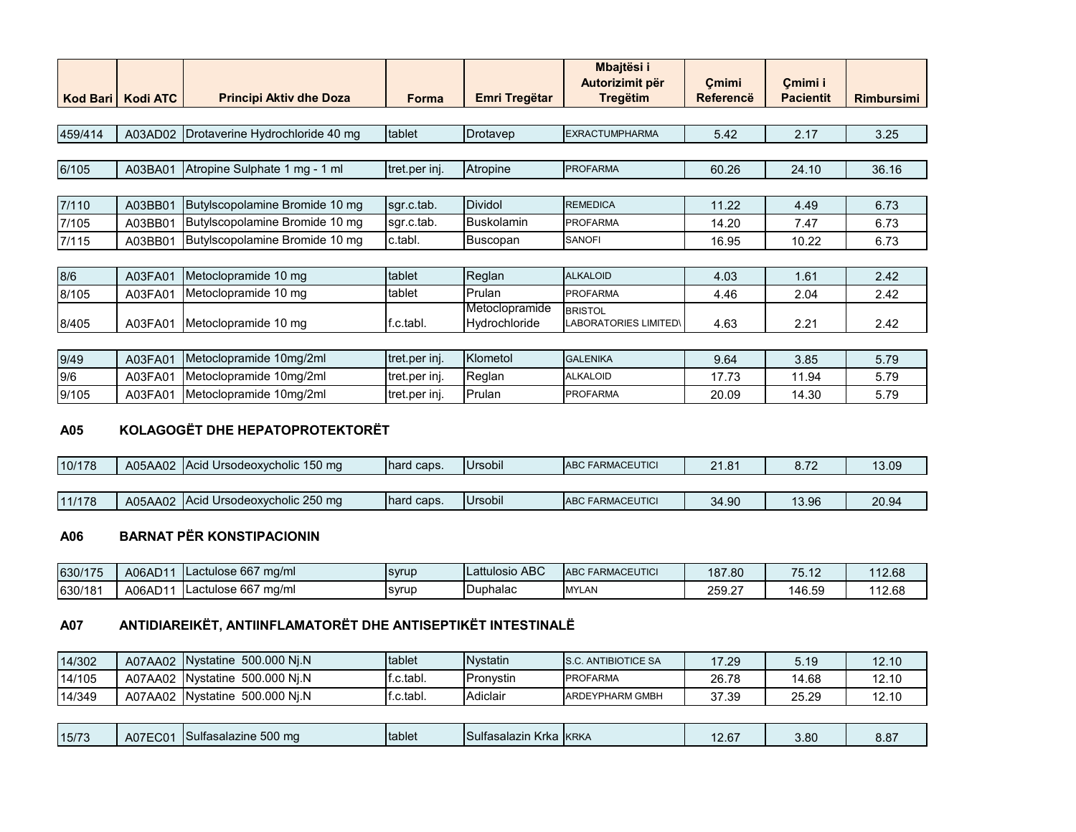|          |                 |                                 |               |                                 | Mbajtësi i<br>Autorizimit për           | Cmimi            | Cmimi i          |                   |
|----------|-----------------|---------------------------------|---------------|---------------------------------|-----------------------------------------|------------------|------------------|-------------------|
| Kod Bari | <b>Kodi ATC</b> | <b>Principi Aktiv dhe Doza</b>  | <b>Forma</b>  | Emri Tregëtar                   | <b>Tregëtim</b>                         | <b>Referencë</b> | <b>Pacientit</b> | <b>Rimbursimi</b> |
|          |                 |                                 |               |                                 |                                         |                  |                  |                   |
| 459/414  | A03AD02         | Drotaverine Hydrochloride 40 mg | tablet        | Drotavep                        | <b>EXRACTUMPHARMA</b>                   | 5.42             | 2.17             | 3.25              |
|          |                 |                                 |               |                                 |                                         |                  |                  |                   |
| 6/105    | A03BA01         | Atropine Sulphate 1 mg - 1 ml   | tret.per inj. | Atropine                        | <b>PROFARMA</b>                         | 60.26            | 24.10            | 36.16             |
|          |                 |                                 |               |                                 |                                         |                  |                  |                   |
| 7/110    | A03BB01         | Butylscopolamine Bromide 10 mg  | sgr.c.tab.    | <b>Dividol</b>                  | <b>REMEDICA</b>                         | 11.22            | 4.49             | 6.73              |
| 7/105    | A03BB01         | Butylscopolamine Bromide 10 mg  | sgr.c.tab.    | <b>Buskolamin</b>               | <b>PROFARMA</b>                         | 14.20            | 7.47             | 6.73              |
| 7/115    | A03BB01         | Butylscopolamine Bromide 10 mg  | c.tabl.       | <b>Buscopan</b>                 | <b>SANOFI</b>                           | 16.95            | 10.22            | 6.73              |
|          |                 |                                 |               |                                 |                                         |                  |                  |                   |
| 8/6      | A03FA01         | Metoclopramide 10 mg            | tablet        | Reglan                          | <b>ALKALOID</b>                         | 4.03             | 1.61             | 2.42              |
| 8/105    | A03FA01         | Metoclopramide 10 mg            | tablet        | Prulan                          | <b>PROFARMA</b>                         | 4.46             | 2.04             | 2.42              |
| 8/405    | A03FA01         | Metoclopramide 10 mg            | f.c.tabl.     | Metoclopramide<br>Hydrochloride | <b>BRISTOL</b><br>LABORATORIES LIMITED\ | 4.63             | 2.21             | 2.42              |
|          |                 |                                 |               |                                 |                                         |                  |                  |                   |

| 9/49  | A03FA01 | 10 <sub>ma</sub> /2 <sub>ml</sub><br>Metoclopramide | <b>Itret.per ini.</b> | Klometol | <b>GALENIKA</b> | 9.64  | 3.85  | r 70<br>0.79  |
|-------|---------|-----------------------------------------------------|-----------------------|----------|-----------------|-------|-------|---------------|
| 9/6   | A03FA01 | Metoclopramide 10mg/2ml                             | tret.per inj.         | Realan   | <b>ALKALOID</b> | 1772  | 11.94 | : 70<br>5.7Y  |
| 9/105 | A03FA01 | Metoclopramide 10mg/2ml                             | Itret.per ini.        | Prulan   | <b>PROFARMA</b> | 20.09 | 14.30 | =  ግቦ<br>ว.7ษ |

#### **A05 KOLAGOGËT DHE HEPATOPROTEKTORËT**

| 10/178 | A05AA02 | Acid Ursodeoxycholic 150 mg | hard caps.  | <b>Ursobil</b> | <b>ABC FARMACEUTICL</b>  | 21.81<br>21.O | 0. 70<br>0. I L | 13.09 |
|--------|---------|-----------------------------|-------------|----------------|--------------------------|---------------|-----------------|-------|
|        |         |                             |             |                |                          |               |                 |       |
| 11/178 | A05AA02 | Acid Ursodeoxycholic 250 mg | Thard caps. | <b>Ursobil</b> | <b>JABC FARMACEUTICI</b> | 34.90         | 13.96           | 20.94 |

#### **A06 BARNAT PËR KONSTIPACIONIN**

| 630/175 | A06AD11 | Lactulose 667<br>ma/ml               | <b>SVrup</b> | Lattulosio ABC | <b>FARMACEUTICI</b><br><b>ABC</b> | 187.80 | 75<br>$\sim$ | 112.68 |
|---------|---------|--------------------------------------|--------------|----------------|-----------------------------------|--------|--------------|--------|
| 630/181 | A06AD11 | . 667<br>ma/ml<br><b>I</b> Lactulose | svrup        | Duphalac       | <b>MYLAN</b><br>'LAN              | 259.27 | 146.59       | 112.68 |

# **A07 ANTIDIAREIKËT, ANTIINFLAMATORËT DHE ANTISEPTIKËT INTESTINALË**

| 14/302 | Nystatine 500.000 Ni.N<br>A07AA02           | <b>Itablet</b> | <b>N</b> vstatin | <b>IS.C. ANTIBIOTICE SA</b> | 17.29 | 5.19  | 12.10 |
|--------|---------------------------------------------|----------------|------------------|-----------------------------|-------|-------|-------|
| 14/105 | 500.000 Ni.N<br>Nvstatine<br>A07AA02        | .c.tabl.       | ∎Pronvstin       | <b>PROFARMA</b>             | 26.78 | 14.68 | 12.10 |
| 14/349 | 500.000 Ni.N<br><b>Nvstatine</b><br>A07AA02 | f.c.tabl.      | Adiclair         | <b>ARDEYPHARM GMBH</b>      | 37.39 | 25.29 | 12.10 |

| Sulfasalazine 500 mg<br>Sulfasalazin<br><b>Itablet</b><br>15/73<br>A07EC01<br><b>IKRKA</b><br>Krka | 2.67 | 3.80 | റ റീ<br>O.O |
|----------------------------------------------------------------------------------------------------|------|------|-------------|
|----------------------------------------------------------------------------------------------------|------|------|-------------|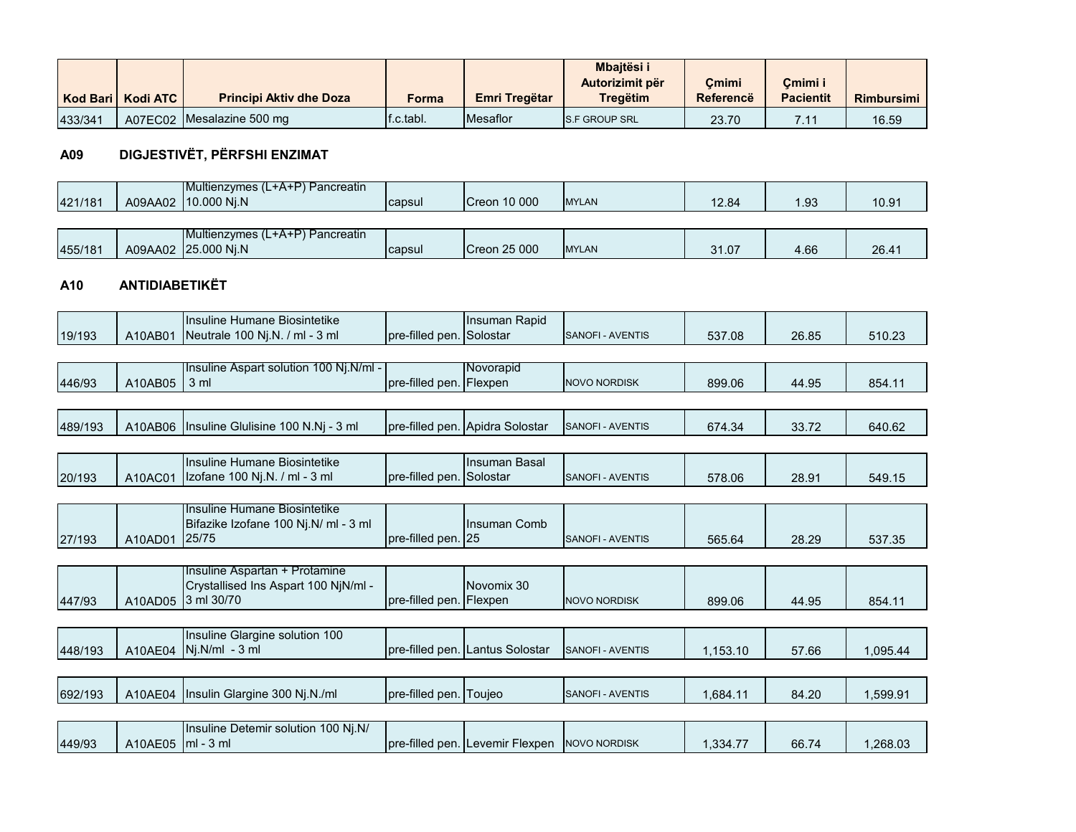|         | Kod Bari   Kodi ATC | <b>Principi Aktiv dhe Doza</b> | Forma                  | Emri Tregëtar   | <b>Mbaitësi i</b><br>Autorizimit për<br>Treaëtim | Cmimi<br>Referencë | Cmimi i<br><b>Pacientit</b> | <b>Rimbursimi</b> |
|---------|---------------------|--------------------------------|------------------------|-----------------|--------------------------------------------------|--------------------|-----------------------------|-------------------|
| 433/341 |                     | A07EC02 Mesalazine 500 mg      | $\mathsf{If}$ .c.tabl. | <b>Mesaflor</b> | <b>IS.F GROUP SRL</b>                            | 23.70              | .                           | 16.59             |

# **A09 DIGJESTIVËT, PËRFSHI ENZIMAT**

| $\Omega$<br>$\sqrt{2}$ |         |         | Multienzymes (L<br>$rA+P'$<br>∖ Pancreatin |        |                         |               |       |                  |               |
|------------------------|---------|---------|--------------------------------------------|--------|-------------------------|---------------|-------|------------------|---------------|
|                        | 421/181 | A09AA02 | 10.000 Ni.N                                | capsul | 10 000<br><b>ICreon</b> | <b>IMYLAN</b> | 12.04 | $\overline{.93}$ | ٬∩ ∩<br>I ບ.ອ |

|         |         | <b>IMultienzymes (L+A+P) Pancreatin</b> |               |                    |              |       |                |                |
|---------|---------|-----------------------------------------|---------------|--------------------|--------------|-------|----------------|----------------|
| 455/181 | A09AA02 | <b>25,000 Ni.N</b>                      | <b>capsul</b> | 125000<br>.Creon : | <b>MYLAN</b> | 31.07 | $\sim$<br>4.66 | $26.4^{\circ}$ |

#### **A10 ANTIDIABETIKËT**

|         |         | Insuline Humane Biosintetike                                          |                          | Insuman Rapid                   |                         |          |       |          |
|---------|---------|-----------------------------------------------------------------------|--------------------------|---------------------------------|-------------------------|----------|-------|----------|
| 19/193  | A10AB01 | Neutrale 100 Nj.N. / ml - 3 ml                                        | pre-filled pen. Solostar |                                 | SANOFI - AVENTIS        | 537.08   | 26.85 | 510.23   |
|         |         |                                                                       |                          |                                 |                         |          |       |          |
|         |         | Insuline Aspart solution 100 Nj.N/ml -                                |                          | Novorapid                       |                         |          |       |          |
| 446/93  | A10AB05 | 3 <sub>ml</sub>                                                       | pre-filled pen. Flexpen  |                                 | <b>NOVO NORDISK</b>     | 899.06   | 44.95 | 854.11   |
|         |         |                                                                       |                          |                                 |                         |          |       |          |
| 489/193 | A10AB06 | Insuline Glulisine 100 N.Ni - 3 ml                                    |                          | pre-filled pen. Apidra Solostar | <b>SANOFI - AVENTIS</b> | 674.34   | 33.72 | 640.62   |
|         |         |                                                                       |                          |                                 |                         |          |       |          |
|         |         | Insuline Humane Biosintetike                                          |                          | Insuman Basal                   |                         |          |       |          |
| 20/193  | A10AC01 | Izofane 100 Nj.N. / ml - 3 ml                                         | pre-filled pen. Solostar |                                 | <b>SANOFI - AVENTIS</b> | 578.06   | 28.91 | 549.15   |
|         |         |                                                                       |                          |                                 |                         |          |       |          |
|         |         | Insuline Humane Biosintetike                                          |                          |                                 |                         |          |       |          |
|         |         | Bifazike Izofane 100 Nj.N/ ml - 3 ml                                  |                          | Insuman Comb                    |                         |          |       |          |
| 27/193  | A10AD01 | 25/75                                                                 | pre-filled pen. 25       |                                 | <b>SANOFI - AVENTIS</b> | 565.64   | 28.29 | 537.35   |
|         |         |                                                                       |                          |                                 |                         |          |       |          |
|         |         | Insuline Aspartan + Protamine<br>Crystallised Ins Aspart 100 NjN/ml - |                          | Novomix 30                      |                         |          |       |          |
| 447/93  | A10AD05 | 3 ml 30/70                                                            | pre-filled pen. Flexpen  |                                 | <b>NOVO NORDISK</b>     | 899.06   | 44.95 | 854.11   |
|         |         |                                                                       |                          |                                 |                         |          |       |          |
|         |         | Insuline Glargine solution 100                                        |                          |                                 |                         |          |       |          |
| 448/193 | A10AE04 | $Nj.N/ml - 3 ml$                                                      |                          | pre-filled pen. Lantus Solostar | <b>SANOFI - AVENTIS</b> | 1,153.10 | 57.66 | 1,095.44 |
|         |         |                                                                       |                          |                                 |                         |          |       |          |
|         |         |                                                                       |                          |                                 |                         |          |       |          |
| 692/193 | A10AE04 | Insulin Glargine 300 Nj.N./ml                                         | pre-filled pen. Toujeo   |                                 | SANOFI - AVENTIS        | 1.684.11 | 84.20 | 1,599.91 |
|         |         |                                                                       |                          |                                 |                         |          |       |          |
|         |         | Insuline Detemir solution 100 Nj.N/                                   |                          |                                 |                         |          |       |          |
| 449/93  | A10AE05 | $\mathsf{Im}$ - 3 ml                                                  |                          | pre-filled pen. Levemir Flexpen | <b>NOVO NORDISK</b>     | 1,334.77 | 66.74 | 1,268.03 |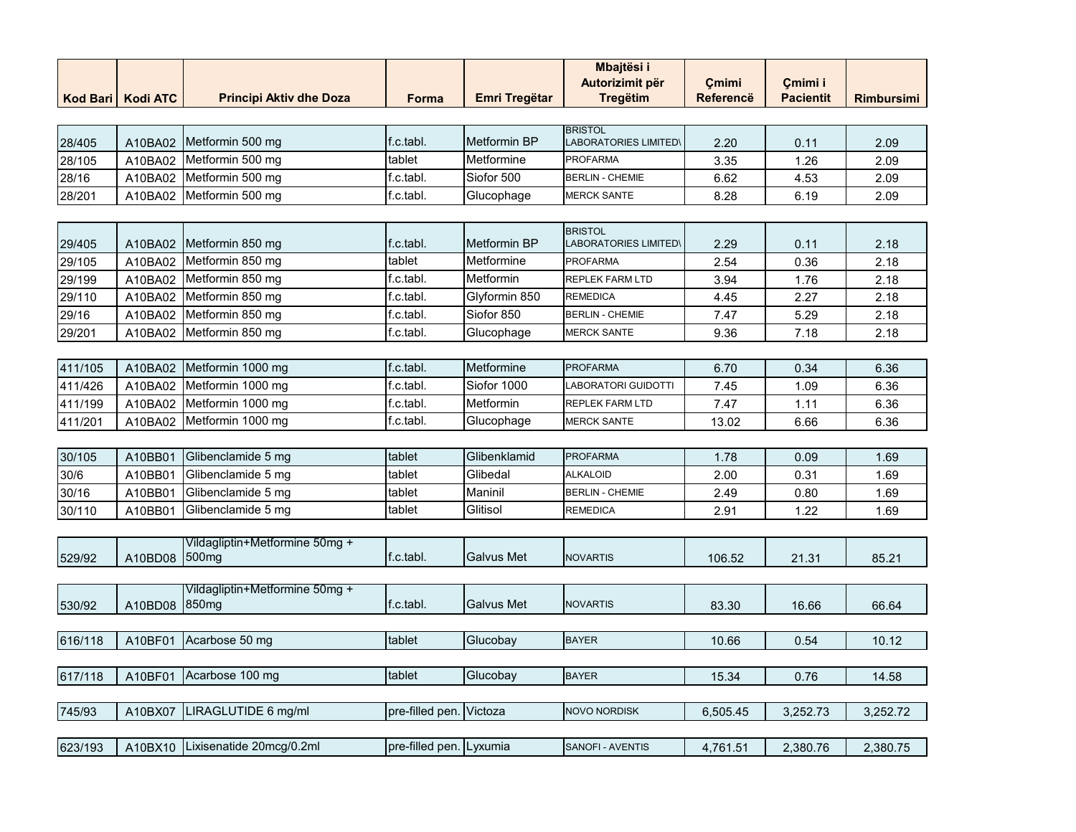| Kod Bari | <b>Kodi ATC</b> | <b>Principi Aktiv dhe Doza</b>                      | Forma                   | <b>Emri Tregëtar</b> | Mbajtësi i<br>Autorizimit për<br><b>Tregëtim</b> | Cmimi<br>Referencë | Cmimi i<br><b>Pacientit</b> | <b>Rimbursimi</b> |
|----------|-----------------|-----------------------------------------------------|-------------------------|----------------------|--------------------------------------------------|--------------------|-----------------------------|-------------------|
|          |                 |                                                     |                         |                      | <b>BRISTOL</b>                                   |                    |                             |                   |
| 28/405   | A10BA02         | Metformin 500 mg                                    | f.c.tabl.               | Metformin BP         | LABORATORIES LIMITED'                            | 2.20               | 0.11                        | 2.09              |
| 28/105   | A10BA02         | Metformin 500 mg                                    | tablet                  | Metformine           | PROFARMA                                         | 3.35               | 1.26                        | 2.09              |
| 28/16    | A10BA02         | Metformin 500 mg                                    | f.c.tabl.               | Siofor 500           | <b>BERLIN - CHEMIE</b>                           | 6.62               | 4.53                        | 2.09              |
| 28/201   | A10BA02         | Metformin 500 mg                                    | f.c.tabl.               | Glucophage           | <b>MERCK SANTE</b>                               | 8.28               | 6.19                        | 2.09              |
|          |                 |                                                     |                         |                      |                                                  |                    |                             |                   |
| 29/405   | A10BA02         | Metformin 850 mg                                    | f.c.tabl.               | <b>Metformin BP</b>  | <b>BRISTOL</b><br><b>LABORATORIES LIMITED</b>    | 2.29               | 0.11                        | 2.18              |
| 29/105   | A10BA02         | Metformin 850 mg                                    | tablet                  | Metformine           | <b>PROFARMA</b>                                  | 2.54               | 0.36                        | 2.18              |
| 29/199   | A10BA02         | Metformin 850 mg                                    | f.c.tabl.               | Metformin            | REPLEK FARM LTD                                  | 3.94               | 1.76                        | 2.18              |
| 29/110   | A10BA02         | Metformin 850 mg                                    | f.c.tabl.               | Glyformin 850        | <b>REMEDICA</b>                                  | 4.45               | 2.27                        | 2.18              |
| 29/16    | A10BA02         | Metformin 850 mg                                    | f.c.tabl.               | Siofor 850           | <b>BERLIN - CHEMIE</b>                           | 7.47               | 5.29                        | 2.18              |
| 29/201   | A10BA02         | Metformin 850 mg                                    | f.c.tabl.               | Glucophage           | <b>MERCK SANTE</b>                               | 9.36               | 7.18                        | 2.18              |
|          |                 |                                                     |                         |                      |                                                  |                    |                             |                   |
| 411/105  | A10BA02         | Metformin 1000 mg                                   | f.c.tabl.               | Metformine           | <b>PROFARMA</b>                                  | 6.70               | 0.34                        | 6.36              |
| 411/426  | A10BA02         | Metformin 1000 mg                                   | f.c.tabl.               | Siofor 1000          | <b>ABORATORI GUIDOTTI</b>                        | 7.45               | 1.09                        | 6.36              |
| 411/199  | A10BA02         | Metformin 1000 mg                                   | f.c.tabl.               | Metformin            | REPLEK FARM LTD                                  | 7.47               | 1.11                        | 6.36              |
| 411/201  | A10BA02         | Metformin 1000 mg                                   | f.c.tabl.               | Glucophage           | <b>MERCK SANTE</b>                               | 13.02              | 6.66                        | 6.36              |
|          |                 |                                                     |                         |                      |                                                  |                    |                             |                   |
| 30/105   | A10BB01         | Glibenclamide 5 mg                                  | tablet                  | Glibenklamid         | <b>PROFARMA</b>                                  | 1.78               | 0.09                        | 1.69              |
| 30/6     | A10BB01         | Glibenclamide 5 mg                                  | tablet                  | Glibedal             | <b>ALKALOID</b>                                  | 2.00               | 0.31                        | 1.69              |
| 30/16    | A10BB01         | Glibenclamide 5 mg                                  | tablet                  | Maninil              | <b>BERLIN - CHEMIE</b>                           | 2.49               | 0.80                        | 1.69              |
| 30/110   | A10BB01         | Glibenclamide 5 mg                                  | tablet                  | Glitisol             | <b>REMEDICA</b>                                  | 2.91               | 1.22                        | 1.69              |
|          |                 |                                                     |                         |                      |                                                  |                    |                             |                   |
| 529/92   | A10BD08         | Vildagliptin+Metformine 50mg +<br>500 <sub>mg</sub> | f.c.tabl.               | <b>Galvus Met</b>    | <b>NOVARTIS</b>                                  | 106.52             | 21.31                       | 85.21             |
|          |                 |                                                     |                         |                      |                                                  |                    |                             |                   |
|          |                 | Vildagliptin+Metformine 50mg +<br>850 <sub>mg</sub> | f.c.tabl.               | <b>Galvus Met</b>    | <b>NOVARTIS</b>                                  |                    |                             |                   |
| 530/92   | A10BD08         |                                                     |                         |                      |                                                  | 83.30              | 16.66                       | 66.64             |
| 616/118  | A10BF01         | Acarbose 50 mg                                      | tablet                  |                      | <b>BAYER</b>                                     | 10.66              | 0.54                        | 10.12             |
|          |                 |                                                     |                         | Glucobay             |                                                  |                    |                             |                   |
| 617/118  | A10BF01         | Acarbose 100 mg                                     | tablet                  | Glucobay             | <b>BAYER</b>                                     | 15.34              | 0.76                        | 14.58             |
|          |                 |                                                     |                         |                      |                                                  |                    |                             |                   |
| 745/93   | A10BX07         | LIRAGLUTIDE 6 mg/ml                                 | pre-filled pen.         | Victoza              | <b>NOVO NORDISK</b>                              | 6,505.45           | 3,252.73                    | 3,252.72          |
|          |                 |                                                     |                         |                      |                                                  |                    |                             |                   |
| 623/193  | A10BX10         | Lixisenatide 20mcg/0.2ml                            | pre-filled pen. Lyxumia |                      | SANOFI - AVENTIS                                 | 4,761.51           | 2,380.76                    | 2,380.75          |
|          |                 |                                                     |                         |                      |                                                  |                    |                             |                   |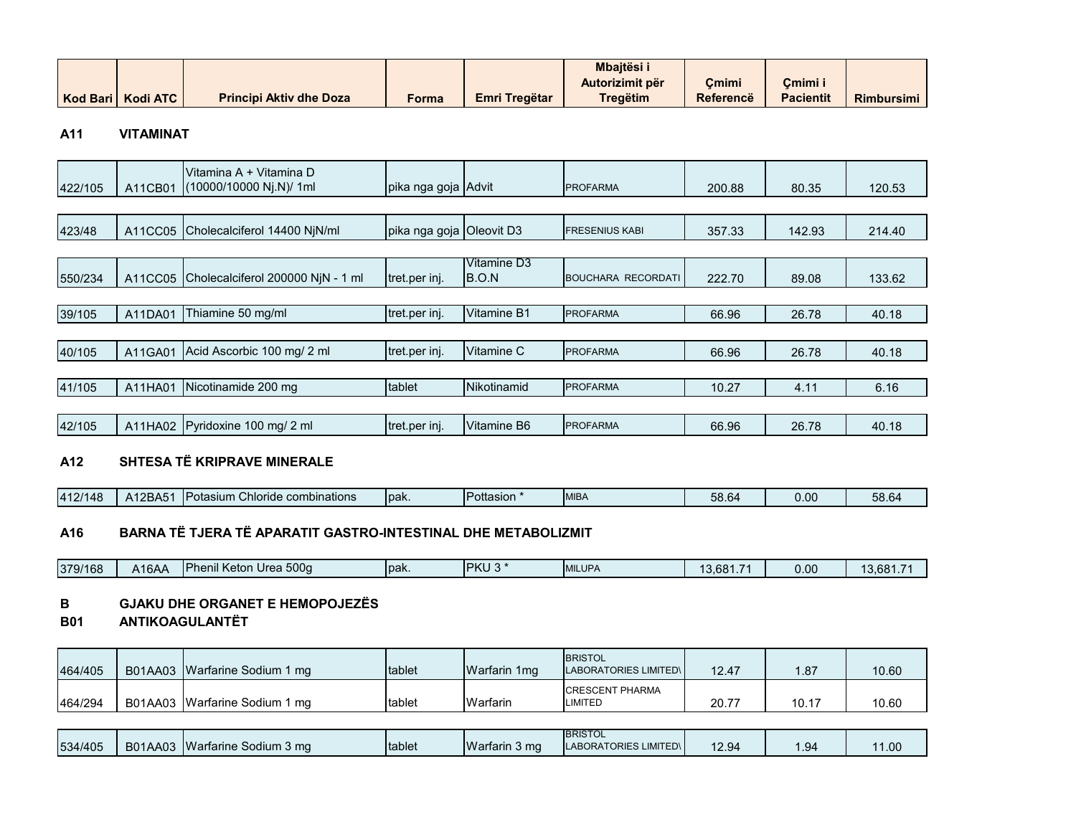|  |                     |                                |       |               | <b>Mbaitësi</b> i |           |                  |                   |
|--|---------------------|--------------------------------|-------|---------------|-------------------|-----------|------------------|-------------------|
|  |                     |                                |       |               | Autorizimit për   | Cmimi     | Cmimi i          |                   |
|  | Kod Bari   Kodi ATC | <b>Principi Aktiv dhe Doza</b> | Forma | Emri Tregëtar | <b>Tregëtim</b>   | Referencë | <b>Pacientit</b> | <b>Rimbursimi</b> |

#### **A11 VITAMINAT**

| 422/105 | A11CB01 | Vitamina A + Vitamina D<br>(10000/10000 Nj.N)/ 1ml | pika nga goja Advit      |                             | <b>PROFARMA</b>           | 200.88 | 80.35  | 120.53 |
|---------|---------|----------------------------------------------------|--------------------------|-----------------------------|---------------------------|--------|--------|--------|
|         |         |                                                    |                          |                             |                           |        |        |        |
| 423/48  | A11CC05 | Cholecalciferol 14400 NjN/ml                       | pika nga goja Oleovit D3 |                             | <b>FRESENIUS KABI</b>     | 357.33 | 142.93 | 214.40 |
|         |         |                                                    |                          |                             |                           |        |        |        |
| 550/234 | A11CC05 | Cholecalciferol 200000 NiN - 1 ml                  | tret.per inj.            | Vitamine D3<br><b>B.O.N</b> | <b>BOUCHARA RECORDATI</b> | 222.70 | 89.08  | 133.62 |
|         |         |                                                    |                          |                             |                           |        |        |        |
| 39/105  | A11DA01 | Thiamine 50 mg/ml                                  | tret.per inj.            | <b>Vitamine B1</b>          | <b>PROFARMA</b>           | 66.96  | 26.78  | 40.18  |
|         |         |                                                    |                          |                             |                           |        |        |        |
| 40/105  | A11GA01 | Acid Ascorbic 100 mg/ 2 ml                         | tret.per inj.            | Vitamine C                  | <b>PROFARMA</b>           | 66.96  | 26.78  | 40.18  |
|         |         |                                                    |                          |                             |                           |        |        |        |
| 41/105  | A11HA01 | Nicotinamide 200 mg                                | tablet                   | Nikotinamid                 | <b>PROFARMA</b>           | 10.27  | 4.11   | 6.16   |
|         |         |                                                    |                          |                             |                           |        |        |        |
| 42/105  | A11HA02 | Pyridoxine 100 mg/ 2 ml                            | tret.per inj.            | Vitamine B6                 | <b>PROFARMA</b>           | 66.96  | 26.78  | 40.18  |
| A12     |         | SHTESA TË KRIPRAVE MINERALE                        |                          |                             |                           |        |        |        |
| 412/148 | A12BA51 | Potasium Chloride combinations                     | pak.                     | Pottasion *                 | <b>MIBA</b>               | 58.64  | 0.00   | 58.64  |

#### **A16 BARNA TË TJERA TË APARATIT GASTRO-INTESTINAL DHE METABOLIZMIT**

| 379/168 | .16AA | Urea 500g<br><b>Phenil Keton</b> | lpak. | <b>IPKU</b><br>$\sim$ | <b>MILUPA</b> | 3.681.7 | $\sim$<br>∪.∪∖ | 3.681.7 |
|---------|-------|----------------------------------|-------|-----------------------|---------------|---------|----------------|---------|
|---------|-------|----------------------------------|-------|-----------------------|---------------|---------|----------------|---------|

#### **B GJAKU DHE ORGANET E HEMOPOJEZËS**

**B01 ANTIKOAGULANTËT**

| 464/405 | B01AA03 Warfarine Sodium 1 mg | tablet | Warfarin 1mg | <b>BRISTOL</b><br><b>LABORATORIES LIMITED\I</b> | 12.47 | .87   | 10.60 |
|---------|-------------------------------|--------|--------------|-------------------------------------------------|-------|-------|-------|
| 464/294 | B01AA03 Warfarine Sodium 1 mg | tablet | Warfarin     | <b>CRESCENT PHARMA</b><br>LIMITED               | 20.7  | 10.17 | 10.60 |

| 534/405 | 11AA03<br>B0 <sup>4</sup> | <b>IWa</b><br>ırfarine Sodium 3 mq | Itablet | Warfarin 3 mg | <b>BRISTOL</b><br><b>IMITED</b><br>----<br>II ABO<br>. ORIES '<br>$H_{H}$ | 12.94 | uд<br> | 1.00 <sub>1</sub> |
|---------|---------------------------|------------------------------------|---------|---------------|---------------------------------------------------------------------------|-------|--------|-------------------|
|---------|---------------------------|------------------------------------|---------|---------------|---------------------------------------------------------------------------|-------|--------|-------------------|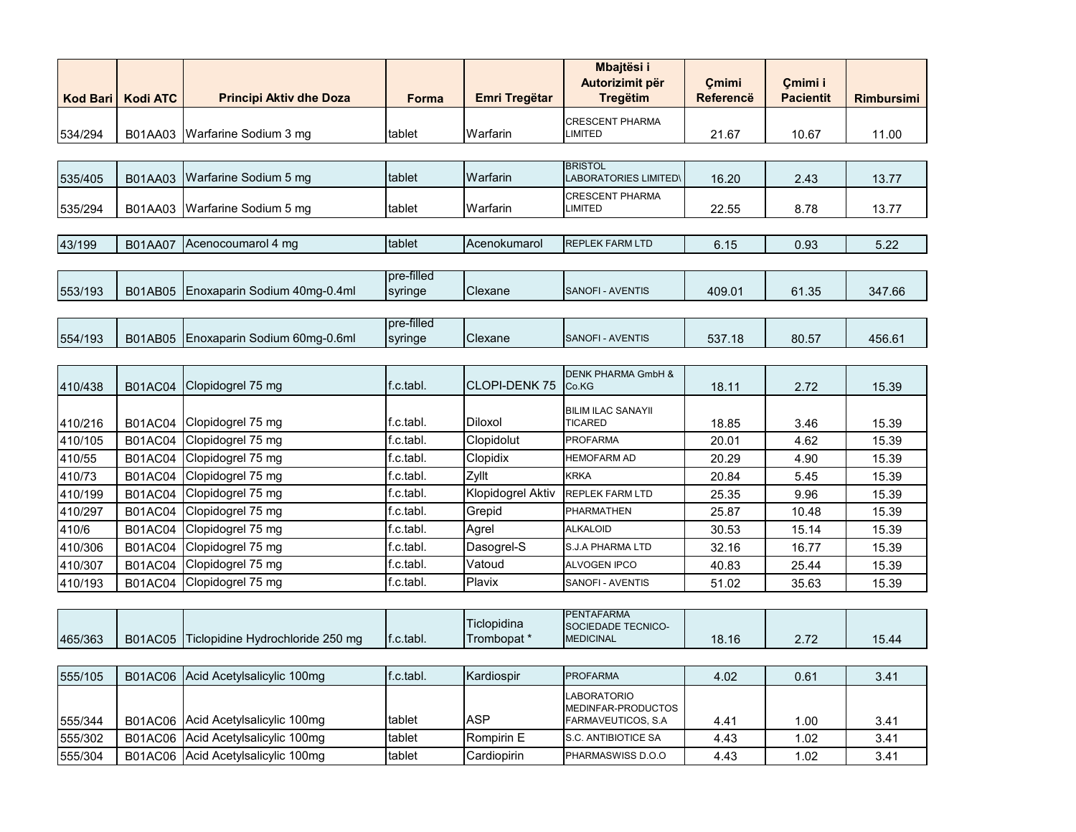|                 |                 |                                    |            |                      | Mbajtësi i<br>Autorizimit për             | Cmimi            | Çmimi i          |                   |
|-----------------|-----------------|------------------------------------|------------|----------------------|-------------------------------------------|------------------|------------------|-------------------|
| <b>Kod Bari</b> | <b>Kodi ATC</b> | <b>Principi Aktiv dhe Doza</b>     | Forma      | <b>Emri Tregëtar</b> | <b>Tregëtim</b>                           | <b>Referencë</b> | <b>Pacientit</b> | <b>Rimbursimi</b> |
|                 |                 | Warfarine Sodium 3 mg              |            | Warfarin             | <b>CRESCENT PHARMA</b>                    |                  |                  |                   |
| 534/294         | B01AA03         |                                    | tablet     |                      | LIMITED                                   | 21.67            | 10.67            | 11.00             |
|                 |                 |                                    |            |                      | <b>BRISTOL</b>                            |                  |                  |                   |
| 535/405         | B01AA03         | Warfarine Sodium 5 mg              | tablet     | Warfarin             | <b>LABORATORIES LIMITED\</b>              | 16.20            | 2.43             | 13.77             |
| 535/294         | B01AA03         | Warfarine Sodium 5 mg              | tablet     | Warfarin             | <b>CRESCENT PHARMA</b><br><b>LIMITED</b>  | 22.55            | 8.78             | 13.77             |
|                 |                 |                                    |            |                      |                                           |                  |                  |                   |
| 43/199          | B01AA07         | Acenocoumarol 4 mg                 | tablet     | Acenokumarol         | <b>REPLEK FARM LTD</b>                    | 6.15             | 0.93             | 5.22              |
|                 |                 |                                    |            |                      |                                           |                  |                  |                   |
|                 |                 |                                    | pre-filled |                      |                                           |                  |                  |                   |
| 553/193         | <b>B01AB05</b>  | Enoxaparin Sodium 40mg-0.4ml       | syringe    | Clexane              | SANOFI - AVENTIS                          | 409.01           | 61.35            | 347.66            |
|                 |                 |                                    | pre-filled |                      |                                           |                  |                  |                   |
| 554/193         | <b>B01AB05</b>  | Enoxaparin Sodium 60mg-0.6ml       | syringe    | Clexane              | SANOFI - AVENTIS                          | 537.18           | 80.57            | 456.61            |
|                 |                 |                                    |            |                      |                                           |                  |                  |                   |
| 410/438         | <b>B01AC04</b>  | Clopidogrel 75 mg                  | f.c.tabl.  | <b>CLOPI-DENK75</b>  | <b>DENK PHARMA GmbH &amp;</b><br>Co.KG    | 18.11            | 2.72             | 15.39             |
|                 |                 |                                    |            |                      | <b>BILIM ILAC SANAYII</b>                 |                  |                  |                   |
| 410/216         | <b>B01AC04</b>  | Clopidogrel 75 mg                  | f.c.tabl.  | <b>Diloxol</b>       | <b>TICARED</b>                            | 18.85            | 3.46             | 15.39             |
| 410/105         | <b>B01AC04</b>  | Clopidogrel 75 mg                  | f.c.tabl.  | Clopidolut           | <b>PROFARMA</b>                           | 20.01            | 4.62             | 15.39             |
| 410/55          | <b>B01AC04</b>  | Clopidogrel 75 mg                  | f.c.tabl.  | Clopidix             | HEMOFARM AD                               | 20.29            | 4.90             | 15.39             |
| 410/73          | <b>B01AC04</b>  | Clopidogrel 75 mg                  | f.c.tabl.  | Zyllt                | <b>KRKA</b>                               | 20.84            | 5.45             | 15.39             |
| 410/199         | <b>B01AC04</b>  | Clopidogrel 75 mg                  | f.c.tabl.  | Klopidogrel Aktiv    | <b>REPLEK FARM LTD</b>                    | 25.35            | 9.96             | 15.39             |
| 410/297         | <b>B01AC04</b>  | Clopidogrel 75 mg                  | f.c.tabl.  | Grepid               | PHARMATHEN                                | 25.87            | 10.48            | 15.39             |
| 410/6           | <b>B01AC04</b>  | Clopidogrel 75 mg                  | f.c.tabl.  | Agrel                | <b>ALKALOID</b>                           | 30.53            | 15.14            | 15.39             |
| 410/306         | <b>B01AC04</b>  | Clopidogrel 75 mg                  | f.c.tabl.  | Dasogrel-S           | S.J.A PHARMA LTD                          | 32.16            | 16.77            | 15.39             |
| 410/307         | <b>B01AC04</b>  | Clopidogrel 75 mg                  | f.c.tabl.  | Vatoud               | <b>ALVOGEN IPCO</b>                       | 40.83            | 25.44            | 15.39             |
| 410/193         | <b>B01AC04</b>  | Clopidogrel 75 mg                  | f.c.tabl.  | Plavix               | SANOFI - AVENTIS                          | 51.02            | 35.63            | 15.39             |
|                 |                 |                                    |            |                      |                                           |                  |                  |                   |
|                 |                 |                                    |            | Ticlopidina          | <b>PENTAFARMA</b><br>SOCIEDADE TECNICO-   |                  |                  |                   |
| 465/363         | <b>B01AC05</b>  | Ticlopidine Hydrochloride 250 mg   | f.c.tabl.  | Trombopat *          | <b>MEDICINAL</b>                          | 18.16            | 2.72             | 15.44             |
|                 |                 |                                    |            |                      |                                           |                  |                  |                   |
| 555/105         | <b>B01AC06</b>  | Acid Acetylsalicylic 100mg         | f.c.tabl.  | Kardiospir           | <b>PROFARMA</b>                           | 4.02             | 0.61             | 3.41              |
|                 |                 |                                    |            |                      | LABORATORIO                               |                  |                  |                   |
| 555/344         | <b>B01AC06</b>  | Acid Acetylsalicylic 100mg         | tablet     | <b>ASP</b>           | MEDINFAR-PRODUCTOS<br>FARMAVEUTICOS, S.A. | 4.41             | 1.00             | 3.41              |
| 555/302         | <b>B01AC06</b>  | Acid Acetylsalicylic 100mg         | tablet     | Rompirin E           | S.C. ANTIBIOTICE SA                       | 4.43             | 1.02             | 3.41              |
| 555/304         |                 | B01AC06 Acid Acetylsalicylic 100mg | tablet     | Cardiopirin          | PHARMASWISS D.O.O                         | 4.43             | 1.02             | 3.41              |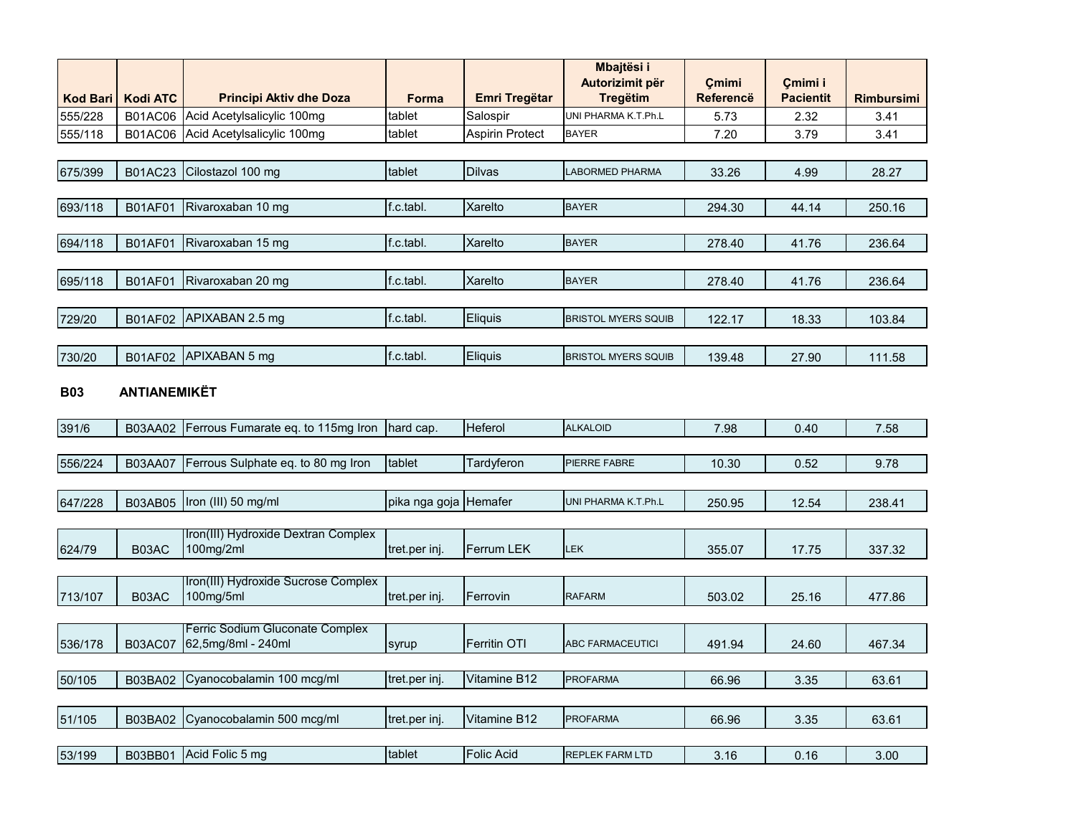|                 |                     |                                                       |                       |                   | Mbajtësi i                         |                           |                             |                   |
|-----------------|---------------------|-------------------------------------------------------|-----------------------|-------------------|------------------------------------|---------------------------|-----------------------------|-------------------|
| <b>Kod Bari</b> | <b>Kodi ATC</b>     | <b>Principi Aktiv dhe Doza</b>                        | <b>Forma</b>          | Emri Tregëtar     | Autorizimit për<br><b>Tregëtim</b> | Cmimi<br><b>Referencë</b> | Cmimi i<br><b>Pacientit</b> | <b>Rimbursimi</b> |
| 555/228         | <b>B01AC06</b>      | Acid Acetylsalicylic 100mg                            | tablet                | Salospir          | UNI PHARMA K.T.Ph.L                | 5.73                      | 2.32                        | 3.41              |
| 555/118         | <b>B01AC06</b>      | Acid Acetylsalicylic 100mg                            | tablet                | Aspirin Protect   | <b>BAYER</b>                       | 7.20                      | 3.79                        | 3.41              |
|                 |                     |                                                       |                       |                   |                                    |                           |                             |                   |
| 675/399         | <b>B01AC23</b>      | Cilostazol 100 mg                                     | tablet                | <b>Dilvas</b>     | LABORMED PHARMA                    | 33.26                     | 4.99                        | 28.27             |
|                 |                     |                                                       |                       |                   |                                    |                           |                             |                   |
| 693/118         | <b>B01AF01</b>      | Rivaroxaban 10 mg                                     | f.c.tabl.             | Xarelto           | <b>BAYER</b>                       | 294.30                    | 44.14                       | 250.16            |
|                 |                     |                                                       |                       |                   |                                    |                           |                             |                   |
| 694/118         | <b>B01AF01</b>      | Rivaroxaban 15 mg                                     | f.c.tabl.             | Xarelto           | <b>BAYER</b>                       | 278.40                    | 41.76                       | 236.64            |
|                 |                     |                                                       |                       |                   |                                    |                           |                             |                   |
| 695/118         | <b>B01AF01</b>      | Rivaroxaban 20 mg                                     | f.c.tabl.             | Xarelto           | <b>BAYER</b>                       | 278.40                    | 41.76                       | 236.64            |
|                 |                     |                                                       |                       |                   |                                    |                           |                             |                   |
| 729/20          | B01AF02             | APIXABAN 2.5 mg                                       | f.c.tabl.             | Eliquis           | <b>BRISTOL MYERS SQUIB</b>         | 122.17                    | 18.33                       | 103.84            |
|                 |                     |                                                       |                       |                   |                                    |                           |                             |                   |
| 730/20          | B01AF02             | APIXABAN 5 mg                                         | f.c.tabl.             | Eliquis           | <b>BRISTOL MYERS SQUIB</b>         | 139.48                    | 27.90                       | 111.58            |
|                 |                     |                                                       |                       |                   |                                    |                           |                             |                   |
| <b>B03</b>      | <b>ANTIANEMIKËT</b> |                                                       |                       |                   |                                    |                           |                             |                   |
|                 |                     |                                                       |                       |                   |                                    |                           |                             |                   |
| 391/6           | B03AA02             | Ferrous Fumarate eq. to 115mg Iron                    | hard cap.             | Heferol           | <b>ALKALOID</b>                    | 7.98                      | 0.40                        | 7.58              |
|                 |                     |                                                       |                       |                   |                                    |                           |                             |                   |
| 556/224         | <b>B03AA07</b>      | Ferrous Sulphate eq. to 80 mg Iron                    | tablet                | Tardyferon        | PIERRE FABRE                       | 10.30                     | 0.52                        | 9.78              |
|                 |                     |                                                       |                       |                   |                                    |                           |                             |                   |
| 647/228         | B03AB05             | Iron (III) 50 mg/ml                                   | pika nga goja Hemafer |                   | UNI PHARMA K.T.Ph.L                | 250.95                    | 12.54                       | 238.41            |
|                 |                     | Iron(III) Hydroxide Dextran Complex                   |                       |                   |                                    |                           |                             |                   |
| 624/79          | B03AC               | 100mg/2ml                                             | tret.per inj.         | <b>Ferrum LEK</b> | LEK                                | 355.07                    | 17.75                       | 337.32            |
|                 |                     |                                                       |                       |                   |                                    |                           |                             |                   |
|                 |                     | Iron(III) Hydroxide Sucrose Complex                   |                       |                   |                                    |                           |                             |                   |
| 713/107         | B03AC               | 100mg/5ml                                             | tret.per inj.         | Ferrovin          | <b>RAFARM</b>                      | 503.02                    | 25.16                       | 477.86            |
|                 |                     |                                                       |                       |                   |                                    |                           |                             |                   |
| 536/178         | <b>B03AC07</b>      | Ferric Sodium Gluconate Complex<br>62,5mg/8ml - 240ml | syrup                 | Ferritin OTI      | <b>ABC FARMACEUTICI</b>            | 491.94                    | 24.60                       | 467.34            |
|                 |                     |                                                       |                       |                   |                                    |                           |                             |                   |
| 50/105          | B03BA02             | Cyanocobalamin 100 mcg/ml                             | tret.per inj.         | Vitamine B12      | <b>PROFARMA</b>                    | 66.96                     | 3.35                        | 63.61             |
|                 |                     |                                                       |                       |                   |                                    |                           |                             |                   |
| 51/105          | B03BA02             | Cyanocobalamin 500 mcg/ml                             | tret.per inj.         | Vitamine B12      | <b>PROFARMA</b>                    | 66.96                     | 3.35                        | 63.61             |
|                 |                     |                                                       |                       |                   |                                    |                           |                             |                   |
| 53/199          | B03BB01             | Acid Folic 5 mg                                       | tablet                | Folic Acid        | <b>REPLEK FARM LTD</b>             | 3.16                      | 0.16                        | 3.00              |
|                 |                     |                                                       |                       |                   |                                    |                           |                             |                   |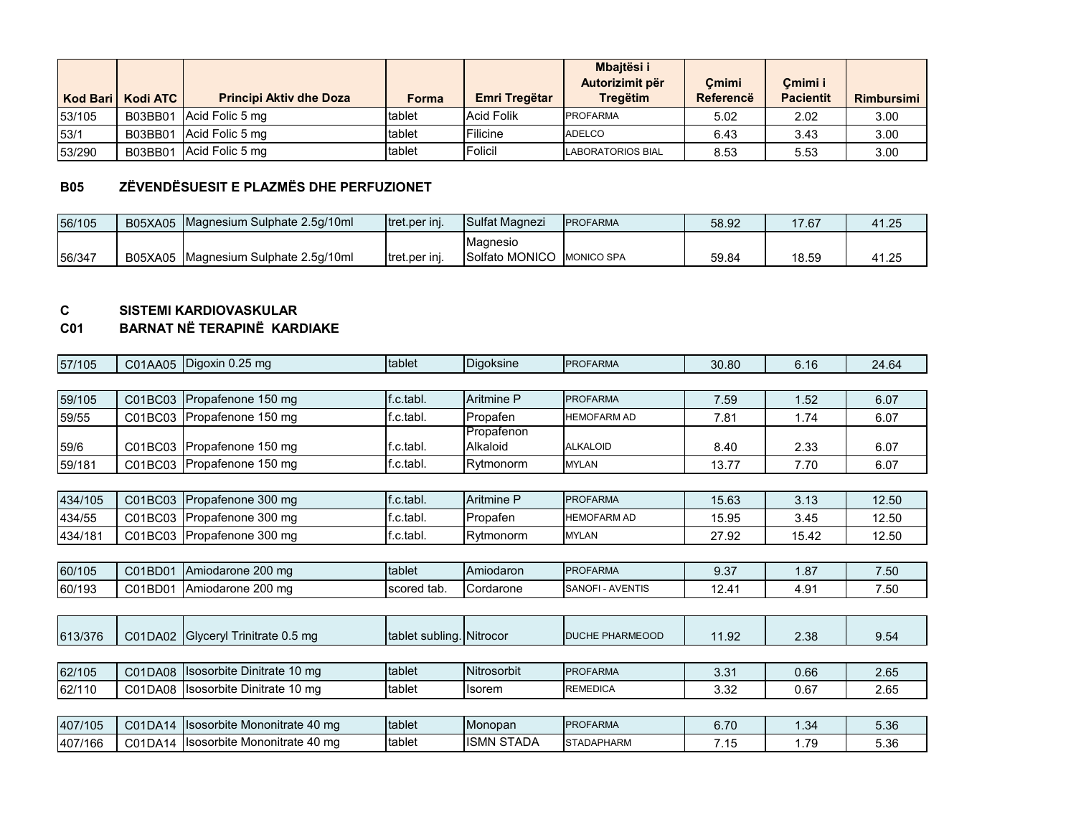|        | Kod Bari   Kodi ATC | <b>Principi Aktiv dhe Doza</b> | Forma  | Emri Tregëtar | <b>Mbaitësi i</b><br>Autorizimit për<br><b>Tregëtim</b> | Cmimi<br>Referencë | Cmimi i<br><b>Pacientit</b> | <b>Rimbursimi</b> |
|--------|---------------------|--------------------------------|--------|---------------|---------------------------------------------------------|--------------------|-----------------------------|-------------------|
| 53/105 | B03BB01             | Acid Folic 5 mg                | tablet | Acid Folik    | <b>PROFARMA</b>                                         | 5.02               | 2.02                        | 3.00              |
| 53/1   | B03BB01             | Acid Folic 5 mg                | tablet | Filicine      | <b>ADELCO</b>                                           | 6.43               | 3.43                        | 3.00              |
| 53/290 | B03BB01             | Acid Folic 5 mg                | tablet | Folicil       | <b>LABORATORIOS BIAL</b>                                | 8.53               | 5.53                        | 3.00              |

### **B05 ZËVENDËSUESIT E PLAZMËS DHE PERFUZIONET**

| 56/105 | <b>B05XA05</b> | Magnesium Sulphate 2.5g/10ml | <b>Itret.per ini.</b> | <b>Sulfat Magnezi</b> | <b>IPROFARMA</b>  | 58.92 | 17.67 | 41.25 |
|--------|----------------|------------------------------|-----------------------|-----------------------|-------------------|-------|-------|-------|
|        |                |                              |                       | <b>IMagnesio</b>      |                   |       |       |       |
| 56/347 | B05XA05        | Magnesium Sulphate 2.5g/10ml | Itret.per ini.        | Solfato MONICO        | <b>MONICO SPA</b> | 59.84 | 18.59 | 41.25 |

# **C SISTEMI KARDIOVASKULAR**

#### **C01 BARNAT NË TERAPINË KARDIAKE**

| 57/105  | C01AA05 | Digoxin 0.25 mg              | tablet                   | <b>Digoksine</b>       | <b>PROFARMA</b>        | 30.80 | 6.16  | 24.64 |
|---------|---------|------------------------------|--------------------------|------------------------|------------------------|-------|-------|-------|
|         |         |                              |                          |                        |                        |       |       |       |
| 59/105  | C01BC03 | Propafenone 150 mg           | f.c.tabl.                | Aritmine P             | <b>PROFARMA</b>        | 7.59  | 1.52  | 6.07  |
| 59/55   | C01BC03 | Propafenone 150 mg           | f.c.tabl.                | Propafen               | <b>HEMOFARM AD</b>     | 7.81  | 1.74  | 6.07  |
| 59/6    | C01BC03 | Propafenone 150 mg           | f.c.tabl.                | Propafenon<br>Alkaloid | <b>ALKALOID</b>        | 8.40  | 2.33  | 6.07  |
| 59/181  | C01BC03 | Propafenone 150 mg           | f.c.tabl.                | Rytmonorm              | <b>MYLAN</b>           | 13.77 | 7.70  | 6.07  |
|         |         |                              |                          |                        |                        |       |       |       |
| 434/105 | C01BC03 | Propafenone 300 mg           | f.c.tabl.                | Aritmine P             | <b>PROFARMA</b>        | 15.63 | 3.13  | 12.50 |
| 434/55  | C01BC03 | Propafenone 300 mg           | f.c.tabl.                | Propafen               | <b>HEMOFARM AD</b>     | 15.95 | 3.45  | 12.50 |
| 434/181 | C01BC03 | Propafenone 300 mg           | f.c.tabl.                | Rytmonorm              | <b>MYLAN</b>           | 27.92 | 15.42 | 12.50 |
|         |         |                              |                          |                        |                        |       |       |       |
| 60/105  | C01BD01 | Amiodarone 200 mg            | tablet                   | Amiodaron              | <b>PROFARMA</b>        | 9.37  | 1.87  | 7.50  |
| 60/193  | C01BD01 | Amiodarone 200 mg            | scored tab.              | Cordarone              | SANOFI - AVENTIS       | 12.41 | 4.91  | 7.50  |
|         |         |                              |                          |                        |                        |       |       |       |
| 613/376 | C01DA02 | Glyceryl Trinitrate 0.5 mg   | tablet subling. Nitrocor |                        | <b>DUCHE PHARMEOOD</b> | 11.92 | 2.38  | 9.54  |
|         |         |                              |                          |                        |                        |       |       |       |
| 62/105  | C01DA08 | Isosorbite Dinitrate 10 mg   | tablet                   | Nitrosorbit            | <b>PROFARMA</b>        | 3.31  | 0.66  | 2.65  |
| 62/110  | C01DA08 | Isosorbite Dinitrate 10 mg   | tablet                   | <b>Isorem</b>          | <b>REMEDICA</b>        | 3.32  | 0.67  | 2.65  |
|         |         |                              |                          |                        |                        |       |       |       |
| 407/105 | C01DA14 | Isosorbite Mononitrate 40 mg | tablet                   | Monopan                | <b>PROFARMA</b>        | 6.70  | 1.34  | 5.36  |
| 407/166 | C01DA14 | Isosorbite Mononitrate 40 mg | tablet                   | <b>ISMN STADA</b>      | <b>STADAPHARM</b>      | 7.15  | 1.79  | 5.36  |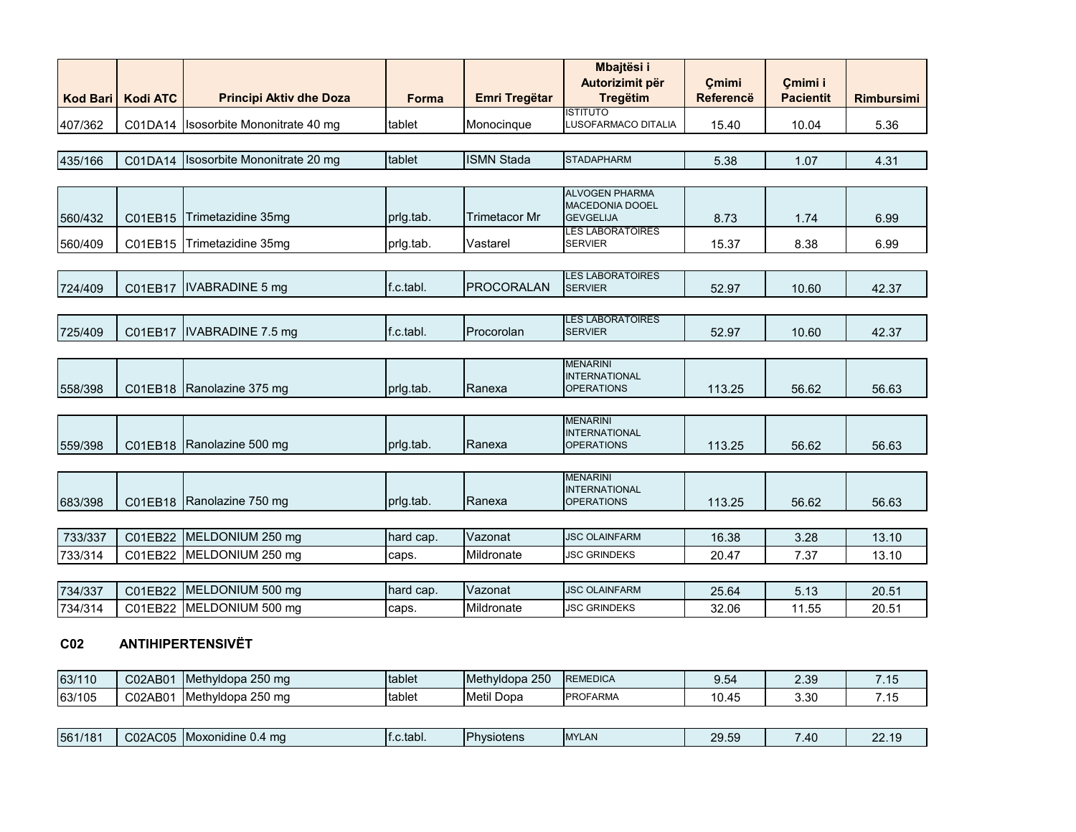|                 |                 |                                |           |                      | Mbajtësi i<br>Autorizimit për                                       | Cmimi            | Çmimi i          |                   |
|-----------------|-----------------|--------------------------------|-----------|----------------------|---------------------------------------------------------------------|------------------|------------------|-------------------|
| <b>Kod Bari</b> | <b>Kodi ATC</b> | <b>Principi Aktiv dhe Doza</b> | Forma     | <b>Emri Tregëtar</b> | <b>Tregëtim</b>                                                     | <b>Referencë</b> | <b>Pacientit</b> | <b>Rimbursimi</b> |
| 407/362         | C01DA14         | Isosorbite Mononitrate 40 mg   | tablet    | Monocinque           | <b>ISTITUTO</b><br>LUSOFARMACO DITALIA                              | 15.40            | 10.04            | 5.36              |
|                 |                 |                                |           |                      |                                                                     |                  |                  |                   |
| 435/166         | C01DA14         | Isosorbite Mononitrate 20 mg   | tablet    | <b>ISMN Stada</b>    | <b>STADAPHARM</b>                                                   | 5.38             | 1.07             | 4.31              |
|                 |                 |                                |           |                      |                                                                     |                  |                  |                   |
| 560/432         | C01EB15         | Trimetazidine 35mg             | prig.tab. | <b>Trimetacor Mr</b> | <b>ALVOGEN PHARMA</b><br><b>MACEDONIA DOOEL</b><br><b>GEVGELIJA</b> | 8.73             | 1.74             | 6.99              |
|                 |                 |                                |           |                      | <b>LES LABORATOIRES</b>                                             |                  |                  |                   |
| 560/409         | C01EB15         | Trimetazidine 35mg             | prlg.tab. | Vastarel             | <b>SERVIER</b>                                                      | 15.37            | 8.38             | 6.99              |
|                 |                 |                                |           |                      |                                                                     |                  |                  |                   |
| 724/409         | C01EB17         | <b>IVABRADINE 5 mg</b>         | f.c.tabl. | <b>PROCORALAN</b>    | <b>LES LABORATOIRES</b><br><b>SERVIER</b>                           | 52.97            | 10.60            | 42.37             |
|                 |                 |                                |           |                      |                                                                     |                  |                  |                   |
| 725/409         | C01EB17         | IVABRADINE 7.5 mg              | f.c.tabl. | Procorolan           | <b>LES LABORATOIRES</b><br><b>SERVIER</b>                           | 52.97            | 10.60            | 42.37             |
|                 |                 |                                |           |                      |                                                                     |                  |                  |                   |
|                 |                 |                                |           |                      | <b>MENARINI</b><br><b>INTERNATIONAL</b>                             |                  |                  |                   |
| 558/398         | C01EB18         | Ranolazine 375 mg              | prig.tab. | Ranexa               | <b>OPERATIONS</b>                                                   | 113.25           | 56.62            | 56.63             |
|                 |                 |                                |           |                      |                                                                     |                  |                  |                   |
|                 |                 |                                |           |                      | <b>MENARINI</b><br><b>INTERNATIONAL</b>                             |                  |                  |                   |
| 559/398         |                 | C01EB18 Ranolazine 500 mg      | prlg.tab. | Ranexa               | <b>OPERATIONS</b>                                                   | 113.25           | 56.62            | 56.63             |
|                 |                 |                                |           |                      |                                                                     |                  |                  |                   |
|                 |                 |                                |           |                      | <b>MENARINI</b><br><b>INTERNATIONAL</b>                             |                  |                  |                   |
| 683/398         | C01EB18         | Ranolazine 750 mg              | prlg.tab. | Ranexa               | <b>OPERATIONS</b>                                                   | 113.25           | 56.62            | 56.63             |
|                 |                 |                                |           |                      |                                                                     |                  |                  |                   |
| 733/337         | C01EB22         | MELDONIUM 250 mg               | hard cap. | Vazonat              | <b>JSC OLAINFARM</b>                                                | 16.38            | 3.28             | 13.10             |
| 733/314         | C01EB22         | MELDONIUM 250 mg               | caps.     | Mildronate           | <b>JSC GRINDEKS</b>                                                 | 20.47            | 7.37             | 13.10             |
|                 |                 |                                |           |                      |                                                                     |                  |                  |                   |
| 734/337         | C01EB22         | MELDONIUM 500 mg               | hard cap. | Vazonat              | <b>JSC OLAINFARM</b>                                                | 25.64            | 5.13             | 20.51             |
| 734/314         | C01EB22         | MELDONIUM 500 mg               | caps.     | Mildronate           | <b>JSC GRINDEKS</b>                                                 | 32.06            | 11.55            | 20.51             |

#### **C02 ANTIHIPERTENSIVËT**

| 63/110 | C02AB01 | Methyldopa 250 mg | <b>Itablet</b> | 250<br><b>Methyldopa</b><br>ZUU | <b>REMEDICA</b> | $\mathbf{v} \cdot \mathbf{v}$ | 2 טג<br>ت.ب | 4E<br>ں ، ، |
|--------|---------|-------------------|----------------|---------------------------------|-----------------|-------------------------------|-------------|-------------|
| 63/105 | C02AB01 | Methyldopa 250 mg | tablet         | Metil Dopa                      | <b>PROFARMA</b> | $\overline{A}$<br>10.45       | 3.30        | (15)<br>ں   |

| $\cdots$<br><b>IPhysiotens</b><br>561/181<br>A C<br>$\bigcap_{\alpha}$<br>$\sim$<br>$\sim$<br>$\Omega$<br><b>IMYLAN</b><br>lf.c.tabl.<br>TMoxonidine 0.4 ma<br><b>11</b><br>. .<br>ىر<br>wu<br>$\sim$<br>- ∪<br>т.<br>-- |  |  |  |  |  |  |  |  |  |
|--------------------------------------------------------------------------------------------------------------------------------------------------------------------------------------------------------------------------|--|--|--|--|--|--|--|--|--|
|--------------------------------------------------------------------------------------------------------------------------------------------------------------------------------------------------------------------------|--|--|--|--|--|--|--|--|--|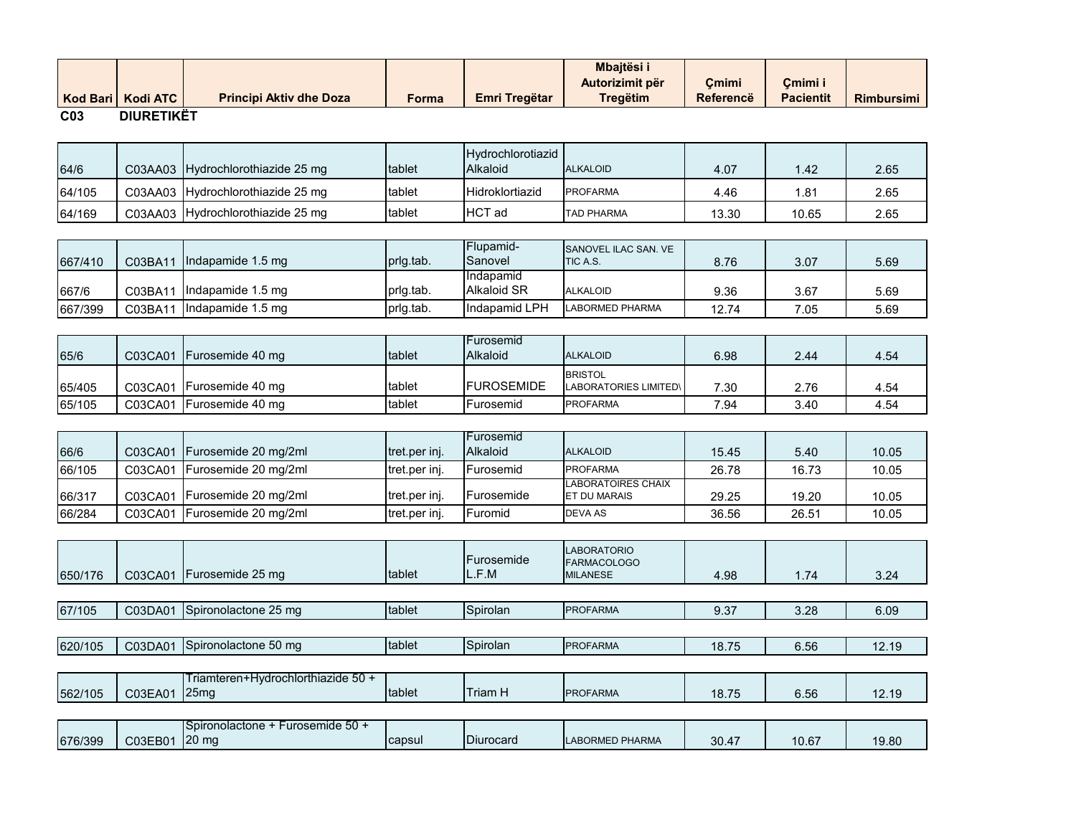|                 | Kod Bari   Kodi ATC | <b>Principi Aktiv dhe Doza</b> | Forma | Emri Tregëtar | <b>Mbaitësi i</b><br>Autorizimit për<br><b>Tregëtim</b> | Cmimi<br>Referencë | Cmimi i<br><b>Pacientit</b> | <b>Rimbursimi</b> |
|-----------------|---------------------|--------------------------------|-------|---------------|---------------------------------------------------------|--------------------|-----------------------------|-------------------|
| C <sub>03</sub> | <b>DIURETIKËT</b>   |                                |       |               |                                                         |                    |                             |                   |

| 64/6   | C03AA03 Hydrochlorothiazide 25 mg | tablet | Hydrochlorotiazid<br>Alkaloid | <b>ALKALOID</b>   | 4.07  | 1.42  | 2.65 |
|--------|-----------------------------------|--------|-------------------------------|-------------------|-------|-------|------|
| 64/105 | C03AA03 Hydrochlorothiazide 25 mg | tablet | <b>Hidroklortiazid</b>        | <b>PROFARMA</b>   | 4.46  | .81   | 2.65 |
| 64/169 | C03AA03 Hydrochlorothiazide 25 mg | tablet | HCT ad                        | <b>TAD PHARMA</b> | 13.30 | 10.65 | 2.65 |

| 667/410 | C03BA11 | Indapamide 1.5 mg | prig.tab. | Flupamid-<br>Sanovel | <b>SANOVEL ILAC SAN. VE</b><br><b>ITIC A.S.</b> | 8.76  | 3.07 | 5.69 |
|---------|---------|-------------------|-----------|----------------------|-------------------------------------------------|-------|------|------|
|         |         |                   |           | Indapamid            |                                                 |       |      |      |
| 667/6   | C03BA11 | Indapamide 1.5 mg | prig.tab. | <b>Alkaloid SR</b>   | <b>ALKALOID</b>                                 | 9.36  | 3.67 | 5.69 |
| 667/399 | C03BA11 | Indapamide 1.5 mg | prig.tab. | Indapamid LPH        | <b>LABORMED PHARMA</b>                          | 12.74 | 7.05 | 5.69 |

| 65/6   | C03CA01 | Furosemide 40 mg         | tablet | l Furosemid<br><b>Alkaloid</b> | <b>ALKALOID</b>                         | 6.98 | 2.44 | 4.54 |
|--------|---------|--------------------------|--------|--------------------------------|-----------------------------------------|------|------|------|
| 65/405 | C03CA01 | Furosemide 40 mg         | tablet | <b>IFUROSEMIDE</b>             | <b>BRISTOL</b><br>LABORATORIES LIMITED\ | 7.30 | 2.76 | 4.54 |
| 65/105 | C03CA01 | <b>IFurosemide 40 mg</b> | tablet | Furosemid                      | <b>PROFARMA</b>                         | 7.94 | 3.40 | 4.54 |

|        |         |                                |                       | l Furosemid       |                                                  |       |       |       |
|--------|---------|--------------------------------|-----------------------|-------------------|--------------------------------------------------|-------|-------|-------|
| 66/6   | C03CA01 | Furosemide 20 mg/2ml           | <b>Itret.per inj.</b> | <b>Alkaloid</b>   | <b>ALKALOID</b>                                  | 15.45 | 5.40  | 10.05 |
| 66/105 | C03CA01 | Furosemide 20 mg/2ml           | tret.per inj.         | <b>Furosemid</b>  | <b>PROFARMA</b>                                  | 26.78 | 16.73 | 10.05 |
| 66/317 |         | C03CA01   Furosemide 20 mg/2ml | tret.per inj.         | <b>Furosemide</b> | <b>LABORATOIRES CHAIX</b><br><b>ET DU MARAIS</b> | 29.25 | 19.20 | 10.05 |
|        |         |                                |                       |                   |                                                  |       |       |       |
| 66/284 | C03CA01 | Furosemide 20 mg/2ml           | tret.per inj.         | Furomid           | DEVA AS                                          | 36.56 | 26.51 | 10.05 |

| 650/176 | C03CA01 | Furosemide 25 mg                                     | tablet | Eurosemide<br>L.F.M | <b>LABORATORIO</b><br><b>FARMACOLOGO</b><br><b>MILANESE</b> | 4.98  | 1.74  | 3.24  |
|---------|---------|------------------------------------------------------|--------|---------------------|-------------------------------------------------------------|-------|-------|-------|
|         |         |                                                      |        |                     |                                                             |       |       |       |
| 67/105  | C03DA01 | Spironolactone 25 mg                                 | tablet | Spirolan            | <b>PROFARMA</b>                                             | 9.37  | 3.28  | 6.09  |
|         |         |                                                      |        |                     |                                                             |       |       |       |
| 620/105 | C03DA01 | Spironolactone 50 mg                                 | tablet | Spirolan            | <b>PROFARMA</b>                                             | 18.75 | 6.56  | 12.19 |
|         |         |                                                      |        |                     |                                                             |       |       |       |
|         |         | Triamteren+Hydrochlorthiazide 50 +                   |        |                     |                                                             |       |       |       |
| 562/105 | C03EA01 | 25 <sub>mq</sub>                                     | tablet | <b>Triam H</b>      | <b>PROFARMA</b>                                             | 18.75 | 6.56  | 12.19 |
|         |         |                                                      |        |                     |                                                             |       |       |       |
| 676/399 | C03EB01 | Spironolactone + Furosemide 50 +<br>20 <sub>mg</sub> | capsul | Diurocard           | <b>LABORMED PHARMA</b>                                      | 30.47 | 10.67 | 19.80 |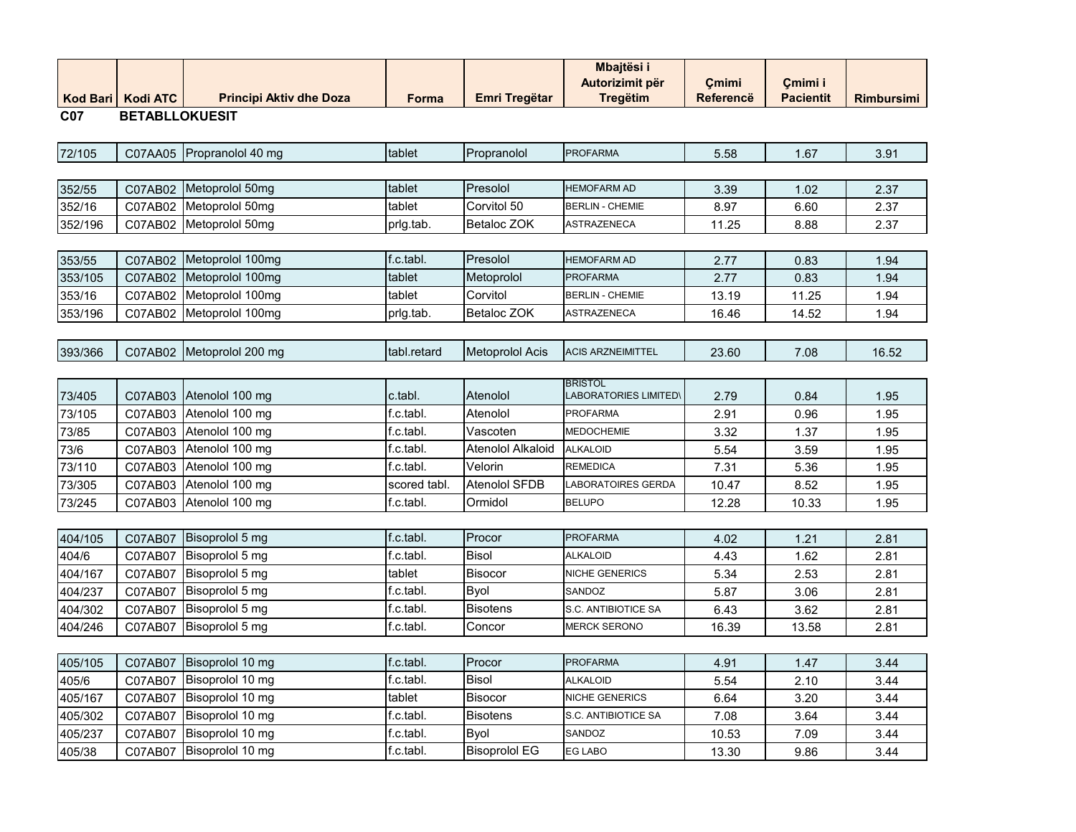|         | Kod Bari Kodi ATC     | <b>Principi Aktiv dhe Doza</b> | Forma        | Emri Tregëtar        | <b>Mbajtësi i</b><br>Autorizimit për<br><b>Tregëtim</b> | Çmimi<br><b>Referencë</b> | Cmimi i<br><b>Pacientit</b> | <b>Rimbursimi</b> |
|---------|-----------------------|--------------------------------|--------------|----------------------|---------------------------------------------------------|---------------------------|-----------------------------|-------------------|
| C07     | <b>BETABLLOKUESIT</b> |                                |              |                      |                                                         |                           |                             |                   |
|         |                       |                                |              |                      |                                                         |                           |                             |                   |
| 72/105  | C07AA05               | Propranolol 40 mg              | tablet       | Propranolol          | <b>PROFARMA</b>                                         | 5.58                      | 1.67                        | 3.91              |
|         |                       |                                |              |                      |                                                         |                           |                             |                   |
| 352/55  | C07AB02               | Metoprolol 50mg                | tablet       | Presolol             | <b>HEMOFARM AD</b>                                      | 3.39                      | 1.02                        | 2.37              |
| 352/16  | C07AB02               | Metoprolol 50mg                | tablet       | Corvitol 50          | <b>BERLIN - CHEMIE</b>                                  | 8.97                      | 6.60                        | 2.37              |
| 352/196 | C07AB02               | Metoprolol 50mg                | prlg.tab.    | Betaloc ZOK          | ASTRAZENECA                                             | 11.25                     | 8.88                        | 2.37              |
|         |                       |                                |              |                      |                                                         |                           |                             |                   |
| 353/55  | C07AB02               | Metoprolol 100mg               | f.c.tabl.    | Presolol             | <b>HEMOFARM AD</b>                                      | 2.77                      | 0.83                        | 1.94              |
| 353/105 | C07AB02               | Metoprolol 100mg               | tablet       | Metoprolol           | <b>PROFARMA</b>                                         | 2.77                      | 0.83                        | 1.94              |
| 353/16  | C07AB02               | Metoprolol 100mg               | tablet       | Corvitol             | <b>BERLIN - CHEMIE</b>                                  | 13.19                     | 11.25                       | 1.94              |
| 353/196 | C07AB02               | Metoprolol 100mg               | prlg.tab.    | Betaloc ZOK          | ASTRAZENECA                                             | 16.46                     | 14.52                       | 1.94              |
|         |                       |                                |              |                      |                                                         |                           |                             |                   |
| 393/366 | C07AB02               | Metoprolol 200 mg              | tabl.retard  | Metoprolol Acis      | <b>ACIS ARZNEIMITTEL</b>                                | 23.60                     | 7.08                        | 16.52             |
|         |                       |                                |              |                      |                                                         |                           |                             |                   |
| 73/405  | C07AB03               | Atenolol 100 mg                | c.tabl.      | Atenolol             | <b>BRISTOL</b><br><b>LABORATORIES LIMITED\</b>          | 2.79                      | 0.84                        | 1.95              |
| 73/105  | C07AB03               | Atenolol 100 mg                | f.c.tabl.    | Atenolol             | PROFARMA                                                | 2.91                      | 0.96                        | 1.95              |
| 73/85   | C07AB03               | Atenolol 100 mg                | f.c.tabl.    | Vascoten             | <b>MEDOCHEMIE</b>                                       | 3.32                      | 1.37                        | 1.95              |
| 73/6    | C07AB03               | Atenolol 100 mg                | f.c.tabl.    | Atenolol Alkaloid    | <b>ALKALOID</b>                                         | 5.54                      | 3.59                        | 1.95              |
| 73/110  | C07AB03               | Atenolol 100 mg                | f.c.tabl.    | Velorin              | <b>REMEDICA</b>                                         | 7.31                      | 5.36                        | 1.95              |
| 73/305  | C07AB03               | Atenolol 100 mg                | scored tabl. | Atenolol SFDB        | LABORATOIRES GERDA                                      | 10.47                     | 8.52                        | 1.95              |
| 73/245  | C07AB03               | Atenolol 100 mg                | f.c.tabl.    | Ormidol              | <b>BELUPO</b>                                           | 12.28                     | 10.33                       | 1.95              |
|         |                       |                                |              |                      |                                                         |                           |                             |                   |
| 404/105 | C07AB07               | Bisoprolol 5 mg                | f.c.tabl.    | Procor               | <b>PROFARMA</b>                                         | 4.02                      | 1.21                        | 2.81              |
| 404/6   | C07AB07               | Bisoprolol 5 mg                | f.c.tabl.    | Bisol                | <b>ALKALOID</b>                                         | 4.43                      | 1.62                        | 2.81              |
| 404/167 | C07AB07               | Bisoprolol 5 mg                | tablet       | Bisocor              | NICHE GENERICS                                          | 5.34                      | 2.53                        | 2.81              |
| 404/237 | C07AB07               | Bisoprolol 5 mg                | f.c.tabl.    | Byol                 | SANDOZ                                                  | 5.87                      | 3.06                        | 2.81              |
| 404/302 | C07AB07               | Bisoprolol 5 mg                | f.c.tabl.    | <b>Bisotens</b>      | S.C. ANTIBIOTICE SA                                     | 6.43                      | 3.62                        | 2.81              |
| 404/246 | C07AB07               | Bisoprolol 5 mg                | f.c.tabl.    | Concor               | <b>MERCK SERONO</b>                                     | 16.39                     | 13.58                       | 2.81              |
|         |                       |                                |              |                      |                                                         |                           |                             |                   |
| 405/105 | C07AB07               | Bisoprolol 10 mg               | f.c.tabl.    | Procor               | <b>PROFARMA</b>                                         | 4.91                      | 1.47                        | 3.44              |
| 405/6   | C07AB07               | Bisoprolol 10 mg               | f.c.tabl.    | <b>Bisol</b>         | <b>ALKALOID</b>                                         | 5.54                      | 2.10                        | 3.44              |
| 405/167 | C07AB07               | Bisoprolol 10 mg               | tablet       | Bisocor              | NICHE GENERICS                                          | 6.64                      | 3.20                        | 3.44              |
| 405/302 | C07AB07               | Bisoprolol 10 mg               | f.c.tabl.    | <b>Bisotens</b>      | S.C. ANTIBIOTICE SA                                     | 7.08                      | 3.64                        | 3.44              |
| 405/237 | C07AB07               | Bisoprolol 10 mg               | f.c.tabl.    | Byol                 | SANDOZ                                                  | 10.53                     | 7.09                        | 3.44              |
| 405/38  |                       | C07AB07 Bisoprolol 10 mg       | f.c.tabl.    | <b>Bisoprolol EG</b> | EG LABO                                                 | 13.30                     | 9.86                        | 3.44              |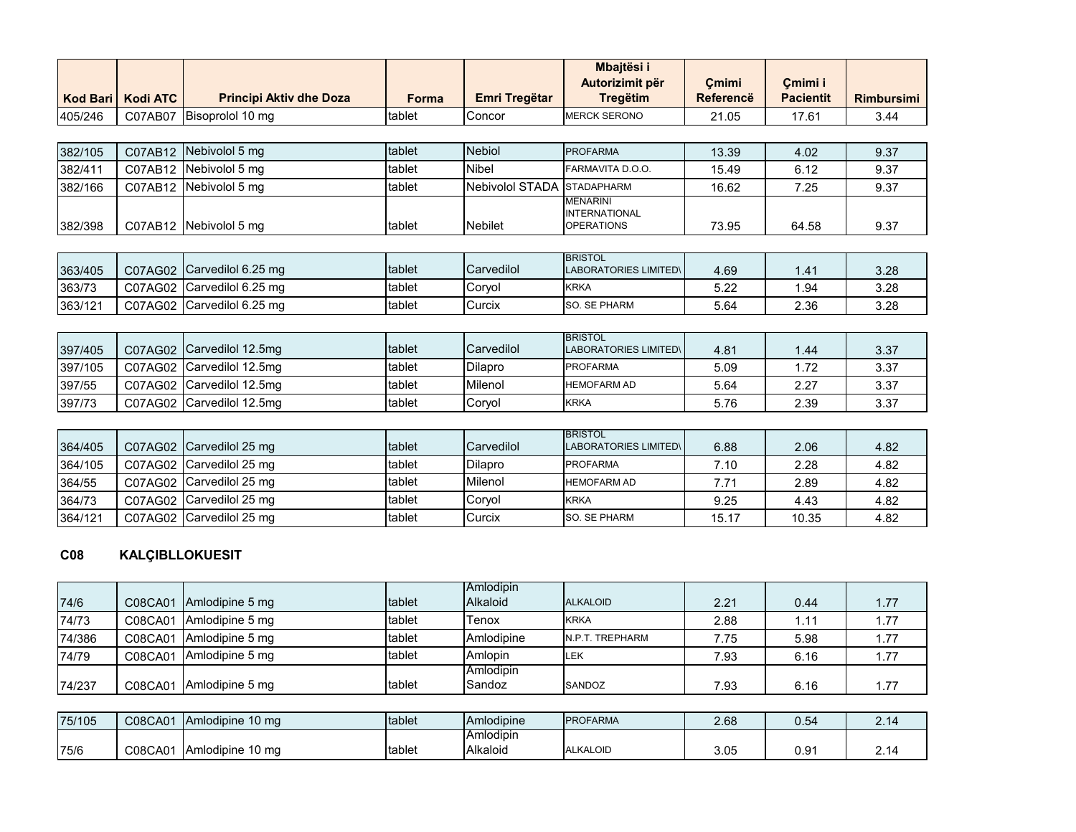|                 |                 |                                |              |                        | Mbajtësi i<br>Autorizimit për                                | Çmimi            | Çmimi i          |                   |
|-----------------|-----------------|--------------------------------|--------------|------------------------|--------------------------------------------------------------|------------------|------------------|-------------------|
| <b>Kod Bari</b> | <b>Kodi ATC</b> | <b>Principi Aktiv dhe Doza</b> | <b>Forma</b> | Emri Tregëtar          | <b>Tregëtim</b>                                              | <b>Referencë</b> | <b>Pacientit</b> | <b>Rimbursimi</b> |
| 405/246         | C07AB07         | Bisoprolol 10 mg               | tablet       | Concor                 | <b>MERCK SERONO</b>                                          | 21.05            | 17.61            | 3.44              |
|                 |                 |                                |              |                        |                                                              |                  |                  |                   |
| 382/105         | C07AB12         | Nebivolol 5 mg                 | tablet       | <b>Nebiol</b>          | <b>PROFARMA</b>                                              | 13.39            | 4.02             | 9.37              |
| 382/411         | C07AB12         | Nebivolol 5 mg                 | tablet       | Nibel                  | FARMAVITA D.O.O.                                             | 15.49            | 6.12             | 9.37              |
| 382/166         | C07AB12         | Nebivolol 5 mg                 | tablet       | <b>Nebivolol STADA</b> | <b>STADAPHARM</b>                                            | 16.62            | 7.25             | 9.37              |
| 382/398         |                 | C07AB12 Nebivolol 5 mg         | tablet       | <b>Nebilet</b>         | <b>MENARINI</b><br><b>INTERNATIONAL</b><br><b>OPERATIONS</b> | 73.95            | 64.58            | 9.37              |
|                 |                 |                                |              |                        |                                                              |                  |                  |                   |
| 363/405         | C07AG02         | Carvedilol 6.25 mg             | tablet       | Carvedilol             | <b>BRISTOL</b><br><b>LABORATORIES LIMITED\</b>               | 4.69             | 1.41             | 3.28              |
| 363/73          | C07AG02         | Carvedilol 6.25 mg             | tablet       | Coryol                 | <b>KRKA</b>                                                  | 5.22             | 1.94             | 3.28              |
| 363/121         | C07AG02         | Carvedilol 6.25 mg             | tablet       | Curcix                 | SO. SE PHARM                                                 | 5.64             | 2.36             | 3.28              |
|                 |                 |                                |              |                        |                                                              |                  |                  |                   |
| 397/405         | C07AG02         | Carvedilol 12.5mg              | tablet       | Carvedilol             | <b>BRISTOL</b><br><b>LABORATORIES LIMITED\</b>               | 4.81             | 1.44             | 3.37              |
| 397/105         | C07AG02         | Carvedilol 12.5mg              | tablet       | Dilapro                | <b>PROFARMA</b>                                              | 5.09             | 1.72             | 3.37              |
| 397/55          | C07AG02         | Carvedilol 12.5mg              | tablet       | Milenol                | <b>HEMOFARM AD</b>                                           | 5.64             | 2.27             | 3.37              |
| 397/73          | C07AG02         | Carvedilol 12.5mg              | tablet       | Coryol                 | <b>KRKA</b>                                                  | 5.76             | 2.39             | 3.37              |
|                 |                 |                                |              |                        |                                                              |                  |                  |                   |
| $20110F$        |                 | $0.21000$ Canvadilal 25 mg     | $+$ ahlat    | $C$ orvodilol          | <b>BRISTOL</b><br>LADODATODICO LIMITEDI                      | 0.00             | 0.00             | $\sqrt{2}$        |

| 364/405 | C07AG02 Carvedilol 25 mg  | tablet  | <b>Carvedilol</b> | שטו טורוטו<br>LABORATORIES LIMITED\ | 6.88  | 2.06  | 4.82 |
|---------|---------------------------|---------|-------------------|-------------------------------------|-------|-------|------|
| 364/105 | C07AG02  Carvedilol 25 mq | Itablet | Dilapro           | <b>PROFARMA</b>                     | 7.10  | 2.28  | 4.82 |
| 364/55  | C07AG02 Carvedilol 25 mg  | tablet  | Milenol           | <b>HEMOFARM AD</b>                  | 7.71  | 2.89  | 4.82 |
| 364/73  | C07AG02 Carvedilol 25 mg  | tablet  | Corvol            | <b>KRKA</b>                         | 9.25  | 4.43  | 4.82 |
| 364/121 | C07AG02 Carvedilol 25 mg  | tablet  | Curcix            | <b>SO. SE PHARM</b>                 | 15.17 | 10.35 | 4.82 |

#### **C08 KALÇIBLLOKUESIT**

|        |         |                 |        | Amlodipin  |                 |      |      |      |
|--------|---------|-----------------|--------|------------|-----------------|------|------|------|
| 74/6   | C08CA01 | Amlodipine 5 mg | tablet | Alkaloid   | <b>ALKALOID</b> | 2.21 | 0.44 | l.77 |
| 74/73  | C08CA01 | Amlodipine 5 mg | tablet | Tenox      | <b>KRKA</b>     | 2.88 | 1.11 | .77  |
| 74/386 | C08CA01 | Amlodipine 5 mg | tablet | Amlodipine | N.P.T. TREPHARM | 7.75 | 5.98 | . 77 |
| 74/79  | C08CA01 | Amlodipine 5 mg | tablet | Amlopin    | LEK             | 7.93 | 6.16 | .77  |
|        |         |                 |        | Amlodipin  |                 |      |      |      |
| 74/237 | C08CA01 | Amlodipine 5 mg | tablet | Sandoz     | SANDOZ          | 7.93 | 6.16 | .77  |

| 75/105 | C08CA01 | 10 <sub>ma</sub><br><b>IAmlodipine</b> | tablet | <b>Amlodipine</b> | <b>PROFARMA</b> | 2.68 | $\sim$ $-$<br>0.54 | 2 14<br><u>.</u> |
|--------|---------|----------------------------------------|--------|-------------------|-----------------|------|--------------------|------------------|
|        |         |                                        |        | <b>IAmlodipin</b> |                 |      |                    |                  |
| 75/6   | C08CA01 | 10 ma<br>TAmlodipine 1                 | tablet | Alkaloid          | ALKALOID        | 3.05 | 0.9'               | 14               |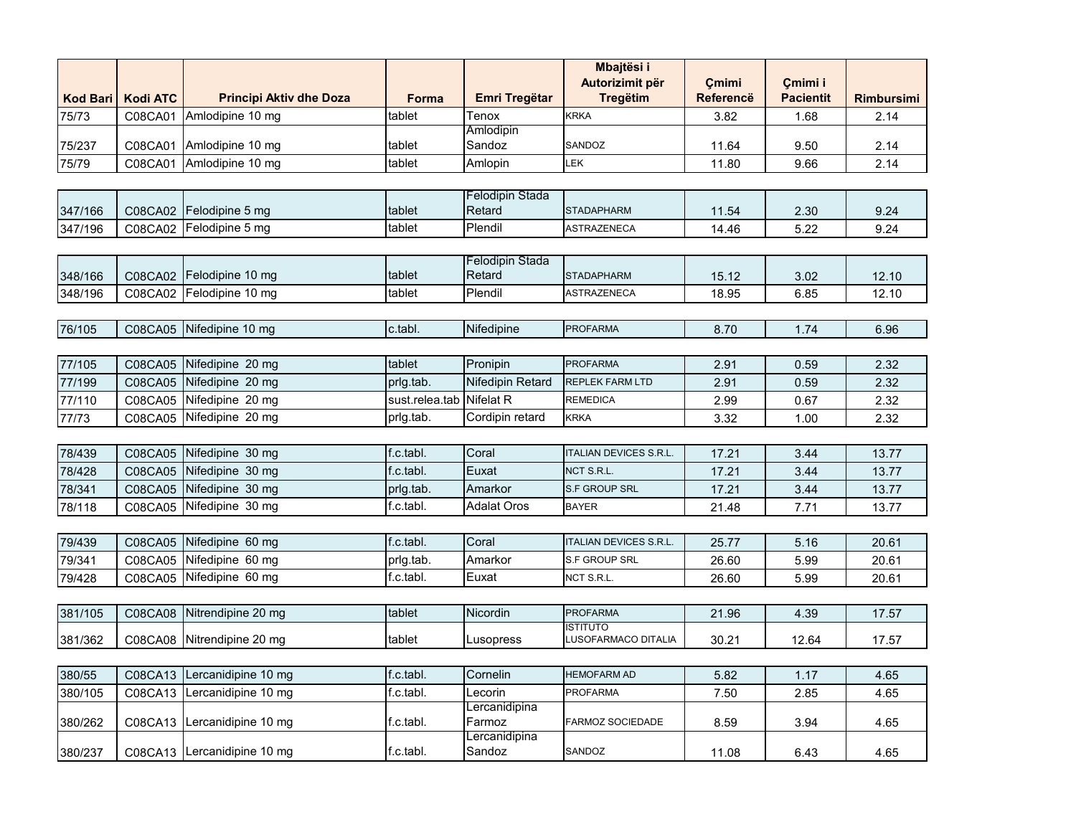|                 |                 |                                |                |                                  | <b>Mbajtësi i</b>                      |                  |                  |                   |
|-----------------|-----------------|--------------------------------|----------------|----------------------------------|----------------------------------------|------------------|------------------|-------------------|
|                 |                 |                                |                |                                  | Autorizimit për                        | Cmimi            | Cmimi i          |                   |
| <b>Kod Bari</b> | <b>Kodi ATC</b> | <b>Principi Aktiv dhe Doza</b> | Forma          | <b>Emri Tregëtar</b>             | <b>Tregëtim</b>                        | <b>Referencë</b> | <b>Pacientit</b> | <b>Rimbursimi</b> |
| 75/73           | C08CA01         | Amlodipine 10 mg               | tablet         | Tenox                            | KRKA                                   | 3.82             | 1.68             | 2.14              |
| 75/237          | C08CA01         | Amlodipine 10 mg               | tablet         | Amlodipin<br>Sandoz              | SANDOZ                                 | 11.64            | 9.50             | 2.14              |
| 75/79           | C08CA01         | Amlodipine 10 mg               | tablet         | Amlopin                          | LEK                                    | 11.80            | 9.66             | 2.14              |
|                 |                 |                                |                |                                  |                                        |                  |                  |                   |
|                 |                 |                                |                | Felodipin Stada                  |                                        |                  |                  |                   |
| 347/166         | C08CA02         | Felodipine 5 mg                | tablet         | Retard                           | <b>STADAPHARM</b>                      | 11.54            | 2.30             | 9.24              |
| 347/196         | C08CA02         | Felodipine 5 mg                | tablet         | Plendil                          | <b>ASTRAZENECA</b>                     | 14.46            | 5.22             | 9.24              |
|                 |                 |                                |                |                                  |                                        |                  |                  |                   |
| 348/166         | C08CA02         | Felodipine 10 mg               | tablet         | <b>Felodipin Stada</b><br>Retard | <b>STADAPHARM</b>                      | 15.12            | 3.02             | 12.10             |
| 348/196         | C08CA02         | Felodipine 10 mg               | tablet         | Plendil                          | ASTRAZENECA                            | 18.95            |                  | 12.10             |
|                 |                 |                                |                |                                  |                                        |                  | 6.85             |                   |
| 76/105          | C08CA05         | Nifedipine 10 mg               | c.tabl.        | Nifedipine                       | <b>PROFARMA</b>                        | 8.70             | 1.74             | 6.96              |
|                 |                 |                                |                |                                  |                                        |                  |                  |                   |
| 77/105          | C08CA05         | Nifedipine 20 mg               | tablet         | Pronipin                         | <b>PROFARMA</b>                        | 2.91             | 0.59             | 2.32              |
| 77/199          | C08CA05         | Nifedipine 20 mg               | prlg.tab.      | Nifedipin Retard                 | <b>REPLEK FARM LTD</b>                 | 2.91             | 0.59             | 2.32              |
| 77/110          | C08CA05         | Nifedipine 20 mg               | sust.relea.tab | Nifelat R                        | <b>REMEDICA</b>                        | 2.99             | 0.67             | 2.32              |
| 77/73           | C08CA05         | Nifedipine 20 mg               | prlg.tab.      | Cordipin retard                  | <b>KRKA</b>                            | 3.32             | 1.00             | 2.32              |
|                 |                 |                                |                |                                  |                                        |                  |                  |                   |
| 78/439          | C08CA05         | Nifedipine 30 mg               | f.c.tabl.      | Coral                            | <b>ITALIAN DEVICES S.R.L.</b>          | 17.21            | 3.44             | 13.77             |
| 78/428          | C08CA05         | Nifedipine 30 mg               | f.c.tabl.      | Euxat                            | NCT S.R.L.                             | 17.21            | 3.44             | 13.77             |
| 78/341          | C08CA05         | Nifedipine 30 mg               | prlg.tab.      | Amarkor                          | S.F GROUP SRL                          | 17.21            | 3.44             | 13.77             |
| 78/118          | C08CA05         | Nifedipine 30 mg               | f.c.tabl.      | <b>Adalat Oros</b>               | <b>BAYER</b>                           | 21.48            | 7.71             | 13.77             |
|                 |                 |                                |                |                                  |                                        |                  |                  |                   |
| 79/439          | C08CA05         | Nifedipine 60 mg               | f.c.tabl.      | Coral                            | <b>ITALIAN DEVICES S.R.L.</b>          | 25.77            | 5.16             | 20.61             |
| 79/341          | C08CA05         | Nifedipine 60 mg               | prlg.tab.      | Amarkor                          | S.F GROUP SRL                          | 26.60            | 5.99             | 20.61             |
| 79/428          | C08CA05         | Nifedipine 60 mg               | f.c.tabl.      | Euxat                            | NCT S.R.L.                             | 26.60            | 5.99             | 20.61             |
|                 |                 |                                |                |                                  |                                        |                  |                  |                   |
| 381/105         | C08CA08         | Nitrendipine 20 mg             | tablet         | Nicordin                         | <b>PROFARMA</b>                        | 21.96            | 4.39             | 17.57             |
| 381/362         | C08CA08         | Nitrendipine 20 mg             | tablet         | Lusopress                        | <b>ISTITUTO</b><br>LUSOFARMACO DITALIA | 30.21            | 12.64            | 17.57             |
|                 |                 |                                |                |                                  |                                        |                  |                  |                   |
| 380/55          | C08CA13         | Lercanidipine 10 mg            | f.c.tabl.      | Cornelin                         | <b>HEMOFARM AD</b>                     | 5.82             | 1.17             | 4.65              |
| 380/105         | C08CA13         | Lercanidipine 10 mg            | f.c.tabl.      | Lecorin                          | <b>PROFARMA</b>                        | 7.50             | 2.85             | 4.65              |
|                 |                 |                                |                | Lercanidipina                    |                                        |                  |                  |                   |
| 380/262         |                 | C08CA13 Lercanidipine 10 mg    | f.c.tabl.      | Farmoz<br>Lercanidipina          | FARMOZ SOCIEDADE                       | 8.59             | 3.94             | 4.65              |
| 380/237         |                 | C08CA13 Lercanidipine 10 mg    | f.c.tabl.      | Sandoz                           | SANDOZ                                 | 11.08            | 6.43             | 4.65              |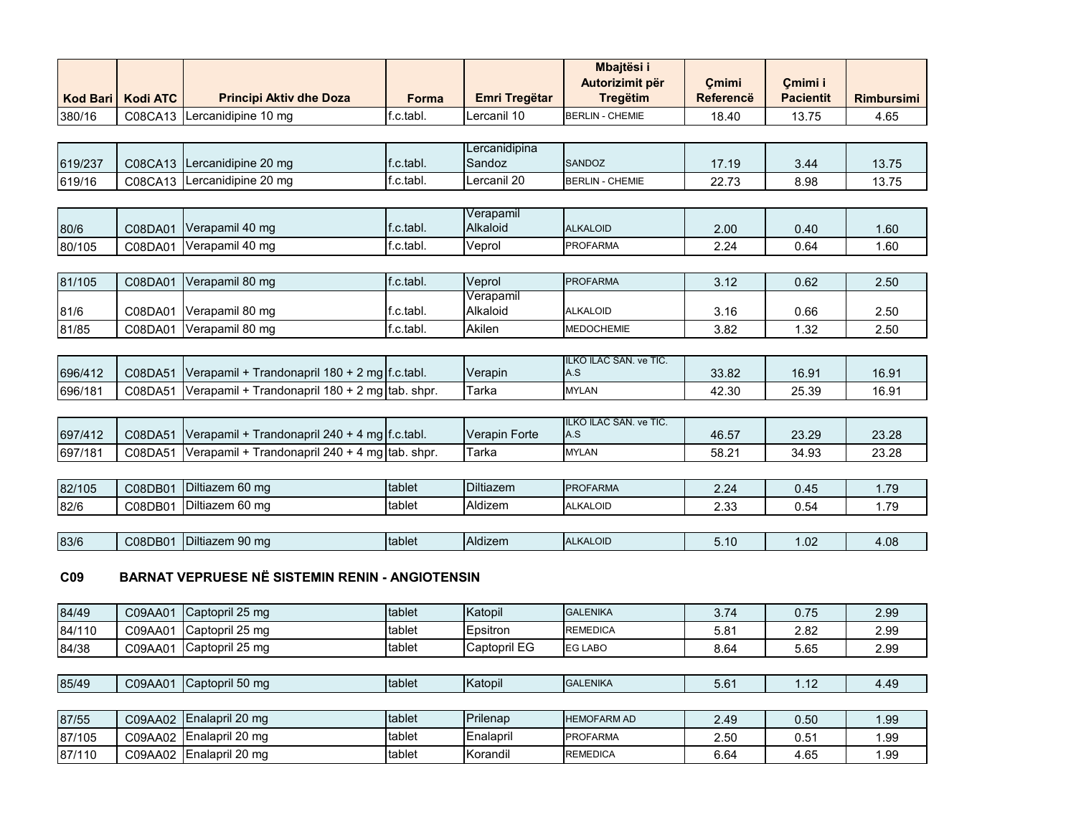| Kod Bari        | <b>Kodi ATC</b> | <b>Principi Aktiv dhe Doza</b>                         | <b>Forma</b> | <b>Emri Tregëtar</b>    | Mbajtësi i<br>Autorizimit për<br><b>Tregëtim</b> | Cmimi<br><b>Referencë</b> | Çmimi i<br><b>Pacientit</b> | <b>Rimbursimi</b> |
|-----------------|-----------------|--------------------------------------------------------|--------------|-------------------------|--------------------------------------------------|---------------------------|-----------------------------|-------------------|
| 380/16          | C08CA13         | Lercanidipine 10 mg                                    | f.c.tabl.    | Lercanil 10             | <b>BERLIN - CHEMIE</b>                           | 18.40                     | 13.75                       | 4.65              |
|                 |                 |                                                        |              |                         |                                                  |                           |                             |                   |
| 619/237         |                 | C08CA13 Lercanidipine 20 mg                            | f.c.tabl.    | Lercanidipina<br>Sandoz | <b>SANDOZ</b>                                    | 17.19                     | 3.44                        | 13.75             |
| 619/16          | C08CA13         | Lercanidipine 20 mg                                    | f.c.tabl.    | Lercanil 20             | <b>BERLIN - CHEMIE</b>                           | 22.73                     | 8.98                        | 13.75             |
|                 |                 |                                                        |              |                         |                                                  |                           |                             |                   |
| 80/6            | C08DA01         | Verapamil 40 mg                                        | f.c.tabl.    | Verapamil<br>Alkaloid   | <b>ALKALOID</b>                                  | 2.00                      | 0.40                        | 1.60              |
| 80/105          | C08DA01         | Verapamil 40 mg                                        | f.c.tabl.    | Veprol                  | <b>PROFARMA</b>                                  | 2.24                      | 0.64                        | 1.60              |
|                 |                 |                                                        |              |                         |                                                  |                           |                             |                   |
| 81/105          | C08DA01         | Verapamil 80 mg                                        | f.c.tabl.    | Veprol                  | <b>PROFARMA</b>                                  | 3.12                      | 0.62                        | 2.50              |
| 81/6            | C08DA01         | Verapamil 80 mg                                        | f.c.tabl.    | Verapamil<br>Alkaloid   | <b>ALKALOID</b>                                  | 3.16                      | 0.66                        | 2.50              |
| 81/85           | C08DA01         | Verapamil 80 mg                                        | f.c.tabl.    | Akilen                  | <b>MEDOCHEMIE</b>                                | 3.82                      | 1.32                        | 2.50              |
|                 |                 |                                                        |              |                         |                                                  |                           |                             |                   |
| 696/412         | C08DA51         | Verapamil + Trandonapril 180 + 2 mg f.c.tabl.          |              | Verapin                 | ILKO ILAC SAN. ve TIC.<br>A.S                    | 33.82                     | 16.91                       | 16.91             |
| 696/181         | C08DA51         | Verapamil + Trandonapril 180 + 2 mg tab. shpr.         |              | Tarka                   | <b>MYLAN</b>                                     | 42.30                     | 25.39                       | 16.91             |
|                 |                 |                                                        |              |                         |                                                  |                           |                             |                   |
| 697/412         | C08DA51         | Verapamil + Trandonapril 240 + 4 mg f.c.tabl.          |              | Verapin Forte           | ILKO ILAC SAN. ve TIC.<br>A.S                    | 46.57                     | 23.29                       | 23.28             |
| 697/181         | C08DA51         | Verapamil + Trandonapril 240 + 4 mg tab. shpr.         |              | Tarka                   | <b>MYLAN</b>                                     | 58.21                     | 34.93                       | 23.28             |
|                 |                 |                                                        |              |                         |                                                  |                           |                             |                   |
| 82/105          | C08DB01         | Diltiazem 60 mg                                        | tablet       | Diltiazem               | <b>PROFARMA</b>                                  | 2.24                      | 0.45                        | 1.79              |
| 82/6            | C08DB01         | Diltiazem 60 mg                                        | tablet       | Aldizem                 | <b>ALKALOID</b>                                  | 2.33                      | 0.54                        | 1.79              |
|                 |                 |                                                        |              |                         |                                                  |                           |                             |                   |
| 83/6            | C08DB01         | Diltiazem 90 mg                                        | tablet       | Aldizem                 | <b>ALKALOID</b>                                  | 5.10                      | 1.02                        | 4.08              |
| C <sub>09</sub> |                 | <b>BARNAT VEPRUESE NË SISTEMIN RENIN - ANGIOTENSIN</b> |              |                         |                                                  |                           |                             |                   |
| 84/49           | C09AA01         | Captopril 25 mg                                        | tablet       | Katopil                 | <b>GALENIKA</b>                                  | 3.74                      | 0.75                        | 2.99              |
| 84/110          | C09AA01         | Captopril 25 mg                                        | tablet       | Epsitron                | <b>REMEDICA</b>                                  | 5.81                      | 2.82                        | 2.99              |
| 84/38           | C09AA01         | Captopril 25 mg                                        | tablet       | Captopril EG            | EG LABO                                          | 8.64                      | 5.65                        | 2.99              |
|                 |                 |                                                        |              |                         |                                                  |                           |                             |                   |
| 85/49           | C09AA01         | Captopril 50 mg                                        | tablet       | Katopil                 | <b>GALENIKA</b>                                  | 5.61                      | 1.12                        | 4.49              |

| 87/55  | C09AA02 | LEnalapril 20 mg   | tablet | <b>IPrilenap</b> | <b>HEMOFARM AD</b> | 2.49 | 0.50          | 1.99 |
|--------|---------|--------------------|--------|------------------|--------------------|------|---------------|------|
| 87/105 | C09AA02 | ∪ IEnalapril 20 mg | tablet | Enalapril        | <b>IPROFARMA</b>   | 2.50 | $0.5^{\circ}$ | 1.99 |
| 87/110 | C09AA02 | Enalapril 20 mg    | tablet | Korandil         | <b>REMEDICA</b>    | 6.64 | 4.65          | 1.99 |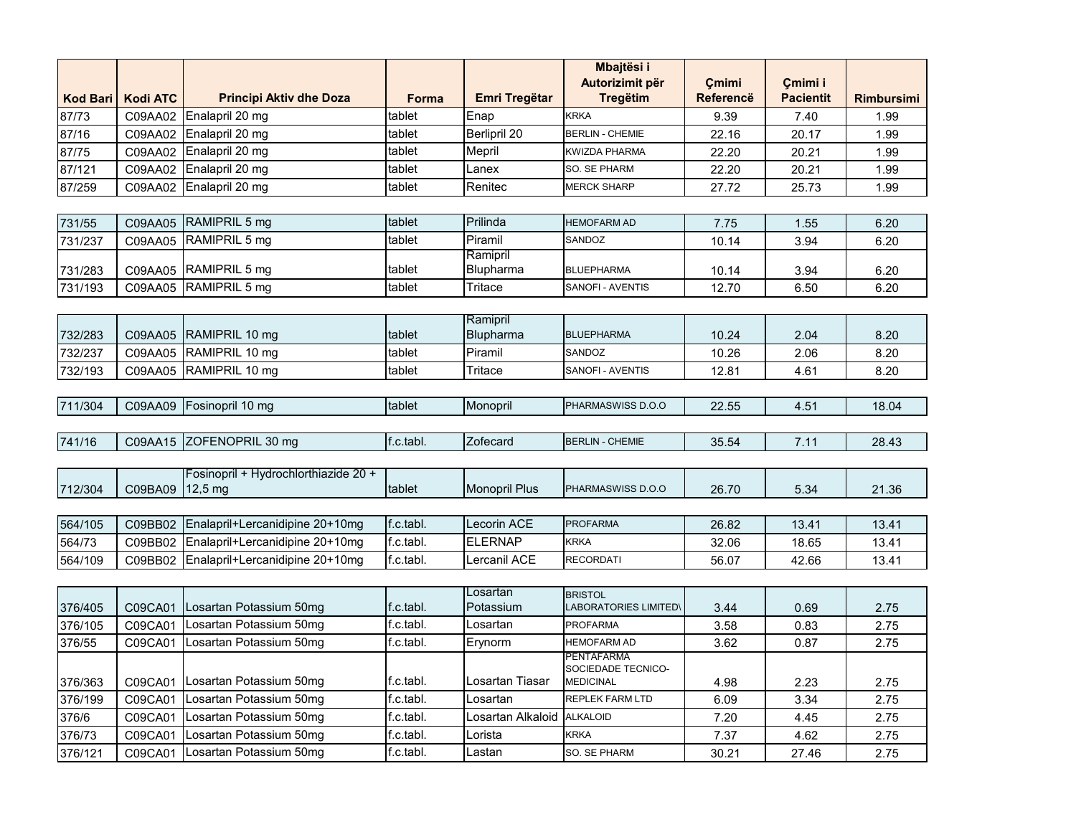|                 |                 |                                      |              |                       | Mbajtësi i                                     |                           |                             |                   |
|-----------------|-----------------|--------------------------------------|--------------|-----------------------|------------------------------------------------|---------------------------|-----------------------------|-------------------|
| <b>Kod Bari</b> | <b>Kodi ATC</b> | <b>Principi Aktiv dhe Doza</b>       | <b>Forma</b> | Emri Tregëtar         | Autorizimit për<br><b>Tregëtim</b>             | Cmimi<br><b>Referencë</b> | Cmimi i<br><b>Pacientit</b> | <b>Rimbursimi</b> |
| 87/73           | C09AA02         | Enalapril 20 mg                      | tablet       | Enap                  | <b>KRKA</b>                                    | 9.39                      | 7.40                        | 1.99              |
| 87/16           | C09AA02         | Enalapril 20 mg                      | tablet       | <b>Berlipril 20</b>   | <b>BERLIN - CHEMIE</b>                         | 22.16                     | 20.17                       | 1.99              |
| 87/75           | C09AA02         | Enalapril 20 mg                      | tablet       | Mepril                | KWIZDA PHARMA                                  | 22.20                     | 20.21                       | 1.99              |
| 87/121          | C09AA02         | Enalapril 20 mg                      | tablet       | Lanex                 | SO. SE PHARM                                   | 22.20                     | 20.21                       | 1.99              |
| 87/259          | C09AA02         | Enalapril 20 mg                      | tablet       | Renitec               | <b>MERCK SHARP</b>                             | 27.72                     | 25.73                       | 1.99              |
|                 |                 |                                      |              |                       |                                                |                           |                             |                   |
| 731/55          | C09AA05         | RAMIPRIL 5 mg                        | tablet       | Prilinda              | <b>HEMOFARM AD</b>                             | 7.75                      | 1.55                        | 6.20              |
| 731/237         | C09AA05         | RAMIPRIL 5 mg                        | tablet       | Piramil               | SANDOZ                                         | 10.14                     | 3.94                        | 6.20              |
|                 |                 |                                      |              | Ramipril              |                                                |                           |                             |                   |
| 731/283         | C09AA05         | RAMIPRIL 5 mg                        | tablet       | Blupharma             | <b>BLUEPHARMA</b>                              | 10.14                     | 3.94                        | 6.20              |
| 731/193         | C09AA05         | RAMIPRIL 5 mg                        | tablet       | Tritace               | SANOFI - AVENTIS                               | 12.70                     | 6.50                        | 6.20              |
|                 |                 |                                      |              |                       |                                                |                           |                             |                   |
| 732/283         | C09AA05         | RAMIPRIL 10 mg                       | tablet       | Ramipril<br>Blupharma | <b>BLUEPHARMA</b>                              | 10.24                     | 2.04                        | 8.20              |
| 732/237         | C09AA05         | RAMIPRIL 10 mg                       | tablet       | Piramil               | SANDOZ                                         | 10.26                     | 2.06                        | 8.20              |
| 732/193         | C09AA05         | RAMIPRIL 10 mg                       | tablet       | Tritace               | SANOFI - AVENTIS                               | 12.81                     | 4.61                        | 8.20              |
|                 |                 |                                      |              |                       |                                                |                           |                             |                   |
| 711/304         | C09AA09         | Fosinopril 10 mg                     | tablet       | Monopril              | PHARMASWISS D.O.O                              | 22.55                     | 4.51                        | 18.04             |
|                 |                 |                                      |              |                       |                                                |                           |                             |                   |
| 741/16          | C09AA15         | ZOFENOPRIL 30 mg                     | f.c.tabl.    | Zofecard              | <b>BERLIN - CHEMIE</b>                         | 35.54                     | 7.11                        | 28.43             |
|                 |                 |                                      |              |                       |                                                |                           |                             |                   |
|                 |                 | Fosinopril + Hydrochlorthiazide 20 + |              |                       |                                                |                           |                             |                   |
| 712/304         | C09BA09         | $12,5 \text{ mg}$                    | tablet       | <b>Monopril Plus</b>  | PHARMASWISS D.O.O                              | 26.70                     | 5.34                        | 21.36             |
|                 |                 |                                      |              |                       |                                                |                           |                             |                   |
| 564/105         | C09BB02         | Enalapril+Lercanidipine 20+10mg      | f.c.tabl.    | Lecorin ACE           | <b>PROFARMA</b>                                | 26.82                     | 13.41                       | 13.41             |
| 564/73          | C09BB02         | Enalapril+Lercanidipine 20+10mg      | f.c.tabl.    | <b>ELERNAP</b>        | <b>KRKA</b>                                    | 32.06                     | 18.65                       | 13.41             |
| 564/109         | C09BB02         | Enalapril+Lercanidipine 20+10mg      | f.c.tabl.    | Lercanil ACE          | <b>RECORDATI</b>                               | 56.07                     | 42.66                       | 13.41             |
|                 |                 |                                      |              |                       |                                                |                           |                             |                   |
| 376/405         | C09CA01         | Losartan Potassium 50mg              | f.c.tabl.    | Losartan<br>Potassium | <b>BRISTOL</b><br><b>LABORATORIES LIMITED\</b> | 3.44                      | 0.69                        | 2.75              |
| 376/105         | C09CA01         | Losartan Potassium 50mg              | f.c.tabl.    | Losartan              | <b>PROFARMA</b>                                | 3.58                      | 0.83                        | 2.75              |
| 376/55          | C09CA01         | Losartan Potassium 50mg              | f.c.tabl.    | Erynorm               | <b>HEMOFARM AD</b>                             | 3.62                      | 0.87                        | 2.75              |
|                 |                 |                                      |              |                       | PENTAFARMA                                     |                           |                             |                   |
|                 |                 |                                      |              |                       | SOCIEDADE TECNICO-                             |                           |                             |                   |
| 376/363         | C09CA01         | Losartan Potassium 50mg              | f.c.tabl.    | Losartan Tiasar       | <b>MEDICINAL</b>                               | 4.98                      | 2.23                        | 2.75              |
| 376/199         | C09CA01         | Losartan Potassium 50mg              | f.c.tabl.    | Losartan              | <b>REPLEK FARM LTD</b>                         | 6.09                      | 3.34                        | 2.75              |
| 376/6           | C09CA01         | Losartan Potassium 50mg              | f.c.tabl.    | Losartan Alkaloid     | <b>ALKALOID</b>                                | 7.20                      | 4.45                        | 2.75              |
| 376/73          | C09CA01         | Losartan Potassium 50mg              | f.c.tabl.    | Lorista               | <b>KRKA</b>                                    | 7.37                      | 4.62                        | 2.75              |
| 376/121         | C09CA01         | Losartan Potassium 50mg              | f.c.tabl.    | Lastan                | SO. SE PHARM                                   | 30.21                     | 27.46                       | 2.75              |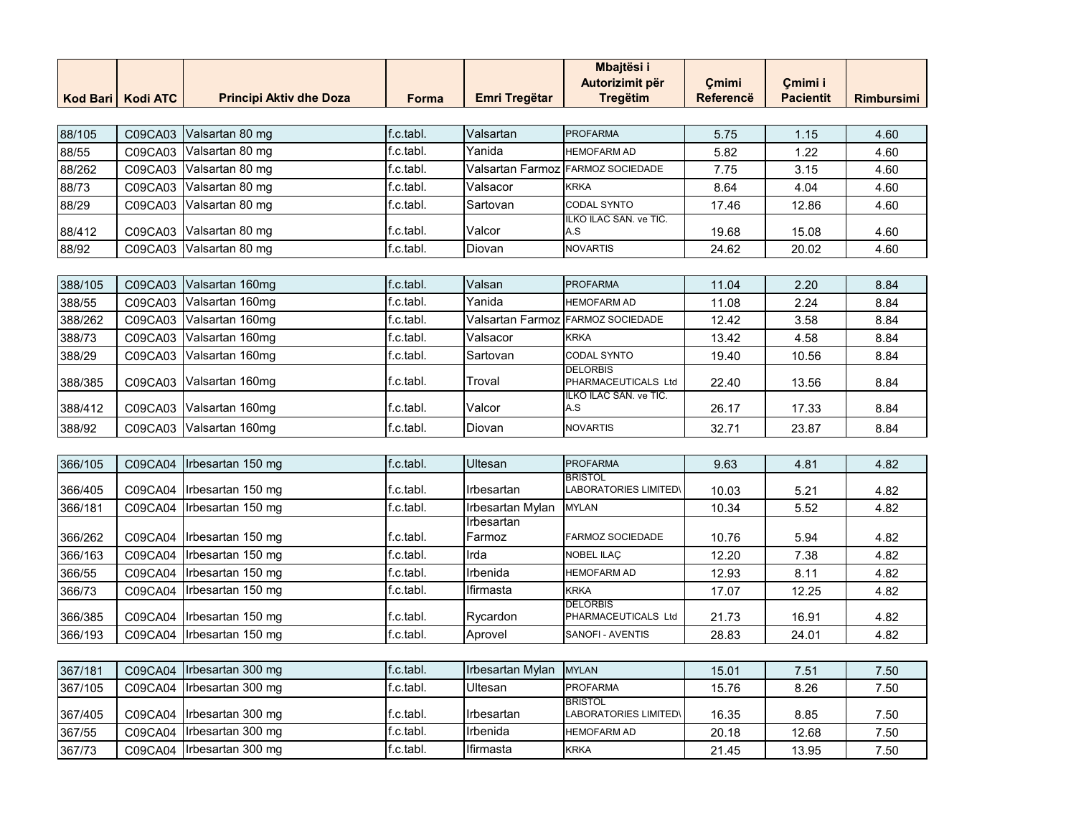|                 |                 |                                |           |                      | <b>Mbajtësi i</b>                              |                  |                  |                   |
|-----------------|-----------------|--------------------------------|-----------|----------------------|------------------------------------------------|------------------|------------------|-------------------|
|                 |                 |                                |           |                      | Autorizimit për                                | Çmimi            | Çmimi i          |                   |
| <b>Kod Bari</b> | <b>Kodi ATC</b> | <b>Principi Aktiv dhe Doza</b> | Forma     | <b>Emri Tregëtar</b> | <b>Tregëtim</b>                                | <b>Referencë</b> | <b>Pacientit</b> | <b>Rimbursimi</b> |
|                 |                 |                                |           |                      |                                                |                  |                  |                   |
| 88/105          | C09CA03         | Valsartan 80 mg                | f.c.tabl. | Valsartan            | <b>PROFARMA</b>                                | 5.75             | 1.15             | 4.60              |
| 88/55           | C09CA03         | Valsartan 80 mg                | f.c.tabl. | Yanida               | <b>HEMOFARM AD</b>                             | 5.82             | 1.22             | 4.60              |
| 88/262          | C09CA03         | Valsartan 80 mg                | f.c.tabl. | Valsartan Farmoz     | <b>FARMOZ SOCIEDADE</b>                        | 7.75             | 3.15             | 4.60              |
| 88/73           | C09CA03         | Valsartan 80 mg                | f.c.tabl. | Valsacor             | <b>KRKA</b>                                    | 8.64             | 4.04             | 4.60              |
| 88/29           | C09CA03         | Valsartan 80 mg                | f.c.tabl. | Sartovan             | CODAL SYNTO                                    | 17.46            | 12.86            | 4.60              |
| 88/412          | C09CA03         | Valsartan 80 mg                | f.c.tabl. | Valcor               | ILKO ILAC SAN. ve TIC.<br>A.S                  | 19.68            | 15.08            | 4.60              |
| 88/92           | C09CA03         | Valsartan 80 mg                | f.c.tabl. | Diovan               | <b>NOVARTIS</b>                                | 24.62            | 20.02            | 4.60              |
|                 |                 |                                |           |                      |                                                |                  |                  |                   |
| 388/105         | C09CA03         | Valsartan 160mg                | f.c.tabl. | Valsan               | <b>PROFARMA</b>                                | 11.04            | 2.20             | 8.84              |
| 388/55          | C09CA03         | Valsartan 160mg                | f.c.tabl. | Yanida               | <b>HEMOFARM AD</b>                             | 11.08            | 2.24             | 8.84              |
| 388/262         | C09CA03         | Valsartan 160mg                | f.c.tabl. | Valsartan Farmoz     | <b>FARMOZ SOCIEDADE</b>                        | 12.42            | 3.58             | 8.84              |
| 388/73          | C09CA03         | Valsartan 160mg                | f.c.tabl. | Valsacor             | <b>KRKA</b>                                    | 13.42            | 4.58             | 8.84              |
| 388/29          | C09CA03         | Valsartan 160mg                | f.c.tabl. | Sartovan             | CODAL SYNTO                                    | 19.40            | 10.56            | 8.84              |
| 388/385         | C09CA03         | Valsartan 160mg                | f.c.tabl. | Troval               | <b>DELORBIS</b><br>PHARMACEUTICALS Ltd         | 22.40            | 13.56            | 8.84              |
| 388/412         | C09CA03         | Valsartan 160mg                | f.c.tabl. | Valcor               | ILKO ILAC SAN. ve TIC.<br>A.S                  | 26.17            | 17.33            | 8.84              |
| 388/92          | C09CA03         | Valsartan 160mg                | f.c.tabl. | Diovan               | <b>NOVARTIS</b>                                | 32.71            | 23.87            | 8.84              |
|                 |                 |                                |           |                      |                                                |                  |                  |                   |
| 366/105         | C09CA04         | Irbesartan 150 mg              | f.c.tabl. | Ultesan              | <b>PROFARMA</b>                                | 9.63             | 4.81             | 4.82              |
| 366/405         | C09CA04         | Irbesartan 150 mg              | f.c.tabl. | Irbesartan           | <b>BRISTOL</b><br><b>LABORATORIES LIMITED\</b> | 10.03            | 5.21             | 4.82              |
| 366/181         | C09CA04         | Irbesartan 150 mg              | f.c.tabl. | Irbesartan Mylan     | <b>MYLAN</b>                                   | 10.34            | 5.52             | 4.82              |
| 366/262         | C09CA04         | Irbesartan 150 mg              | f.c.tabl. | Irbesartan<br>Farmoz | <b>FARMOZ SOCIEDADE</b>                        | 10.76            | 5.94             | 4.82              |
| 366/163         | C09CA04         | Irbesartan 150 mg              | f.c.tabl. | Irda                 | <b>NOBEL ILAÇ</b>                              | 12.20            | 7.38             | 4.82              |
| 366/55          | C09CA04         | Irbesartan 150 mg              | f.c.tabl. | Irbenida             | <b>HEMOFARM AD</b>                             | 12.93            | 8.11             | 4.82              |
| 366/73          | C09CA04         | Irbesartan 150 mg              | f.c.tabl. | Ifirmasta            | <b>KRKA</b>                                    | 17.07            | 12.25            | 4.82              |
| 366/385         | C09CA04         | Irbesartan 150 mg              | f.c.tabl. | Rycardon             | <b>DELORBIS</b><br>PHARMACEUTICALS Ltd         | 21.73            | 16.91            | 4.82              |
| 366/193         | C09CA04         | Irbesartan 150 mg              | f.c.tabl. | Aprovel              | SANOFI - AVENTIS                               | 28.83            | 24.01            | 4.82              |
|                 |                 |                                |           |                      |                                                |                  |                  |                   |
| 367/181         | C09CA04         | Irbesartan 300 mg              | f.c.tabl. | Irbesartan Mylan     | <b>MYLAN</b>                                   | 15.01            | 7.51             | 7.50              |
| 367/105         | C09CA04         | Irbesartan 300 mg              | f.c.tabl. | Ultesan              | <b>PROFARMA</b>                                | 15.76            | 8.26             | 7.50              |
| 367/405         | C09CA04         | Irbesartan 300 mg              | f.c.tabl. | Irbesartan           | <b>BRISTOL</b><br><b>LABORATORIES LIMITED\</b> | 16.35            | 8.85             | 7.50              |
| 367/55          | C09CA04         | Irbesartan 300 mg              | f.c.tabl. | Irbenida             | <b>HEMOFARM AD</b>                             | 20.18            | 12.68            | 7.50              |
| 367/73          | C09CA04         | Irbesartan 300 mg              | f.c.tabl. | Ifirmasta            | <b>KRKA</b>                                    | 21.45            | 13.95            | 7.50              |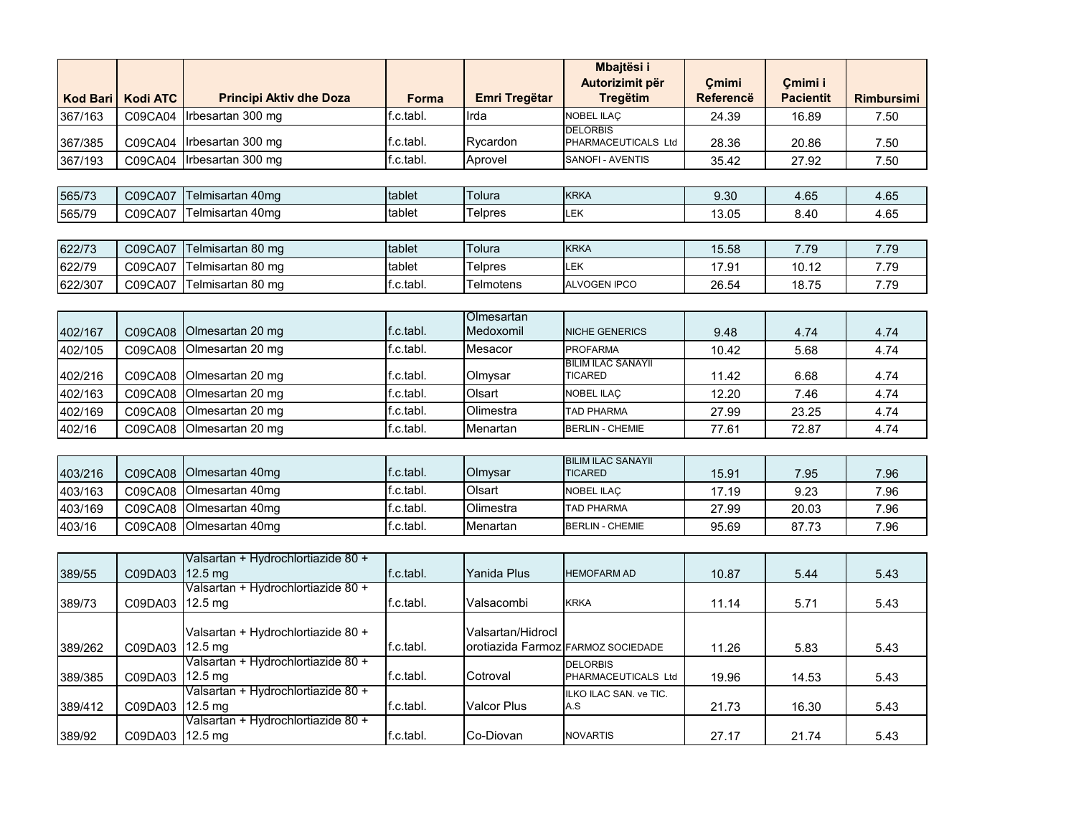|                 |                 |                                                         |              |                         | <b>Mbajtësi i</b>                           |                           |                             |                   |
|-----------------|-----------------|---------------------------------------------------------|--------------|-------------------------|---------------------------------------------|---------------------------|-----------------------------|-------------------|
| <b>Kod Bari</b> | <b>Kodi ATC</b> | <b>Principi Aktiv dhe Doza</b>                          | <b>Forma</b> | <b>Emri Tregëtar</b>    | Autorizimit për<br><b>Tregëtim</b>          | Cmimi<br><b>Referencë</b> | Cmimi i<br><b>Pacientit</b> | <b>Rimbursimi</b> |
| 367/163         | C09CA04         | Irbesartan 300 mg                                       | f.c.tabl.    | Irda                    | <b>NOBEL ILAC</b>                           | 24.39                     | 16.89                       | 7.50              |
| 367/385         | C09CA04         | Irbesartan 300 mg                                       | f.c.tabl.    | Rycardon                | <b>DELORBIS</b><br>PHARMACEUTICALS Ltd      | 28.36                     | 20.86                       | 7.50              |
| 367/193         | C09CA04         | Irbesartan 300 mg                                       | f.c.tabl.    | Aprovel                 | SANOFI - AVENTIS                            | 35.42                     | 27.92                       | 7.50              |
|                 |                 |                                                         |              |                         |                                             |                           |                             |                   |
| 565/73          | C09CA07         | Telmisartan 40mg                                        | tablet       | Tolura                  | <b>KRKA</b>                                 | 9.30                      | 4.65                        | 4.65              |
| 565/79          | C09CA07         | Telmisartan 40mg                                        | tablet       | <b>Telpres</b>          | LEK                                         | 13.05                     | 8.40                        | 4.65              |
|                 |                 |                                                         |              |                         |                                             |                           |                             |                   |
| 622/73          | C09CA07         | Telmisartan 80 mg                                       | tablet       | Tolura                  | <b>KRKA</b>                                 | 15.58                     | 7.79                        | 7.79              |
| 622/79          | C09CA07         | Telmisartan 80 mg                                       | tablet       | <b>Telpres</b>          | LEK                                         | 17.91                     | 10.12                       | 7.79              |
| 622/307         | C09CA07         | Telmisartan 80 mg                                       | f.c.tabl.    | Telmotens               | ALVOGEN IPCO                                | 26.54                     | 18.75                       | 7.79              |
|                 |                 |                                                         |              |                         |                                             |                           |                             |                   |
| 402/167         | C09CA08         | Olmesartan 20 mg                                        | f.c.tabl.    | Olmesartan<br>Medoxomil | <b>NICHE GENERICS</b>                       | 9.48                      | 4.74                        | 4.74              |
| 402/105         | C09CA08         | Olmesartan 20 mg                                        | f.c.tabl.    | Mesacor                 | <b>PROFARMA</b>                             | 10.42                     | 5.68                        | 4.74              |
| 402/216         | C09CA08         | Olmesartan 20 mg                                        | f.c.tabl.    | Olmysar                 | <b>BILIM ILAC SANAYII</b><br><b>TICARED</b> | 11.42                     | 6.68                        | 4.74              |
| 402/163         | C09CA08         | Olmesartan 20 mg                                        | f.c.tabl.    | Olsart                  | NOBEL ILAÇ                                  | 12.20                     | 7.46                        | 4.74              |
| 402/169         | C09CA08         | Olmesartan 20 mg                                        | f.c.tabl.    | Olimestra               | <b>TAD PHARMA</b>                           | 27.99                     | 23.25                       | 4.74              |
| 402/16          | C09CA08         | Olmesartan 20 mg                                        | f.c.tabl.    | Menartan                | <b>BERLIN - CHEMIE</b>                      | 77.61                     | 72.87                       | 4.74              |
|                 |                 |                                                         |              |                         |                                             |                           |                             |                   |
| 403/216         | C09CA08         | Olmesartan 40mg                                         | f.c.tabl.    | Olmysar                 | <b>BILIM ILAC SANAYII</b><br><b>TICARED</b> | 15.91                     | 7.95                        | 7.96              |
| 403/163         | C09CA08         | Olmesartan 40mg                                         | f.c.tabl.    | Olsart                  | NOBEL ILAÇ                                  | 17.19                     | 9.23                        | 7.96              |
| 403/169         | C09CA08         | Olmesartan 40mg                                         | f.c.tabl.    | Olimestra               | <b>TAD PHARMA</b>                           | 27.99                     | 20.03                       | 7.96              |
| 403/16          | C09CA08         | Olmesartan 40mg                                         | f.c.tabl.    | Menartan                | <b>BERLIN - CHEMIE</b>                      | 95.69                     | 87.73                       | 7.96              |
|                 |                 |                                                         |              |                         |                                             |                           |                             |                   |
| 389/55          | C09DA03         | Valsartan + Hydrochlortiazide 80 +<br>$12.5 \text{ mg}$ | f.c.tabl.    | Yanida Plus             | <b>HEMOFARM AD</b>                          | 10.87                     | 5.44                        | 5.43              |
| 389/73          | C09DA03         | Valsartan + Hydrochlortiazide 80 +<br>$12.5 \text{ mg}$ | f.c.tabl.    | Valsacombi              | <b>KRKA</b>                                 | 11.14                     | 5.71                        | 5.43              |
| 389/262         | C09DA03         | Valsartan + Hydrochlortiazide 80 +<br>$12.5 \text{ mg}$ | f.c.tabl.    | Valsartan/Hidrocl       | orotiazida Farmoz FARMOZ SOCIEDADE          | 11.26                     | 5.83                        | 5.43              |
| 389/385         | C09DA03         | Valsartan + Hydrochlortiazide 80 +<br>12.5 mg           | f.c.tabl.    | Cotroval                | <b>DELORBIS</b><br>PHARMACEUTICALS Ltd      | 19.96                     | 14.53                       | 5.43              |
| 389/412         | C09DA03         | Valsartan + Hydrochlortiazide 80 +<br>$12.5 \text{ mg}$ | f.c.tabl.    | <b>Valcor Plus</b>      | ILKO ILAC SAN. ve TIC.<br>A.S               | 21.73                     | 16.30                       | 5.43              |
| 389/92          | C09DA03         | Valsartan + Hydrochlortiazide 80 +<br>$12.5 \text{ mg}$ | f.c.tabl.    | Co-Diovan               | <b>NOVARTIS</b>                             | 27.17                     | 21.74                       | 5.43              |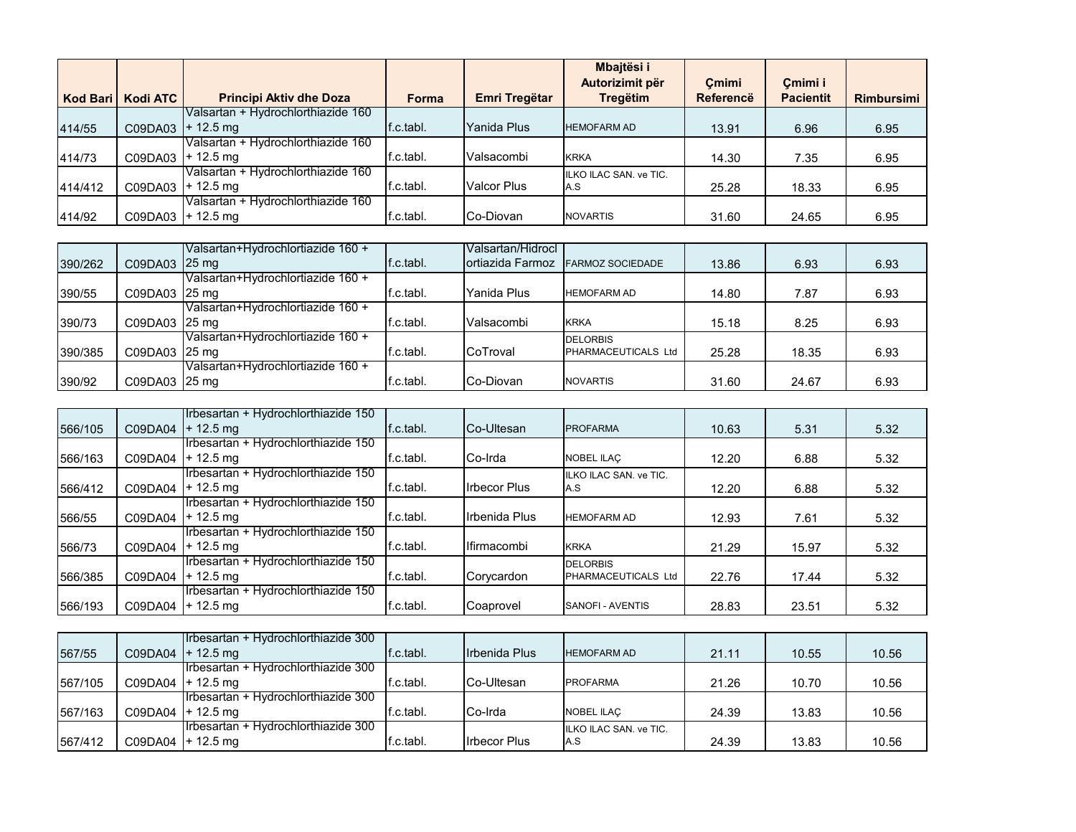|                 |                     |                                    |           |                    | Mbajtësi i             |                  |                  |                   |
|-----------------|---------------------|------------------------------------|-----------|--------------------|------------------------|------------------|------------------|-------------------|
|                 |                     |                                    |           |                    | Autorizimit për        | Cmimi            | Cmimi i          |                   |
| <b>Kod Bari</b> | <b>Kodi ATC</b>     | <b>Principi Aktiv dhe Doza</b>     | Forma     | Emri Tregëtar      | <b>Tregëtim</b>        | <b>Referencë</b> | <b>Pacientit</b> | <b>Rimbursimi</b> |
|                 |                     | Valsartan + Hydrochlorthiazide 160 |           |                    |                        |                  |                  |                   |
| 414/55          | $CO9DAO3$ + 12.5 mg |                                    | f.c.tabl. | Yanida Plus        | <b>HEMOFARM AD</b>     | 13.91            | 6.96             | 6.95              |
|                 |                     | Valsartan + Hydrochlorthiazide 160 |           |                    |                        |                  |                  |                   |
| 414/73          | C09DA03             | $+ 12.5$ ma                        | f.c.tabl. | Valsacombi         | <b>KRKA</b>            | 14.30            | 7.35             | 6.95              |
|                 |                     | Valsartan + Hydrochlorthiazide 160 |           |                    | ILKO ILAC SAN, ve TIC. |                  |                  |                   |
| 414/412         | $CO9DAO3$ + 12.5 mg |                                    | f.c.tabl. | <b>Valcor Plus</b> | A.S                    | 25.28            | 18.33            | 6.95              |
|                 |                     | Valsartan + Hydrochlorthiazide 160 |           |                    |                        |                  |                  |                   |
| 414/92          | $C09DA03$ + 12.5 mg |                                    | f.c.tabl. | Co-Diovan          | <b>NOVARTIS</b>        | 31.60            | 24.65            | 6.95              |

|         |               | Valsartan+Hydrochlortiazide 160 +  |           | lValsartan/Hidrocl        |                            |       |       |      |
|---------|---------------|------------------------------------|-----------|---------------------------|----------------------------|-------|-------|------|
| 390/262 | C09DA03 25 mg |                                    | f.c.tabl. | <b>I</b> ortiazida Farmoz | <b>FARMOZ SOCIEDADE</b>    | 13.86 | 6.93  | 6.93 |
|         |               | Valsartan+Hydrochlortiazide 160 +  |           |                           |                            |       |       |      |
| 390/55  | C09DA03 25 mg |                                    | f.c.tabl. | Yanida Plus               | <b>HEMOFARM AD</b>         | 14.80 | 7.87  | 6.93 |
|         |               | Valsartan+Hydrochlortiazide 160 +  |           |                           |                            |       |       |      |
| 390/73  | C09DA03 25 mg |                                    | f.c.tabl. | Valsacombi                | <b>KRKA</b>                | 15.18 | 8.25  | 6.93 |
|         |               | IValsartan+Hvdrochlortiazide 160 + |           |                           | <b>DELORBIS</b>            |       |       |      |
| 390/385 | C09DA03 25 mg |                                    | f.c.tabl. | <b>CoTroval</b>           | <b>PHARMACEUTICALS Ltd</b> | 25.28 | 18.35 | 6.93 |
|         |               | Valsartan+Hydrochlortiazide 160 +  |           |                           |                            |       |       |      |
| 390/92  | C09DA03 25 mg |                                    | f.c.tabl. | Co-Diovan                 | <b>NOVARTIS</b>            | 31.60 | 24.67 | 6.93 |

|         |         | Irbesartan + Hydrochlorthiazide 150 |           |                      |                        |       |       |      |
|---------|---------|-------------------------------------|-----------|----------------------|------------------------|-------|-------|------|
| 566/105 | C09DA04 | $+12.5 \text{ mg}$                  | f.c.tabl. | <b>Co-Ultesan</b>    | <b>PROFARMA</b>        | 10.63 | 5.31  | 5.32 |
|         |         | Irbesartan + Hydrochlorthiazide 150 |           |                      |                        |       |       |      |
| 566/163 | C09DA04 | $+ 12.5 \text{ mg}$                 | f.c.tabl. | Co-Irda              | <b>NOBEL ILAC</b>      | 12.20 | 6.88  | 5.32 |
|         |         | Irbesartan + Hydrochlorthiazide 150 |           |                      | ILKO ILAC SAN, ve TIC. |       |       |      |
| 566/412 | C09DA04 | $+ 12.5$ ma                         | f.c.tabl. | <b>Irbecor Plus</b>  | A.S                    | 12.20 | 6.88  | 5.32 |
|         |         | Irbesartan + Hydrochlorthiazide 150 |           |                      |                        |       |       |      |
| 566/55  | C09DA04 | $+12.5 \text{ mg}$                  | f.c.tabl. | <b>Irbenida Plus</b> | <b>HEMOFARM AD</b>     | 12.93 | 7.61  | 5.32 |
|         |         | Irbesartan + Hydrochlorthiazide 150 |           |                      |                        |       |       |      |
| 566/73  | C09DA04 | $+ 12.5$ mg                         | f.c.tabl. | Ilfirmacombi         | <b>KRKA</b>            | 21.29 | 15.97 | 5.32 |
|         |         | Irbesartan + Hydrochlorthiazide 150 |           |                      | <b>DELORBIS</b>        |       |       |      |
| 566/385 | C09DA04 | $+ 12.5$ mg                         | f.c.tabl. | Corycardon           | PHARMACEUTICALS Ltd    | 22.76 | 17.44 | 5.32 |
|         |         | Irbesartan + Hydrochlorthiazide 150 |           |                      |                        |       |       |      |
| 566/193 |         | C09DA04 + 12.5 mg                   | f.c.tabl. | Coaprovel            | SANOFI - AVENTIS       | 28.83 | 23.51 | 5.32 |

|         |                     | Irbesartan + Hydrochlorthiazide 300 |           |                      |                               |       |       |       |
|---------|---------------------|-------------------------------------|-----------|----------------------|-------------------------------|-------|-------|-------|
| 567/55  | $CO9DAO4$ + 12.5 mg |                                     | f.c.tabl. | Irbenida Plus        | <b>HEMOFARM AD</b>            | 21.11 | 10.55 | 10.56 |
|         |                     | Irbesartan + Hydrochlorthiazide 300 |           |                      |                               |       |       |       |
| 567/105 | C09DA04   + 12.5 mg |                                     | f.c.tabl. | Co-Ultesan           | <b>PROFARMA</b>               | 21.26 | 10.70 | 10.56 |
|         |                     | Irbesartan + Hydrochlorthiazide 300 |           |                      |                               |       |       |       |
| 567/163 | $CO9DAO4$ + 12.5 mg |                                     | f.c.tabl. | <b>ICo-Irda</b>      | <b>NOBEL ILAC</b>             | 24.39 | 13.83 | 10.56 |
|         |                     | Irbesartan + Hydrochlorthiazide 300 |           |                      | <b>ILKO ILAC SAN, ve TIC.</b> |       |       |       |
| 567/412 | $CO9DAO4$ + 12.5 mg |                                     | f.c.tabl. | <b>I</b> rbecor Plus | A.S                           | 24.39 | 13.83 | 10.56 |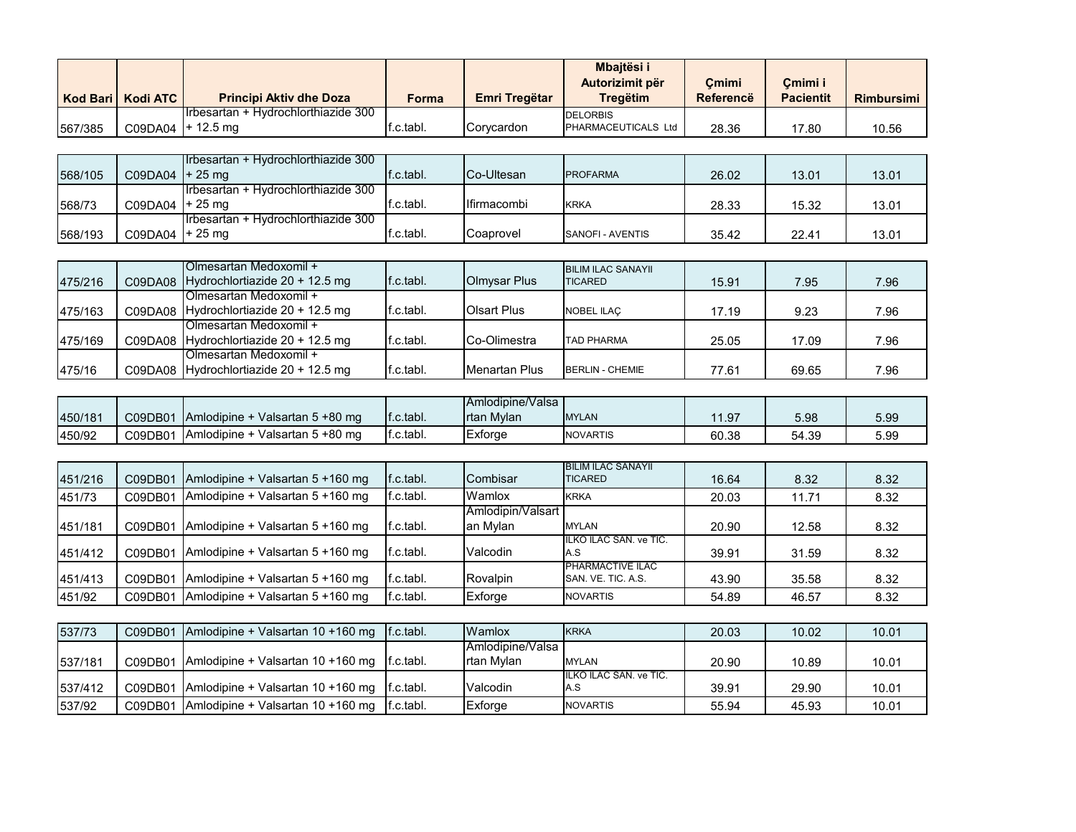|         |                     |                                      |           |               | <b>Mbaitësi i</b>          |           |                  |                   |
|---------|---------------------|--------------------------------------|-----------|---------------|----------------------------|-----------|------------------|-------------------|
|         |                     |                                      |           |               | Autorizimit për            | Cmimi     | Cmimi i          |                   |
|         | Kod Bari   Kodi ATC | <b>Principi Aktiv dhe Doza</b>       | Forma     | Emri Tregëtar | Treaëtim                   | Referencë | <b>Pacientit</b> | <b>Rimbursimi</b> |
|         |                     | Ilrbesartan + Hydrochlorthiazide 300 |           |               | <b>DELORBIS</b>            |           |                  |                   |
| 567/385 |                     | $C09DAO4$ + 12.5 mg                  | f.c.tabl. | Corvcardon    | <b>PHARMACEUTICALS Ltd</b> | 28.36     | 17.80            | 10.56             |

|         |                   | <b>Irbesartan + Hydrochlorthiazide 300</b> |           |                      |                  |       |       |       |
|---------|-------------------|--------------------------------------------|-----------|----------------------|------------------|-------|-------|-------|
| 568/105 | $CO9DAO4$ + 25 mg |                                            | f.c.tabl. | <b>ICo-Ultesan</b>   | <b>PROFARMA</b>  | 26.02 | 13.01 | 13.01 |
|         |                   | Irbesartan + Hydrochlorthiazide 300        |           |                      |                  |       |       |       |
| 568/73  | $CO9DAO4$ + 25 mg |                                            | f.c.tabl. | <b>I</b> lfirmacombi | <b>KRKA</b>      | 28.33 | 15.32 | 13.01 |
|         |                   | Irbesartan + Hydrochlorthiazide 300        |           |                      |                  |       |       |       |
| 568/193 | $CO9DAO4$ + 25 mg |                                            | f.c.tabl. | Coaprovel            | SANOFI - AVENTIS | 35.42 | 22.41 | 13.01 |

| 475/216 | <b>IOImesartan Medoxomil +</b><br>C09DA08 Hydrochlortiazide 20 + 12.5 mg | f.c.tabl. | Olmysar Plus         | <b>BILIM ILAC SANAYII</b><br><b>ITICARED</b> | 15.91 | 7.95  | 7.96 |
|---------|--------------------------------------------------------------------------|-----------|----------------------|----------------------------------------------|-------|-------|------|
| 475/163 | Olmesartan Medoxomil +<br>C09DA08 Hydrochlortiazide 20 + 12.5 mg         | f.c.tabl. | Olsart Plus          | <b>NOBEL ILAC</b>                            | 17.19 | 9.23  | 7.96 |
| 475/169 | Olmesartan Medoxomil +<br>C09DA08 Hydrochlortiazide 20 + 12.5 mg         | f.c.tabl. | Co-Olimestra         | <b>TAD PHARMA</b>                            | 25.05 | 17.09 | 7.96 |
| 475/16  | Olmesartan Medoxomil +<br>C09DA08 Hydrochlortiazide 20 + 12.5 mg         | f.c.tabl. | <b>Menartan Plus</b> | <b>BERLIN - CHEMIE</b>                       | 77.61 | 69.65 | 7.96 |

|         |         |                                         |                        | <b>Amlodipine/Valsa</b> |                 |       |       |      |
|---------|---------|-----------------------------------------|------------------------|-------------------------|-----------------|-------|-------|------|
| 450/181 | C09DB01 | <b>IAmlodipine + Valsartan 5 +80 mg</b> | $\mathsf{If}$ .c.tabl. | <b>Irtan Mylan</b>      | <b>MYLAN</b>    | 11.97 | 5.98  | 5.99 |
| 450/92  | C09DB01 | Amlodipine + Valsartan 5 +80 mg         | lf.c.tabl.             | Extorge                 | <b>NOVARTIS</b> | 60.38 | 54.39 | 5.99 |

|         |         |                                  |           |                   | <b>BILIM ILAC SANAYII</b> |       |       |      |
|---------|---------|----------------------------------|-----------|-------------------|---------------------------|-------|-------|------|
| 451/216 | C09DB01 | Amlodipine + Valsartan 5 +160 mg | f.c.tabl. | <b>I</b> Combisar | <b>ITICARED</b>           | 16.64 | 8.32  | 8.32 |
| 451/73  | C09DB01 | Amlodipine + Valsartan 5 +160 mg | f.c.tabl. | Wamlox            | <b>KRKA</b>               | 20.03 | 11.71 | 8.32 |
|         |         |                                  |           | Amlodipin/Valsart |                           |       |       |      |
| 451/181 | C09DB01 | Amlodipine + Valsartan 5 +160 mg | f.c.tabl. | lan Mvlan         | <b>MYLAN</b>              | 20.90 | 12.58 | 8.32 |
|         |         |                                  |           |                   | ILKO ILAC SAN, ve TIC.    |       |       |      |
| 451/412 | C09DB01 | Amlodipine + Valsartan 5 +160 mg | f.c.tabl. | Valcodin          | IA.S                      | 39.91 | 31.59 | 8.32 |
|         |         |                                  |           |                   | <b>PHARMACTIVE ILAC</b>   |       |       |      |
| 451/413 | C09DB01 | Amlodipine + Valsartan 5 +160 mg | f.c.tabl. | Rovalpin          | SAN, VE. TIC. A.S.        | 43.90 | 35.58 | 8.32 |
| 451/92  | C09DB01 | Amlodipine + Valsartan 5 +160 mg | f.c.tabl. | Exforge           | <b>NOVARTIS</b>           | 54.89 | 46.57 | 8.32 |

| 537/73  | C09DB01 | $\lambda$ Amlodipine + Valsartan 10 +160 mg $\lambda$ f.c.tabl. | <b>Wamlox</b>           | <b>IKRKA</b>                  | 20.03 | 10.02 | 10.01 |
|---------|---------|-----------------------------------------------------------------|-------------------------|-------------------------------|-------|-------|-------|
|         |         |                                                                 | <b>Amlodipine/Valsa</b> |                               |       |       |       |
| 537/181 |         | C09DB01 Amlodipine + Valsartan 10 +160 mg $\int$ f.c.tabl.      | <b>Irtan Mylan</b>      | <b>MYLAN</b>                  | 20.90 | 10.89 | 10.01 |
|         |         |                                                                 |                         | <b>ILKO ILAC SAN, ve TIC.</b> |       |       |       |
| 537/412 |         | C09DB01 Amlodipine + Valsartan 10 +160 mg $\int$ f.c.tabl.      | Valcodin                | IA.S                          | 39.91 | 29.90 | 10.01 |
| 537/92  |         | C09DB01 Amlodipine + Valsartan 10 +160 mg $\int$ f.c.tabl.      | Exforge                 | <b>NOVARTIS</b>               | 55.94 | 45.93 | 10.01 |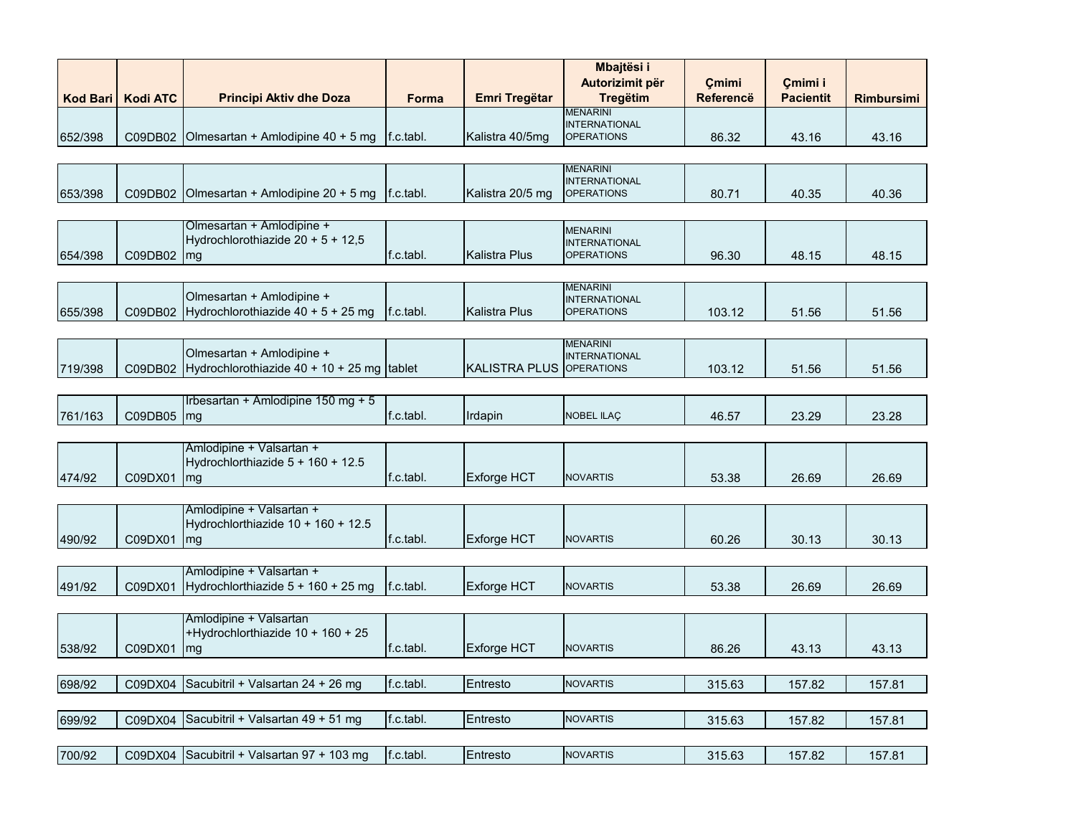|                 |                 |                                              |                        |                      | Mbajtësi i                              |                           |                             |                   |
|-----------------|-----------------|----------------------------------------------|------------------------|----------------------|-----------------------------------------|---------------------------|-----------------------------|-------------------|
| <b>Kod Bari</b> | <b>Kodi ATC</b> | <b>Principi Aktiv dhe Doza</b>               | Forma                  | <b>Emri Tregëtar</b> | Autorizimit për<br><b>Tregëtim</b>      | Çmimi<br><b>Referencë</b> | Çmimi i<br><b>Pacientit</b> | <b>Rimbursimi</b> |
|                 |                 |                                              |                        |                      | <b>MENARINI</b><br><b>INTERNATIONAL</b> |                           |                             |                   |
| 652/398         | C09DB02         | Olmesartan + Amlodipine 40 + 5 mg            | $\mathsf{If}$ .c.tabl. | Kalistra 40/5mg      | <b>OPERATIONS</b>                       | 86.32                     | 43.16                       | 43.16             |
|                 |                 |                                              |                        |                      |                                         |                           |                             |                   |
|                 |                 |                                              |                        |                      | <b>MENARINI</b><br><b>INTERNATIONAL</b> |                           |                             |                   |
| 653/398         | C09DB02         | Olmesartan + Amlodipine 20 + 5 mg            | $\mathsf{f}$ .c.tabl.  | Kalistra 20/5 mg     | <b>OPERATIONS</b>                       | 80.71                     | 40.35                       | 40.36             |
|                 |                 | Olmesartan + Amlodipine +                    |                        |                      |                                         |                           |                             |                   |
|                 |                 | Hydrochlorothiazide $20 + 5 + 12,5$          |                        |                      | <b>MENARINI</b><br><b>INTERNATIONAL</b> |                           |                             |                   |
| 654/398         | C09DB02         | mg                                           | f.c.tabl.              | Kalistra Plus        | <b>OPERATIONS</b>                       | 96.30                     | 48.15                       | 48.15             |
|                 |                 |                                              |                        |                      |                                         |                           |                             |                   |
|                 |                 | Olmesartan + Amlodipine +                    |                        |                      | <b>MENARINI</b><br><b>INTERNATIONAL</b> |                           |                             |                   |
| 655/398         | C09DB02         | Hydrochlorothiazide $40 + 5 + 25$ mg         | f.c.tabl.              | <b>Kalistra Plus</b> | <b>OPERATIONS</b>                       | 103.12                    | 51.56                       | 51.56             |
|                 |                 |                                              |                        |                      |                                         |                           |                             |                   |
|                 |                 | Olmesartan + Amlodipine +                    |                        |                      | <b>MENARINI</b><br><b>INTERNATIONAL</b> |                           |                             |                   |
| 719/398         | C09DB02         | Hydrochlorothiazide $40 + 10 + 25$ mg tablet |                        | <b>KALISTRA PLUS</b> | <b>OPERATIONS</b>                       | 103.12                    | 51.56                       | 51.56             |
|                 |                 |                                              |                        |                      |                                         |                           |                             |                   |
| 761/163         | C09DB05         | Irbesartan + Amlodipine 150 mg + 5<br>mg     | f.c.tabl.              | Irdapin              | <b>NOBEL ILAC</b>                       | 46.57                     | 23.29                       | 23.28             |
|                 |                 |                                              |                        |                      |                                         |                           |                             |                   |
|                 |                 | Amlodipine + Valsartan +                     |                        |                      |                                         |                           |                             |                   |
| 474/92          | C09DX01         | Hydrochlorthiazide 5 + 160 + 12.5<br>mg      | f.c.tabl.              | <b>Exforge HCT</b>   | <b>NOVARTIS</b>                         | 53.38                     | 26.69                       | 26.69             |
|                 |                 |                                              |                        |                      |                                         |                           |                             |                   |
|                 |                 | Amlodipine + Valsartan +                     |                        |                      |                                         |                           |                             |                   |
|                 |                 | Hydrochlorthiazide $10 + 160 + 12.5$         |                        |                      |                                         |                           |                             |                   |
| 490/92          | C09DX01         | mg                                           | f.c.tabl.              | <b>Exforge HCT</b>   | <b>NOVARTIS</b>                         | 60.26                     | 30.13                       | 30.13             |
|                 |                 | Amlodipine + Valsartan +                     |                        |                      |                                         |                           |                             |                   |
| 491/92          | C09DX01         | Hydrochlorthiazide $5 + 160 + 25$ mg         | f.c.tabl.              | <b>Exforge HCT</b>   | <b>NOVARTIS</b>                         | 53.38                     | 26.69                       | 26.69             |
|                 |                 |                                              |                        |                      |                                         |                           |                             |                   |
|                 |                 | Amlodipine + Valsartan                       |                        |                      |                                         |                           |                             |                   |
| 538/92          | C09DX01         | +Hydrochlorthiazide 10 + 160 + 25<br>mg      | f.c.tabl.              | <b>Exforge HCT</b>   | <b>NOVARTIS</b>                         | 86.26                     | 43.13                       | 43.13             |
|                 |                 |                                              |                        |                      |                                         |                           |                             |                   |
| 698/92          | C09DX04         | Sacubitril + Valsartan 24 + 26 mg            | f.c.tabl.              | Entresto             | <b>NOVARTIS</b>                         | 315.63                    | 157.82                      | 157.81            |
|                 |                 |                                              |                        |                      |                                         |                           |                             |                   |
| 699/92          | C09DX04         | Sacubitril + Valsartan 49 + 51 mg            | f.c.tabl.              | Entresto             | <b>NOVARTIS</b>                         | 315.63                    | 157.82                      | 157.81            |
|                 |                 |                                              |                        |                      |                                         |                           |                             |                   |
| 700/92          |                 | C09DX04 Sacubitril + Valsartan 97 + 103 mg   | f.c.tabl.              | Entresto             | <b>NOVARTIS</b>                         | 315.63                    | 157.82                      | 157.81            |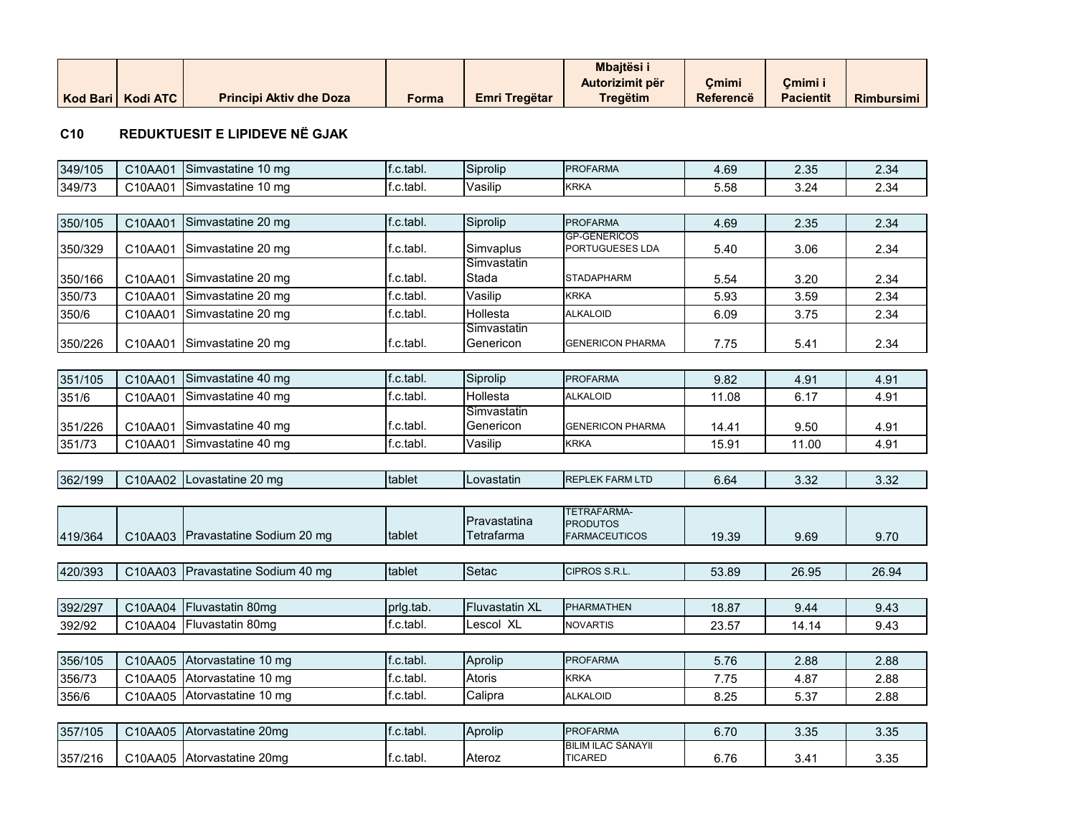|                     |                                |       |                      | <b>Mbaitësi</b> |           |                  |                   |
|---------------------|--------------------------------|-------|----------------------|-----------------|-----------|------------------|-------------------|
|                     |                                |       |                      | Autorizimit për | Cmimi     | Cmimi i          |                   |
| Kod Bari   Kodi ATC | <b>Principi Aktiv dhe Doza</b> | Forma | <b>Emri Tregëtar</b> | Tregëtim        | Referencë | <b>Pacientit</b> | <b>Rimbursimi</b> |

#### **C10 REDUKTUESIT E LIPIDEVE NË GJAK**

| 349/105 | C10AA01 | Simvastatine 10 mg                | f.c.tabl. | Siprolip                   | <b>PROFARMA</b>                                        | 4.69  | 2.35  | 2.34  |
|---------|---------|-----------------------------------|-----------|----------------------------|--------------------------------------------------------|-------|-------|-------|
| 349/73  | C10AA01 | Simvastatine 10 mg                | f.c.tabl. | Vasilip                    | <b>KRKA</b>                                            | 5.58  | 3.24  | 2.34  |
|         |         |                                   |           |                            |                                                        |       |       |       |
| 350/105 | C10AA01 | Simvastatine 20 mg                | f.c.tabl. | Siprolip                   | <b>PROFARMA</b>                                        | 4.69  | 2.35  | 2.34  |
| 350/329 | C10AA01 | Simvastatine 20 mg                | f.c.tabl. | Simvaplus                  | <b>GP-GENERICOS</b><br>PORTUGUESES LDA                 | 5.40  | 3.06  | 2.34  |
| 350/166 | C10AA01 | Simvastatine 20 mg                | f.c.tabl. | Simvastatin<br>Stada       | <b>STADAPHARM</b>                                      | 5.54  | 3.20  | 2.34  |
| 350/73  | C10AA01 | Simvastatine 20 mg                | f.c.tabl. | Vasilip                    | <b>KRKA</b>                                            | 5.93  | 3.59  | 2.34  |
| 350/6   | C10AA01 | Simvastatine 20 mg                | f.c.tabl. | Hollesta                   | <b>ALKALOID</b>                                        | 6.09  | 3.75  | 2.34  |
| 350/226 | C10AA01 | Simvastatine 20 mg                | f.c.tabl. | Simvastatin<br>Genericon   | <b>GENERICON PHARMA</b>                                | 7.75  | 5.41  | 2.34  |
|         |         |                                   |           |                            |                                                        |       |       |       |
| 351/105 | C10AA01 | Simvastatine 40 mg                | f.c.tabl. | Siprolip                   | <b>PROFARMA</b>                                        | 9.82  | 4.91  | 4.91  |
| 351/6   | C10AA01 | Simvastatine 40 mg                | f.c.tabl. | Hollesta                   | <b>ALKALOID</b>                                        | 11.08 | 6.17  | 4.91  |
| 351/226 | C10AA01 | Simvastatine 40 mg                | f.c.tabl. | Simvastatin<br>Genericon   | <b>GENERICON PHARMA</b>                                | 14.41 | 9.50  | 4.91  |
| 351/73  | C10AA01 | Simvastatine 40 mg                | f.c.tabl. | Vasilip                    | <b>KRKA</b>                                            | 15.91 | 11.00 | 4.91  |
|         |         |                                   |           |                            |                                                        |       |       |       |
| 362/199 | C10AA02 | Lovastatine 20 mg                 | tablet    | Lovastatin                 | <b>REPLEK FARM LTD</b>                                 | 6.64  | 3.32  | 3.32  |
|         |         |                                   |           |                            |                                                        |       |       |       |
| 419/364 |         | C10AA03 Pravastatine Sodium 20 mg | tablet    | Pravastatina<br>Tetrafarma | TETRAFARMA-<br><b>PRODUTOS</b><br><b>FARMACEUTICOS</b> | 19.39 | 9.69  | 9.70  |
|         |         |                                   |           |                            |                                                        |       |       |       |
| 420/393 | C10AA03 | Pravastatine Sodium 40 mg         | tablet    | Setac                      | CIPROS S.R.L.                                          | 53.89 | 26.95 | 26.94 |
|         |         |                                   |           |                            |                                                        |       |       |       |
| 392/297 | C10AA04 | Fluvastatin 80mg                  | prlg.tab. | <b>Fluvastatin XL</b>      | <b>PHARMATHEN</b>                                      | 18.87 | 9.44  | 9.43  |
| 392/92  | C10AA04 | Fluvastatin 80mg                  | f.c.tabl. | Lescol XL                  | <b>NOVARTIS</b>                                        | 23.57 | 14.14 | 9.43  |
| 356/105 | C10AA05 | Atorvastatine 10 mg               | f.c.tabl. | Aprolip                    | <b>PROFARMA</b>                                        | 5.76  | 2.88  | 2.88  |
| 356/73  | C10AA05 | Atorvastatine 10 mg               | f.c.tabl. | Atoris                     | <b>KRKA</b>                                            | 7.75  | 4.87  | 2.88  |
| 356/6   | C10AA05 | Atorvastatine 10 mg               | f.c.tabl. | Calipra                    | <b>ALKALOID</b>                                        | 8.25  | 5.37  | 2.88  |
|         |         |                                   |           |                            |                                                        |       |       |       |
| 357/105 | C10AA05 | Atorvastatine 20mg                | f.c.tabl. | Aprolip                    | <b>PROFARMA</b>                                        | 6.70  | 3.35  | 3.35  |
| 357/216 |         | C10AA05 Atorvastatine 20mg        | f.c.tabl. | Ateroz                     | <b>BILIM ILAC SANAYII</b><br><b>TICARED</b>            | 6.76  | 3.41  | 3.35  |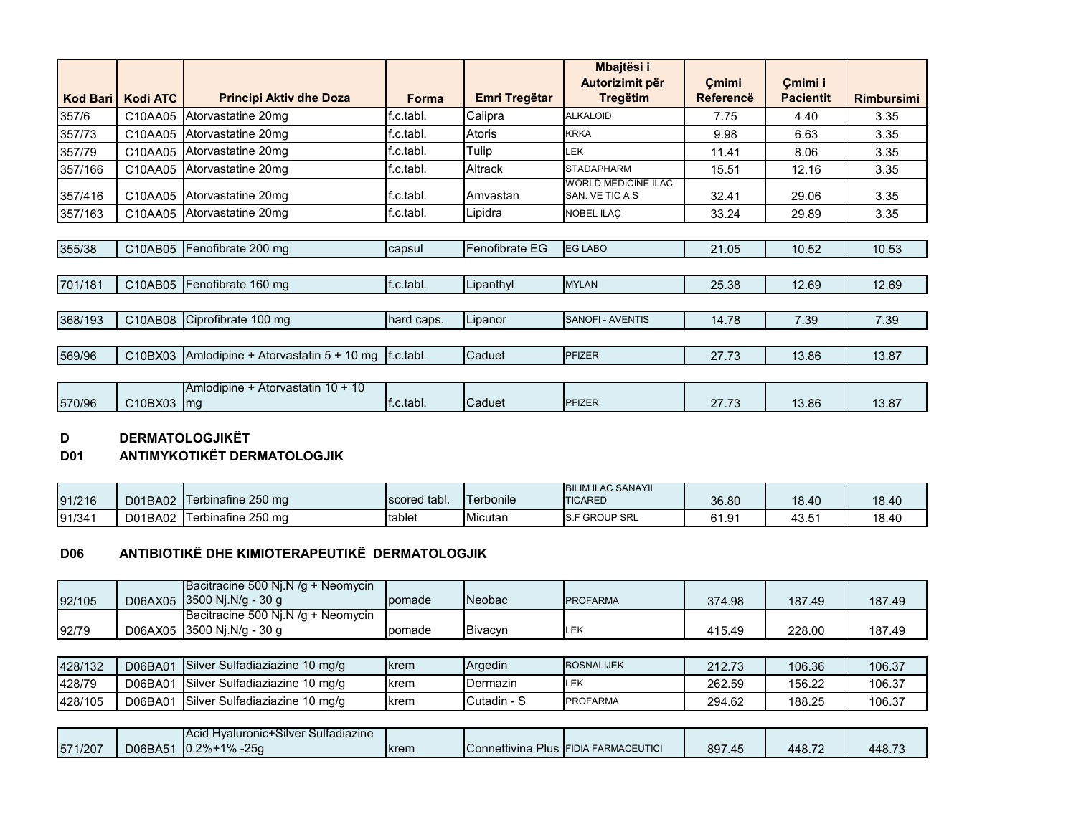|                 |                 |                                                   |              |                | Mbajtësi i<br>Autorizimit për                  | Cmimi            | Cmimi i          |                   |
|-----------------|-----------------|---------------------------------------------------|--------------|----------------|------------------------------------------------|------------------|------------------|-------------------|
| <b>Kod Bari</b> | <b>Kodi ATC</b> | <b>Principi Aktiv dhe Doza</b>                    | <b>Forma</b> | Emri Tregëtar  | <b>Tregëtim</b>                                | <b>Referencë</b> | <b>Pacientit</b> | <b>Rimbursimi</b> |
| 357/6           | C10AA05         | Atorvastatine 20mg                                | f.c.tabl.    | Calipra        | <b>ALKALOID</b>                                | 7.75             | 4.40             | 3.35              |
| 357/73          | C10AA05         | Atorvastatine 20mg                                | f.c.tabl.    | Atoris         | <b>KRKA</b>                                    | 9.98             | 6.63             | 3.35              |
| 357/79          | C10AA05         | Atorvastatine 20mg                                | f.c.tabl.    | Tulip          | LEK                                            | 11.41            | 8.06             | 3.35              |
| 357/166         | C10AA05         | Atorvastatine 20mg                                | f.c.tabl.    | Altrack        | <b>STADAPHARM</b>                              | 15.51            | 12.16            | 3.35              |
| 357/416         | C10AA05         | Atorvastatine 20mg                                | f.c.tabl.    | Amvastan       | <b>WORLD MEDICINE ILAC</b><br>SAN. VE TIC A.S. | 32.41            | 29.06            | 3.35              |
| 357/163         | C10AA05         | Atorvastatine 20mg                                | f.c.tabl.    | Lipidra        | <b>NOBEL ILAC</b>                              | 33.24            | 29.89            | 3.35              |
|                 |                 |                                                   |              |                |                                                |                  |                  |                   |
| 355/38          | C10AB05         | Fenofibrate 200 mg                                | capsul       | Fenofibrate EG | <b>EG LABO</b>                                 | 21.05            | 10.52            | 10.53             |
|                 |                 |                                                   |              |                |                                                |                  |                  |                   |
| 701/181         |                 | C10AB05 Fenofibrate 160 mg                        | f.c.tabl.    | Lipanthyl      | <b>MYLAN</b>                                   | 25.38            | 12.69            | 12.69             |
|                 |                 |                                                   |              |                |                                                |                  |                  |                   |
| 368/193         |                 | C10AB08 Ciprofibrate 100 mg                       | hard caps.   | Lipanor        | <b>SANOFI - AVENTIS</b>                        | 14.78            | 7.39             | 7.39              |
|                 |                 |                                                   |              |                |                                                |                  |                  |                   |
| 569/96          | C10BX03         | Amlodipine + Atorvastatin $5 + 10$ mg   f.c.tabl. |              | Caduet         | <b>PFIZER</b>                                  | 27.73            | 13.86            | 13.87             |
|                 |                 |                                                   |              |                |                                                |                  |                  |                   |
| 570/96          | C10BX03 mg      | Amlodipine + Atorvastatin 10 + 10                 | f.c.tabl.    | Caduet         | PFIZER                                         | 27.73            | 13.86            | 13.87             |

# **D DERMATOLOGJIKËT**<br>D01 ANTIMYKOTIKËT DER

# **D01 ANTIMYKOTIKËT DERMATOLOGJIK**

| 91/216 | D01BA02 | Terbinafine 250 mg | scored tabl. | l erbonile | <b>BILIM ILAC SANAYII</b><br><b>TICARED</b> | 36.80 | 18.40             | 18.40 |
|--------|---------|--------------------|--------------|------------|---------------------------------------------|-------|-------------------|-------|
| 91/341 | D01BA02 | Terbinafine 250 mg | tablet       | Micutan    | <b>S.F GROUP SRL</b>                        | 61.91 | 43.5 <sup>4</sup> | 18.40 |

#### **D06 ANTIBIOTIKË DHE KIMIOTERAPEUTIKË DERMATOLOGJIK**

|        | Bacitracine 500 Nj.N $/q +$ Neomycin |        |                |                  |        |        |        |
|--------|--------------------------------------|--------|----------------|------------------|--------|--------|--------|
| 92/105 | D06AX05 3500 Nj.N/g - 30 g           | pomade | <b>INeobac</b> | <b>IPROFARMA</b> | 374.98 | 187.49 | 187.49 |
|        | Bacitracine 500 Nj.N $/q +$ Neomycin |        |                |                  |        |        |        |
| 92/79  | D06AX05 3500 Nj.N/g - 30 g           | pomade | <b>Bivacyn</b> | LEK              | 415.49 | 228.00 | 187.49 |

| 428/132 | D06BA01 | Silver<br>r Sulfadiaziazine 10 mg/g | krem          | Argedin     | <b>BOSNALIJEK</b> | 212.73 | 106.36 | 106.37 |
|---------|---------|-------------------------------------|---------------|-------------|-------------------|--------|--------|--------|
| 428/79  | D06BA01 | . Silver Sulfadiaziazine 10 mg/g    | krem          | Dermazin    | LEK               | 262.59 | 156.22 | 106.37 |
| 428/105 | D06BA01 | , Silver Sulfadiaziazine 10 mg/g    | <b>I</b> krem | Cutadin - S | <b>PROFARMA</b>   | 294.62 | 188.25 | 106.37 |

|         |         | <b>IAcid Hvaluronic+Silver S</b><br>Sultadiazine |      |                                      |        |        |        |
|---------|---------|--------------------------------------------------|------|--------------------------------------|--------|--------|--------|
| 571/207 | D06BA51 | $10.2\% + 1\% - 25q$                             | krem | Connettivina Plus FIDIA FARMACEUTICI | 897.45 | 448.72 | 448.73 |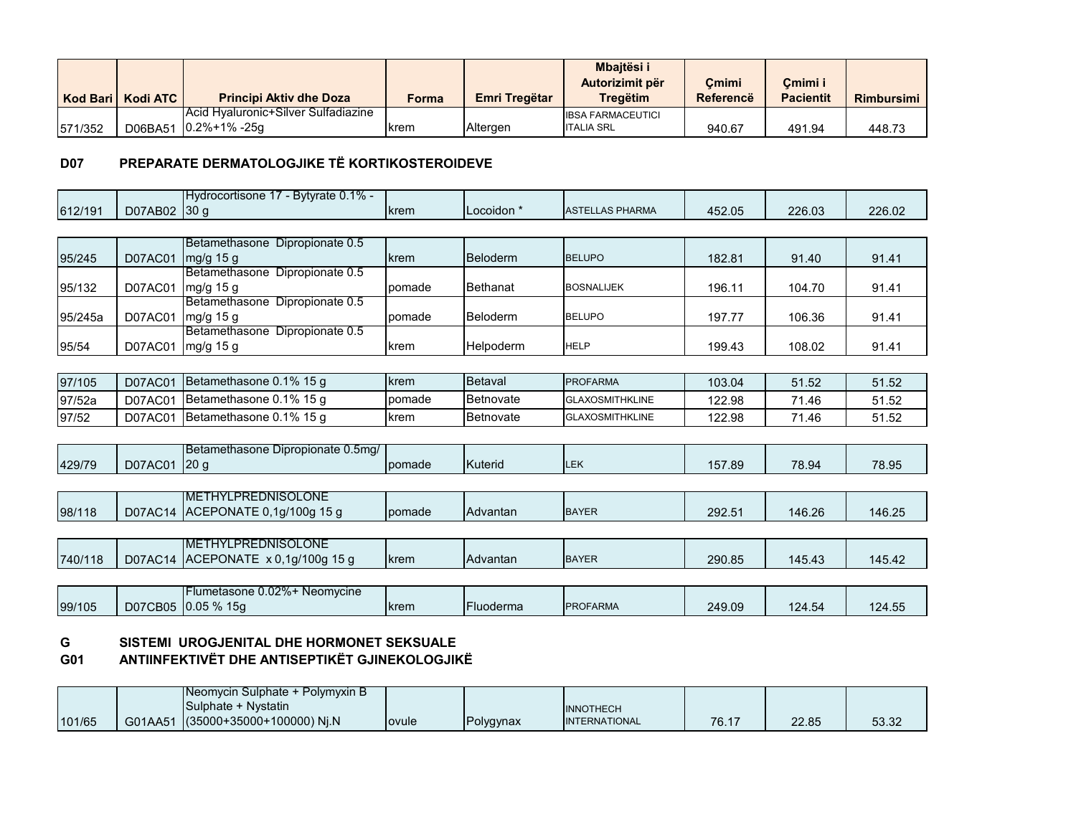|         |                     |                                     |       |               | <b>Mbaitësi i</b><br>Autorizimit për | Cmimi     | Cmimi i          |                   |
|---------|---------------------|-------------------------------------|-------|---------------|--------------------------------------|-----------|------------------|-------------------|
|         | Kod Bari   Kodi ATC | <b>Principi Aktiv dhe Doza</b>      | Forma | Emri Tregëtar | Treaëtim                             | Referencë | <b>Pacientit</b> | <b>Rimbursimi</b> |
|         |                     | Acid Hyaluronic+Silver Sulfadiazine |       |               | <b>IBSA FARMACEUTICI</b>             |           |                  |                   |
| 571/352 |                     | D06BA51 0.2%+1% -25g                | krem  | Altergen      | <b>ITALIA SRL</b>                    | 940.67    | 491.94           | 448.73            |

# **D07 PREPARATE DERMATOLOGJIKE TË KORTIKOSTEROIDEVE**

| 612/191 | D07AB02      | Hydrocortisone 17 - Bytyrate 0.1% -<br>130q | krem        | Locoidon *       | <b>ASTELLAS PHARMA</b> | 452.05 | 226.03 | 226.02 |
|---------|--------------|---------------------------------------------|-------------|------------------|------------------------|--------|--------|--------|
|         |              |                                             |             |                  |                        |        |        |        |
|         |              | Betamethasone Dipropionate 0.5              |             |                  |                        |        |        |        |
| 95/245  | D07AC01      | mg/g 15 g                                   | krem        | Beloderm         | <b>BELUPO</b>          | 182.81 | 91.40  | 91.41  |
|         |              | Betamethasone Dipropionate 0.5              |             |                  |                        |        |        |        |
| 95/132  |              | D07AC01   mg/g 15 g                         | pomade      | Bethanat         | <b>BOSNALIJEK</b>      | 196.11 | 104.70 | 91.41  |
|         |              | Betamethasone Dipropionate 0.5              |             |                  |                        |        |        |        |
| 95/245a | D07AC01      | mg/g 15 g                                   | pomade      | Beloderm         | <b>BELUPO</b>          | 197.77 | 106.36 | 91.41  |
|         |              | Betamethasone Dipropionate 0.5              |             |                  |                        |        |        |        |
| 95/54   | D07AC01      | mg/g 15 g                                   | krem        | Helpoderm        | <b>HELP</b>            | 199.43 | 108.02 | 91.41  |
|         |              |                                             |             |                  |                        |        |        |        |
| 97/105  | D07AC01      | Betamethasone 0.1% 15 g                     | krem        | Betaval          | <b>PROFARMA</b>        | 103.04 | 51.52  | 51.52  |
| 97/52a  | D07AC01      | Betamethasone 0.1% 15 q                     | pomade      | Betnovate        | <b>GLAXOSMITHKLINE</b> | 122.98 | 71.46  | 51.52  |
| 97/52   | D07AC01      | Betamethasone 0.1% 15 g                     | krem        | Betnovate        | <b>GLAXOSMITHKLINE</b> | 122.98 | 71.46  | 51.52  |
|         |              |                                             |             |                  |                        |        |        |        |
|         |              | Betamethasone Dipropionate 0.5mg/           |             |                  |                        |        |        |        |
| 429/79  | D07AC01 20 g |                                             | pomade      | <b>Kuterid</b>   | <b>LEK</b>             | 157.89 | 78.94  | 78.95  |
|         |              |                                             |             |                  |                        |        |        |        |
|         |              | <b>IMETHYLPREDNISOLONE</b>                  |             |                  |                        |        |        |        |
| 98/118  |              | D07AC14 ACEPONATE 0,1g/100g 15 g            | pomade      | Advantan         | <b>BAYER</b>           | 292.51 | 146.26 | 146.25 |
|         |              |                                             |             |                  |                        |        |        |        |
|         |              | <b>IMETHYLPREDNISOLONE</b>                  |             |                  |                        |        |        |        |
| 740/118 |              | D07AC14 ACEPONATE x 0,1g/100g 15 g          | <b>krem</b> | Advantan         | <b>BAYER</b>           | 290.85 | 145.43 | 145.42 |
|         |              |                                             |             |                  |                        |        |        |        |
|         |              | Flumetasone 0.02%+ Neomycine                |             |                  |                        |        |        |        |
| 99/105  |              | D07CB05 0.05 % 15g                          | krem        | <b>Fluoderma</b> | <b>PROFARMA</b>        | 249.09 | 124.54 | 124.55 |

#### **G SISTEMI UROGJENITAL DHE HORMONET SEKSUALE**

# **G01 ANTIINFEKTIVËT DHE ANTISEPTIKËT GJINEKOLOGJIKË**

|        |         | <b>INeomvcin Sulphate +</b><br>$\cdot$ Polymyxin B $\cdot$ |       |           |                  |                       |       |       |
|--------|---------|------------------------------------------------------------|-------|-----------|------------------|-----------------------|-------|-------|
|        |         | <b>N</b> vstatin<br>ISulphate +                            |       |           | <b>INNOTHECH</b> |                       |       |       |
| 101/65 | G01AA51 | (35000+35000+100000) Nj.N                                  | ovule | Polygynax | INTERNATIONAL    | <b>70.47</b><br>10.11 | 22.85 | 53.32 |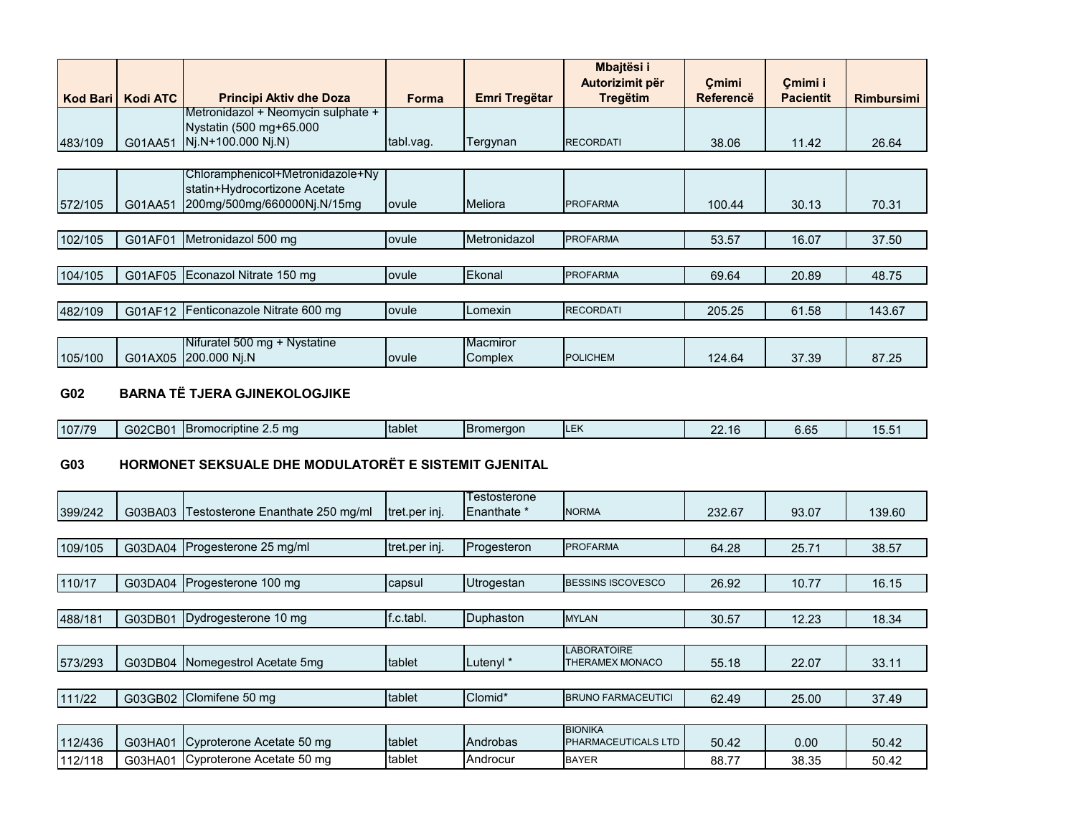|                 |                 |                                                                   |           |                     | Mbajtësi i<br>Autorizimit për | Cmimi     | Cmimi i          |                   |
|-----------------|-----------------|-------------------------------------------------------------------|-----------|---------------------|-------------------------------|-----------|------------------|-------------------|
| <b>Kod Bari</b> | <b>Kodi ATC</b> | <b>Principi Aktiv dhe Doza</b>                                    | Forma     | Emri Tregëtar       | <b>Tregëtim</b>               | Referencë | <b>Pacientit</b> | <b>Rimbursimi</b> |
|                 |                 | Metronidazol + Neomycin sulphate +<br>Nystatin (500 mg+65.000     |           |                     |                               |           |                  |                   |
| 483/109         | G01AA51         | $Ni.N+100.000 Ni.N$                                               | tabl.vag. | Tergynan            | <b>RECORDATI</b>              | 38.06     | 11.42            | 26.64             |
|                 |                 |                                                                   |           |                     |                               |           |                  |                   |
|                 |                 | Chloramphenicol+Metronidazole+Ny<br>statin+Hydrocortizone Acetate |           |                     |                               |           |                  |                   |
| 572/105         | G01AA51         | 200mg/500mg/660000Nj.N/15mg                                       | ovule     | Meliora             | <b>PROFARMA</b>               | 100.44    | 30.13            | 70.31             |
|                 |                 |                                                                   |           |                     |                               |           |                  |                   |
| 102/105         | G01AF01         | Metronidazol 500 mg                                               | ovule     | Metronidazol        | <b>PROFARMA</b>               | 53.57     | 16.07            | 37.50             |
|                 |                 |                                                                   |           |                     |                               |           |                  |                   |
| 104/105         | G01AF05         | Econazol Nitrate 150 mg                                           | ovule     | Ekonal              | <b>PROFARMA</b>               | 69.64     | 20.89            | 48.75             |
|                 |                 |                                                                   |           |                     |                               |           |                  |                   |
| 482/109         | G01AF12         | Fenticonazole Nitrate 600 mg                                      | ovule     | Lomexin             | <b>RECORDATI</b>              | 205.25    | 61.58            | 143.67            |
|                 |                 |                                                                   |           |                     |                               |           |                  |                   |
| 105/100         |                 | Nifuratel 500 mg + Nystatine<br>G01AX05 200.000 Nj.N              | lovule    | Macmiror<br>Complex | <b>POLICHEM</b>               | 124.64    | 37.39            | 87.25             |
|                 |                 |                                                                   |           |                     |                               |           |                  |                   |

#### **G02 BARNA TË TJERA GJINEKOLOGJIKE**

| $\sim$ $\sim$<br>107/79<br><b>Itablet</b><br>COPORO1<br>Bromocriptine<br>∠.5 ma<br>JUZ.<br>. <i>.</i> | N I DE<br><b>IBromergon</b><br>$\sim$ | $\sim$<br>-- | $\sim$ $\sim$ $\sim$<br>6.65 | __<br>∽<br>$\cdot\cdot\cdot$ |
|-------------------------------------------------------------------------------------------------------|---------------------------------------|--------------|------------------------------|------------------------------|
|-------------------------------------------------------------------------------------------------------|---------------------------------------|--------------|------------------------------|------------------------------|

# **G03 HORMONET SEKSUALE DHE MODULATORËT E SISTEMIT GJENITAL**

| 399/242 | G03BA03 | Testosterone Enanthate 250 mg/ml | tret.per inj. | Testosterone<br>Enanthate * | <b>NORMA</b>                          | 232.67 | 93.07 | 139.60 |
|---------|---------|----------------------------------|---------------|-----------------------------|---------------------------------------|--------|-------|--------|
|         |         |                                  |               |                             |                                       |        |       |        |
| 109/105 | G03DA04 | Progesterone 25 mg/ml            | tret.per inj. | Progesteron                 | <b>PROFARMA</b>                       | 64.28  | 25.71 | 38.57  |
|         |         |                                  |               |                             |                                       |        |       |        |
| 110/17  | G03DA04 | Progesterone 100 mg              | capsul        | Utrogestan                  | <b>BESSINS ISCOVESCO</b>              | 26.92  | 10.77 | 16.15  |
|         |         |                                  |               |                             |                                       |        |       |        |
| 488/181 | G03DB01 | Dydrogesterone 10 mg             | f.c.tabl.     | Duphaston                   | <b>MYLAN</b>                          | 30.57  | 12.23 | 18.34  |
|         |         |                                  |               |                             |                                       |        |       |        |
| 573/293 | G03DB04 | Nomegestrol Acetate 5mg          | tablet        | Lutenyl <sup>*</sup>        | <b>LABORATOIRE</b><br>THERAMEX MONACO | 55.18  | 22.07 | 33.11  |
|         |         |                                  |               |                             |                                       |        |       |        |
| 111/22  | G03GB02 | Clomifene 50 mg                  | tablet        | Clomid*                     | <b>BRUNO FARMACEUTICI</b>             | 62.49  | 25.00 | 37.49  |
|         |         |                                  |               |                             |                                       |        |       |        |
| 112/436 | G03HA01 | Cyproterone Acetate 50 mg        | tablet        | Androbas                    | <b>BIONIKA</b><br>PHARMACEUTICALS LTD | 50.42  | 0.00  | 50.42  |
| 112/118 | G03HA01 | Cyproterone Acetate 50 mg        | tablet        | Androcur                    | <b>BAYER</b>                          | 88.77  | 38.35 | 50.42  |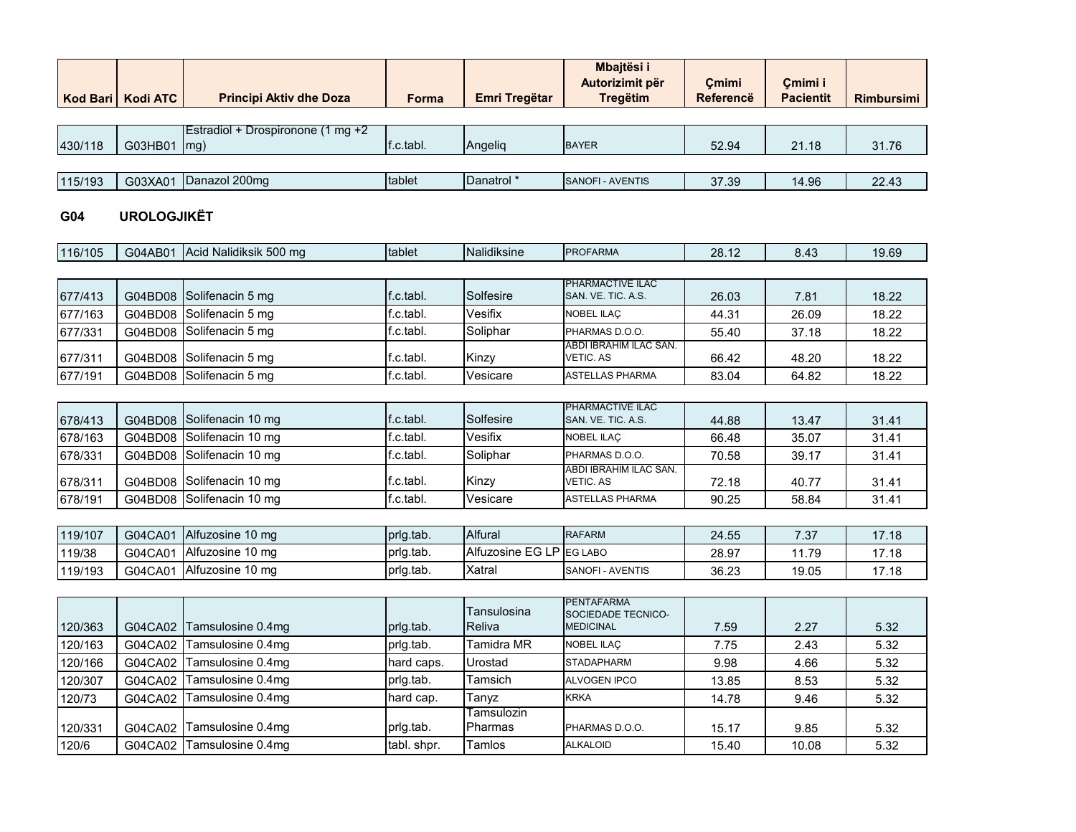|         | Kod Bari   Kodi ATC | <b>Principi Aktiv dhe Doza</b>    | <b>Forma</b> | Emri Tregëtar         | Mbajtësi i<br>Autorizimit për<br><b>Tregëtim</b> | Cmimi<br><b>Referencë</b> | Cmimi i<br><b>Pacientit</b> | <b>Rimbursimi</b> |
|---------|---------------------|-----------------------------------|--------------|-----------------------|--------------------------------------------------|---------------------------|-----------------------------|-------------------|
|         |                     |                                   |              |                       |                                                  |                           |                             |                   |
|         |                     | Estradiol + Drospironone (1 mg +2 |              |                       |                                                  |                           |                             |                   |
| 430/118 | G03HB01             | $\lfloor mg \rfloor$              | f.c.tabl.    | Angelig               | <b>BAYER</b>                                     | 52.94                     | 21.18                       | 31.76             |
|         |                     |                                   |              |                       |                                                  |                           |                             |                   |
| 115/193 | G03XA01             | Danazol 200mg                     | tablet       | Danatrol <sup>*</sup> | <b>SANOFI - AVENTIS</b>                          | 37.39                     | 14.96                       | 22.43             |
|         |                     |                                   |              |                       |                                                  |                           |                             |                   |

#### **G04 UROLOGJIKËT**

| 116/105 | G04AB01 | Acid Nalidiksik 500 mg   | tablet    | Nalidiksine | <b>PROFARMA</b>                            | 28.12 | 8.43  | 19.69 |
|---------|---------|--------------------------|-----------|-------------|--------------------------------------------|-------|-------|-------|
|         |         |                          |           |             |                                            |       |       |       |
| 677/413 |         | G04BD08 Solifenacin 5 mg | f.c.tabl. | Solfesire   | PHARMACTIVE ILAC<br>SAN, VE. TIC. A.S.     | 26.03 | 7.81  | 18.22 |
| 677/163 |         | G04BD08 Solifenacin 5 mg | f.c.tabl. | Vesifix     | NOBEL ILAC                                 | 44.31 | 26.09 | 18.22 |
| 677/331 |         | G04BD08 Solifenacin 5 mg | f.c.tabl. | Soliphar    | PHARMAS D.O.O.                             | 55.40 | 37.18 | 18.22 |
| 677/311 |         | G04BD08 Solifenacin 5 mg | f.c.tabl. | Kinzv       | ABDI IBRAHIM ILAC SAN.<br><b>VETIC, AS</b> | 66.42 | 48.20 | 18.22 |
| 677/191 |         | G04BD08 Solifenacin 5 mg | f.c.tabl. | Vesicare    | <b>ASTELLAS PHARMA</b>                     | 83.04 | 64.82 | 18.22 |

| 678/413 | G04BD08 Solifenacin 10 mg | f.c.tabl. | Solfesire | <b>PHARMACTIVE ILAC</b><br>SAN, VE. TIC. A.S. | 44.88 | 13.47 | 31.41 |
|---------|---------------------------|-----------|-----------|-----------------------------------------------|-------|-------|-------|
| 678/163 | G04BD08 Solifenacin 10 mg | f.c.tabl. | Vesifix   | <b>NOBEL ILAC</b>                             | 66.48 | 35.07 | 31.41 |
| 678/331 | G04BD08 Solifenacin 10 mg | f.c.tabl. | Soliphar  | PHARMAS D.O.O.                                | 70.58 | 39.17 | 31.41 |
| 678/311 | G04BD08 Solifenacin 10 mg | ∵c.tabl.  | Kinzv     | ABDI IBRAHIM ILAC SAN.<br>VETIC, AS           | 72.18 | 40.77 | 31.41 |
| 678/191 | G04BD08 Solifenacin 10 mg | f.c.tabl. | Vesicare  | <b>ASTELLAS PHARMA</b>                        | 90.25 | 58.84 | 31.41 |

| 119/107 | G04CA01 | <b>Alfuzosine 10 mg</b> | prig.tab. | <b>Alfural</b>           | <b>RAFARM</b>            | 24.55 | 7 27<br>ن. | 7.18  |
|---------|---------|-------------------------|-----------|--------------------------|--------------------------|-------|------------|-------|
| 119/38  | G04CA01 | Alfuzosine 10 mg        | prig.tab. | Alfuzosine EG LP EG LABO |                          | 28.97 | 1.79       | 7.18  |
| 119/193 | G04CA01 | <b>Alfuzosine 10 mg</b> | prig.tab. | Xatrai                   | <b>ISANOFI - AVENTIS</b> | 36.23 | 19.05      | 17.18 |

| 120/363 | G04CA02 | Tamsulosine 0.4mg | prig.tab.   | Tansulosina<br><b>IReliva</b> | <b>PENTAFARMA</b><br><b>SOCIEDADE TECNICO-</b><br><b>MEDICINAL</b> | 7.59  | 2.27  | 5.32 |
|---------|---------|-------------------|-------------|-------------------------------|--------------------------------------------------------------------|-------|-------|------|
| 120/163 | G04CA02 | Tamsulosine 0.4mg | prlg.tab.   | <b>Tamidra MR</b>             | <b>NOBEL ILAC</b>                                                  | 7.75  | 2.43  | 5.32 |
| 120/166 | G04CA02 | Tamsulosine 0.4mg | hard caps.  | Urostad                       | <b>STADAPHARM</b>                                                  | 9.98  | 4.66  | 5.32 |
| 120/307 | G04CA02 | Tamsulosine 0.4mg | prig.tab.   | Tamsich                       | <b>ALVOGEN IPCO</b>                                                | 13.85 | 8.53  | 5.32 |
| 120/73  | G04CA02 | Tamsulosine 0.4mg | hard cap.   | Tanyz                         | <b>KRKA</b>                                                        | 14.78 | 9.46  | 5.32 |
|         |         |                   |             | Tamsulozin                    |                                                                    |       |       |      |
| 120/331 | G04CA02 | Tamsulosine 0.4mg | prig.tab.   | Pharmas                       | PHARMAS D.O.O.                                                     | 15.17 | 9.85  | 5.32 |
| 120/6   | G04CA02 | Tamsulosine 0.4mg | tabl. shpr. | <b>Tamlos</b>                 | <b>ALKALOID</b>                                                    | 15.40 | 10.08 | 5.32 |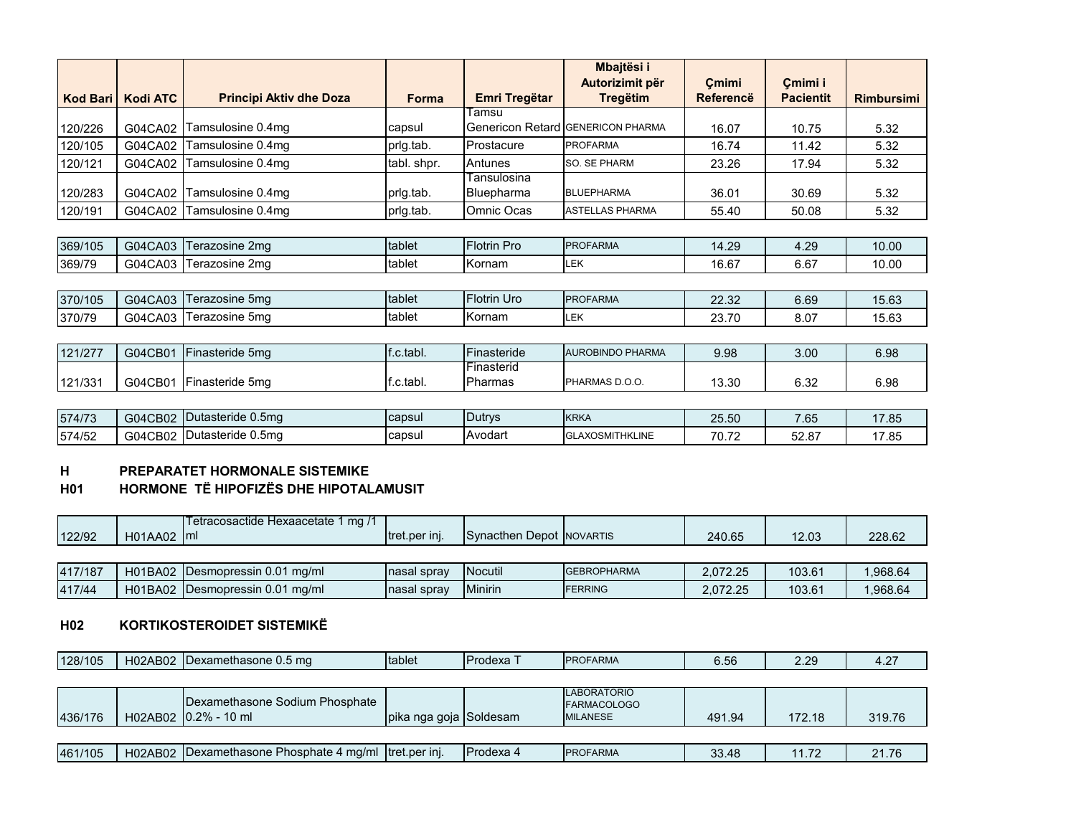|                 |                 |                                |              |                      | Mbajtësi i<br>Autorizimit për            |                           | Cmimi i          |                   |
|-----------------|-----------------|--------------------------------|--------------|----------------------|------------------------------------------|---------------------------|------------------|-------------------|
| <b>Kod Bari</b> | <b>Kodi ATC</b> | <b>Principi Aktiv dhe Doza</b> | <b>Forma</b> | <b>Emri Tregëtar</b> | <b>Tregëtim</b>                          | Cmimi<br><b>Referencë</b> | <b>Pacientit</b> | <b>Rimbursimi</b> |
|                 |                 |                                |              | Гаmsu                |                                          |                           |                  |                   |
| 120/226         | G04CA02         | Tamsulosine 0.4mg              | capsul       |                      | <b>Genericon Retard GENERICON PHARMA</b> | 16.07                     | 10.75            | 5.32              |
| 120/105         | G04CA02         | Tamsulosine 0.4mg              | prig.tab.    | Prostacure           | <b>PROFARMA</b>                          | 16.74                     | 11.42            | 5.32              |
| 120/121         | G04CA02         | Tamsulosine 0.4mg              | tabl. shpr.  | Antunes              | SO. SE PHARM                             | 23.26                     | 17.94            | 5.32              |
|                 |                 |                                |              | Tansulosina          |                                          |                           |                  |                   |
| 120/283         | G04CA02         | Tamsulosine 0.4mg              | prig.tab.    | <b>Bluepharma</b>    | <b>BLUEPHARMA</b>                        | 36.01                     | 30.69            | 5.32              |
| 120/191         | G04CA02         | Tamsulosine 0.4mg              | prlg.tab.    | Omnic Ocas           | <b>ASTELLAS PHARMA</b>                   | 55.40                     | 50.08            | 5.32              |
|                 |                 |                                |              |                      |                                          |                           |                  |                   |
| 369/105         | G04CA03         | Terazosine 2mg                 | tablet       | <b>Flotrin Pro</b>   | <b>PROFARMA</b>                          | 14.29                     | 4.29             | 10.00             |
| 369/79          | G04CA03         | Terazosine 2mg                 | tablet       | Kornam               | <b>LEK</b>                               | 16.67                     | 6.67             | 10.00             |
|                 |                 |                                |              |                      |                                          |                           |                  |                   |
| 370/105         | G04CA03         | Terazosine 5mg                 | tablet       | <b>Flotrin Uro</b>   | <b>PROFARMA</b>                          | 22.32                     | 6.69             | 15.63             |
| 370/79          | G04CA03         | Terazosine 5mg                 | tablet       | Kornam               | LEK                                      | 23.70                     | 8.07             | 15.63             |
|                 |                 |                                |              |                      |                                          |                           |                  |                   |
| 121/277         | G04CB01         | Finasteride 5mg                | f.c.tabl.    | Finasteride          | <b>AUROBINDO PHARMA</b>                  | 9.98                      | 3.00             | 6.98              |
|                 |                 |                                |              | Finasterid           |                                          |                           |                  |                   |
| 121/331         | G04CB01         | Finasteride 5mg                | f.c.tabl.    | Pharmas              | PHARMAS D.O.O.                           | 13.30                     | 6.32             | 6.98              |
|                 |                 |                                |              |                      |                                          |                           |                  |                   |
| 574/73          | G04CB02         | Dutasteride 0.5mg              | capsul       | <b>Dutrys</b>        | <b>KRKA</b>                              | 25.50                     | 7.65             | 17.85             |
| 574/52          |                 | G04CB02 Dutasteride 0.5mg      | capsul       | Avodart              | <b>GLAXOSMITHKLINE</b>                   | 70.72                     | 52.87            | 17.85             |

#### **H PREPARATET HORMONALE SISTEMIKE**

# **H01 HORMONE TË HIPOFIZËS DHE HIPOTALAMUSIT**

|        |         | ma<br>etracosactide F<br>e Hexaacetate |                       |                             |                 |        |                |        |
|--------|---------|----------------------------------------|-----------------------|-----------------------------|-----------------|--------|----------------|--------|
| 122/92 | H01AA02 | Iml                                    | <b>Itret.per ini.</b> | <b>I</b> Synacthen<br>Depot | <b>NOVARTIS</b> | 240.65 | מח הו<br>12.UJ | 228.62 |

| 417/187 | H01BA02        | ⊟Desmopressin 0.01<br>ma/ml     | Inasal spray | <b>Nocutil</b> | <b>IGEBROPHARMA</b> | 2.072.25 | 103.61 | .968.64 |
|---------|----------------|---------------------------------|--------------|----------------|---------------------|----------|--------|---------|
| 417/44  | <b>H01BA02</b> | <b>IDesmopressin 0.01 mg/ml</b> | nasal spray  | Minirin        | FERRING             | 2.072.25 | 103.61 | .968.64 |

#### **H02 KORTIKOSTEROIDET SISTEMIKË**

| 128/105 | H02AB02 | IDexamethasone 0.5 mg | <b>Itablet</b> | <b>I</b> Prodexa | <b>PROFARMA</b> | ∪.∪∖ | חר<br>---- | $\sim$<br>$\overline{\phantom{a}}$<br>. |
|---------|---------|-----------------------|----------------|------------------|-----------------|------|------------|-----------------------------------------|
|         |         |                       |                |                  |                 |      |            |                                         |

| 436/176 | Dexamethasone Sodium Phosphate<br>H02AB02 0.2% - 10 ml  | Ipika nga goja Soldesam |                   | <b>LABORATORIO</b><br><b>FARMACOLOGO</b><br><b>MILANESE</b> | 491.94 | 172.18 | 319.76 |
|---------|---------------------------------------------------------|-------------------------|-------------------|-------------------------------------------------------------|--------|--------|--------|
|         |                                                         |                         |                   |                                                             |        |        |        |
| 461/105 | H02AB02   Dexamethasone Phosphate 4 mg/ml tret.per inj. |                         | <b>IProdexa 4</b> | <b>IPROFARMA</b>                                            | 33.48  | 11.72  | 21.76  |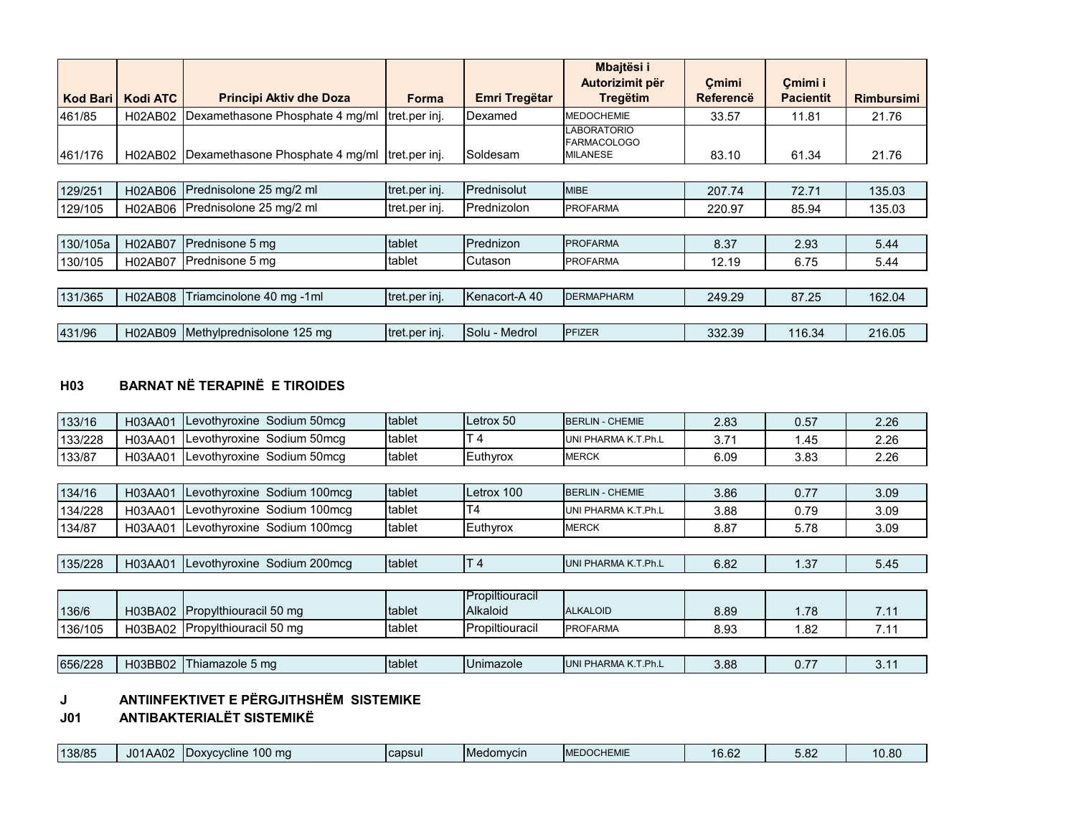| <b>Kod Bari</b> | <b>Kodi ATC</b> | <b>Principi Aktiv dhe Doza</b>  | Forma         | <b>Emri Tregëtar</b> | Mbajtësi i<br>Autorizimit për<br><b>Tregëtim</b>            | Cmimi<br><b>Referencë</b> | Cmimi i<br><b>Pacientit</b> | <b>Rimbursimi</b> |
|-----------------|-----------------|---------------------------------|---------------|----------------------|-------------------------------------------------------------|---------------------------|-----------------------------|-------------------|
| 461/85          | H02AB02         | Dexamethasone Phosphate 4 mg/ml | tret.per inj. | Dexamed              | <b>MEDOCHEMIE</b>                                           | 33.57                     | 11.81                       | 21.76             |
| 461/176         | H02AB02         | Dexamethasone Phosphate 4 mg/ml | tret.per inj. | Soldesam             | <b>LABORATORIO</b><br><b>FARMACOLOGO</b><br><b>MILANESE</b> | 83.10                     | 61.34                       | 21.76             |
|                 |                 |                                 |               |                      |                                                             |                           |                             |                   |
| 129/251         | <b>H02AB06</b>  | Prednisolone 25 mg/2 ml         | tret.per inj. | Prednisolut          | <b>MIBE</b>                                                 | 207.74                    | 72.71                       | 135.03            |
| 129/105         | H02AB06         | Prednisolone 25 mg/2 ml         | tret.per inj. | Prednizolon          | <b>PROFARMA</b>                                             | 220.97                    | 85.94                       | 135.03            |
|                 |                 |                                 |               |                      |                                                             |                           |                             |                   |
| 130/105a        | H02AB07         | Prednisone 5 mg                 | tablet        | Prednizon            | <b>PROFARMA</b>                                             | 8.37                      | 2.93                        | 5.44              |
| 130/105         | <b>H02AB07</b>  | Prednisone 5 mg                 | tablet        | Cutason              | <b>PROFARMA</b>                                             | 12.19                     | 6.75                        | 5.44              |
|                 |                 |                                 |               |                      |                                                             |                           |                             |                   |
| 131/365         | H02AB08         | Triamcinolone 40 mg -1ml        | tret.per inj. | Kenacort-A 40        | <b>DERMAPHARM</b>                                           | 249.29                    | 87.25                       | 162.04            |
|                 |                 |                                 |               |                      |                                                             |                           |                             |                   |
| 431/96          | H02AB09         | Methylprednisolone 125 mg       | tret.per inj. | Solu - Medrol        | <b>PFIZER</b>                                               | 332.39                    | 116.34                      | 216.05            |

# **H03 BARNAT NË TERAPINË E TIROIDES**

| 133/16  | H03AA01 | evothyroxine Sodium 50mcq   | tablet | Letrox 50       | <b>BERLIN - CHEMIE</b> | 2.83 | 0.57 | 2.26 |
|---------|---------|-----------------------------|--------|-----------------|------------------------|------|------|------|
| 133/228 | H03AA01 | Levothyroxine Sodium 50mcg  | tablet | T <sub>4</sub>  | UNI PHARMA K.T.Ph.L    | 3.71 | 1.45 | 2.26 |
| 133/87  | H03AA01 | Levothyroxine Sodium 50mcq  | tablet | Euthyrox        | <b>MERCK</b>           | 6.09 | 3.83 | 2.26 |
|         |         |                             |        |                 |                        |      |      |      |
| 134/16  | H03AA01 | Levothyroxine Sodium 100mcg | tablet | Letrox 100      | <b>BERLIN - CHEMIE</b> | 3.86 | 0.77 | 3.09 |
| 134/228 | H03AA01 | Levothyroxine Sodium 100mcg | tablet | T <sub>4</sub>  | UNI PHARMA K.T.Ph.L    | 3.88 | 0.79 | 3.09 |
| 134/87  | H03AA01 | Levothyroxine Sodium 100mcg | tablet | Euthyrox        | <b>MERCK</b>           | 8.87 | 5.78 | 3.09 |
|         |         |                             |        |                 |                        |      |      |      |
| 135/228 | H03AA01 | Levothyroxine Sodium 200mcg | tablet | $\mathsf{T} 4$  | UNI PHARMA K.T.Ph.L    | 6.82 | 1.37 | 5.45 |
|         |         |                             |        |                 |                        |      |      |      |
|         |         |                             |        | Propiltiouracil |                        |      |      |      |
| 136/6   | H03BA02 | Propylthiouracil 50 mg      | tablet | Alkaloid        | <b>ALKALOID</b>        | 8.89 | 1.78 | 7.11 |
| 136/105 | H03BA02 | Propylthiouracil 50 mg      | tablet | Propiltiouracil | <b>PROFARMA</b>        | 8.93 | 1.82 | 7.11 |
|         |         |                             |        |                 |                        |      |      |      |
| 656/228 | H03BB02 | Thiamazole 5 mg             | tablet | Unimazole       | UNI PHARMA K.T.Ph.L    | 3.88 | 0.77 | 3.11 |
|         |         |                             |        |                 |                        |      |      |      |

# **J ANTIINFEKTIVET E PËRGJITHSHËM SISTEMIKE**

**J01 ANTIBAKTERIALËT SISTEMIKË**

| 138/85 | AA02<br>$\overline{10}$<br>ิบบ | $100 \text{ ma}$<br><b>IDoxycycline</b> | capsul | Medomycin | <b>EDOCHEMIE</b><br><b>A</b> | 0.00<br>$-$<br>2ס.ס' | ം<br>v.v | 10.80 |
|--------|--------------------------------|-----------------------------------------|--------|-----------|------------------------------|----------------------|----------|-------|
|--------|--------------------------------|-----------------------------------------|--------|-----------|------------------------------|----------------------|----------|-------|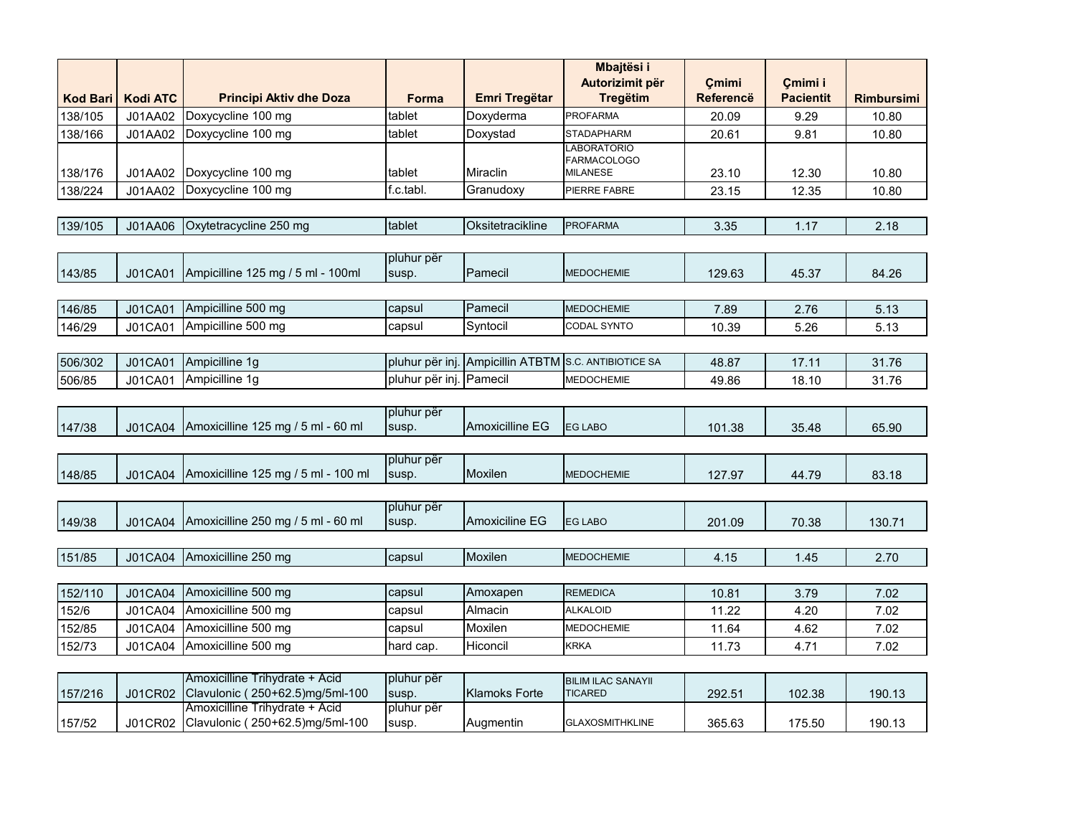|                 |                 |                                     |                     |                         | Mbajtësi i                               |           |                  |                   |
|-----------------|-----------------|-------------------------------------|---------------------|-------------------------|------------------------------------------|-----------|------------------|-------------------|
|                 |                 |                                     |                     |                         | Autorizimit për                          | Cmimi     | Cmimi i          |                   |
| <b>Kod Bari</b> | <b>Kodi ATC</b> | <b>Principi Aktiv dhe Doza</b>      | <b>Forma</b>        | <b>Emri Tregëtar</b>    | <b>Tregëtim</b>                          | Referencë | <b>Pacientit</b> | <b>Rimbursimi</b> |
| 138/105         | J01AA02         | Doxycycline 100 mg                  | tablet              | Doxyderma               | PROFARMA                                 | 20.09     | 9.29             | 10.80             |
| 138/166         | J01AA02         | Doxycycline 100 mg                  | tablet              | Doxystad                | <b>STADAPHARM</b>                        | 20.61     | 9.81             | 10.80             |
|                 |                 |                                     |                     |                         | <b>LABORATORIO</b><br><b>FARMACOLOGO</b> |           |                  |                   |
| 138/176         | J01AA02         | Doxycycline 100 mg                  | tablet              | Miraclin                | <b>MILANESE</b>                          | 23.10     | 12.30            | 10.80             |
| 138/224         | J01AA02         | Doxycycline 100 mg                  | f.c.tabl.           | Granudoxy               | PIERRE FABRE                             | 23.15     | 12.35            | 10.80             |
|                 |                 |                                     |                     |                         |                                          |           |                  |                   |
| 139/105         | J01AA06         | Oxytetracycline 250 mg              | tablet              | Oksitetracikline        | <b>PROFARMA</b>                          | 3.35      | 1.17             | 2.18              |
|                 |                 |                                     |                     |                         |                                          |           |                  |                   |
|                 |                 |                                     | pluhur për          |                         |                                          |           |                  |                   |
| 143/85          | J01CA01         | Ampicilline 125 mg / 5 ml - 100ml   | susp.               | Pamecil                 | <b>MEDOCHEMIE</b>                        | 129.63    | 45.37            | 84.26             |
|                 |                 |                                     |                     |                         |                                          |           |                  |                   |
| 146/85          | J01CA01         | Ampicilline 500 mg                  | capsul              | Pamecil                 | <b>MEDOCHEMIE</b>                        | 7.89      | 2.76             | 5.13              |
| 146/29          | J01CA01         | Ampicilline 500 mg                  | capsul              | Syntocil                | CODAL SYNTO                              | 10.39     | 5.26             | 5.13              |
|                 |                 |                                     |                     |                         |                                          |           |                  |                   |
| 506/302         | <b>J01CA01</b>  | Ampicilline 1g                      | pluhur për inj      | <b>Ampicillin ATBTM</b> | S.C. ANTIBIOTICE SA                      | 48.87     | 17.11            | 31.76             |
| 506/85          | J01CA01         | Ampicilline 1g                      | pluhur për inj.     | Pamecil                 | <b>MEDOCHEMIE</b>                        | 49.86     | 18.10            | 31.76             |
|                 |                 |                                     |                     |                         |                                          |           |                  |                   |
|                 |                 |                                     | pluhur për          |                         |                                          |           |                  |                   |
| 147/38          | J01CA04         | Amoxicilline 125 mg / 5 ml - 60 ml  | susp.               | Amoxicilline EG         | <b>EG LABO</b>                           | 101.38    | 35.48            | 65.90             |
|                 |                 |                                     |                     |                         |                                          |           |                  |                   |
| 148/85          | <b>J01CA04</b>  | Amoxicilline 125 mg / 5 ml - 100 ml | pluhur për<br>susp. | Moxilen                 | <b>MEDOCHEMIE</b>                        | 127.97    |                  |                   |
|                 |                 |                                     |                     |                         |                                          |           | 44.79            | 83.18             |
|                 |                 |                                     | pluhur për          |                         |                                          |           |                  |                   |
| 149/38          | <b>J01CA04</b>  | Amoxicilline 250 mg / 5 ml - 60 ml  | susp.               | Amoxiciline EG          | <b>EG LABO</b>                           | 201.09    | 70.38            | 130.71            |
|                 |                 |                                     |                     |                         |                                          |           |                  |                   |
| 151/85          | J01CA04         | Amoxicilline 250 mg                 | capsul              | Moxilen                 | <b>MEDOCHEMIE</b>                        | 4.15      | 1.45             | 2.70              |
|                 |                 |                                     |                     |                         |                                          |           |                  |                   |
| 152/110         | J01CA04         | Amoxicilline 500 mg                 | capsul              | Amoxapen                | <b>REMEDICA</b>                          | 10.81     | 3.79             | 7.02              |
| 152/6           | J01CA04         | Amoxicilline 500 mg                 | capsul              | Almacin                 | <b>ALKALOID</b>                          | 11.22     | 4.20             | 7.02              |
| 152/85          | J01CA04         | Amoxicilline 500 mg                 | capsul              | Moxilen                 | <b>MEDOCHEMIE</b>                        | 11.64     | 4.62             | 7.02              |
| 152/73          | J01CA04         | Amoxicilline 500 mg                 | hard cap.           | Hiconcil                | KRKA                                     | 11.73     | 4.71             | 7.02              |
|                 |                 |                                     |                     |                         |                                          |           |                  |                   |
|                 |                 | Amoxicilline Trihydrate + Acid      | pluhur për          |                         | <b>BILIM ILAC SANAYII</b>                |           |                  |                   |
| 157/216         | <b>J01CR02</b>  | Clavulonic (250+62.5)mg/5ml-100     | susp.               | <b>Klamoks Forte</b>    | <b>TICARED</b>                           | 292.51    | 102.38           | 190.13            |
|                 |                 | Amoxicilline Trihydrate + Acid      | pluhur për          |                         |                                          |           |                  |                   |
| 157/52          | J01CR02         | Clavulonic (250+62.5)mg/5ml-100     | susp.               | Augmentin               | <b>GLAXOSMITHKLINE</b>                   | 365.63    | 175.50           | 190.13            |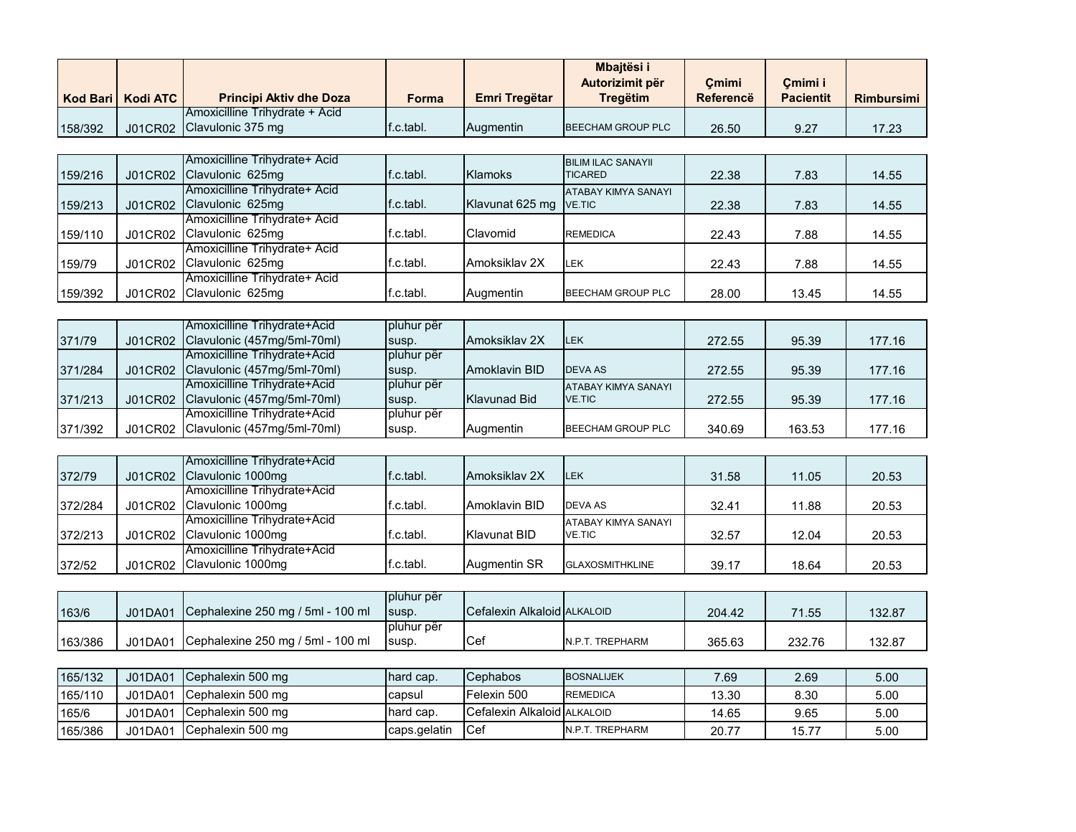|         |                     |                                        |           |                  | Mbaitësi i<br>Autorizimit për | Cmimi     | Cmimi i          |                   |
|---------|---------------------|----------------------------------------|-----------|------------------|-------------------------------|-----------|------------------|-------------------|
|         | Kod Bari   Kodi ATC | <b>Principi Aktiv dhe Doza</b>         | Forma     | Emri Tregëtar    | <b>Tregëtim</b>               | Referencë | <b>Pacientit</b> | <b>Rimbursimi</b> |
|         |                     | <b>IAmoxicilline Trihvdrate + Acid</b> |           |                  |                               |           |                  |                   |
| 158/392 |                     | J01CR02 Clavulonic 375 mg              | f.c.tabl. | <b>Auamentin</b> | <b>IBEECHAM GROUP PLC</b>     | 26.50     | 9.27             | 17.23             |

|         |                | Amoxicilline Trihydrate+ Acid |           |                        | <b>BILIM ILAC SANAYII</b> |       |       |       |
|---------|----------------|-------------------------------|-----------|------------------------|---------------------------|-------|-------|-------|
| 159/216 | <b>J01CR02</b> | Clavulonic 625mg              | f.c.tabl. | <b>Klamoks</b>         | <b>TICARED</b>            | 22.38 | 7.83  | 14.55 |
|         |                | Amoxicilline Trihydrate+ Acid |           |                        | ATABAY KIMYA SANAYI       |       |       |       |
| 159/213 | <b>J01CR02</b> | Clavulonic 625mg              | f.c.tabl. | Klavunat 625 mg VE.TIC |                           | 22.38 | 7.83  | 14.55 |
|         |                | Amoxicilline Trihydrate+ Acid |           |                        |                           |       |       |       |
| 159/110 | <b>J01CR02</b> | Clavulonic 625mg              | f.c.tabl. | Clavomid               | <b>REMEDICA</b>           | 22.43 | 7.88  | 14.55 |
|         |                | Amoxicilline Trihydrate+ Acid |           |                        |                           |       |       |       |
| 159/79  | J01CR02        | Clavulonic 625mg              | f.c.tabl. | Amoksiklay 2X          | <b>LEK</b>                | 22.43 | 7.88  | 14.55 |
|         |                | Amoxicilline Trihydrate+ Acid |           |                        |                           |       |       |       |
| 159/392 | <b>J01CR02</b> | Clavulonic 625mg              | f.c.tabl. | Augmentin              | BEECHAM GROUP PLC         | 28.00 | 13.45 | 14.55 |

|         | Amoxicilline Trihydrate+Acid        | pluhur për |               |                            |        |        |        |
|---------|-------------------------------------|------------|---------------|----------------------------|--------|--------|--------|
| 371/79  | J01CR02 Clavulonic (457mg/5ml-70ml) | susp.      | Amoksiklay 2X | <b>ILEK</b>                | 272.55 | 95.39  | 177.16 |
|         | Amoxicilline Trihydrate+Acid        | pluhur për |               |                            |        |        |        |
| 371/284 | J01CR02 Clavulonic (457mg/5ml-70ml) | susp.      | Amoklavin BID | <b>DEVA AS</b>             | 272.55 | 95.39  | 177.16 |
|         | Amoxicilline Trihydrate+Acid        | pluhur për |               | <b>ATABAY KIMYA SANAYI</b> |        |        |        |
| 371/213 | J01CR02 Clavulonic (457mg/5ml-70ml) | susp.      | Klavunad Bid  | <b>VE.TIC</b>              | 272.55 | 95.39  | 177.16 |
|         | Amoxicilline Trihydrate+Acid        | pluhur për |               |                            |        |        |        |
| 371/392 | J01CR02 Clavulonic (457mg/5ml-70ml) | susp.      | Auamentin     | BEECHAM GROUP PLC          | 340.69 | 163.53 | 177.16 |

| 372/79  | <b>J01CR02</b> | Amoxicilline Trihydrate+Acid<br>Clavulonic 1000mg | f.c.tabl. | Amoksiklay 2X | <b>ILEK</b>                | 31.58 | 11.05 | 20.53 |
|---------|----------------|---------------------------------------------------|-----------|---------------|----------------------------|-------|-------|-------|
|         |                | Amoxicilline Trihydrate+Acid                      |           |               |                            |       |       |       |
| 372/284 | J01CR02        | Clavulonic 1000mg                                 | f.c.tabl. | Amoklavin BID | DEVA AS                    | 32.41 | 11.88 | 20.53 |
|         |                | Amoxicilline Trihydrate+Acid                      |           |               | <b>ATABAY KIMYA SANAYI</b> |       |       |       |
| 372/213 |                | J01CR02 Clavulonic 1000mg                         | f.c.tabl. | Klavunat BID  | <b>VE.TIC</b>              | 32.57 | 12.04 | 20.53 |
|         |                | Amoxicilline Trihydrate+Acid                      |           |               |                            |       |       |       |
| 372/52  | J01CR02        | Clavulonic 1000mg                                 | f.c.tabl. | Augmentin SR  | <b>GLAXOSMITHKLINE</b>     | 39.17 | 18.64 | 20.53 |

|         |         |                                           | Ipluhur për |                             |                 |        |        |        |
|---------|---------|-------------------------------------------|-------------|-----------------------------|-----------------|--------|--------|--------|
| 163/6   | J01DA01 | <b>ICephalexine 250 mg / 5ml - 100 ml</b> | Isusp.      | Cefalexin Alkaloid ALKALOID |                 | 204.42 | 71.55  | 132.87 |
|         |         |                                           | Ipluhur për |                             |                 |        |        |        |
| 163/386 | J01DA01 | Cephalexine 250 mg / 5ml - 100 ml         | Isusp.      | ICef                        | N.P.T. TREPHARM | 365.63 | 232.76 | 132.87 |

| 165/132 | J01DA01 | Cephalexin 500 mg | Thard cap.   | <b>Cephabos</b>             | <b>BOSNALIJEK</b> | 7.69  | 2.69  | 5.00 |
|---------|---------|-------------------|--------------|-----------------------------|-------------------|-------|-------|------|
| 165/110 | J01DA01 | Cephalexin 500 mg | capsul       | Felexin 500                 | <b>REMEDICA</b>   | 13.30 | 8.30  | 5.00 |
| 165/6   | J01DA01 | Cephalexin 500 mg | thard cap.   | Cefalexin Alkaloid ALKALOID |                   | 14.65 | 9.65  | 5.00 |
| 165/386 | J01DA01 | Cephalexin 500 mg | caps.gelatin | <b>I</b> Cef                | N.P.T. TREPHARM   | 20.7  | 15.77 | 5.00 |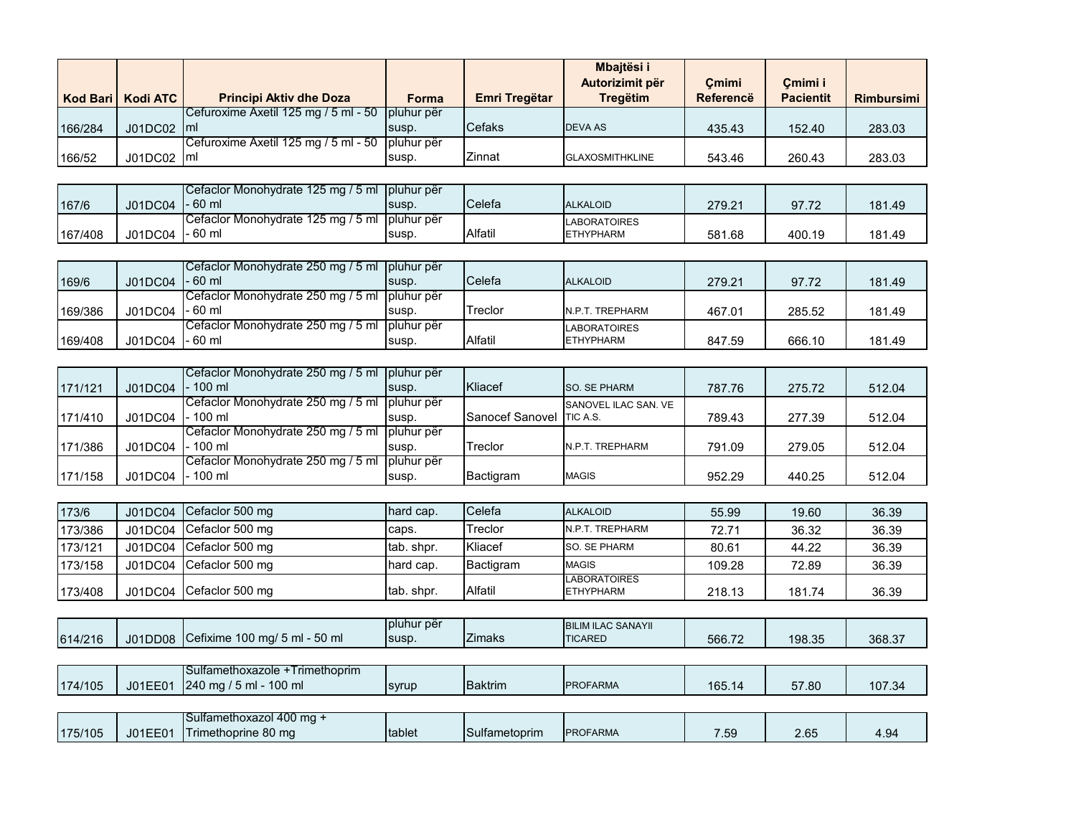|         | Kod Bari   Kodi ATC | <b>Principi Aktiv dhe Doza</b>                    | Forma        | Emri Tregëtar | Mbaitësi i<br>Autorizimit për<br><b>Tregëtim</b> | Cmimi<br>Referencë | Cmimi i<br><b>Pacientit</b> | <b>Rimbursimi</b> |
|---------|---------------------|---------------------------------------------------|--------------|---------------|--------------------------------------------------|--------------------|-----------------------------|-------------------|
|         |                     | Cefuroxime Axetil 125 mg / 5 ml - 50              | I pluhur për |               |                                                  |                    |                             |                   |
| 166/284 | J01DC02 Iml         |                                                   | susp.        | <b>Cefaks</b> | <b>DEVA AS</b>                                   | 435.43             | 152.40                      | 283.03            |
|         |                     | Cefuroxime Axetil 125 mg / 5 ml - 50   pluhur për |              |               |                                                  |                    |                             |                   |
| 166/52  | J01DC02   ml        |                                                   | susp.        | Zinnat        | <b>GLAXOSMITHKLINE</b>                           | 543.46             | 260.43                      | 283.03            |

|         |                   | Cefaclor Monohydrate 125 mg / 5 ml   pluhur për  |       |         |                     |        |        |        |
|---------|-------------------|--------------------------------------------------|-------|---------|---------------------|--------|--------|--------|
| 167/6   | $JO1DC04$ - 60 ml |                                                  | susp. | Celefa  | <b>ALKALOID</b>     | 279.21 | 97.72  | 181.49 |
|         |                   | ICefaclor Monohydrate 125 mg / 5 ml I pluhur për |       |         | <b>LABORATOIRES</b> |        |        |        |
| 167/408 | J01DC04 - 60 ml   |                                                  | susp. | Alfatil | <b>ETHYPHARM</b>    | 581.68 | 400.19 | 181.49 |

| 169/6   | $JO1DC04$ - 60 ml | ICefaclor Monohydrate 250 mg / 5 ml I pluhur për | susp. | Celefa         | <b>ALKALOID</b>                  | 279.21 | 97.72  | 181.49 |
|---------|-------------------|--------------------------------------------------|-------|----------------|----------------------------------|--------|--------|--------|
| 169/386 | $JO1DC04$ - 60 ml | Cefaclor Monohydrate 250 mg / 5 ml   pluhur për  | susp. | Treclor        | N.P.T. TREPHARM                  | 467.01 | 285.52 | 181.49 |
| 169/408 | $JO1DC04$ - 60 ml | Cefaclor Monohydrate 250 mg / 5 ml   pluhur për  | susp. | <b>Alfatil</b> | LABORATOIRES<br><b>ETHYPHARM</b> | 847.59 | 666.10 | 181.49 |

|         |         | Cefaclor Monohydrate 250 mg / 5 ml pluhur për   |       |                          |                      |        |        |        |
|---------|---------|-------------------------------------------------|-------|--------------------------|----------------------|--------|--------|--------|
| 171/121 | J01DC04 | $-100$ ml                                       | susp. | Kliacef                  | <b>SO. SE PHARM</b>  | 787.76 | 275.72 | 512.04 |
|         |         | Cefaclor Monohydrate 250 mg / 5 ml   pluhur për |       |                          | SANOVEL ILAC SAN, VE |        |        |        |
| 171/410 | J01DC04 | $-100$ ml                                       | susp. | Sanocef Sanovel TIC A.S. |                      | 789.43 | 277.39 | 512.04 |
|         |         | Cefaclor Monohydrate 250 mg / 5 ml I pluhur për |       |                          |                      |        |        |        |
| 171/386 | J01DC04 | $-100$ ml                                       | susp. | Treclor                  | N.P.T. TREPHARM      | 791.09 | 279.05 | 512.04 |
|         |         | Cefaclor Monohydrate 250 mg / 5 ml pluhur për   |       |                          |                      |        |        |        |
| 171/158 | J01DC04 | $-100$ ml                                       | susp. | Bactigram                | <b>MAGIS</b>         | 952.29 | 440.25 | 512.04 |

| 173/6   | J01DC04 | <b>ICefaclor 500 mg</b> | Thard cap.  | Celefa    | <b>ALKALOID</b>                         | 55.99  | 19.60  | 36.39 |
|---------|---------|-------------------------|-------------|-----------|-----------------------------------------|--------|--------|-------|
| 173/386 | J01DC04 | Cefaclor 500 mg         | caps.       | Treclor   | N.P.T. TREPHARM                         | 72.71  | 36.32  | 36.39 |
| 173/121 | J01DC04 | Cefaclor 500 mg         | Itab, shpr. | Kliacef   | <b>SO. SE PHARM</b>                     | 80.61  | 44.22  | 36.39 |
| 173/158 | J01DC04 | ICefaclor 500 mg        | Thard cap.  | Bactigram | <b>MAGIS</b>                            | 109.28 | 72.89  | 36.39 |
| 173/408 | J01DC04 | Cefaclor 500 mg         | tab. shpr.  | Alfatil   | <b>LABORATOIRES</b><br><b>ETHYPHARM</b> | 218.13 | 181.74 | 36.39 |

| 614/216 |         | J01DD08 Cefixime 100 mg/ 5 ml - 50 ml                    | pluhur për<br>susp. | <b>Zimaks</b>  | <b>BILIM ILAC SANAYII</b><br><b>TICARED</b> | 566.72 | 198.35 | 368.37 |
|---------|---------|----------------------------------------------------------|---------------------|----------------|---------------------------------------------|--------|--------|--------|
|         |         |                                                          |                     |                |                                             |        |        |        |
| 174/105 | J01EE01 | Sulfamethoxazole +Trimethoprim<br>240 mg / 5 ml - 100 ml | syrup               | <b>Baktrim</b> | <b>IPROFARMA</b>                            | 165.14 | 57.80  | 107.34 |
|         |         |                                                          |                     |                |                                             |        |        |        |
| 175/105 | J01EE01 | Sulfamethoxazol 400 mg +<br>Trimethoprine 80 mg          | tablet              | Sulfametoprim  | <b>IPROFARMA</b>                            | 7.59   | 2.65   | 4.94   |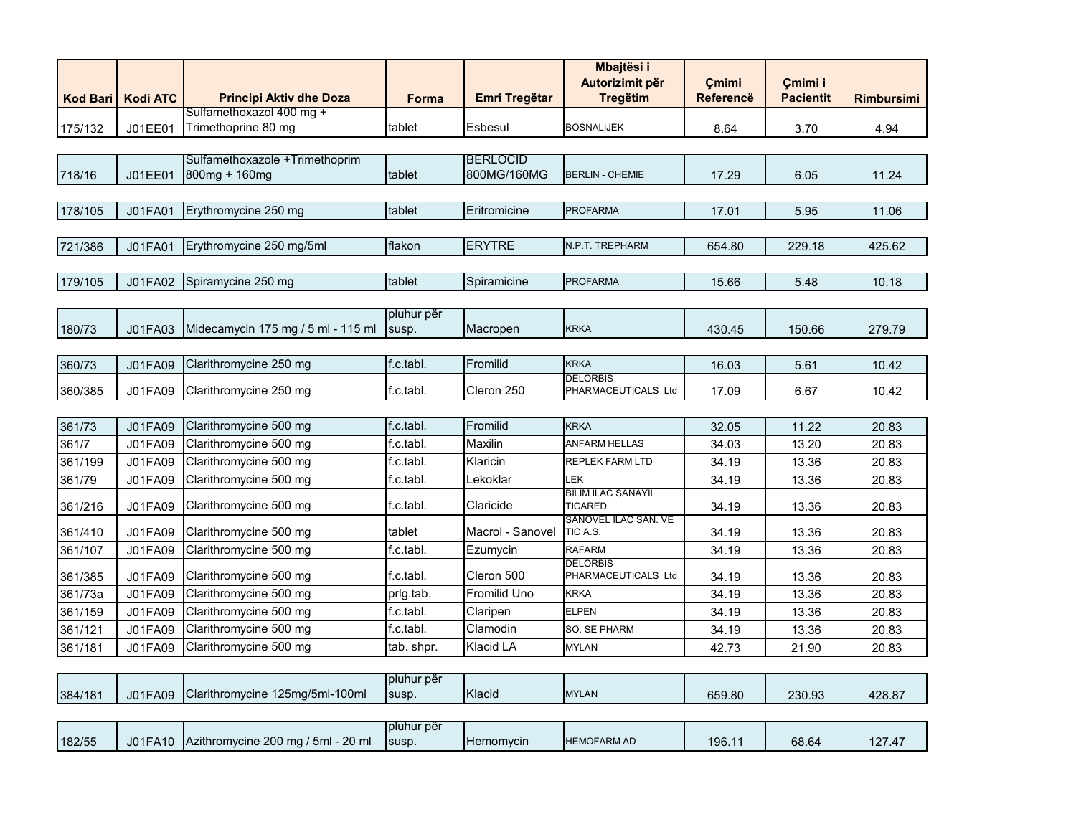| <b>Kod Bari</b> | <b>Kodi ATC</b> | <b>Principi Aktiv dhe Doza</b>                  | Forma               | Emri Tregëtar       | Mbajtësi i<br>Autorizimit për<br><b>Tregëtim</b> | Cmimi<br><b>Referencë</b> | Cmimi i<br><b>Pacientit</b> | <b>Rimbursimi</b> |
|-----------------|-----------------|-------------------------------------------------|---------------------|---------------------|--------------------------------------------------|---------------------------|-----------------------------|-------------------|
| 175/132         | J01EE01         | Sulfamethoxazol 400 mg +<br>Trimethoprine 80 mg | tablet              | Esbesul             | <b>BOSNALIJEK</b>                                | 8.64                      | 3.70                        | 4.94              |
|                 |                 |                                                 |                     |                     |                                                  |                           |                             |                   |
|                 |                 | Sulfamethoxazole +Trimethoprim                  |                     | <b>BERLOCID</b>     |                                                  |                           |                             |                   |
| 718/16          | J01EE01         | 800mg + 160mg                                   | tablet              | 800MG/160MG         | <b>BERLIN - CHEMIE</b>                           | 17.29                     | 6.05                        | 11.24             |
| 178/105         | J01FA01         | Erythromycine 250 mg                            | tablet              | Eritromicine        | <b>PROFARMA</b>                                  | 17.01                     | 5.95                        | 11.06             |
|                 |                 |                                                 |                     |                     |                                                  |                           |                             |                   |
| 721/386         | J01FA01         | Erythromycine 250 mg/5ml                        | flakon              | <b>ERYTRE</b>       | N.P.T. TREPHARM                                  | 654.80                    | 229.18                      | 425.62            |
|                 |                 |                                                 |                     |                     |                                                  |                           |                             |                   |
| 179/105         | J01FA02         | Spiramycine 250 mg                              | tablet              | Spiramicine         | <b>PROFARMA</b>                                  | 15.66                     | 5.48                        | 10.18             |
|                 |                 |                                                 |                     |                     |                                                  |                           |                             |                   |
| 180/73          | J01FA03         | Midecamycin 175 mg / 5 ml - 115 ml              | pluhur për<br>susp. | Macropen            | <b>KRKA</b>                                      | 430.45                    | 150.66                      | 279.79            |
|                 |                 |                                                 |                     |                     |                                                  |                           |                             |                   |
| 360/73          | J01FA09         | Clarithromycine 250 mg                          | f.c.tabl.           | Fromilid            | <b>KRKA</b>                                      | 16.03                     | 5.61                        | 10.42             |
| 360/385         | J01FA09         | Clarithromycine 250 mg                          | f.c.tabl.           | Cleron 250          | <b>DELORBIS</b><br>PHARMACEUTICALS Ltd           | 17.09                     | 6.67                        | 10.42             |
|                 |                 |                                                 |                     |                     |                                                  |                           |                             |                   |
| 361/73          | J01FA09         | Clarithromycine 500 mg                          | f.c.tabl.           | Fromilid            | <b>KRKA</b>                                      | 32.05                     | 11.22                       | 20.83             |
| 361/7           | J01FA09         | Clarithromycine 500 mg                          | f.c.tabl.           | Maxilin             | ANFARM HELLAS                                    | 34.03                     | 13.20                       | 20.83             |
| 361/199         | J01FA09         | Clarithromycine 500 mg                          | f.c.tabl.           | Klaricin            | REPLEK FARM LTD                                  | 34.19                     | 13.36                       | 20.83             |
| 361/79          | J01FA09         | Clarithromycine 500 mg                          | f.c.tabl.           | Lekoklar            | <b>LEK</b>                                       | 34.19                     | 13.36                       | 20.83             |
| 361/216         | J01FA09         | Clarithromycine 500 mg                          | f.c.tabl.           | Claricide           | <b>BILIM ILAC SANAYII</b><br><b>TICARED</b>      | 34.19                     | 13.36                       | 20.83             |
| 361/410         | J01FA09         | Clarithromycine 500 mg                          | tablet              | Macrol - Sanovel    | SANOVEL ILAC SAN. VE<br>TIC A.S.                 | 34.19                     | 13.36                       | 20.83             |
| 361/107         | J01FA09         | Clarithromycine 500 mg                          | f.c.tabl.           | Ezumycin            | <b>RAFARM</b>                                    | 34.19                     | 13.36                       | 20.83             |
| 361/385         | J01FA09         | Clarithromycine 500 mg                          | f.c.tabl.           | Cleron 500          | <b>DELORBIS</b><br>PHARMACEUTICALS Ltd           | 34.19                     | 13.36                       | 20.83             |
| 361/73a         | J01FA09         | Clarithromycine 500 mg                          | prlg.tab.           | <b>Fromilid Uno</b> | <b>KRKA</b>                                      | 34.19                     | 13.36                       | 20.83             |
| 361/159         | J01FA09         | Clarithromycine 500 mg                          | f.c.tabl.           | Claripen            | <b>ELPEN</b>                                     | 34.19                     | 13.36                       | 20.83             |
| 361/121         | J01FA09         | Clarithromycine 500 mg                          | f.c.tabl.           | Clamodin            | SO. SE PHARM                                     | 34.19                     | 13.36                       | 20.83             |
| 361/181         | J01FA09         | Clarithromycine 500 mg                          | tab. shpr.          | Klacid LA           | <b>MYLAN</b>                                     | 42.73                     | 21.90                       | 20.83             |
|                 |                 |                                                 |                     |                     |                                                  |                           |                             |                   |
| 384/181         | J01FA09         | Clarithromycine 125mg/5ml-100ml                 | pluhur për<br>susp. | Klacid              | <b>MYLAN</b>                                     | 659.80                    | 230.93                      | 428.87            |
|                 |                 |                                                 |                     |                     |                                                  |                           |                             |                   |
| 182/55          | J01FA10         | Azithromycine 200 mg / 5ml - 20 ml              | pluhur për<br>susp. | Hemomycin           | <b>HEMOFARM AD</b>                               | 196.11                    | 68.64                       | 127.47            |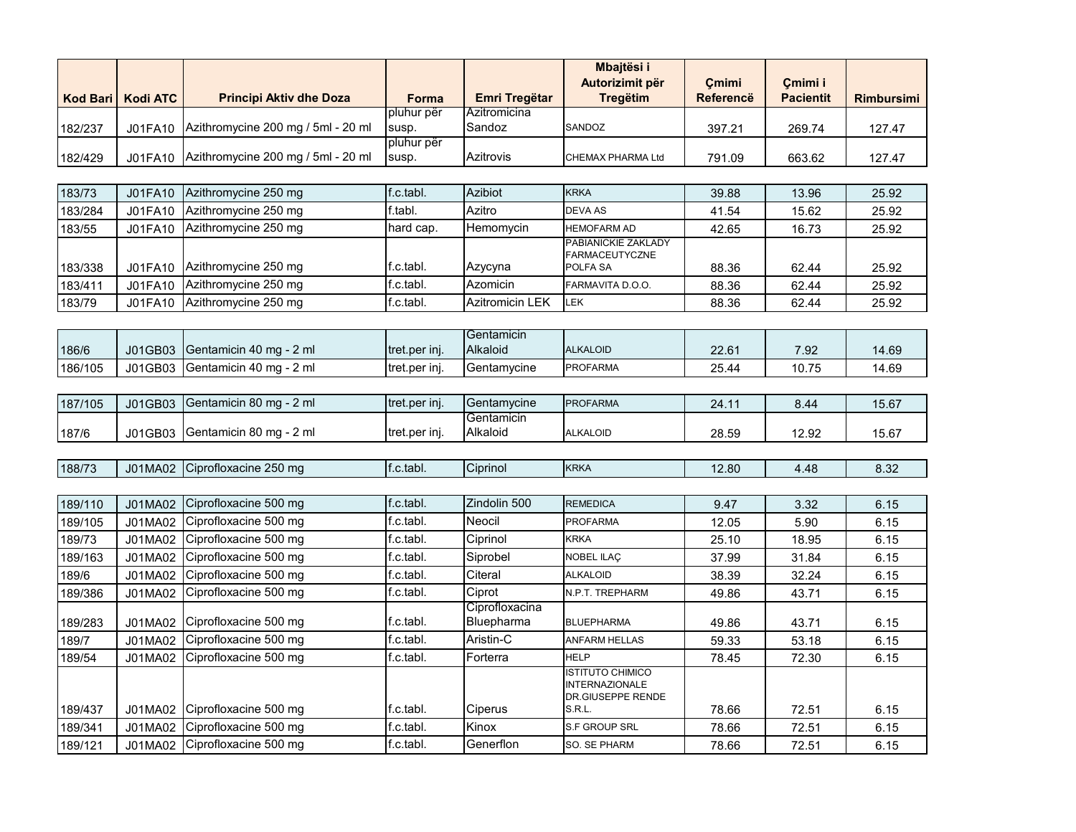|                 |                 |                                    |                     |                        | Mbajtësi i                                       |                  |                  |                   |
|-----------------|-----------------|------------------------------------|---------------------|------------------------|--------------------------------------------------|------------------|------------------|-------------------|
|                 |                 |                                    |                     |                        | Autorizimit për                                  | Çmimi            | Çmimi i          |                   |
| <b>Kod Bari</b> | <b>Kodi ATC</b> | <b>Principi Aktiv dhe Doza</b>     | <b>Forma</b>        | Emri Tregëtar          | <b>Tregëtim</b>                                  | <b>Referencë</b> | <b>Pacientit</b> | <b>Rimbursimi</b> |
|                 |                 |                                    | pluhur për          | Azitromicina           |                                                  |                  |                  |                   |
| 182/237         | J01FA10         | Azithromycine 200 mg / 5ml - 20 ml | susp.<br>pluhur për | Sandoz                 | SANDOZ                                           | 397.21           | 269.74           | 127.47            |
| 182/429         | J01FA10         | Azithromycine 200 mg / 5ml - 20 ml | susp.               | Azitrovis              | CHEMAX PHARMA Ltd                                | 791.09           | 663.62           | 127.47            |
|                 |                 |                                    |                     |                        |                                                  |                  |                  |                   |
| 183/73          | J01FA10         | Azithromycine 250 mg               | f.c.tabl.           | Azibiot                | <b>KRKA</b>                                      | 39.88            | 13.96            | 25.92             |
| 183/284         | J01FA10         | Azithromycine 250 mg               | f.tabl.             | Azitro                 | <b>DEVA AS</b>                                   | 41.54            | 15.62            | 25.92             |
| 183/55          | J01FA10         | Azithromycine 250 mg               | hard cap.           | Hemomycin              | <b>HEMOFARM AD</b>                               | 42.65            | 16.73            | 25.92             |
|                 |                 |                                    |                     |                        | PABIANICKIE ZAKLADY                              |                  |                  |                   |
| 183/338         | J01FA10         | Azithromycine 250 mg               | f.c.tabl.           | Azycyna                | <b>FARMACEUTYCZNE</b><br>POLFA SA                | 88.36            | 62.44            | 25.92             |
| 183/411         | J01FA10         | Azithromycine 250 mg               | f.c.tabl.           | Azomicin               | FARMAVITA D.O.O.                                 | 88.36            | 62.44            | 25.92             |
| 183/79          | J01FA10         | Azithromycine 250 mg               | f.c.tabl.           | <b>Azitromicin LEK</b> | <b>LEK</b>                                       | 88.36            | 62.44            | 25.92             |
|                 |                 |                                    |                     |                        |                                                  |                  |                  |                   |
|                 |                 |                                    |                     | Gentamicin             |                                                  |                  |                  |                   |
| 186/6           | J01GB03         | Gentamicin 40 mg - 2 ml            | tret.per inj.       | Alkaloid               | <b>ALKALOID</b>                                  | 22.61            | 7.92             | 14.69             |
| 186/105         | J01GB03         | Gentamicin 40 mg - 2 ml            | tret.per inj.       | Gentamycine            | <b>PROFARMA</b>                                  | 25.44            | 10.75            | 14.69             |
|                 |                 |                                    |                     |                        |                                                  |                  |                  |                   |
| 187/105         | J01GB03         | Gentamicin 80 mg - 2 ml            | tret.per inj.       | Gentamycine            | <b>PROFARMA</b>                                  | 24.11            | 8.44             | 15.67             |
| 187/6           | J01GB03         | Gentamicin 80 mg - 2 ml            | tret.per inj.       | Gentamicin<br>Alkaloid | <b>ALKALOID</b>                                  | 28.59            | 12.92            | 15.67             |
|                 |                 |                                    |                     |                        |                                                  |                  |                  |                   |
| 188/73          | J01MA02         | Ciprofloxacine 250 mg              | f.c.tabl.           | Ciprinol               | <b>KRKA</b>                                      | 12.80            | 4.48             | 8.32              |
|                 |                 |                                    |                     |                        |                                                  |                  |                  |                   |
| 189/110         | J01MA02         | Ciprofloxacine 500 mg              | f.c.tabl.           | Zindolin 500           | <b>REMEDICA</b>                                  | 9.47             | 3.32             | 6.15              |
| 189/105         | J01MA02         | Ciprofloxacine 500 mg              | f.c.tabl.           | Neocil                 | <b>PROFARMA</b>                                  | 12.05            | 5.90             | 6.15              |
| 189/73          | J01MA02         | Ciprofloxacine 500 mg              | f.c.tabl.           | Ciprinol               | <b>KRKA</b>                                      | 25.10            | 18.95            | 6.15              |
| 189/163         | J01MA02         | Ciprofloxacine 500 mg              | f.c.tabl.           | Siprobel               | NOBEL ILAÇ                                       | 37.99            | 31.84            | 6.15              |
| 189/6           | J01MA02         | Ciprofloxacine 500 mg              | f.c.tabl.           | Citeral                | <b>ALKALOID</b>                                  | 38.39            | 32.24            | 6.15              |
| 189/386         | J01MA02         | Ciprofloxacine 500 mg              | f.c.tabl.           | Ciprot                 | N.P.T. TREPHARM                                  | 49.86            | 43.71            | 6.15              |
|                 |                 |                                    |                     | Ciprofloxacina         |                                                  |                  |                  |                   |
| 189/283         | J01MA02         | Ciprofloxacine 500 mg              | f.c.tabl.           | Bluepharma             | <b>BLUEPHARMA</b>                                | 49.86            | 43.71            | 6.15              |
| 189/7           | J01MA02         | Ciprofloxacine 500 mg              | f.c.tabl.           | Aristin-C              | <b>ANFARM HELLAS</b>                             | 59.33            | 53.18            | 6.15              |
| 189/54          | J01MA02         | Ciprofloxacine 500 mg              | f.c.tabl.           | Forterra               | <b>HELP</b>                                      | 78.45            | 72.30            | 6.15              |
|                 |                 |                                    |                     |                        | <b>ISTITUTO CHIMICO</b><br><b>INTERNAZIONALE</b> |                  |                  |                   |
|                 |                 |                                    |                     |                        | <b>DR.GIUSEPPE RENDE</b>                         |                  |                  |                   |
| 189/437         | J01MA02         | Ciprofloxacine 500 mg              | f.c.tabl.           | Ciperus                | S.R.L.                                           | 78.66            | 72.51            | 6.15              |
| 189/341         | J01MA02         | Ciprofloxacine 500 mg              | f.c.tabl.           | Kinox                  | S.F GROUP SRL                                    | 78.66            | 72.51            | 6.15              |
| 189/121         | J01MA02         | Ciprofloxacine 500 mg              | f.c.tabl.           | Generflon              | SO. SE PHARM                                     | 78.66            | 72.51            | 6.15              |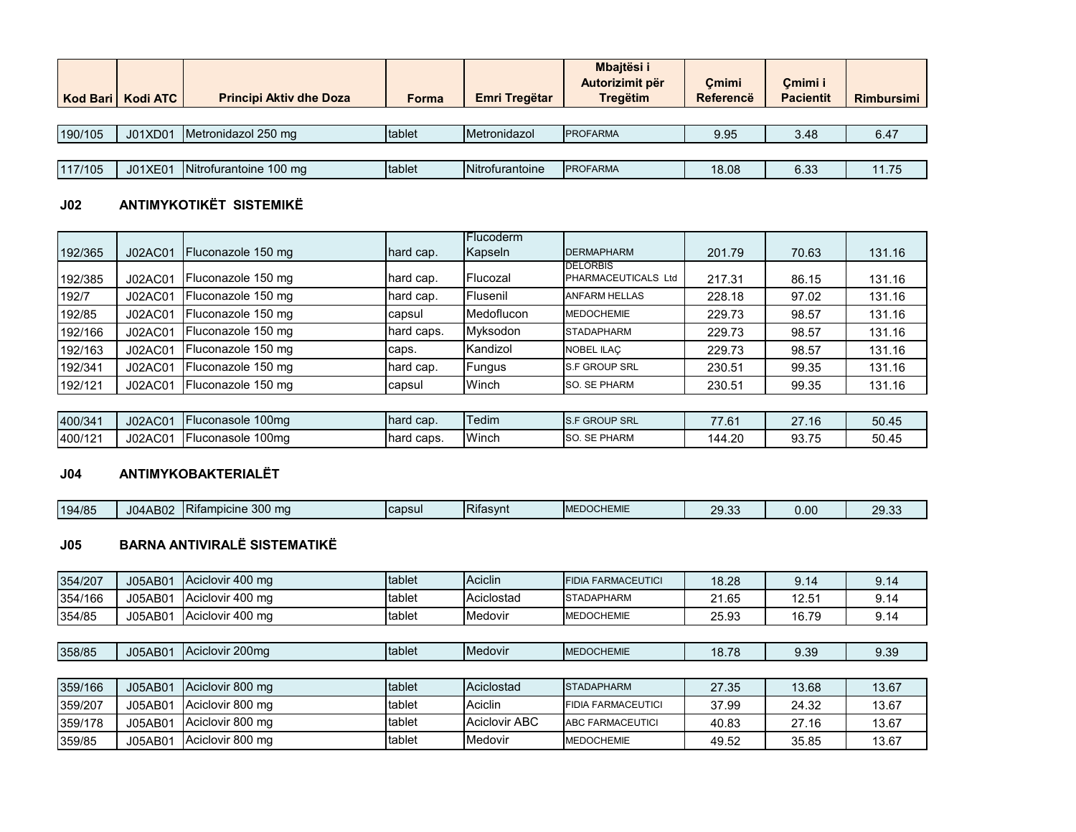|         | Kod Bari   Kodi ATC | <b>Principi Aktiv dhe Doza</b> | Forma  | Emri Tregëtar   | Mbajtësi i<br>Autorizimit për<br><b>Tregëtim</b> | Cmimi<br><b>Referencë</b> | Cmimi i<br><b>Pacientit</b> | <b>Rimbursimi</b> |
|---------|---------------------|--------------------------------|--------|-----------------|--------------------------------------------------|---------------------------|-----------------------------|-------------------|
|         |                     |                                |        |                 |                                                  |                           |                             |                   |
| 190/105 | J01XD01             | Metronidazol 250 mg            | tablet | Metronidazol    | <b>PROFARMA</b>                                  | 9.95                      | 3.48                        | 6.47              |
|         |                     |                                |        |                 |                                                  |                           |                             |                   |
| 117/105 | J01XE01             | Nitrofurantoine 100 mg         | tablet | Nitrofurantoine | <b>PROFARMA</b>                                  | 18.08                     | 6.33                        | 11.75             |

# **J02 ANTIMYKOTIKËT SISTEMIKË**

|         |         |                    |            | <b>IFlucoderm</b> |                                               |        |       |        |
|---------|---------|--------------------|------------|-------------------|-----------------------------------------------|--------|-------|--------|
| 192/365 | J02AC01 | Fluconazole 150 mg | hard cap.  | Kapseln           | <b>DERMAPHARM</b>                             | 201.79 | 70.63 | 131.16 |
| 192/385 | J02AC01 | Fluconazole 150 mg | hard cap.  | Flucozal          | <b>DELORBIS</b><br><b>PHARMACEUTICALS Ltd</b> | 217.31 | 86.15 | 131.16 |
| 192/7   | J02AC01 | Fluconazole 150 mg | hard cap.  | Flusenil          | <b>ANFARM HELLAS</b>                          | 228.18 | 97.02 | 131.16 |
| 192/85  | J02AC01 | Fluconazole 150 mg | capsul     | Medoflucon        | <b>MEDOCHEMIE</b>                             | 229.73 | 98.57 | 131.16 |
| 192/166 | J02AC01 | Fluconazole 150 mg | hard caps. | Myksodon          | <b>STADAPHARM</b>                             | 229.73 | 98.57 | 131.16 |
| 192/163 | J02AC01 | Fluconazole 150 mg | caps.      | Kandizol          | NOBEL ILAC                                    | 229.73 | 98.57 | 131.16 |
| 192/341 | J02AC01 | Fluconazole 150 mg | hard cap.  | Fungus            | <b>S.F GROUP SRL</b>                          | 230.51 | 99.35 | 131.16 |
| 192/121 | J02AC01 | Fluconazole 150 mg | capsul     | Winch             | <b>SO. SE PHARM</b>                           | 230.51 | 99.35 | 131.16 |

| 400/341 | J02AC01             | 100 <sub>ma</sub><br><b>IFluconasole</b> | hard cap.   | <b>Tedim</b> | <b>GROUP SRL</b><br>IO.                            | --<br>. U          | 27.16 | 50.45 |
|---------|---------------------|------------------------------------------|-------------|--------------|----------------------------------------------------|--------------------|-------|-------|
| 400/121 | J02AC0 <sup>+</sup> | 100ma<br><b>IFluconasole</b>             | Thard caps. | Winch        | <b>SE PHARM</b><br>$\mathsf{C}\mathsf{C}$<br>- 100 | ົາດ<br>144<br>t.∠u | 93.75 | 50.45 |

# **J04 ANTIMYKOBAKTERIALËT**

| 194/85 | J04AB02 | Rifampicine 300 mg | <b>capsul</b> | Rifasvnt | <b>EDOCHEMIE</b><br>IM | ററ<br>$\sim$<br>29.00 | 0.00 | $\Omega$<br>୵.<br>29.99 |
|--------|---------|--------------------|---------------|----------|------------------------|-----------------------|------|-------------------------|

# **J05 BARNA ANTIVIRALË SISTEMATIKË**

| 354/207 | J05AB01 | Aciclovir 400 mg | tablet | Aciclin              | <b>FIDIA FARMACEUTICI</b> | 18.28 | 9.14  | 9.14  |
|---------|---------|------------------|--------|----------------------|---------------------------|-------|-------|-------|
| 354/166 | J05AB01 | Aciclovir 400 mg | tablet | Aciclostad           | <b>STADAPHARM</b>         | 21.65 | 12.51 | 9.14  |
| 354/85  | J05AB01 | Aciclovir 400 mg | tablet | Medovir              | <b>MEDOCHEMIE</b>         | 25.93 | 16.79 | 9.14  |
|         |         |                  |        |                      |                           |       |       |       |
| 358/85  | J05AB01 | Aciclovir 200mg  | tablet | Medovir              | <b>MEDOCHEMIE</b>         | 18.78 | 9.39  | 9.39  |
|         |         |                  |        |                      |                           |       |       |       |
| 359/166 | J05AB01 | Aciclovir 800 mg | tablet | Aciclostad           | <b>STADAPHARM</b>         | 27.35 | 13.68 | 13.67 |
| 359/207 | J05AB01 | Aciclovir 800 mg | tablet | Aciclin              | <b>FIDIA FARMACEUTICI</b> | 37.99 | 24.32 | 13.67 |
| 359/178 | J05AB01 | Aciclovir 800 mg | tablet | <b>Aciclovir ABC</b> | <b>ABC FARMACEUTICI</b>   | 40.83 | 27.16 | 13.67 |
| 359/85  | J05AB01 | Aciclovir 800 mg | tablet | Medovir              | <b>MEDOCHEMIE</b>         | 49.52 | 35.85 | 13.67 |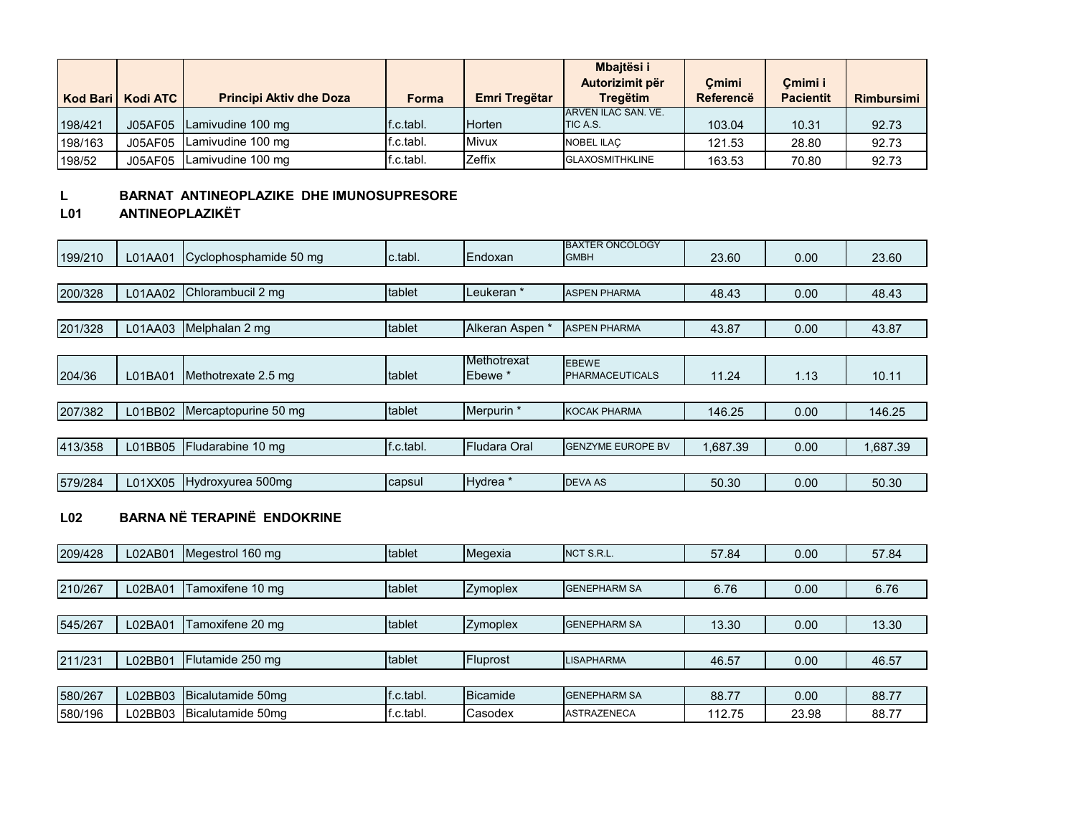|         | Kod Bari   Kodi ATC | <b>Principi Aktiv dhe Doza</b> | Forma     | Emri Tregëtar | Mbajtësi i<br>Autorizimit për<br><b>Tregëtim</b> | Cmimi<br>Referencë | Cmimi i<br><b>Pacientit</b> | <b>Rimbursimi</b> |
|---------|---------------------|--------------------------------|-----------|---------------|--------------------------------------------------|--------------------|-----------------------------|-------------------|
| 198/421 | J05AF05             | Lamivudine 100 mg              | f.c.tabl. | Horten        | ARVEN ILAC SAN, VE.<br><b>TIC A.S.</b>           | 103.04             | 10.31                       | 92.73             |
| 198/163 | J05AF05             | Lamivudine 100 mg              | f.c.tabl. | Mivux         | <b>NOBEL ILAC</b>                                | 121.53             | 28.80                       | 92.73             |
| 198/52  | J05AF05             | Lamivudine 100 mg              | f.c.tabl. | Zeffix        | <b>GLAXOSMITHKLINE</b>                           | 163.53             | 70.80                       | 92.73             |

#### **L BARNAT ANTINEOPLAZIKE DHE IMUNOSUPRESORE**

# **L01 ANTINEOPLAZIKËT**

| 199/210 | L01AA01 | Cyclophosphamide 50 mg | c.tabl.   | Endoxan                           | <b>BAXTER ONCOLOGY</b><br><b>GMBH</b>  | 23.60    | 0.00 | 23.60    |
|---------|---------|------------------------|-----------|-----------------------------------|----------------------------------------|----------|------|----------|
|         |         |                        |           |                                   |                                        |          |      |          |
| 200/328 | L01AA02 | Chlorambucil 2 mg      | tablet    | Leukeran <sup>*</sup>             | <b>ASPEN PHARMA</b>                    | 48.43    | 0.00 | 48.43    |
|         |         |                        |           |                                   |                                        |          |      |          |
| 201/328 | L01AA03 | Melphalan 2 mg         | tablet    | Alkeran Aspen *                   | <b>ASPEN PHARMA</b>                    | 43.87    | 0.00 | 43.87    |
|         |         |                        |           |                                   |                                        |          |      |          |
| 204/36  | L01BA01 | Methotrexate 2.5 mg    | tablet    | Methotrexat<br>Ebewe <sup>*</sup> | <b>EBEWE</b><br><b>PHARMACEUTICALS</b> | 11.24    | 1.13 | 10.11    |
|         |         |                        |           |                                   |                                        |          |      |          |
| 207/382 | L01BB02 | Mercaptopurine 50 mg   | tablet    | Merpurin *                        | <b>KOCAK PHARMA</b>                    | 146.25   | 0.00 | 146.25   |
|         |         |                        |           |                                   |                                        |          |      |          |
| 413/358 | L01BB05 | Fludarabine 10 mg      | f.c.tabl. | Fludara Oral                      | <b>GENZYME EUROPE BV</b>               | 1.687.39 | 0.00 | 1,687.39 |
|         |         |                        |           |                                   |                                        |          |      |          |
| 579/284 | L01XX05 | Hydroxyurea 500mg      | capsul    | Hydrea *                          | <b>DEVA AS</b>                         | 50.30    | 0.00 | 50.30    |

# **L02 BARNA NË TERAPINË ENDOKRINE**

| 209/428 | L02AB01 | Megestrol 160 mg  | tablet    | Megexia  | NCT S.R.L.          | 57.84  | 0.00  | 57.84 |
|---------|---------|-------------------|-----------|----------|---------------------|--------|-------|-------|
|         |         |                   |           |          |                     |        |       |       |
| 210/267 | L02BA01 | Tamoxifene 10 mg  | tablet    | Zymoplex | <b>GENEPHARM SA</b> | 6.76   | 0.00  | 6.76  |
|         |         |                   |           |          |                     |        |       |       |
| 545/267 | L02BA01 | Tamoxifene 20 mg  | tablet    | Zymoplex | <b>GENEPHARM SA</b> | 13.30  | 0.00  | 13.30 |
|         |         |                   |           |          |                     |        |       |       |
| 211/231 | L02BB01 | Flutamide 250 mg  | tablet    | Fluprost | <b>LISAPHARMA</b>   | 46.57  | 0.00  | 46.57 |
|         |         |                   |           |          |                     |        |       |       |
| 580/267 | L02BB03 | Bicalutamide 50mg | f.c.tabl. | Bicamide | <b>GENEPHARM SA</b> | 88.77  | 0.00  | 88.77 |
| 580/196 | L02BB03 | Bicalutamide 50mg | f.c.tabl. | Casodex  | <b>ASTRAZENECA</b>  | 112.75 | 23.98 | 88.77 |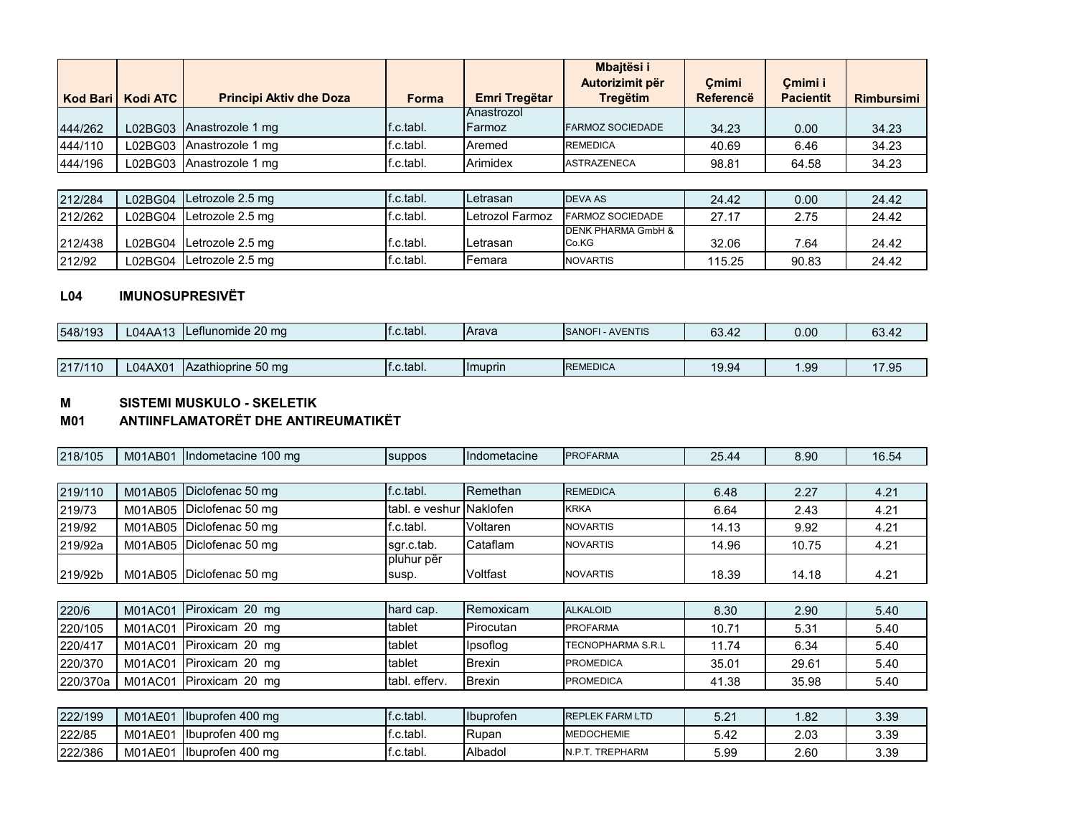|         |                     |                                |           |                   | <b>Mbaitësi i</b>       |           |                  |              |
|---------|---------------------|--------------------------------|-----------|-------------------|-------------------------|-----------|------------------|--------------|
|         |                     |                                |           |                   | Autorizimit për         | Cmimi     | Cmimi i          |              |
|         | Kod Bari   Kodi ATC | <b>Principi Aktiv dhe Doza</b> | Forma     | Emri Tregëtar     | <b>Tregëtim</b>         | Referencë | <b>Pacientit</b> | Rimbursimi I |
|         |                     |                                |           | <b>Anastrozol</b> |                         |           |                  |              |
| 444/262 |                     | L02BG03 Anastrozole 1 mg       | f.c.tabl. | Farmoz            | <b>FARMOZ SOCIEDADE</b> | 34.23     | 0.00             | 34.23        |
| 444/110 |                     | L02BG03 Anastrozole 1 mg       | ∵c.tabl.  | Aremed            | <b>REMEDICA</b>         | 40.69     | 6.46             | 34.23        |
| 444/196 |                     | L02BG03 Anastrozole 1 mg       | f.c.tabl. | Arimidex          | <b>ASTRAZENECA</b>      | 98.81     | 64.58            | 34.23        |

| 212/284 | L02BG04 Letrozole 2.5 mg   | f.c.tabl. | <b>ILetrasan</b>  | <b>DEVA AS</b>              | 24.42  | 0.00  | 24.42 |
|---------|----------------------------|-----------|-------------------|-----------------------------|--------|-------|-------|
| 212/262 | L02BG04 Letrozole 2.5 mg   | f.c.tabl. | Letrozol Farmoz   | <b>FARMOZ SOCIEDADE</b>     | 27.17  | 2.75  | 24.42 |
| 212/438 | L02BG04   Letrozole 2.5 mg | f c.tabl. | <b>I</b> Letrasan | DENK PHARMA GmbH &<br>Co.KG | 32.06  | 7.64  | 24.42 |
| 212/92  | L02BG04   Letrozole 2.5 mg | f.c.tabl. | Femara            | <b>NOVARTIS</b>             | 115.25 | 90.83 | 24.42 |

#### **L04 IMUNOSUPRESIVËT**

| 548/193 | L04AA13 | Leflunomide 20 mg  | $\mathsf{f}$ .c.tabl. | <b>IArava</b>  | <b>FI-AVENTIS</b><br><b>SANOFI</b> | 63.42 | 0.00 | 63.42 |
|---------|---------|--------------------|-----------------------|----------------|------------------------------------|-------|------|-------|
|         |         |                    |                       |                |                                    |       |      |       |
| 217/110 | L04AX01 | Azathioprine 50 mg | If.c.tabl.            | <b>Imuprin</b> | <b>REMEDICA</b>                    | 19.94 | l.99 | 17.95 |

#### **M SISTEMI MUSKULO - SKELETIK**

#### **M01 ANTIINFLAMATORËT DHE ANTIREUMATIKËT**

| 218/105  | M01AB01        | Indometacine 100 mg      | suppos              | Indometacine          | <b>PROFARMA</b>          | 25.44 | 8.90  | 16.54 |
|----------|----------------|--------------------------|---------------------|-----------------------|--------------------------|-------|-------|-------|
|          |                |                          |                     |                       |                          |       |       |       |
| 219/110  | M01AB05        | Diclofenac 50 mg         | f.c.tabl.           | Remethan              | <b>REMEDICA</b>          | 6.48  | 2.27  | 4.21  |
| 219/73   | M01AB05        | Diclofenac 50 mg         | tabl. e veshur      | <sup>∙</sup> Naklofen | <b>KRKA</b>              | 6.64  | 2.43  | 4.21  |
| 219/92   | M01AB05        | Diclofenac 50 mg         | f.c.tabl.           | Voltaren              | <b>NOVARTIS</b>          | 14.13 | 9.92  | 4.21  |
| 219/92a  | M01AB05        | Diclofenac 50 mg         | sgr.c.tab.          | Cataflam              | <b>NOVARTIS</b>          | 14.96 | 10.75 | 4.21  |
| 219/92b  |                | M01AB05 Diclofenac 50 mg | pluhur për<br>susp. | Voltfast              | <b>NOVARTIS</b>          | 18.39 | 14.18 | 4.21  |
|          |                |                          |                     |                       |                          |       |       |       |
| 220/6    | <b>M01AC01</b> | Piroxicam 20 mg          | hard cap.           | Remoxicam             | <b>ALKALOID</b>          | 8.30  | 2.90  | 5.40  |
| 220/105  | M01AC01        | Piroxicam 20 mg          | tablet              | Pirocutan             | <b>PROFARMA</b>          | 10.71 | 5.31  | 5.40  |
| 220/417  | M01AC01        | Piroxicam 20 mg          | tablet              | Ipsoflog              | <b>TECNOPHARMA S.R.L</b> | 11.74 | 6.34  | 5.40  |
| 220/370  | M01AC01        | Piroxicam 20 mg          | tablet              | <b>Brexin</b>         | <b>PROMEDICA</b>         | 35.01 | 29.61 | 5.40  |
| 220/370a | M01AC01        | Piroxicam 20 mg          | tabl. efferv.       | Brexin                | <b>PROMEDICA</b>         | 41.38 | 35.98 | 5.40  |
|          |                |                          |                     |                       |                          |       |       |       |
| 222/199  | <b>M01AE01</b> | Ibuprofen 400 mg         | f.c.tabl.           | Ibuprofen             | <b>REPLEK FARM LTD</b>   | 5.21  | 1.82  | 3.39  |
| 222/85   | M01AE01        | Ibuprofen 400 mg         | f.c.tabl.           | Rupan                 | <b>MEDOCHEMIE</b>        | 5.42  | 2.03  | 3.39  |
| 222/386  | M01AE01        | Ibuprofen 400 mg         | f.c.tabl.           | Albadol               | N.P.T. TREPHARM          | 5.99  | 2.60  | 3.39  |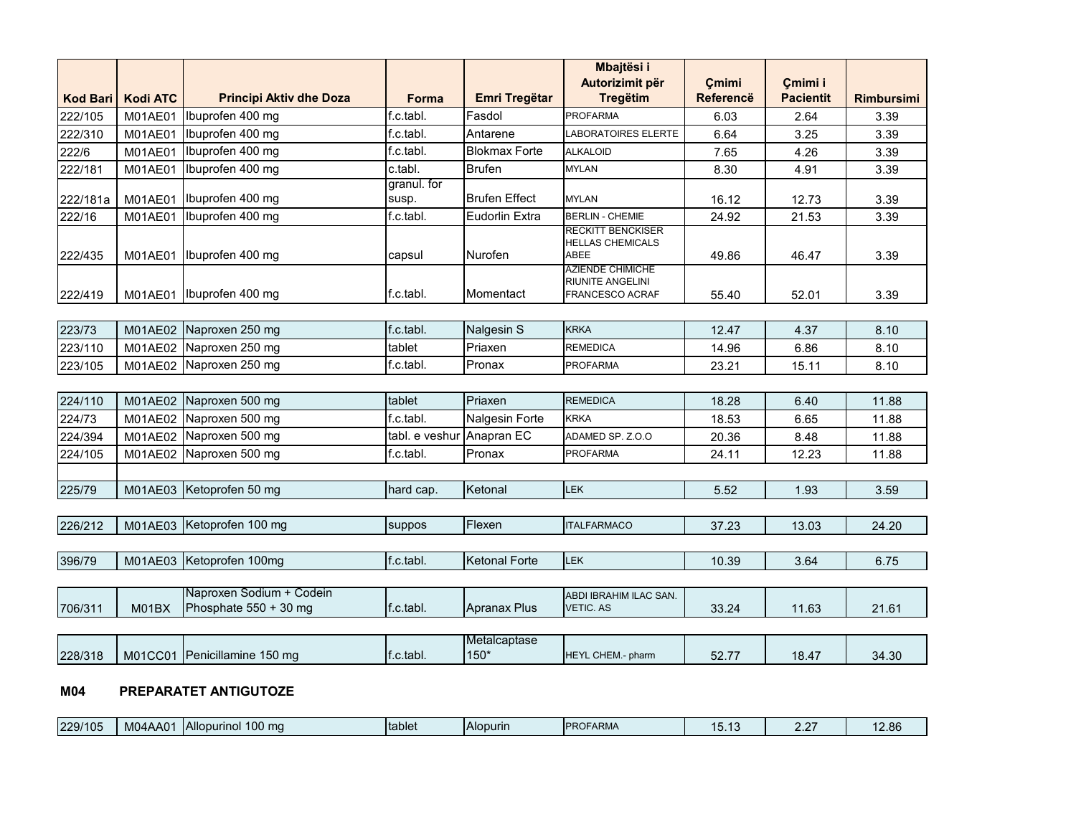|                 |                 |                                |                |                        | Mbajtësi i                                          |                  |                  |                   |
|-----------------|-----------------|--------------------------------|----------------|------------------------|-----------------------------------------------------|------------------|------------------|-------------------|
|                 |                 |                                |                |                        | Autorizimit për                                     | Cmimi            | Çmimi i          |                   |
| <b>Kod Bari</b> | <b>Kodi ATC</b> | <b>Principi Aktiv dhe Doza</b> | Forma          | <b>Emri Tregëtar</b>   | <b>Tregëtim</b>                                     | <b>Referencë</b> | <b>Pacientit</b> | <b>Rimbursimi</b> |
| 222/105         | M01AE01         | Ibuprofen 400 mg               | f.c.tabl.      | Fasdol                 | <b>PROFARMA</b>                                     | 6.03             | 2.64             | 3.39              |
| 222/310         | M01AE01         | Ibuprofen 400 mg               | f.c.tabl.      | Antarene               | <b>LABORATOIRES ELERTE</b>                          | 6.64             | 3.25             | 3.39              |
| 222/6           | M01AE01         | Ibuprofen 400 mg               | f.c.tabl.      | <b>Blokmax Forte</b>   | <b>ALKALOID</b>                                     | 7.65             | 4.26             | 3.39              |
| 222/181         | M01AE01         | Ibuprofen 400 mg               | c.tabl.        | <b>Brufen</b>          | <b>MYLAN</b>                                        | 8.30             | 4.91             | 3.39              |
|                 |                 |                                | granul. for    |                        |                                                     |                  |                  |                   |
| 222/181a        | M01AE01         | Ibuprofen 400 mg               | susp.          | <b>Brufen Effect</b>   | <b>MYLAN</b>                                        | 16.12            | 12.73            | 3.39              |
| 222/16          | M01AE01         | Ibuprofen 400 mg               | f.c.tabl.      | <b>Eudorlin Extra</b>  | <b>BERLIN - CHEMIE</b>                              | 24.92            | 21.53            | 3.39              |
|                 |                 |                                |                |                        | <b>RECKITT BENCKISER</b><br><b>HELLAS CHEMICALS</b> |                  |                  |                   |
| 222/435         | <b>M01AE01</b>  | Ibuprofen 400 mg               | capsul         | Nurofen                | ABEE                                                | 49.86            | 46.47            | 3.39              |
|                 |                 |                                |                |                        | <b>AZIENDE CHIMICHE</b><br><b>RIUNITE ANGELINI</b>  |                  |                  |                   |
| 222/419         | M01AE01         | Ibuprofen 400 mg               | f.c.tabl.      | Momentact              | <b>FRANCESCO ACRAF</b>                              | 55.40            | 52.01            | 3.39              |
|                 |                 |                                |                |                        |                                                     |                  |                  |                   |
| 223/73          | M01AE02         | Naproxen 250 mg                | f.c.tabl.      | <b>Nalgesin S</b>      | <b>KRKA</b>                                         | 12.47            | 4.37             | 8.10              |
| 223/110         | M01AE02         | Naproxen 250 mg                | tablet         | Priaxen                | <b>REMEDICA</b>                                     | 14.96            | 6.86             | 8.10              |
| 223/105         | M01AE02         | Naproxen 250 mg                | f.c.tabl.      | Pronax                 | <b>PROFARMA</b>                                     | 23.21            | 15.11            | 8.10              |
|                 |                 |                                |                |                        |                                                     |                  |                  |                   |
| 224/110         | M01AE02         | Naproxen 500 mg                | tablet         | Priaxen                | <b>REMEDICA</b>                                     | 18.28            | 6.40             | 11.88             |
| 224/73          | M01AE02         | Naproxen 500 mg                | f.c.tabl.      | <b>Nalgesin Forte</b>  | <b>KRKA</b>                                         | 18.53            | 6.65             | 11.88             |
| 224/394         | M01AE02         | Naproxen 500 mg                | tabl. e veshur | Anapran EC             | ADAMED SP. Z.O.O                                    | 20.36            | 8.48             | 11.88             |
| 224/105         | M01AE02         | Naproxen 500 mg                | f.c.tabl.      | Pronax                 | <b>PROFARMA</b>                                     | 24.11            | 12.23            | 11.88             |
|                 |                 |                                |                |                        |                                                     |                  |                  |                   |
| 225/79          | M01AE03         | Ketoprofen 50 mg               | hard cap.      | Ketonal                | <b>LEK</b>                                          | 5.52             | 1.93             | 3.59              |
|                 |                 |                                |                |                        |                                                     |                  |                  |                   |
| 226/212         | M01AE03         | Ketoprofen 100 mg              | suppos         | Flexen                 | <b>ITALFARMACO</b>                                  | 37.23            | 13.03            | 24.20             |
|                 |                 |                                |                |                        |                                                     |                  |                  |                   |
| 396/79          | M01AE03         | Ketoprofen 100mg               | f.c.tabl.      | <b>Ketonal Forte</b>   | <b>LEK</b>                                          | 10.39            | 3.64             | 6.75              |
|                 |                 |                                |                |                        |                                                     |                  |                  |                   |
|                 |                 | Naproxen Sodium + Codein       |                |                        | ABDI IBRAHIM ILAC SAN.                              |                  |                  |                   |
| 706/311         | M01BX           | Phosphate 550 + 30 mg          | f.c.tabl.      | <b>Apranax Plus</b>    | <b>VETIC. AS</b>                                    | 33.24            | 11.63            | 21.61             |
|                 |                 |                                |                |                        |                                                     |                  |                  |                   |
|                 |                 | Penicillamine 150 mg           | f.c.tabl.      | Metalcaptase<br>$150*$ | HEYL CHEM .- pharm                                  |                  |                  |                   |
| 228/318         | <b>M01CC01</b>  |                                |                |                        |                                                     | 52.77            | 18.47            | 34.30             |

#### **M04 PREPARATET ANTIGUTOZE**

| 100 mg<br><b>Allopurinol</b><br>229/105<br>Itablet<br>12.86<br>M04AA01<br><b>IPROFARMA</b><br><b>Alopurin</b><br><b>U.IU</b><br>. |
|-----------------------------------------------------------------------------------------------------------------------------------|
|-----------------------------------------------------------------------------------------------------------------------------------|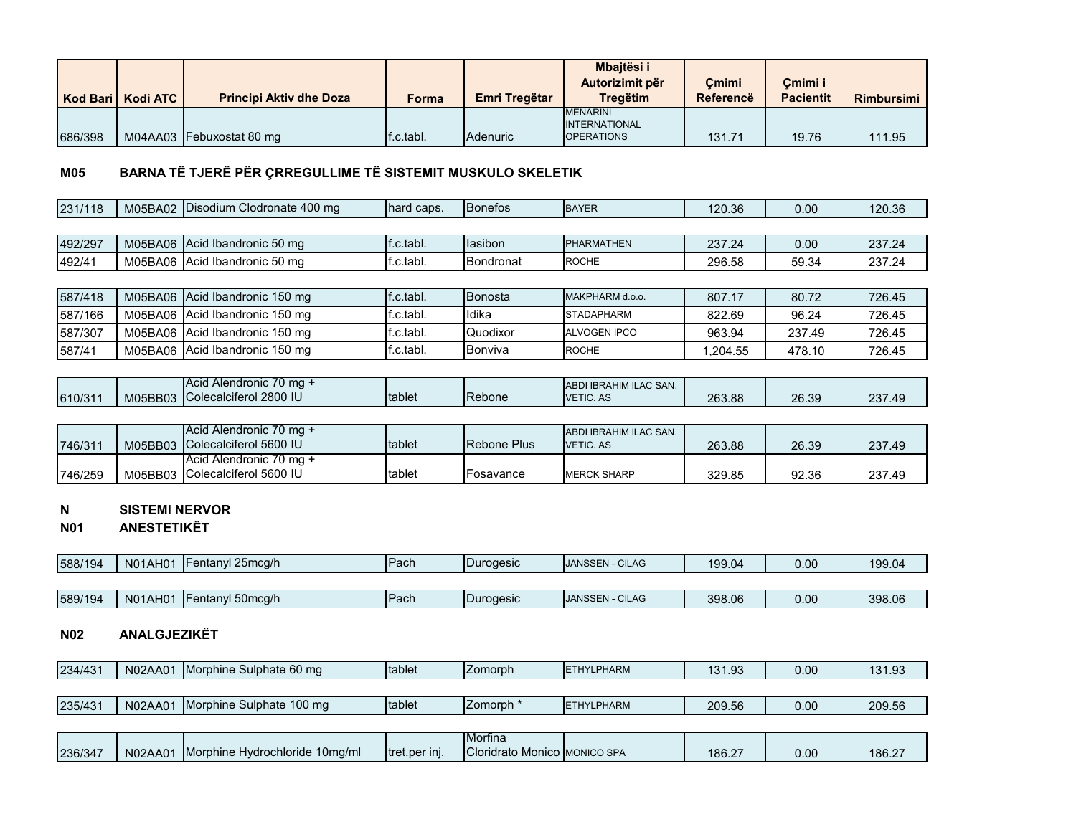|         |                     |                                |           |                  | <b>Mbaitësi i</b>    |           |                  |                   |
|---------|---------------------|--------------------------------|-----------|------------------|----------------------|-----------|------------------|-------------------|
|         |                     |                                |           |                  | Autorizimit për      | Cmimi     | Cmimi i          |                   |
|         | Kod Bari   Kodi ATC | <b>Principi Aktiv dhe Doza</b> | Forma     | Emri Tregëtar    | Tregëtim             | Referencë | <b>Pacientit</b> | <b>Rimbursimi</b> |
|         |                     |                                |           |                  | <b>MENARINI</b>      |           |                  |                   |
|         |                     |                                |           |                  | <b>INTERNATIONAL</b> |           |                  |                   |
| 686/398 |                     | M04AA03 Febuxostat 80 mg       | f.c.tabl. | <b>IAdenuric</b> | <b>OPERATIONS</b>    | 131.71    | 19.76            | 111.95            |

# **M05 BARNA TË TJERË PËR ÇRREGULLIME TË SISTEMIT MUSKULO SKELETIK**

| 231/118 | M05BA02 | Disodium Clodronate 400 mg                        | hard caps.             | <b>Bonefos</b> | <b>BAYER</b>                               | 120.36   | 0.00   | 120.36 |
|---------|---------|---------------------------------------------------|------------------------|----------------|--------------------------------------------|----------|--------|--------|
|         |         |                                                   |                        |                |                                            |          |        |        |
| 492/297 | M05BA06 | Acid Ibandronic 50 mg                             | f.c.tabl.              | lasibon        | <b>PHARMATHEN</b>                          | 237.24   | 0.00   | 237.24 |
| 492/41  | M05BA06 | Acid Ibandronic 50 mg                             | f.c.tabl.              | Bondronat      | <b>ROCHE</b>                               | 296.58   | 59.34  | 237.24 |
|         |         |                                                   |                        |                |                                            |          |        |        |
| 587/418 | M05BA06 | Acid Ibandronic 150 mg                            | f.c.tabl.              | Bonosta        | MAKPHARM d.o.o.                            | 807.17   | 80.72  | 726.45 |
| 587/166 | M05BA06 | Acid Ibandronic 150 mg                            | $\mathsf{If}$ .c.tabl. | Ildika         | <b>STADAPHARM</b>                          | 822.69   | 96.24  | 726.45 |
| 587/307 | M05BA06 | Acid Ibandronic 150 mg                            | $\mathsf{If}$ .c.tabl. | Quodixor       | ALVOGEN IPCO                               | 963.94   | 237.49 | 726.45 |
| 587/41  | M05BA06 | Acid Ibandronic 150 mg                            | f.c.tabl.              | <b>Bonviva</b> | <b>ROCHE</b>                               | 1,204.55 | 478.10 | 726.45 |
|         |         |                                                   |                        |                |                                            |          |        |        |
| 610/311 | M05BB03 | Acid Alendronic 70 mg +<br>Colecalciferol 2800 IU | tablet                 | Rebone         | ABDI IBRAHIM ILAC SAN.<br><b>VETIC, AS</b> | 263.88   | 26.39  | 237.49 |
|         |         |                                                   |                        |                |                                            |          |        |        |
|         |         | <b>LAcid Alendronic 70 mg +</b>                   |                        |                | ABDI IBRAHIM ILAC SAN.                     |          |        |        |

| 746/311 |         | TACIQ AIENGronic 70 mg +<br>M05BB03 Colecalciferol 5600 IU | <b>Itablet</b> | <b>Rebone Plus</b> | <b>ABDI IBRAHIM ILAC SAN.</b><br><b>VETIC, AS</b> | 263.88 | 26.39 | 237.49 |
|---------|---------|------------------------------------------------------------|----------------|--------------------|---------------------------------------------------|--------|-------|--------|
|         |         | <b>LAcid Alendronic 70 mg +</b>                            |                |                    |                                                   |        |       |        |
| 746/259 | M05BB03 | 3 Colecalciferol 5600 IU                                   | tablet         | <b>IFosavance</b>  | <b>MERCK SHARP</b>                                | 329.85 | 92.36 | 237.49 |

#### **N SISTEMI NERVOR**

**N01 ANESTETIKËT**

| 588/194 | N01AH01 | $F$ entanyl 25 mcg/h | Pach        | <b>IDurogesic</b> | - CILAG<br><b>JANSSEN</b> | 199.04 | 0.00 | 199.04 |
|---------|---------|----------------------|-------------|-------------------|---------------------------|--------|------|--------|
|         |         |                      |             |                   |                           |        |      |        |
| 589/194 | N01AH01 | Fentanyl 50mcg/h     | <b>Pach</b> | Durogesic         | - CILAG<br><b>JANSSEN</b> | 398.06 | 0.00 | 398.06 |

# **N02 ANALGJEZIKËT**

| 234/431 | N02AA01 | <b>IMorphine Sulphate 60 mg</b> | tablet | Zomorph   | <b>IETHYLPHARM</b> | 131.93 | 0.00 | 131.93 |
|---------|---------|---------------------------------|--------|-----------|--------------------|--------|------|--------|
|         |         |                                 |        |           |                    |        |      |        |
| 235/431 | N02AA01 | Morphine Sulphate 100 mg        | tablet | Zomorph * | <b>IETHYLPHARM</b> | 209.56 | 0.00 | 209.56 |
|         |         |                                 |        |           |                    |        |      |        |

|         |         |                                                    |                       | <b>I</b> Morfina             |        |      |        |
|---------|---------|----------------------------------------------------|-----------------------|------------------------------|--------|------|--------|
| 236/347 | N02AA01 | $\lceil$ 10ma/ml<br><b>IMorphine Hydrochloride</b> | <b>Itret.per ini.</b> | Cloridrato Monico MONICO SPA | 186.27 | 0.00 | 186.27 |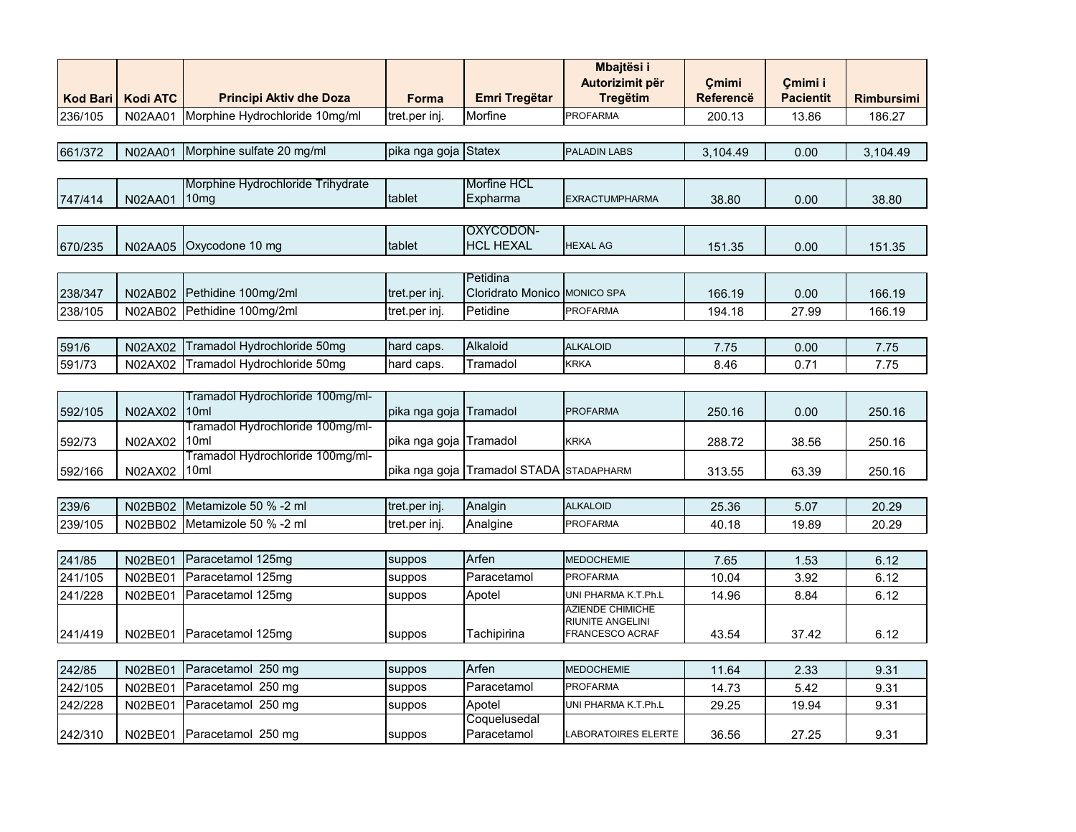|                 |                 |                                          |                        |                                         | <b>Mbajtësi i</b>                   |                           |                             |                   |
|-----------------|-----------------|------------------------------------------|------------------------|-----------------------------------------|-------------------------------------|---------------------------|-----------------------------|-------------------|
| <b>Kod Bari</b> | <b>Kodi ATC</b> | <b>Principi Aktiv dhe Doza</b>           | <b>Forma</b>           | Emri Tregëtar                           | Autorizimit për<br><b>Tregëtim</b>  | Çmimi<br><b>Referencë</b> | Çmimi i<br><b>Pacientit</b> | <b>Rimbursimi</b> |
| 236/105         |                 | Morphine Hydrochloride 10mg/ml           |                        | Morfine                                 | <b>PROFARMA</b>                     |                           |                             |                   |
|                 | N02AA01         |                                          | tret.per inj.          |                                         |                                     | 200.13                    | 13.86                       | 186.27            |
| 661/372         | N02AA01         | Morphine sulfate 20 mg/ml                | pika nga goja Statex   |                                         | <b>PALADIN LABS</b>                 | 3,104.49                  | 0.00                        | 3,104.49          |
|                 |                 |                                          |                        |                                         |                                     |                           |                             |                   |
|                 |                 | Morphine Hydrochloride Trihydrate        |                        | Morfine HCL                             |                                     |                           |                             |                   |
| 747/414         | N02AA01         | 10 <sub>mg</sub>                         | tablet                 | Expharma                                | <b>EXRACTUMPHARMA</b>               | 38.80                     | 0.00                        | 38.80             |
|                 |                 |                                          |                        | OXYCODON-                               |                                     |                           |                             |                   |
| 670/235         | <b>N02AA05</b>  | Oxycodone 10 mg                          | tablet                 | <b>HCL HEXAL</b>                        | <b>HEXAL AG</b>                     | 151.35                    | 0.00                        | 151.35            |
|                 |                 |                                          |                        |                                         |                                     |                           |                             |                   |
|                 |                 |                                          |                        | Petidina                                |                                     |                           |                             |                   |
| 238/347         | <b>N02AB02</b>  | Pethidine 100mg/2ml                      | tret.per inj.          | Cloridrato Monico MONICO SPA            |                                     | 166.19                    | 0.00                        | 166.19            |
| 238/105         | N02AB02         | Pethidine 100mg/2ml                      | tret.per inj.          | Petidine                                | <b>PROFARMA</b>                     | 194.18                    | 27.99                       | 166.19            |
|                 |                 |                                          |                        |                                         |                                     |                           |                             |                   |
| 591/6           | N02AX02         | Tramadol Hydrochloride 50mg              | hard caps.             | Alkaloid                                | <b>ALKALOID</b>                     | 7.75                      | 0.00                        | 7.75              |
| 591/73          | N02AX02         | Tramadol Hydrochloride 50mg              | hard caps.             | Tramadol                                | <b>KRKA</b>                         | 8.46                      | 0.71                        | 7.75              |
|                 |                 |                                          |                        |                                         |                                     |                           |                             |                   |
|                 |                 | Tramadol Hydrochloride 100mg/ml-         |                        |                                         |                                     |                           |                             |                   |
| 592/105         | N02AX02         | 10ml<br>Tramadol Hydrochloride 100mg/ml- | pika nga goja          | Tramadol                                | <b>PROFARMA</b>                     | 250.16                    | 0.00                        | 250.16            |
| 592/73          | N02AX02         | 10ml                                     | pika nga goja Tramadol |                                         | <b>KRKA</b>                         | 288.72                    | 38.56                       | 250.16            |
|                 |                 | Tramadol Hydrochloride 100mg/ml-         |                        |                                         |                                     |                           |                             |                   |
| 592/166         | N02AX02         | 10ml                                     |                        | pika nga goja Tramadol STADA STADAPHARM |                                     | 313.55                    | 63.39                       | 250.16            |
|                 |                 |                                          |                        |                                         |                                     |                           |                             |                   |
| 239/6           | N02BB02         | Metamizole 50 % -2 ml                    | tret.per inj.          | Analgin                                 | <b>ALKALOID</b>                     | 25.36                     | 5.07                        | 20.29             |
| 239/105         | N02BB02         | Metamizole 50 % -2 ml                    | tret.per inj.          | Analgine                                | PROFARMA                            | 40.18                     | 19.89                       | 20.29             |
|                 |                 |                                          |                        |                                         |                                     |                           |                             |                   |
| 241/85          | <b>N02BE01</b>  | Paracetamol 125mg                        | suppos                 | Arfen                                   | <b>MEDOCHEMIE</b>                   | 7.65                      | 1.53                        | 6.12              |
| 241/105         | N02BE01         | Paracetamol 125mg                        | suppos                 | Paracetamol                             | <b>PROFARMA</b>                     | 10.04                     | 3.92                        | 6.12              |
| 241/228         | N02BE01         | Paracetamol 125mg                        | suppos                 | Apotel                                  | UNI PHARMA K.T.Ph.L                 | 14.96                     | 8.84                        | 6.12              |
|                 |                 |                                          |                        |                                         | AZIENDE CHIMICHE                    |                           |                             |                   |
| 241/419         | N02BE01         | Paracetamol 125mg                        | suppos                 | Tachipirina                             | RIUNITE ANGELINI<br>FRANCESCO ACRAF | 43.54                     | 37.42                       | 6.12              |
|                 |                 |                                          |                        |                                         |                                     |                           |                             |                   |
| 242/85          | N02BE01         | Paracetamol 250 mg                       | suppos                 | Arfen                                   | <b>MEDOCHEMIE</b>                   | 11.64                     | 2.33                        | 9.31              |
| 242/105         | N02BE01         | 250 mg<br>Paracetamol                    | suppos                 | Paracetamol                             | <b>PROFARMA</b>                     | 14.73                     | 5.42                        | 9.31              |
| 242/228         | N02BE01         | Paracetamol 250 mg                       | suppos                 | Apotel                                  | UNI PHARMA K.T.Ph.L                 | 29.25                     | 19.94                       | 9.31              |
|                 |                 |                                          |                        | Coquelusedal                            |                                     |                           |                             |                   |
| 242/310         | N02BE01         | Paracetamol 250 mg                       | suppos                 | Paracetamol                             | <b>LABORATOIRES ELERTE</b>          | 36.56                     | 27.25                       | 9.31              |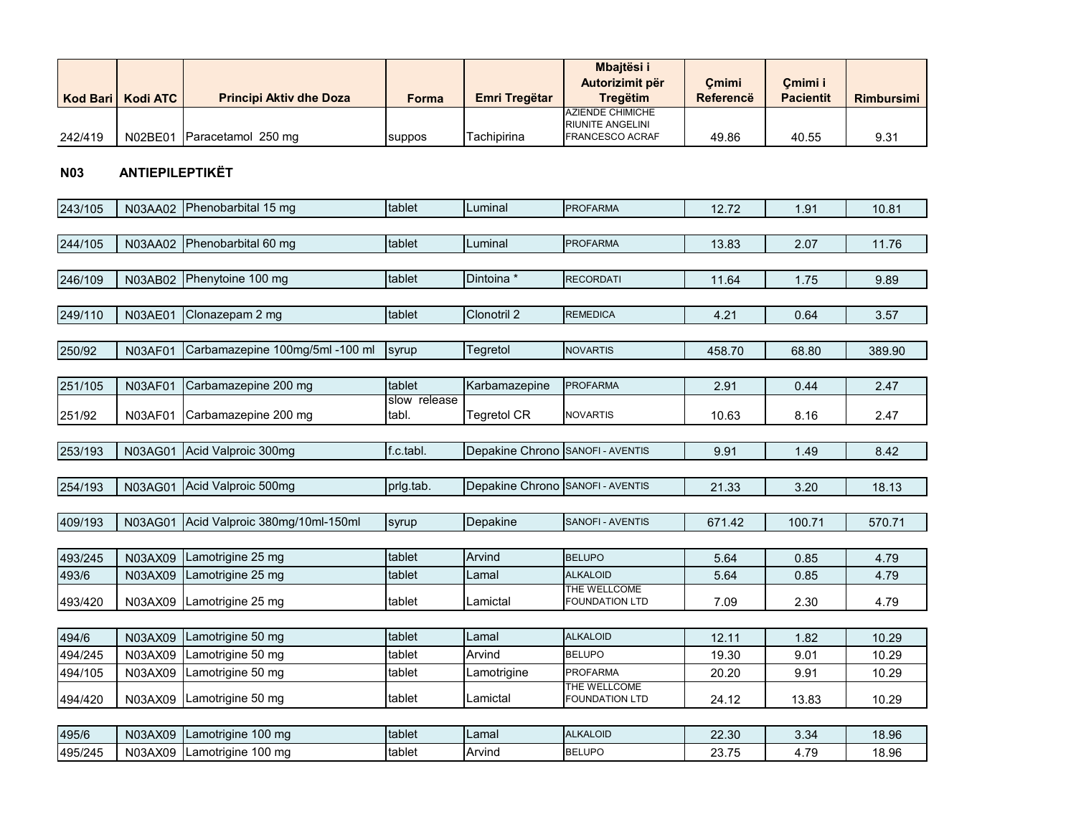|                 |                        |                                 |              |                                  | Mbajtësi i<br>Autorizimit për               | Cmimi            | Cmimi i          |                   |
|-----------------|------------------------|---------------------------------|--------------|----------------------------------|---------------------------------------------|------------------|------------------|-------------------|
| <b>Kod Bari</b> | <b>Kodi ATC</b>        | <b>Principi Aktiv dhe Doza</b>  | <b>Forma</b> | Emri Tregëtar                    | <b>Tregëtim</b>                             | <b>Referencë</b> | <b>Pacientit</b> | <b>Rimbursimi</b> |
|                 |                        |                                 |              |                                  | <b>AZIENDE CHIMICHE</b><br>RIUNITE ANGELINI |                  |                  |                   |
| 242/419         | N02BE01                | Paracetamol 250 mg              | suppos       | Tachipirina                      | FRANCESCO ACRAF                             | 49.86            | 40.55            | 9.31              |
|                 |                        |                                 |              |                                  |                                             |                  |                  |                   |
| <b>N03</b>      | <b>ANTIEPILEPTIKËT</b> |                                 |              |                                  |                                             |                  |                  |                   |
| 243/105         | N03AA02                | Phenobarbital 15 mg             | tablet       | Luminal                          | <b>PROFARMA</b>                             | 12.72            | 1.91             | 10.81             |
|                 |                        |                                 |              |                                  |                                             |                  |                  |                   |
| 244/105         | N03AA02                | Phenobarbital 60 mg             | tablet       | Luminal                          | <b>PROFARMA</b>                             | 13.83            | 2.07             | 11.76             |
|                 |                        |                                 |              |                                  |                                             |                  |                  |                   |
| 246/109         | N03AB02                | Phenytoine 100 mg               | tablet       | Dintoina *                       | <b>RECORDATI</b>                            | 11.64            | 1.75             | 9.89              |
|                 |                        |                                 |              |                                  |                                             |                  |                  |                   |
| 249/110         | N03AE01                | Clonazepam 2 mg                 | tablet       | Clonotril 2                      | <b>REMEDICA</b>                             | 4.21             | 0.64             | 3.57              |
|                 |                        | Carbamazepine 100mg/5ml -100 ml |              | Tegretol                         |                                             |                  |                  |                   |
| 250/92          | N03AF01                |                                 | syrup        |                                  | <b>NOVARTIS</b>                             | 458.70           | 68.80            | 389.90            |
| 251/105         | N03AF01                | Carbamazepine 200 mg            | tablet       | Karbamazepine                    | <b>PROFARMA</b>                             | 2.91             | 0.44             | 2.47              |
|                 |                        |                                 | slow release |                                  |                                             |                  |                  |                   |
| 251/92          | N03AF01                | Carbamazepine 200 mg            | tabl.        | Tegretol CR                      | NOVARTIS                                    | 10.63            | 8.16             | 2.47              |
|                 |                        |                                 |              |                                  |                                             |                  |                  |                   |
| 253/193         | <b>N03AG01</b>         | Acid Valproic 300mg             | f.c.tabl.    | Depakine Chrono                  | SANOFI - AVENTIS                            | 9.91             | 1.49             | 8.42              |
|                 |                        |                                 |              |                                  |                                             |                  |                  |                   |
| 254/193         | <b>N03AG01</b>         | Acid Valproic 500mg             | prig.tab.    | Depakine Chrono SANOFI - AVENTIS |                                             | 21.33            | 3.20             | 18.13             |
| 409/193         | <b>N03AG01</b>         | Acid Valproic 380mg/10ml-150ml  | syrup        | Depakine                         | SANOFI - AVENTIS                            | 671.42           | 100.71           | 570.71            |
|                 |                        |                                 |              |                                  |                                             |                  |                  |                   |
| 493/245         | N03AX09                | Lamotrigine 25 mg               | tablet       | Arvind                           | <b>BELUPO</b>                               | 5.64             | 0.85             | 4.79              |
| 493/6           | N03AX09                | Lamotrigine 25 mg               | tablet       | Lamal                            | <b>ALKALOID</b>                             | 5.64             | 0.85             | 4.79              |
|                 |                        |                                 | tablet       | Lamictal                         | THE WELLCOME                                |                  |                  |                   |
| 493/420         | N03AX09                | Lamotrigine 25 mg               |              |                                  | <b>FOUNDATION LTD</b>                       | 7.09             | 2.30             | 4.79              |
| 494/6           | N03AX09                | Lamotrigine 50 mg               | tablet       | Lamal                            | <b>ALKALOID</b>                             | 12.11            | 1.82             | 10.29             |
| 494/245         | N03AX09                | Lamotrigine 50 mg               | tablet       | Arvind                           | <b>BELUPO</b>                               | 19.30            | 9.01             | 10.29             |
| 494/105         | N03AX09                | Lamotrigine 50 mg               | tablet       | Lamotrigine                      | <b>PROFARMA</b>                             | 20.20            | 9.91             | 10.29             |
|                 |                        |                                 |              |                                  | THE WELLCOME                                |                  |                  |                   |
| 494/420         | N03AX09                | Lamotrigine 50 mg               | tablet       | Lamictal                         | <b>FOUNDATION LTD</b>                       | 24.12            | 13.83            | 10.29             |
| 495/6           | N03AX09                | Lamotrigine 100 mg              | tablet       | Lamal                            | <b>ALKALOID</b>                             | 22.30            | 3.34             | 18.96             |
| 495/245         |                        | N03AX09 Lamotrigine 100 mg      | tablet       | Arvind                           | <b>BELUPO</b>                               | 23.75            | 4.79             | 18.96             |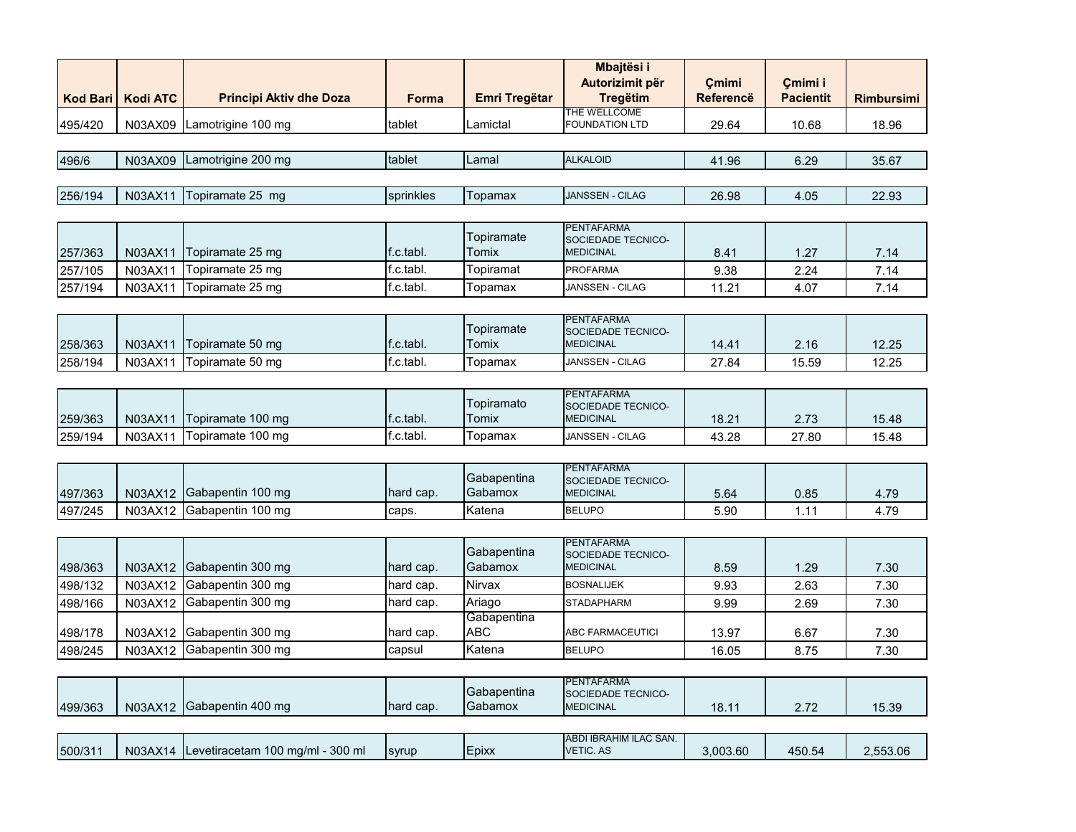|                 |                 |                                          |              |                        | <b>Mbajtësi i</b><br>Autorizimit për    |                           |                             |                   |
|-----------------|-----------------|------------------------------------------|--------------|------------------------|-----------------------------------------|---------------------------|-----------------------------|-------------------|
| <b>Kod Bari</b> | <b>Kodi ATC</b> | <b>Principi Aktiv dhe Doza</b>           | <b>Forma</b> | <b>Emri Tregëtar</b>   | <b>Tregëtim</b>                         | Çmimi<br><b>Referencë</b> | Çmimi i<br><b>Pacientit</b> | <b>Rimbursimi</b> |
| 495/420         | N03AX09         | Lamotrigine 100 mg                       | tablet       | Lamictal               | THE WELLCOME<br><b>FOUNDATION LTD</b>   | 29.64                     | 10.68                       | 18.96             |
|                 |                 |                                          |              |                        |                                         |                           |                             |                   |
| 496/6           | N03AX09         | Lamotrigine 200 mg                       | tablet       | Lamal                  | <b>ALKALOID</b>                         | 41.96                     | 6.29                        | 35.67             |
|                 |                 |                                          |              |                        |                                         |                           |                             |                   |
| 256/194         | N03AX11         | Topiramate 25 mg                         | sprinkles    | Topamax                | JANSSEN - CILAG                         | 26.98                     | 4.05                        | 22.93             |
|                 |                 |                                          |              |                        | <b>PENTAFARMA</b>                       |                           |                             |                   |
|                 |                 |                                          |              | Topiramate             | SOCIEDADE TECNICO-                      |                           |                             |                   |
| 257/363         | N03AX11         | Topiramate 25 mg                         | f.c.tabl.    | <b>Tomix</b>           | <b>MEDICINAL</b>                        | 8.41                      | 1.27                        | 7.14              |
| 257/105         | N03AX11         | Topiramate 25 mg                         | f.c.tabl.    | Topiramat              | <b>PROFARMA</b>                         | 9.38                      | 2.24                        | 7.14              |
| 257/194         | N03AX11         | Topiramate 25 mg                         | f.c.tabl.    | Topamax                | JANSSEN - CILAG                         | 11.21                     | 4.07                        | 7.14              |
|                 |                 |                                          |              |                        | <b>PENTAFARMA</b>                       |                           |                             |                   |
|                 |                 |                                          |              | Topiramate             | SOCIEDADE TECNICO-                      |                           |                             |                   |
| 258/363         | N03AX11         | Topiramate 50 mg                         | f.c.tabl.    | Tomix                  | <b>MEDICINAL</b>                        | 14.41                     | 2.16                        | 12.25             |
| 258/194         | N03AX11         | Topiramate 50 mg                         | f.c.tabl.    | Topamax                | JANSSEN - CILAG                         | 27.84                     | 15.59                       | 12.25             |
|                 |                 |                                          |              |                        |                                         |                           |                             |                   |
|                 |                 |                                          |              | Topiramato             | <b>PENTAFARMA</b><br>SOCIEDADE TECNICO- |                           |                             |                   |
| 259/363         | N03AX11         | Topiramate 100 mg                        | f.c.tabl.    | Tomix                  | <b>MEDICINAL</b>                        | 18.21                     | 2.73                        | 15.48             |
| 259/194         | N03AX11         | Topiramate 100 mg                        | f.c.tabl.    | Topamax                | JANSSEN - CILAG                         | 43.28                     | 27.80                       | 15.48             |
|                 |                 |                                          |              |                        |                                         |                           |                             |                   |
|                 |                 |                                          |              | Gabapentina            | <b>PENTAFARMA</b>                       |                           |                             |                   |
| 497/363         | N03AX12         | Gabapentin 100 mg                        | hard cap.    | Gabamox                | SOCIEDADE TECNICO-<br><b>MEDICINAL</b>  | 5.64                      | 0.85                        | 4.79              |
| 497/245         | N03AX12         | Gabapentin 100 mg                        | caps.        | Katena                 | <b>BELUPO</b>                           | 5.90                      | 1.11                        | 4.79              |
|                 |                 |                                          |              |                        |                                         |                           |                             |                   |
|                 |                 |                                          |              |                        | <b>PENTAFARMA</b>                       |                           |                             |                   |
| 498/363         | N03AX12         | Gabapentin 300 mg                        | hard cap.    | Gabapentina<br>Gabamox | SOCIEDADE TECNICO-<br><b>MEDICINAL</b>  | 8.59                      | 1.29                        | 7.30              |
| 498/132         | N03AX12         | Gabapentin 300 mg                        | hard cap.    | Nirvax                 | <b>BOSNALIJEK</b>                       | 9.93                      | 2.63                        | 7.30              |
| 498/166         | N03AX12         | Gabapentin 300 mg                        | hard cap.    | Ariago                 | <b>STADAPHARM</b>                       | 9.99                      | 2.69                        | 7.30              |
|                 |                 |                                          |              | Gabapentina            |                                         |                           |                             |                   |
| 498/178         | N03AX12         | Gabapentin 300 mg                        | hard cap.    | ABC                    | ABC FARMACEUTICI                        | 13.97                     | 6.67                        | 7.30              |
| 498/245         | N03AX12         | Gabapentin 300 mg                        | capsul       | Katena                 | <b>BELUPO</b>                           | 16.05                     | 8.75                        | 7.30              |
|                 |                 |                                          |              |                        |                                         |                           |                             |                   |
|                 |                 |                                          |              | Gabapentina            | <b>PENTAFARMA</b>                       |                           |                             |                   |
| 499/363         |                 | N03AX12 Gabapentin 400 mg                | hard cap.    | Gabamox                | SOCIEDADE TECNICO-<br><b>MEDICINAL</b>  | 18.11                     | 2.72                        | 15.39             |
|                 |                 |                                          |              |                        |                                         |                           |                             |                   |
|                 |                 |                                          |              |                        | ABDI IBRAHIM ILAC SAN.                  |                           |                             |                   |
| 500/311         |                 | N03AX14 Levetiracetam 100 mg/ml - 300 ml | syrup        | Epixx                  | VETIC. AS                               | 3,003.60                  | 450.54                      | 2,553.06          |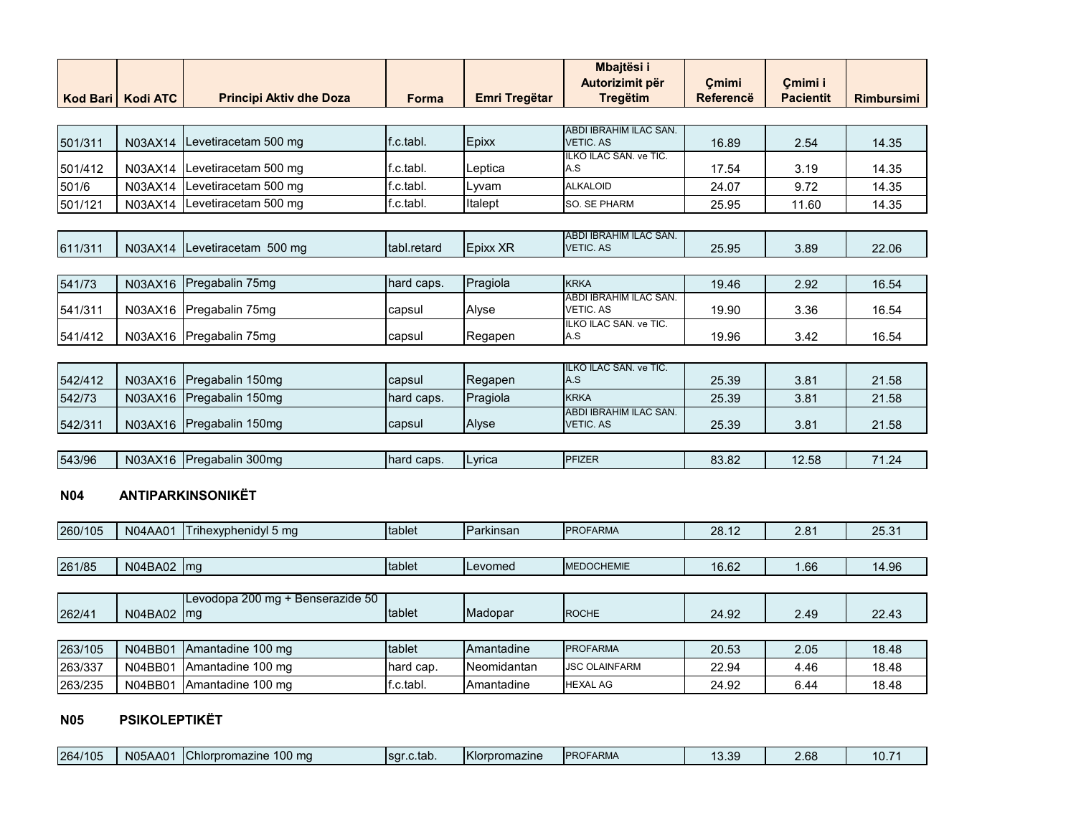|                 |                 |                                  |             |                      | Mbajtësi i                                 |                  |                  |                   |
|-----------------|-----------------|----------------------------------|-------------|----------------------|--------------------------------------------|------------------|------------------|-------------------|
|                 |                 |                                  |             |                      | Autorizimit për                            | Çmimi            | Çmimi i          |                   |
| <b>Kod Bari</b> | <b>Kodi ATC</b> | <b>Principi Aktiv dhe Doza</b>   | Forma       | <b>Emri Tregëtar</b> | <b>Tregëtim</b>                            | <b>Referencë</b> | <b>Pacientit</b> | <b>Rimbursimi</b> |
|                 |                 |                                  |             |                      |                                            |                  |                  |                   |
| 501/311         | N03AX14         | Levetiracetam 500 mg             | f.c.tabl.   | Epixx                | ABDI IBRAHIM ILAC SAN.<br><b>VETIC, AS</b> | 16.89            | 2.54             | 14.35             |
|                 |                 |                                  |             |                      | ILKO ILAC SAN. ve TIC.                     |                  |                  |                   |
| 501/412         | N03AX14         | Levetiracetam 500 mg             | f.c.tabl.   | Leptica              | A.S                                        | 17.54            | 3.19             | 14.35             |
| 501/6           | N03AX14         | Levetiracetam 500 mg             | f.c.tabl.   | Lyvam                | <b>ALKALOID</b>                            | 24.07            | 9.72             | 14.35             |
| 501/121         | N03AX14         | Levetiracetam 500 mg             | f.c.tabl.   | Italept              | SO. SE PHARM                               | 25.95            | 11.60            | 14.35             |
|                 |                 |                                  |             |                      |                                            |                  |                  |                   |
|                 | N03AX14         | Levetiracetam 500 mg             | tabl.retard | Epixx XR             | ABDI IBRAHIM ILAC SAN.<br><b>VETIC. AS</b> | 25.95            |                  | 22.06             |
| 611/311         |                 |                                  |             |                      |                                            |                  | 3.89             |                   |
| 541/73          |                 | Pregabalin 75mg                  | hard caps.  | Pragiola             | <b>KRKA</b>                                |                  |                  | 16.54             |
|                 | N03AX16         |                                  |             |                      | ABDI IBRAHIM ILAC SAN.                     | 19.46            | 2.92             |                   |
| 541/311         | N03AX16         | Pregabalin 75mg                  | capsul      | Alyse                | VETIC. AS                                  | 19.90            | 3.36             | 16.54             |
|                 |                 |                                  |             |                      | ILKO ILAC SAN. ve TIC.                     |                  |                  |                   |
| 541/412         | N03AX16         | Pregabalin 75mg                  | capsul      | Regapen              | A.S                                        | 19.96            | 3.42             | 16.54             |
|                 |                 |                                  |             |                      | ILKO ILAC SAN. ve TIC.                     |                  |                  |                   |
| 542/412         | N03AX16         | Pregabalin 150mg                 | capsul      | Regapen              | A.S                                        | 25.39            | 3.81             | 21.58             |
| 542/73          | N03AX16         | Pregabalin 150mg                 | hard caps.  | Pragiola             | <b>KRKA</b>                                | 25.39            | 3.81             | 21.58             |
|                 |                 |                                  |             |                      | ABDI IBRAHIM ILAC SAN.                     |                  |                  |                   |
| 542/311         | N03AX16         | Pregabalin 150mg                 | capsul      | Alyse                | <b>VETIC. AS</b>                           | 25.39            | 3.81             | 21.58             |
|                 |                 |                                  |             |                      |                                            |                  |                  |                   |
| 543/96          | N03AX16         | Pregabalin 300mg                 | hard caps.  | Lyrica               | <b>PFIZER</b>                              | 83.82            | 12.58            | 71.24             |
|                 |                 |                                  |             |                      |                                            |                  |                  |                   |
| <b>N04</b>      |                 | ANTIPARKINSONIKËT                |             |                      |                                            |                  |                  |                   |
|                 |                 |                                  |             |                      |                                            |                  |                  |                   |
| 260/105         | <b>N04AA01</b>  | Trihexyphenidyl 5 mg             | tablet      | Parkinsan            | <b>PROFARMA</b>                            | 28.12            | 2.81             | 25.31             |
|                 |                 |                                  |             |                      |                                            |                  |                  |                   |
| 261/85          | N04BA02 mg      |                                  | tablet      | Levomed              | <b>MEDOCHEMIE</b>                          | 16.62            | 1.66             | 14.96             |
|                 |                 |                                  |             |                      |                                            |                  |                  |                   |
|                 |                 | Levodopa 200 mg + Benserazide 50 |             |                      |                                            |                  |                  |                   |
| 262/41          | N04BA02         | Im <sub>g</sub>                  | tablet      | Madopar              | <b>ROCHE</b>                               | 24.92            | 2.49             | 22.43             |
|                 |                 |                                  |             |                      |                                            |                  |                  |                   |
| 263/105         | N04BB01         | Amantadine 100 mg                | tablet      | Amantadine           | <b>PROFARMA</b>                            | 20.53            | 2.05             | 18.48             |
| 263/337         | N04BB01         | Amantadine 100 mg                | hard cap.   | Neomidantan          | <b>JSC OLAINFARM</b>                       | 22.94            | 4.46             | 18.48             |
| 263/235         | N04BB01         | Amantadine 100 mg                | f.c.tabl.   | Amantadine           | <b>HEXAL AG</b>                            | 24.92            | 6.44             | 18.48             |
|                 |                 |                                  |             |                      |                                            |                  |                  |                   |

# **N05 PSIKOLEPTIKËT**

| <b>IPROFARMA</b><br>$\sim$<br><b>Chlorpromazine</b><br>Tsar.c.tab.<br>.bX<br>₹u<br>ັບ.ບວ | 264/105 | N05/<br>AA01 | $100 \text{ ma}$<br>$\sim$ |  | <b>Klorpromazine</b> |  | $\Omega$ |  | 10.7 |
|------------------------------------------------------------------------------------------|---------|--------------|----------------------------|--|----------------------|--|----------|--|------|
|------------------------------------------------------------------------------------------|---------|--------------|----------------------------|--|----------------------|--|----------|--|------|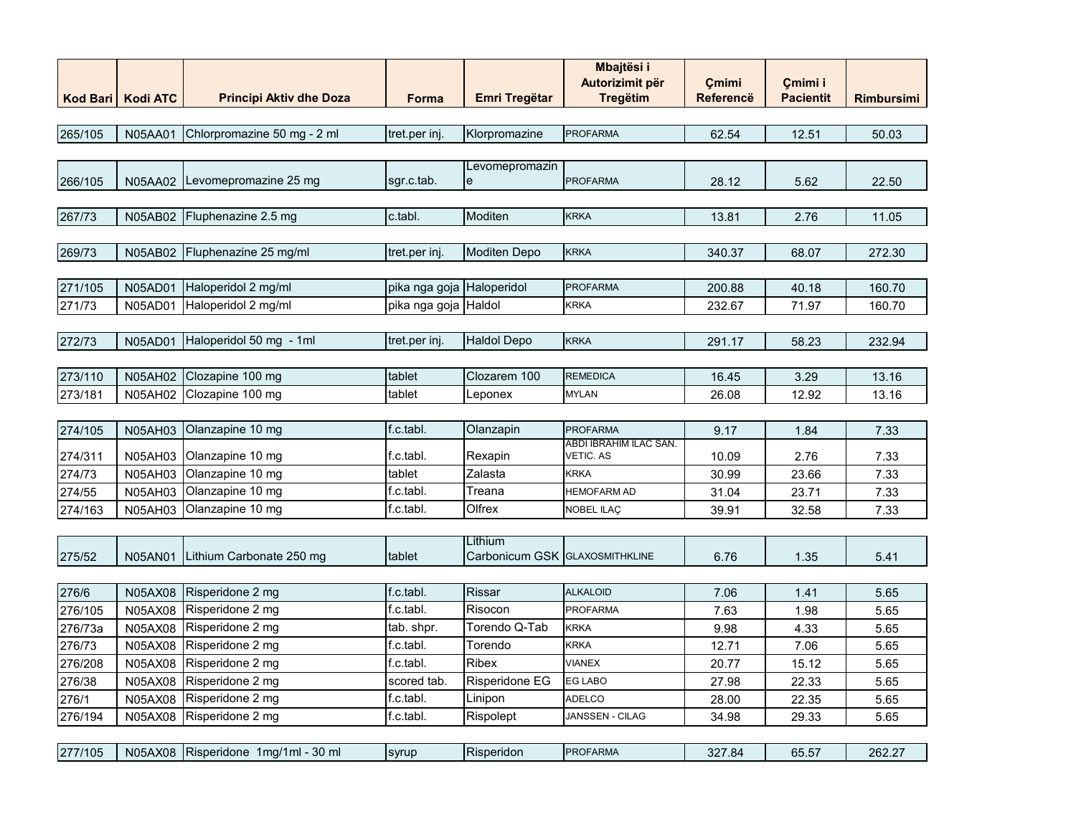|         |                     |                                      |                           |                                | <b>Mbajtësi i</b>                   |                  |                  |                   |
|---------|---------------------|--------------------------------------|---------------------------|--------------------------------|-------------------------------------|------------------|------------------|-------------------|
|         |                     |                                      |                           |                                | Autorizimit për                     | Çmimi            | Cmimi i          |                   |
|         | Kod Bari   Kodi ATC | <b>Principi Aktiv dhe Doza</b>       | Forma                     | <b>Emri Tregëtar</b>           | <b>Tregëtim</b>                     | <b>Referencë</b> | <b>Pacientit</b> | <b>Rimbursimi</b> |
| 265/105 | N05AA01             | Chlorpromazine 50 mg - 2 ml          | tret.per inj.             | Klorpromazine                  | <b>PROFARMA</b>                     | 62.54            | 12.51            | 50.03             |
|         |                     |                                      |                           |                                |                                     |                  |                  |                   |
|         |                     |                                      |                           | Levomepromazin                 |                                     |                  |                  |                   |
| 266/105 | N05AA02             | Levomepromazine 25 mg                | sgr.c.tab.                | e                              | <b>PROFARMA</b>                     | 28.12            | 5.62             | 22.50             |
|         |                     |                                      |                           |                                |                                     |                  |                  |                   |
| 267/73  | N05AB02             | Fluphenazine 2.5 mg                  | c.tabl.                   | Moditen                        | <b>KRKA</b>                         | 13.81            | 2.76             | 11.05             |
|         |                     |                                      |                           |                                |                                     |                  |                  |                   |
| 269/73  | <b>N05AB02</b>      | Fluphenazine 25 mg/ml                | tret.per inj.             | <b>Moditen Depo</b>            | <b>KRKA</b>                         | 340.37           | 68.07            | 272.30            |
|         |                     |                                      |                           |                                |                                     |                  |                  |                   |
| 271/105 | N05AD01             | Haloperidol 2 mg/ml                  | pika nga goja Haloperidol |                                | <b>PROFARMA</b>                     | 200.88           | 40.18            | 160.70            |
| 271/73  | N05AD01             | Haloperidol 2 mg/ml                  | pika nga goja Haldol      |                                | <b>KRKA</b>                         | 232.67           | 71.97            | 160.70            |
|         |                     |                                      |                           |                                |                                     |                  |                  |                   |
| 272/73  | <b>N05AD01</b>      | Haloperidol 50 mg - 1ml              | tret.per inj.             | <b>Haldol Depo</b>             | <b>KRKA</b>                         | 291.17           | 58.23            | 232.94            |
|         |                     |                                      |                           |                                |                                     |                  |                  |                   |
| 273/110 | <b>N05AH02</b>      | Clozapine 100 mg                     | tablet                    | Clozarem 100                   | <b>REMEDICA</b>                     | 16.45            | 3.29             | 13.16             |
| 273/181 | N05AH02             | Clozapine 100 mg                     | tablet                    | Leponex                        | MYLAN                               | 26.08            | 12.92            | 13.16             |
|         |                     |                                      |                           |                                |                                     |                  |                  |                   |
| 274/105 | N05AH03             | Olanzapine 10 mg                     | f.c.tabl.                 | Olanzapin                      | <b>PROFARMA</b>                     | 9.17             | 1.84             | 7.33              |
| 274/311 | N05AH03             | Olanzapine 10 mg                     | f.c.tabl.                 | Rexapin                        | ABDI IBRAHIM ILAC SAN.<br>VETIC. AS | 10.09            | 2.76             | 7.33              |
| 274/73  | N05AH03             | Olanzapine 10 mg                     | tablet                    | Zalasta                        | <b>KRKA</b>                         | 30.99            | 23.66            | 7.33              |
| 274/55  | N05AH03             | Olanzapine 10 mg                     | f.c.tabl.                 | Treana                         | <b>HEMOFARM AD</b>                  | 31.04            | 23.71            | 7.33              |
| 274/163 | N05AH03             | Olanzapine 10 mg                     | f.c.tabl.                 | Olfrex                         | NOBEL ILAÇ                          | 39.91            | 32.58            | 7.33              |
|         |                     |                                      |                           |                                |                                     |                  |                  |                   |
|         |                     |                                      |                           | Lithium                        |                                     |                  |                  |                   |
| 275/52  | N05AN01             | Lithium Carbonate 250 mg             | tablet                    | Carbonicum GSK GLAXOSMITHKLINE |                                     | 6.76             | 1.35             | 5.41              |
|         |                     |                                      |                           |                                | <b>ALKALOID</b>                     |                  |                  |                   |
| 276/6   | N05AX08             | Risperidone 2 mg                     | f.c.tabl.                 | <b>Rissar</b>                  |                                     | 7.06             | 1.41             | 5.65              |
| 276/105 | N05AX08             | Risperidone 2 mg                     | f.c.tabl.                 | Risocon                        | <b>PROFARMA</b>                     | 7.63             | 1.98             | 5.65              |
| 276/73a | N05AX08             | Risperidone 2 mg                     | tab. shpr.                | Torendo Q-Tab                  | <b>KRKA</b>                         | 9.98             | 4.33             | 5.65              |
| 276/73  | N05AX08             | Risperidone 2 mg                     | f.c.tabl.<br>f.c.tabl.    | Torendo                        | <b>KRKA</b>                         | 12.71            | 7.06             | 5.65              |
| 276/208 | N05AX08             | Risperidone 2 mg<br>Risperidone 2 mg | scored tab.               | <b>Ribex</b>                   | <b>VIANEX</b><br><b>EG LABO</b>     | 20.77            | 15.12            | 5.65              |
| 276/38  | N05AX08             | Risperidone 2 mg                     |                           | Risperidone EG                 | <b>ADELCO</b>                       | 27.98            | 22.33            | 5.65              |
| 276/1   | N05AX08             | Risperidone 2 mg                     | f.c.tabl.<br>f.c.tabl.    | Linipon                        | JANSSEN - CILAG                     | 28.00            | 22.35            | 5.65              |
| 276/194 | N05AX08             |                                      |                           | Rispolept                      |                                     | 34.98            | 29.33            | 5.65              |
| 277/105 |                     | Risperidone 1mg/1ml - 30 ml          |                           | Risperidon                     | <b>PROFARMA</b>                     |                  |                  |                   |
|         | N05AX08             |                                      | syrup                     |                                |                                     | 327.84           | 65.57            | 262.27            |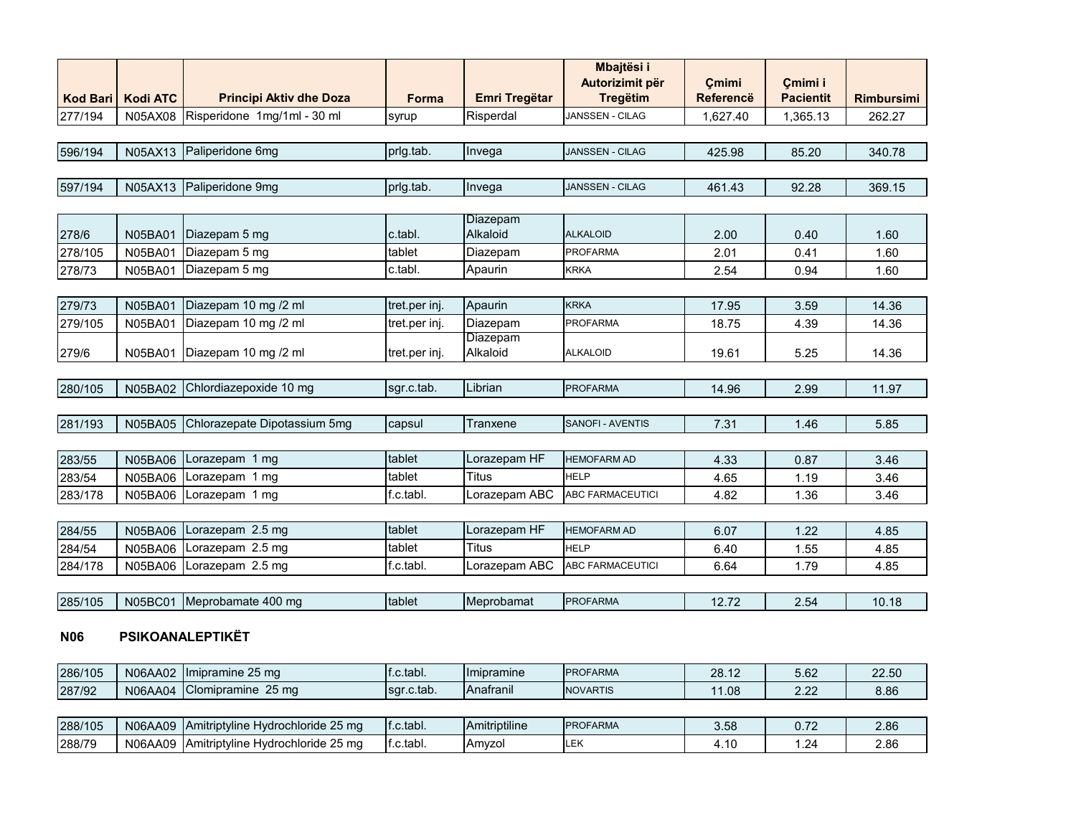| <b>Kod Bari</b> | <b>Kodi ATC</b> | <b>Principi Aktiv dhe Doza</b> | <b>Forma</b>  | <b>Emri Tregëtar</b> | <b>Mbajtësi i</b><br>Autorizimit për<br><b>Tregëtim</b> | Cmimi<br><b>Referencë</b> | Cmimi i<br><b>Pacientit</b> | <b>Rimbursimi</b> |
|-----------------|-----------------|--------------------------------|---------------|----------------------|---------------------------------------------------------|---------------------------|-----------------------------|-------------------|
| 277/194         | N05AX08         | Risperidone 1mg/1ml - 30 ml    | syrup         | Risperdal            | JANSSEN - CILAG                                         | 1,627.40                  | 1,365.13                    | 262.27            |
|                 |                 |                                |               |                      |                                                         |                           |                             |                   |
| 596/194         | N05AX13         | Paliperidone 6mg               | prig.tab.     | Invega               | <b>JANSSEN - CILAG</b>                                  | 425.98                    | 85.20                       | 340.78            |
| 597/194         |                 | N05AX13 Paliperidone 9mg       | prig.tab.     | Invega               | <b>JANSSEN - CILAG</b>                                  | 461.43                    | 92.28                       | 369.15            |
|                 |                 |                                |               |                      |                                                         |                           |                             |                   |
| 278/6           | N05BA01         | Diazepam 5 mg                  | c.tabl.       | Diazepam<br>Alkaloid | <b>ALKALOID</b>                                         | 2.00                      | 0.40                        | 1.60              |
| 278/105         | N05BA01         | Diazepam 5 mg                  | tablet        | Diazepam             | <b>PROFARMA</b>                                         | 2.01                      | 0.41                        | 1.60              |
| 278/73          | <b>N05BA01</b>  | Diazepam 5 mg                  | c.tabl.       | Apaurin              | <b>KRKA</b>                                             | 2.54                      | 0.94                        | 1.60              |
|                 |                 |                                |               |                      |                                                         |                           |                             |                   |
| 279/73          | <b>N05BA01</b>  | Diazepam 10 mg /2 ml           | tret.per inj. | Apaurin              | <b>KRKA</b>                                             | 17.95                     | 3.59                        | 14.36             |
| 279/105         | N05BA01         | Diazepam 10 mg /2 ml           | tret.per inj. | Diazepam             | <b>PROFARMA</b>                                         | 18.75                     | 4.39                        | 14.36             |
| 279/6           | N05BA01         | Diazepam 10 mg /2 ml           | tret.per inj. | Diazepam<br>Alkaloid | <b>ALKALOID</b>                                         | 19.61                     | 5.25                        | 14.36             |
|                 |                 |                                |               |                      |                                                         |                           |                             |                   |
| 280/105         |                 | N05BA02 Chlordiazepoxide 10 mg | sgr.c.tab.    | Librian              | <b>PROFARMA</b>                                         | 14.96                     | 2.99                        | 11.97             |
|                 |                 |                                |               |                      |                                                         |                           |                             |                   |
| 281/193         | <b>N05BA05</b>  | Chlorazepate Dipotassium 5mg   | capsul        | Tranxene             | <b>SANOFI - AVENTIS</b>                                 | 7.31                      | 1.46                        | 5.85              |
|                 |                 |                                |               |                      |                                                         |                           |                             |                   |
| 283/55          | <b>N05BA06</b>  | Lorazepam 1 mg                 | tablet        | Lorazepam HF         | <b>HEMOFARM AD</b>                                      | 4.33                      | 0.87                        | 3.46              |
| 283/54          | N05BA06         | Lorazepam 1 mg                 | tablet        | <b>Titus</b>         | <b>HELP</b>                                             | 4.65                      | 1.19                        | 3.46              |
| 283/178         | N05BA06         | Lorazepam 1 mg                 | f.c.tabl.     | Lorazepam ABC        | <b>ABC FARMACEUTICI</b>                                 | 4.82                      | 1.36                        | 3.46              |
|                 |                 |                                |               |                      |                                                         |                           |                             |                   |
| 284/55          | <b>N05BA06</b>  | Lorazepam 2.5 mg               | tablet        | Lorazepam HF         | <b>HEMOFARM AD</b>                                      | 6.07                      | 1.22                        | 4.85              |
| 284/54          | N05BA06         | Lorazepam 2.5 mg               | tablet        | Titus                | <b>HELP</b>                                             | 6.40                      | 1.55                        | 4.85              |
| 284/178         | N05BA06         | Lorazepam 2.5 mg               | f.c.tabl.     | Lorazepam ABC        | ABC FARMACEUTICI                                        | 6.64                      | 1.79                        | 4.85              |
|                 |                 |                                |               |                      |                                                         |                           |                             |                   |
| 285/105         | <b>N05BC01</b>  | Meprobamate 400 mg             | tablet        | Meprobamat           | <b>PROFARMA</b>                                         | 12.72                     | 2.54                        | 10.18             |

#### **N06 PSIKOANALEPTIKËT**

| 286/105 | N06AA02 | Ilmipramine 25 mg                                 | l.c.tabl.   | <b>Ilmipramine</b> | <b>PROFARMA</b> | $\sim$<br>28.12 | $-00$<br>ວ.໐∠                | 22.50 |
|---------|---------|---------------------------------------------------|-------------|--------------------|-----------------|-----------------|------------------------------|-------|
| 287/92  | N06AA04 | $\sim$<br><b>Clomipramine</b><br>25 <sub>ma</sub> | Isgr.c.tab. | <b>Anatranil</b>   | <b>NOVARTIS</b> | റഒ<br>1.00      | $\sim$ $\sim$<br><u>_.__</u> | 8.86  |

| 288/105 | N06AA09 | : 25 ma<br>: IAmitriptyline Hydrochloride             | f.c.tabl.  | $\cdots$<br><b>IAmitriptiline</b> | <b>PROFARMA</b> | 3.58 | . | റ റെ<br>z.oo |
|---------|---------|-------------------------------------------------------|------------|-----------------------------------|-----------------|------|---|--------------|
| 288/79  | N06AA09 | つに<br>Amitriptyline I<br>′ Hvdrochloride و<br>: 25 ma | If.c.tabl. | Amvzol                            |                 |      |   | 2.86         |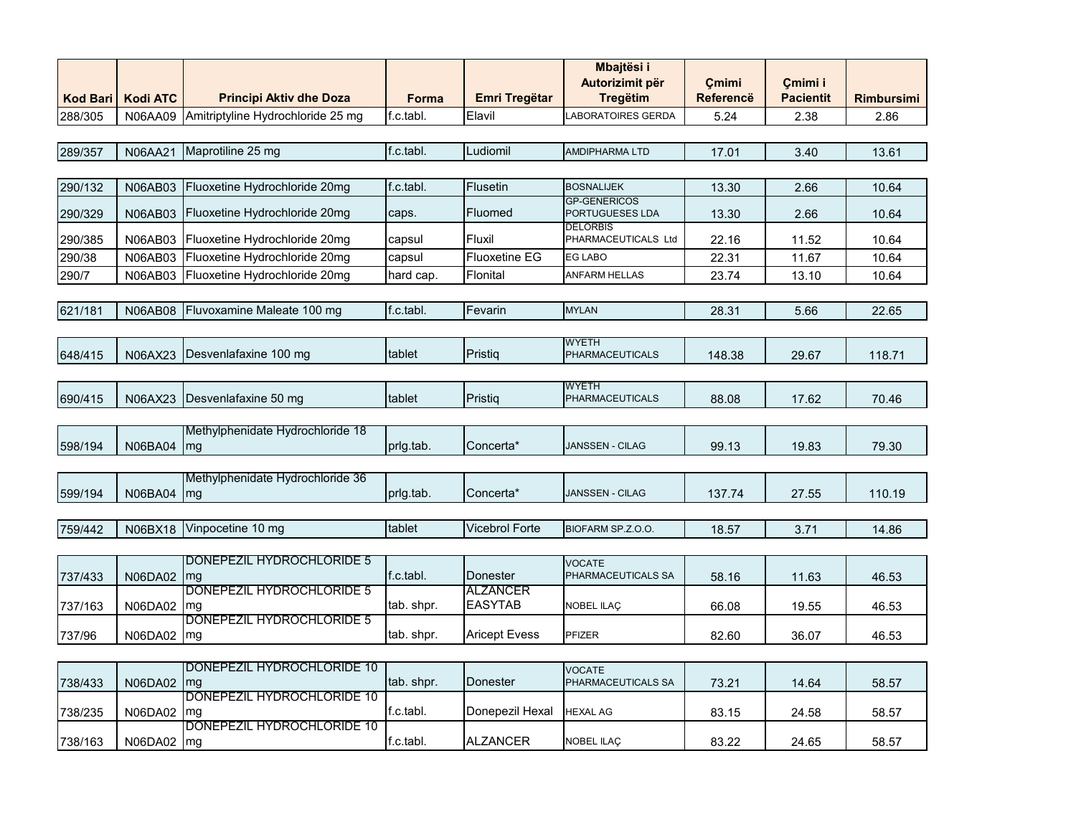| <b>Kod Bari</b> | <b>Kodi ATC</b> | <b>Principi Aktiv dhe Doza</b>    | Forma      | <b>Emri Tregëtar</b>        | Mbajtësi i<br>Autorizimit për<br><b>Tregëtim</b> | Cmimi<br><b>Referencë</b> | Cmimi i<br><b>Pacientit</b> | <b>Rimbursimi</b> |
|-----------------|-----------------|-----------------------------------|------------|-----------------------------|--------------------------------------------------|---------------------------|-----------------------------|-------------------|
| 288/305         | N06AA09         | Amitriptyline Hydrochloride 25 mg | f.c.tabl.  | Elavil                      | <b>LABORATOIRES GERDA</b>                        | 5.24                      | 2.38                        | 2.86              |
|                 |                 |                                   |            |                             |                                                  |                           |                             |                   |
| 289/357         | N06AA21         | Maprotiline 25 mg                 | f.c.tabl.  | Ludiomil                    | <b>AMDIPHARMA LTD</b>                            | 17.01                     | 3.40                        | 13.61             |
|                 |                 |                                   |            |                             |                                                  |                           |                             |                   |
| 290/132         | <b>N06AB03</b>  | Fluoxetine Hydrochloride 20mg     | f.c.tabl.  | <b>Flusetin</b>             | <b>BOSNALIJEK</b>                                | 13.30                     | 2.66                        | 10.64             |
| 290/329         | N06AB03         | Fluoxetine Hydrochloride 20mg     | caps.      | Fluomed                     | <b>GP-GENERICOS</b><br>PORTUGUESES LDA           | 13.30                     | 2.66                        | 10.64             |
| 290/385         | N06AB03         | Fluoxetine Hydrochloride 20mg     | capsul     | Fluxil                      | <b>DELORBIS</b><br>PHARMACEUTICALS Ltd           | 22.16                     | 11.52                       | 10.64             |
| 290/38          | N06AB03         | Fluoxetine Hydrochloride 20mg     | capsul     | <b>Fluoxetine EG</b>        | EG LABO                                          | 22.31                     | 11.67                       | 10.64             |
| 290/7           | N06AB03         | Fluoxetine Hydrochloride 20mg     | hard cap.  | Flonital                    | <b>ANFARM HELLAS</b>                             | 23.74                     | 13.10                       | 10.64             |
|                 |                 |                                   |            |                             |                                                  |                           |                             |                   |
| 621/181         | <b>N06AB08</b>  | Fluvoxamine Maleate 100 mg        | f.c.tabl.  | Fevarin                     | <b>MYLAN</b>                                     | 28.31                     | 5.66                        | 22.65             |
|                 |                 |                                   |            |                             |                                                  |                           |                             |                   |
| 648/415         | N06AX23         | Desvenlafaxine 100 mg             | tablet     | Pristiq                     | <b>WYETH</b><br>PHARMACEUTICALS                  | 148.38                    | 29.67                       | 118.71            |
|                 |                 |                                   |            |                             |                                                  |                           |                             |                   |
|                 |                 |                                   |            |                             | <b>WYETH</b>                                     |                           |                             |                   |
| 690/415         | N06AX23         | Desvenlafaxine 50 mg              | tablet     | Pristiq                     | PHARMACEUTICALS                                  | 88.08                     | 17.62                       | 70.46             |
|                 |                 |                                   |            |                             |                                                  |                           |                             |                   |
|                 |                 | Methylphenidate Hydrochloride 18  | prlg.tab.  | Concerta*                   | JANSSEN - CILAG                                  |                           |                             |                   |
| 598/194         | N06BA04         | mg                                |            |                             |                                                  | 99.13                     | 19.83                       | 79.30             |
|                 |                 | Methylphenidate Hydrochloride 36  |            |                             |                                                  |                           |                             |                   |
| 599/194         | N06BA04         | mg                                | prig.tab.  | Concerta*                   | JANSSEN - CILAG                                  | 137.74                    | 27.55                       | 110.19            |
|                 |                 |                                   |            |                             |                                                  |                           |                             |                   |
| 759/442         | N06BX18         | Vinpocetine 10 mg                 | tablet     | <b>Vicebrol Forte</b>       | BIOFARM SP.Z.O.O.                                | 18.57                     | 3.71                        | 14.86             |
|                 |                 |                                   |            |                             |                                                  |                           |                             |                   |
|                 |                 | DONEPEZIL HYDROCHLORIDE 5         |            |                             | <b>VOCATE</b>                                    |                           |                             |                   |
| 737/433         | N06DA02         | mg<br>DONEPEZIL HYDROCHLORIDE 5   | f.c.tabl.  | Donester<br><b>ALZANCER</b> | PHARMACEUTICALS SA                               | 58.16                     | 11.63                       | 46.53             |
| 737/163         | N06DA02         | mg                                | tab. shpr. | <b>EASYTAB</b>              | NOBEL ILAÇ                                       | 66.08                     | 19.55                       | 46.53             |
|                 |                 | DONEPEZIL HYDROCHLORIDE 5         |            |                             |                                                  |                           |                             |                   |
| 737/96          | N06DA02         | mg                                | tab. shpr. | <b>Aricept Evess</b>        | <b>PFIZER</b>                                    | 82.60                     | 36.07                       | 46.53             |
|                 |                 |                                   |            |                             |                                                  |                           |                             |                   |
|                 |                 | DONEPEZIL HYDROCHLORIDE 10        |            |                             | <b>VOCATE</b>                                    |                           |                             |                   |
| 738/433         | <b>N06DA02</b>  | mg<br>DONEPEZIL HYDROCHLORIDE 10  | tab. shpr. | Donester                    | PHARMACEUTICALS SA                               | 73.21                     | 14.64                       | 58.57             |
| 738/235         | N06DA02         | mg                                | f.c.tabl.  | Donepezil Hexal             | <b>HEXAL AG</b>                                  | 83.15                     | 24.58                       | 58.57             |
|                 |                 | DONEPEZIL HYDROCHLORIDE 10        |            |                             |                                                  |                           |                             |                   |
| 738/163         | N06DA02         | mg                                | f.c.tabl.  | <b>ALZANCER</b>             | <b>NOBEL ILAC</b>                                | 83.22                     | 24.65                       | 58.57             |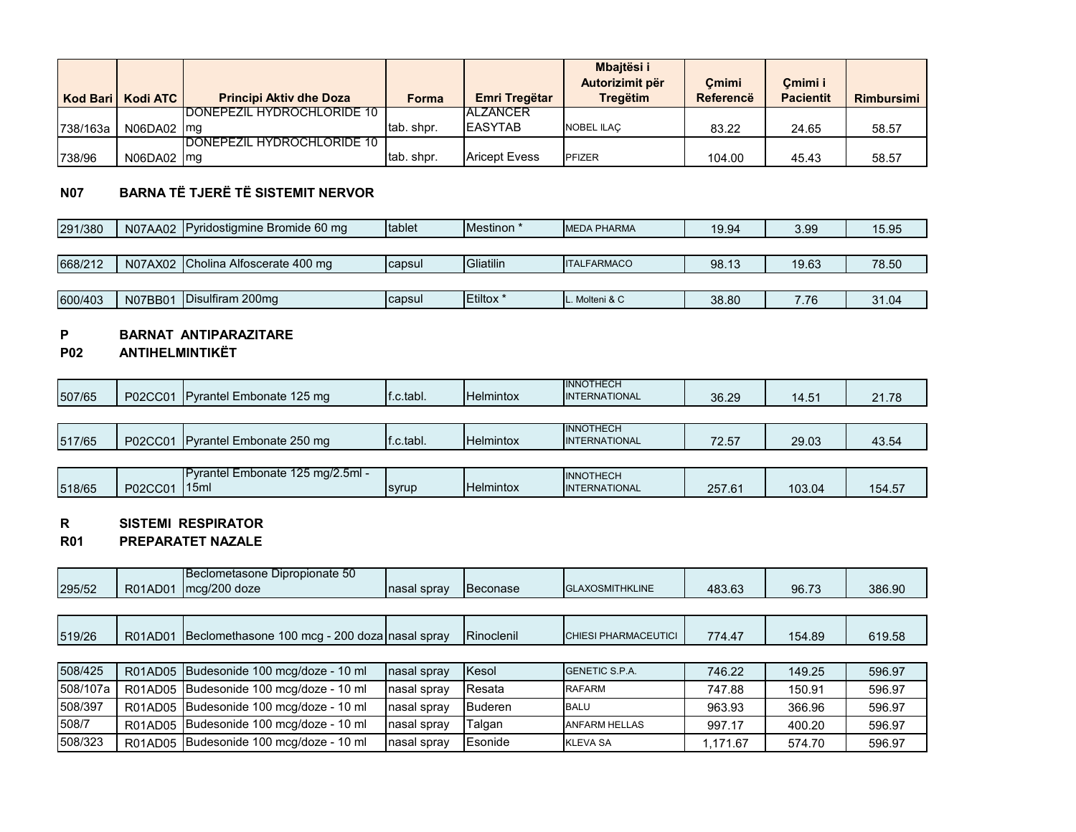|          | Kod Bari   Kodi ATC | <b>Principi Aktiv dhe Doza</b>     | Forma      | Emri Tregëtar        | <b>Mbaitësi i</b><br>Autorizimit për<br><b>Tregëtim</b> | Cmimi<br>Referencë | Cmimi i<br><b>Pacientit</b> | Rimbursimi I |
|----------|---------------------|------------------------------------|------------|----------------------|---------------------------------------------------------|--------------------|-----------------------------|--------------|
|          |                     | <b>IDONEPEZIL HYDROCHLORIDE 10</b> |            | <b>IALZANCER</b>     |                                                         |                    |                             |              |
| 738/163a | $N06DAO2$ mg        |                                    | tab. shpr. | <b>IEASYTAB</b>      | <b>NOBEL ILAC</b>                                       | 83.22              | 24.65                       | 58.57        |
|          |                     | <b>IDONEPEZIL HYDROCHLORIDE 10</b> |            |                      |                                                         |                    |                             |              |
| 738/96   | $N06DAO2$ mg        |                                    | tab. shpr. | <b>Aricept Evess</b> | PFIZER                                                  | 104.00             | 45.43                       | 58.57        |

# **N07 BARNA TË TJERË TË SISTEMIT NERVOR**

| 291/380 |         | N07AA02 Pyridostigmine Bromide 60 mg | tablet | Mestinon <sup>*</sup> | <b>MEDA PHARMA</b> | 19.94 | 3.99  | 15.95 |
|---------|---------|--------------------------------------|--------|-----------------------|--------------------|-------|-------|-------|
|         |         |                                      |        |                       |                    |       |       |       |
| 668/212 |         | N07AX02 Cholina Alfoscerate 400 mg   | capsul | <b>Gliatilin</b>      | <b>ITALFARMACO</b> | 98.13 | 19.63 | 78.50 |
|         |         |                                      |        |                       |                    |       |       |       |
| 600/403 | N07BB01 | Disulfiram 200mg                     | capsul | Etiltox <sup>*</sup>  | Molteni & C        | 38.80 | 7.76  | 31.04 |

# **P BARNAT ANTIPARAZITARE**

#### **P02 ANTIHELMINTIKËT**

| 507/65 | P02CC01 | <b>IP</b> vrantel Embonate 125 mg | f.c.tabl. | <b>Helmintox</b> | <b>INNOTHECH</b><br><b>INTERNATIONAL</b> | 36.29 | 14.51 | 21.78 |
|--------|---------|-----------------------------------|-----------|------------------|------------------------------------------|-------|-------|-------|
|        |         |                                   |           |                  |                                          |       |       |       |
| 517/65 | P02CC01 | <b>IPvrantel Embonate 250 mg</b>  | .c.tabl.  | <b>Helmintox</b> | <b>INNOTHECH</b><br><b>INTERNATIONAL</b> | 72.57 | 29.03 | 43.54 |

|        |         | $125 \text{ ma} / 2.5 \text{ml} -$<br>IPvrantel Embonate |              |                  | <b>INNOTHECH</b>     |        |        |        |
|--------|---------|----------------------------------------------------------|--------------|------------------|----------------------|--------|--------|--------|
| 518/65 | P02CC01 | 115ml                                                    | <b>svrup</b> | <b>Helmintox</b> | <b>INTERNATIONAL</b> | 257.61 | 103.04 | 154.5. |

# **R SISTEMI RESPIRATOR**

#### **R01 PREPARATET NAZALE**

| 295/52   | R01AD01 | Beclometasone Dipropionate 50<br>mcg/200 doze | nasal spray | Beconase       | <b>GLAXOSMITHKLINE</b>      | 483.63   | 96.73  | 386.90 |
|----------|---------|-----------------------------------------------|-------------|----------------|-----------------------------|----------|--------|--------|
|          |         |                                               |             |                |                             |          |        |        |
| 519/26   | R01AD01 | Beclomethasone 100 mcg - 200 doza nasal spray |             | Rinoclenil     | <b>CHIESI PHARMACEUTICI</b> | 774.47   | 154.89 | 619.58 |
|          |         |                                               |             |                |                             |          |        |        |
| 508/425  |         | R01AD05 Budesonide 100 mcg/doze - 10 ml       | nasal spray | Kesol          | <b>GENETIC S.P.A.</b>       | 746.22   | 149.25 | 596.97 |
| 508/107a | R01AD05 | Budesonide 100 mcg/doze - 10 ml               | nasal spray | Resata         | <b>RAFARM</b>               | 747.88   | 150.91 | 596.97 |
| 508/397  | R01AD05 | Budesonide 100 mcg/doze - 10 ml               | nasal spray | <b>Buderen</b> | <b>BALU</b>                 | 963.93   | 366.96 | 596.97 |
| 508/7    | R01AD05 | Budesonide 100 mcg/doze - 10 ml               | nasal spray | Talgan         | <b>ANFARM HELLAS</b>        | 997.17   | 400.20 | 596.97 |
| 508/323  | R01AD05 | Budesonide 100 mcg/doze - 10 ml               | nasal spray | Esonide        | <b>KLEVA SA</b>             | 1.171.67 | 574.70 | 596.97 |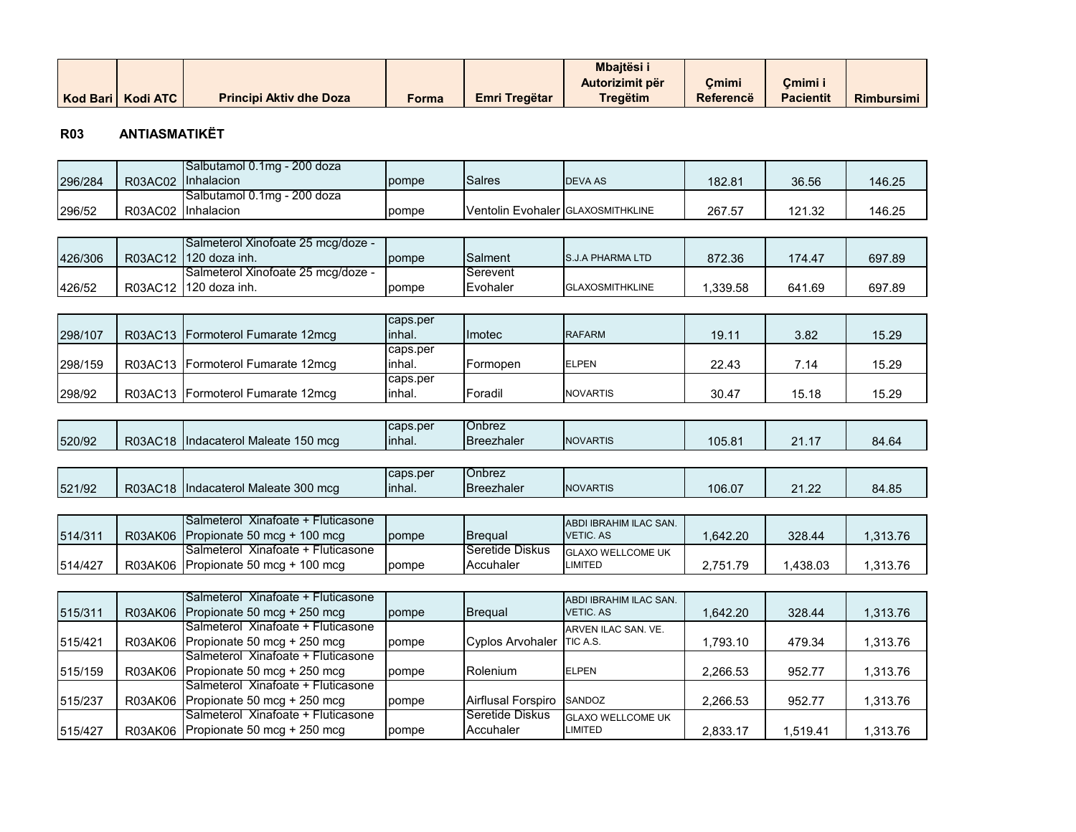|                     |                                |       |               | <b>Mbaitësi</b> |                  |                  |                   |
|---------------------|--------------------------------|-------|---------------|-----------------|------------------|------------------|-------------------|
|                     |                                |       |               | Autorizimit për | Cmimi            | Cmimi i          |                   |
| Kod Bari   Kodi ATC | <b>Principi Aktiv dhe Doza</b> | Forma | Emri Tregëtar | Tregëtim        | <b>Referencë</b> | <b>Pacientit</b> | <b>Rimbursimi</b> |

#### **R03 ANTIASMATIKËT**

|         |         | Salbutamol 0.1mg - 200 doza         |          |                                   |                          |          |          |          |
|---------|---------|-------------------------------------|----------|-----------------------------------|--------------------------|----------|----------|----------|
| 296/284 | R03AC02 | Inhalacion                          | pompe    | <b>Salres</b>                     | <b>DEVA AS</b>           | 182.81   | 36.56    | 146.25   |
|         |         | Salbutamol 0.1mg - 200 doza         |          |                                   |                          |          |          |          |
| 296/52  | R03AC02 | Inhalacion                          | pompe    | Ventolin Evohaler GLAXOSMITHKLINE |                          | 267.57   | 121.32   | 146.25   |
|         |         |                                     |          |                                   |                          |          |          |          |
|         |         | Salmeterol Xinofoate 25 mcg/doze -  |          |                                   |                          |          |          |          |
| 426/306 | R03AC12 | 120 doza inh.                       | pompe    | Salment                           | <b>S.J.A PHARMA LTD</b>  | 872.36   | 174.47   | 697.89   |
|         |         | Salmeterol Xinofoate 25 mcg/doze -  |          | Serevent                          |                          |          |          |          |
| 426/52  | R03AC12 | 120 doza inh.                       | pompe    | Evohaler                          | <b>GLAXOSMITHKLINE</b>   | 1,339.58 | 641.69   | 697.89   |
|         |         |                                     |          |                                   |                          |          |          |          |
|         |         |                                     | caps.per |                                   |                          |          |          |          |
| 298/107 | R03AC13 | Formoterol Fumarate 12mcg           | inhal.   | Imotec                            | <b>RAFARM</b>            | 19.11    | 3.82     | 15.29    |
|         |         |                                     | caps.per |                                   |                          |          |          |          |
| 298/159 |         | R03AC13 Formoterol Fumarate 12mcg   | inhal.   | Formopen                          | <b>ELPEN</b>             | 22.43    | 7.14     | 15.29    |
|         |         |                                     | caps.per |                                   |                          |          |          |          |
| 298/92  |         | R03AC13 Formoterol Fumarate 12mcg   | inhal.   | Foradil                           | <b>NOVARTIS</b>          | 30.47    | 15.18    | 15.29    |
|         |         |                                     |          |                                   |                          |          |          |          |
|         |         |                                     | caps.per | Onbrez                            |                          |          |          |          |
| 520/92  | R03AC18 | Indacaterol Maleate 150 mcg         | inhal.   | <b>Breezhaler</b>                 | <b>NOVARTIS</b>          | 105.81   | 21.17    | 84.64    |
|         |         |                                     |          |                                   |                          |          |          |          |
|         |         |                                     | caps.per | Onbrez                            |                          |          |          |          |
| 521/92  |         | R03AC18 Indacaterol Maleate 300 mcg | inhal.   | <b>Breezhaler</b>                 | <b>NOVARTIS</b>          | 106.07   | 21.22    | 84.85    |
|         |         |                                     |          |                                   |                          |          |          |          |
|         |         | Salmeterol Xinafoate + Fluticasone  |          |                                   | ABDI IBRAHIM ILAC SAN.   |          |          |          |
| 514/311 | R03AK06 | Propionate 50 mcg + 100 mcg         | pompe    | <b>Brequal</b>                    | <b>VETIC. AS</b>         | 1,642.20 | 328.44   | 1,313.76 |
|         |         | Salmeterol Xinafoate + Fluticasone  |          | Seretide Diskus                   | <b>GLAXO WELLCOME UK</b> |          |          |          |
| 514/427 | R03AK06 | Propionate 50 mcg + 100 mcg         | pompe    | Accuhaler                         | <b>LIMITED</b>           | 2,751.79 | 1,438.03 | 1,313.76 |
|         |         |                                     |          |                                   |                          |          |          |          |
|         |         | Salmeterol Xinafoate + Fluticasone  |          |                                   | ABDI IBRAHIM ILAC SAN.   |          |          |          |
| 515/311 | R03AK06 | Propionate 50 mcg + 250 mcg         | pompe    | <b>Brequal</b>                    | <b>VETIC. AS</b>         | 1,642.20 | 328.44   | 1,313.76 |
|         |         | Salmeterol Xinafoate + Fluticasone  |          |                                   | ARVEN ILAC SAN, VE.      |          |          |          |
| 515/421 | R03AK06 | Propionate 50 mcg + 250 mcg         | pompe    | <b>Cyplos Arvohaler</b>           | TIC A.S.                 | 1,793.10 | 479.34   | 1,313.76 |
|         |         | Salmeterol Xinafoate + Fluticasone  |          |                                   |                          |          |          |          |
| 515/159 | R03AK06 | Propionate 50 mcg + 250 mcg         | pompe    | Rolenium                          | <b>ELPEN</b>             | 2,266.53 | 952.77   | 1,313.76 |
|         |         | Salmeterol Xinafoate + Fluticasone  |          |                                   |                          |          |          |          |
| 515/237 | R03AK06 | Propionate 50 mcg + 250 mcg         | pompe    | Airflusal Forspiro                | SANDOZ                   | 2,266.53 | 952.77   | 1,313.76 |
|         |         | Salmeterol Xinafoate + Fluticasone  |          | Seretide Diskus                   | <b>GLAXO WELLCOME UK</b> |          |          |          |
| 515/427 |         | R03AK06 Propionate 50 mcg + 250 mcg | pompe    | Accuhaler                         | LIMITED                  | 2,833.17 | 1,519.41 | 1,313.76 |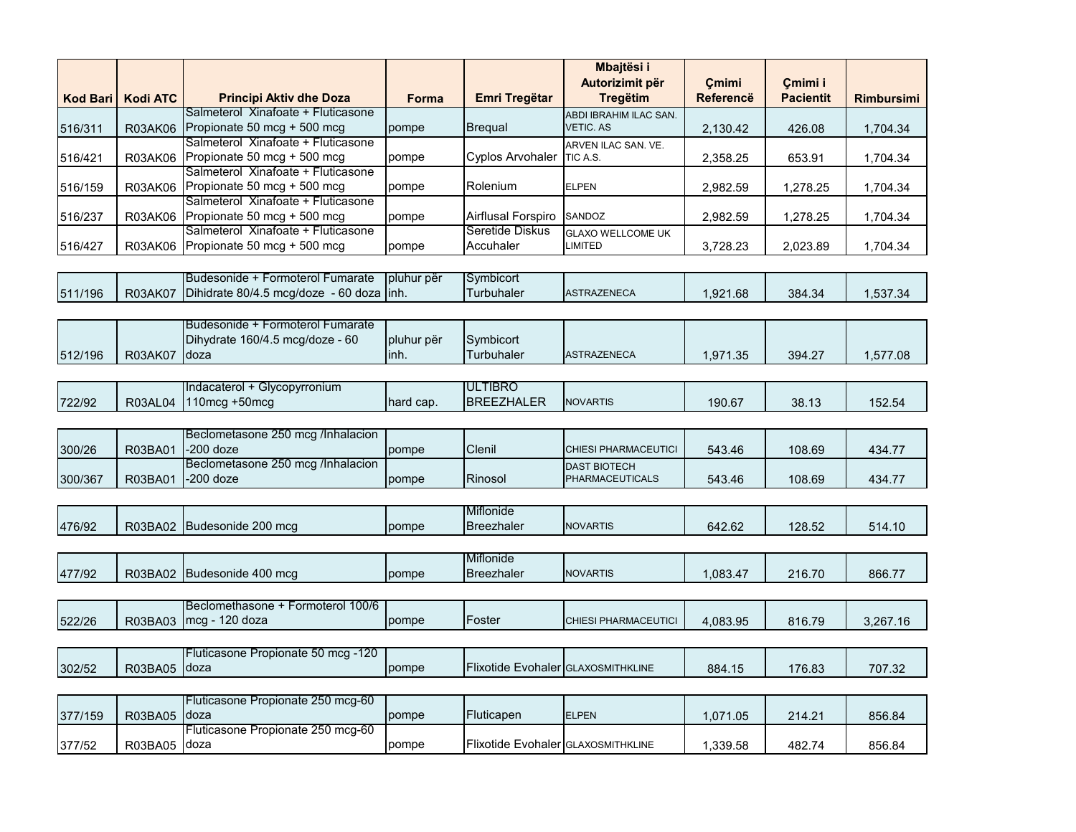| <b>Kod Bari</b> | <b>Kodi ATC</b> | <b>Principi Aktiv dhe Doza</b>                                              | <b>Forma</b>       | Emri Tregëtar                      | Mbajtësi i<br>Autorizimit për<br><b>Tregëtim</b> | Cmimi<br>Referencë | Cmimi i<br><b>Pacientit</b> | <b>Rimbursimi</b> |
|-----------------|-----------------|-----------------------------------------------------------------------------|--------------------|------------------------------------|--------------------------------------------------|--------------------|-----------------------------|-------------------|
| 516/311         | R03AK06         | Salmeterol Xinafoate + Fluticasone<br>Propionate 50 mcg + 500 mcg           | pompe              | <b>Bregual</b>                     | ABDI IBRAHIM ILAC SAN.<br><b>VETIC. AS</b>       | 2,130.42           | 426.08                      | 1,704.34          |
| 516/421         | R03AK06         | Salmeterol Xinafoate + Fluticasone<br>Propionate 50 mcg + 500 mcg           | pompe              | Cyplos Arvohaler                   | ARVEN ILAC SAN. VE.<br>TIC A.S.                  | 2,358.25           | 653.91                      | 1,704.34          |
| 516/159         | R03AK06         | Salmeterol Xinafoate + Fluticasone<br>Propionate 50 mcg + 500 mcg           | pompe              | Rolenium                           | <b>ELPEN</b>                                     | 2,982.59           | 1,278.25                    | 1,704.34          |
| 516/237         | R03AK06         | Salmeterol Xinafoate + Fluticasone<br>Propionate 50 mcg + 500 mcg           | pompe              | Airflusal Forspiro                 | SANDOZ                                           | 2,982.59           | 1,278.25                    | 1,704.34          |
| 516/427         | R03AK06         | Salmeterol Xinafoate + Fluticasone<br>Propionate 50 mcg + 500 mcg           | pompe              | Seretide Diskus<br>Accuhaler       | <b>GLAXO WELLCOME UK</b><br>LIMITED              | 3,728.23           | 2,023.89                    | 1,704.34          |
|                 |                 | Budesonide + Formoterol Fumarate                                            | pluhur për         | Symbicort                          |                                                  |                    |                             |                   |
| 511/196         | <b>R03AK07</b>  | Dihidrate 80/4.5 mcg/doze - 60 doza                                         | linh.              | Turbuhaler                         | <b>ASTRAZENECA</b>                               | 1,921.68           | 384.34                      | 1,537.34          |
| 512/196         | <b>R03AK07</b>  | Budesonide + Formoterol Fumarate<br>Dihydrate 160/4.5 mcg/doze - 60<br>doza | pluhur për<br>inh. | Symbicort<br><b>Turbuhaler</b>     | <b>ASTRAZENECA</b>                               | 1,971.35           | 394.27                      | 1,577.08          |
|                 |                 |                                                                             |                    |                                    |                                                  |                    |                             |                   |
| 722/92          | <b>R03AL04</b>  | Indacaterol + Glycopyrronium<br>$110 \text{mcg} + 50 \text{mcg}$            | hard cap.          | ULTIBRO<br><b>BREEZHALER</b>       | NOVARTIS                                         | 190.67             | 38.13                       | 152.54            |
|                 |                 | Beclometasone 250 mcg /Inhalacion                                           |                    |                                    |                                                  |                    |                             |                   |
| 300/26          | R03BA01         | -200 doze                                                                   | pompe              | Clenil                             | CHIESI PHARMACEUTICI                             | 543.46             | 108.69                      | 434.77            |
| 300/367         | R03BA01         | Beclometasone 250 mcg /Inhalacion<br>$-200$ doze                            | pompe              | Rinosol                            | <b>DAST BIOTECH</b><br><b>PHARMACEUTICALS</b>    | 543.46             | 108.69                      | 434.77            |
|                 |                 |                                                                             |                    | Miflonide                          |                                                  |                    |                             |                   |
| 476/92          | R03BA02         | Budesonide 200 mcg                                                          | pompe              | <b>Breezhaler</b>                  | <b>NOVARTIS</b>                                  | 642.62             | 128.52                      | 514.10            |
| 477/92          | R03BA02         | Budesonide 400 mcg                                                          | pompe              | Miflonide<br><b>Breezhaler</b>     | <b>NOVARTIS</b>                                  | 1,083.47           | 216.70                      | 866.77            |
|                 |                 | Beclomethasone + Formoterol 100/6                                           |                    |                                    |                                                  |                    |                             |                   |
| 522/26          | R03BA03         | mcg - 120 doza                                                              | pompe              | Foster                             | CHIESI PHARMACEUTICI                             | 4,083.95           | 816.79                      | 3,267.16          |
|                 |                 | Fluticasone Propionate 50 mcg -120                                          |                    |                                    |                                                  |                    |                             |                   |
| 302/52          | R03BA05         | doza                                                                        | pompe              | Flixotide Evohaler GLAXOSMITHKLINE |                                                  | 884.15             | 176.83                      | 707.32            |
|                 |                 | Fluticasone Propionate 250 mcg-60                                           |                    |                                    |                                                  |                    |                             |                   |
| 377/159         | R03BA05         | doza                                                                        | pompe              | Fluticapen                         | <b>ELPEN</b>                                     | 1,071.05           | 214.21                      | 856.84            |
| 377/52          | R03BA05         | Fluticasone Propionate 250 mcg-60<br>doza                                   | pompe              | Flixotide Evohaler GLAXOSMITHKLINE |                                                  | 1,339.58           | 482.74                      | 856.84            |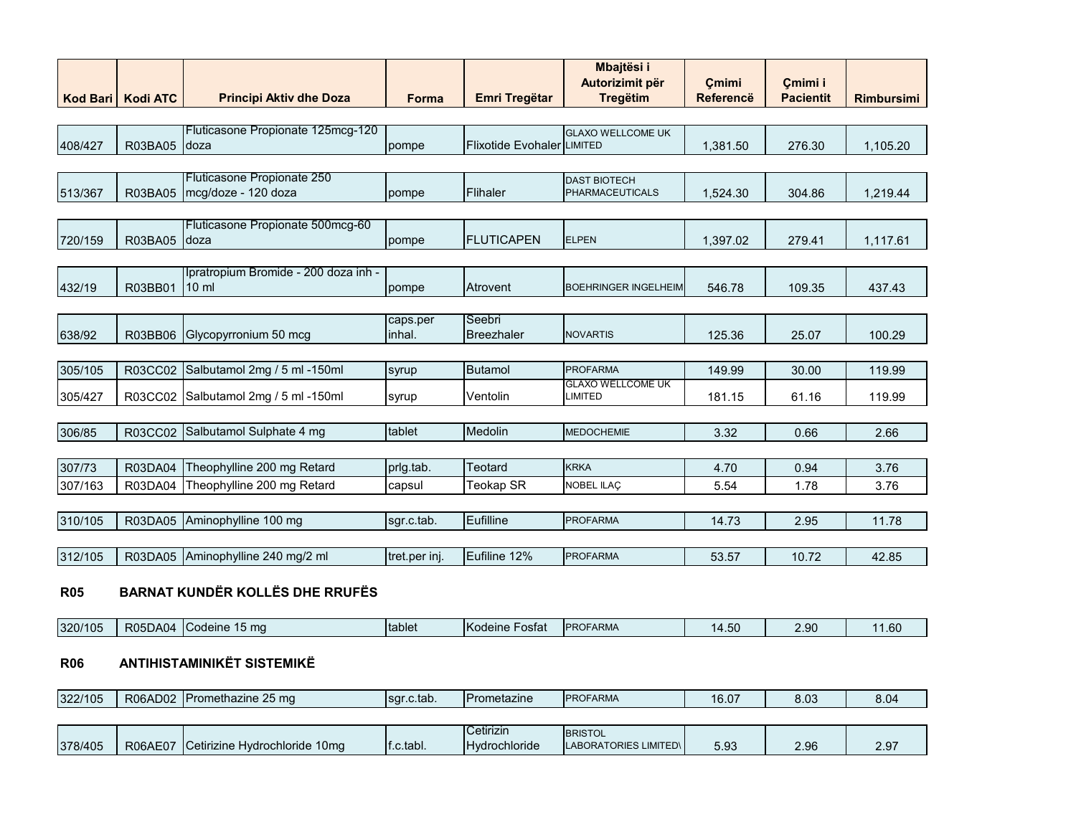| <b>Kod Bari</b> | <b>Kodi ATC</b> | <b>Principi Aktiv dhe Doza</b>                          | <b>Forma</b>       | <b>Emri Tregëtar</b>              | Mbajtësi i<br>Autorizimit për<br><b>Tregëtim</b> | Cmimi<br><b>Referencë</b> | Cmimi i<br><b>Pacientit</b> | <b>Rimbursimi</b> |
|-----------------|-----------------|---------------------------------------------------------|--------------------|-----------------------------------|--------------------------------------------------|---------------------------|-----------------------------|-------------------|
|                 |                 |                                                         |                    |                                   |                                                  |                           |                             |                   |
| 408/427         | R03BA05         | Fluticasone Propionate 125mcg-120<br>Idoza              | pompe              | <b>Flixotide Evohaler LIMITED</b> | <b>GLAXO WELLCOME UK</b>                         | 1,381.50                  | 276.30                      | 1,105.20          |
|                 |                 |                                                         |                    |                                   |                                                  |                           |                             |                   |
| 513/367         | R03BA05         | Fluticasone Propionate 250<br>mcg/doze - 120 doza       | pompe              | Flihaler                          | <b>DAST BIOTECH</b><br><b>PHARMACEUTICALS</b>    | 1,524.30                  | 304.86                      | 1,219.44          |
|                 |                 |                                                         |                    |                                   |                                                  |                           |                             |                   |
| 720/159         | R03BA05         | Fluticasone Propionate 500mcg-60<br>Idoza               | pompe              | <b>FLUTICAPEN</b>                 | <b>ELPEN</b>                                     | 1,397.02                  | 279.41                      | 1,117.61          |
|                 |                 |                                                         |                    |                                   |                                                  |                           |                             |                   |
| 432/19          | R03BB01         | Ipratropium Bromide - 200 doza inh -<br>$10 \mathrm{m}$ | pompe              | Atrovent                          | <b>BOEHRINGER INGELHEIM</b>                      | 546.78                    | 109.35                      | 437.43            |
|                 |                 |                                                         |                    |                                   |                                                  |                           |                             |                   |
| 638/92          |                 | R03BB06 Glycopyrronium 50 mcg                           | caps.per<br>inhal. | Seebri<br><b>Breezhaler</b>       | <b>NOVARTIS</b>                                  | 125.36                    | 25.07                       | 100.29            |
|                 |                 |                                                         |                    |                                   |                                                  |                           |                             |                   |
| 305/105         | R03CC02         | Salbutamol 2mg / 5 ml -150ml                            | syrup              | <b>Butamol</b>                    | <b>PROFARMA</b>                                  | 149.99                    | 30.00                       | 119.99            |
| 305/427         | R03CC02         | Salbutamol 2mg / 5 ml -150ml                            | syrup              | Ventolin                          | <b>GLAXO WELLCOME UK</b><br><b>LIMITED</b>       | 181.15                    | 61.16                       | 119.99            |
|                 |                 |                                                         |                    |                                   |                                                  |                           |                             |                   |
| 306/85          | R03CC02         | Salbutamol Sulphate 4 mg                                | tablet             | Medolin                           | <b>MEDOCHEMIE</b>                                | 3.32                      | 0.66                        | 2.66              |
|                 |                 |                                                         |                    |                                   |                                                  |                           |                             |                   |
| 307/73          | R03DA04         | Theophylline 200 mg Retard                              | prlg.tab.          | Teotard                           | <b>KRKA</b>                                      | 4.70                      | 0.94                        | 3.76              |
| 307/163         | R03DA04         | Theophylline 200 mg Retard                              | capsul             | <b>Teokap SR</b>                  | <b>NOBEL ILAC</b>                                | 5.54                      | 1.78                        | 3.76              |
|                 |                 |                                                         |                    |                                   |                                                  |                           |                             |                   |
| 310/105         |                 | R03DA05 Aminophylline 100 mg                            | sqr.c.tab.         | Eufilline                         | <b>PROFARMA</b>                                  | 14.73                     | 2.95                        | 11.78             |
|                 |                 |                                                         |                    |                                   |                                                  |                           |                             |                   |
| 312/105         |                 | R03DA05 Aminophylline 240 mg/2 ml                       | tret.per inj.      | Eufiline 12%                      | <b>PROFARMA</b>                                  | 53.57                     | 10.72                       | 42.85             |
| <b>DAR</b>      |                 | $\mathbf{L}$                                            |                    |                                   |                                                  |                           |                             |                   |

#### **R05 BARNAT KUNDËR KOLLËS DHE RRUFËS**

| <b>R05DA04</b><br>⊮.ວ∪<br>$-0$ | 320/105 | om c<br>Codeine <sup>1</sup> | <b>Itablet</b> | <b>Kodeine</b><br>∹ostat | <b>IPROFARMA</b> | $\sqrt{2}$<br>14 | ar c | 1.60 |
|--------------------------------|---------|------------------------------|----------------|--------------------------|------------------|------------------|------|------|
|--------------------------------|---------|------------------------------|----------------|--------------------------|------------------|------------------|------|------|

# **R06 ANTIHISTAMINIKËT SISTEMIKË**

| 322/105 | $\sim$ $\sim$<br>--<br>R06AD02<br>25 ma<br><b>IPromethazine</b> | .c.tab<br>Isar. | <b>IPrometazine</b> | <b>IPROFARMA</b> | ∩ ∩∙<br>AC<br>$\sim$<br>. O.U | $\sim$<br>o.uc | 0.04 |
|---------|-----------------------------------------------------------------|-----------------|---------------------|------------------|-------------------------------|----------------|------|
|---------|-----------------------------------------------------------------|-----------------|---------------------|------------------|-------------------------------|----------------|------|

|         |                |                                                                               |            | $\sim$<br>.<br>Cetirizin | <b>BRISTOL</b>               |      |               |               |
|---------|----------------|-------------------------------------------------------------------------------|------------|--------------------------|------------------------------|------|---------------|---------------|
| 378/405 | <b>R06AE07</b> | $\sim$ $\sim$ $\sim$<br>10 <sub>ma</sub><br>. Hvdrochloride ∶<br>l Cetirizine | If.c.tabl. | <b>Hydrochloride</b>     | <b>LABORATORIES LIMITED\</b> | 5.93 | 2 Q.R<br>ے .ت | ר ה<br>$\sim$ |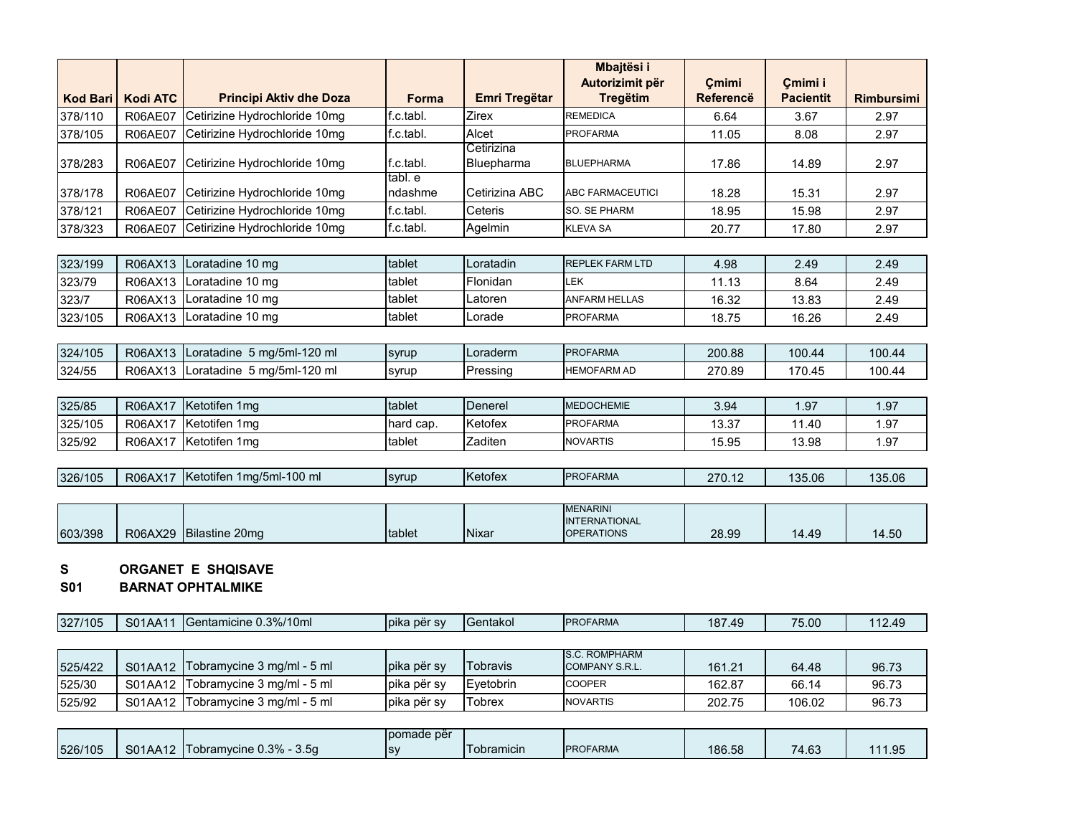|                 |                 |                                |                    |                          | Mbajtësi i<br>Autorizimit për | Cmimi            | Cmimi i          |                   |
|-----------------|-----------------|--------------------------------|--------------------|--------------------------|-------------------------------|------------------|------------------|-------------------|
| <b>Kod Bari</b> | <b>Kodi ATC</b> | <b>Principi Aktiv dhe Doza</b> | <b>Forma</b>       | <b>Emri Tregëtar</b>     | <b>Tregëtim</b>               | <b>Referencë</b> | <b>Pacientit</b> | <b>Rimbursimi</b> |
| 378/110         | <b>R06AE07</b>  | Cetirizine Hydrochloride 10mg  | f.c.tabl.          | <b>Zirex</b>             | <b>REMEDICA</b>               | 6.64             | 3.67             | 2.97              |
| 378/105         | R06AE07         | Cetirizine Hydrochloride 10mg  | f.c.tabl.          | Alcet                    | <b>PROFARMA</b>               | 11.05            | 8.08             | 2.97              |
| 378/283         | <b>R06AE07</b>  | Cetirizine Hydrochloride 10mg  | f.c.tabl.          | Cetirizina<br>Bluepharma | <b>BLUEPHARMA</b>             | 17.86            | 14.89            | 2.97              |
| 378/178         | <b>R06AE07</b>  | Cetirizine Hydrochloride 10mg  | tabl. e<br>ndashme | Cetirizina ABC           | <b>ABC FARMACEUTICI</b>       | 18.28            | 15.31            | 2.97              |
| 378/121         | <b>R06AE07</b>  | Cetirizine Hydrochloride 10mg  | f.c.tabl.          | Ceteris                  | <b>SO. SE PHARM</b>           | 18.95            | 15.98            | 2.97              |
| 378/323         | <b>R06AE07</b>  | Cetirizine Hydrochloride 10mg  | f.c.tabl.          | Agelmin                  | <b>KLEVA SA</b>               | 20.77            | 17.80            | 2.97              |
|                 |                 |                                |                    |                          |                               |                  |                  |                   |
| 323/199         | R06AX13         | Loratadine 10 mg               | tablet             | Loratadin                | <b>REPLEK FARM LTD</b>        | 4.98             | 2.49             | 2.49              |
| 323/79          | R06AX13         | Loratadine 10 mg               | tablet             | Flonidan                 | <b>LEK</b>                    | 11.13            | 8.64             | 2.49              |
| 323/7           | R06AX13         | Loratadine 10 mg               | tablet             | Latoren                  | <b>ANFARM HELLAS</b>          | 16.32            | 13.83            | 2.49              |
| 323/105         | R06AX13         | Loratadine 10 mg               | tablet             | Lorade                   | <b>PROFARMA</b>               | 18.75            | 16.26            | 2.49              |
|                 |                 |                                |                    |                          |                               |                  |                  |                   |
| 324/105         | R06AX13         | Loratadine 5 mg/5ml-120 ml     | syrup              | Loraderm                 | <b>PROFARMA</b>               | 200.88           | 100.44           | 100.44            |
| 324/55          | R06AX13         | Loratadine 5 mg/5ml-120 ml     | syrup              | Pressing                 | <b>HEMOFARM AD</b>            | 270.89           | 170.45           | 100.44            |
|                 |                 |                                |                    |                          |                               |                  |                  |                   |
| 325/85          | R06AX17         | Ketotifen 1mg                  | tablet             | Denerel                  | <b>MEDOCHEMIE</b>             | 3.94             | 1.97             | 1.97              |
| 325/105         | R06AX17         | Ketotifen 1mg                  | hard cap.          | Ketofex                  | <b>PROFARMA</b>               | 13.37            | 11.40            | 1.97              |
| 325/92          | R06AX17         | Ketotifen 1mg                  | tablet             | Zaditen                  | <b>NOVARTIS</b>               | 15.95            | 13.98            | 1.97              |
|                 |                 |                                |                    |                          |                               |                  |                  |                   |
| 326/105         | R06AX17         | Ketotifen 1mg/5ml-100 ml       | syrup              | Ketofex                  | <b>PROFARMA</b>               | 270.12           | 135.06           | 135.06            |

|         |         |                |        |       | <b>MENARINI</b>   |       |       |       |
|---------|---------|----------------|--------|-------|-------------------|-------|-------|-------|
|         |         |                |        |       | INTERNATIONAL     |       |       |       |
| 603/398 | R06AX29 | Bilastine 20mg | tablet | Nixar | <b>OPERATIONS</b> | 28.99 | 14.49 | 14.50 |

#### **S ORGANET E SHQISAVE**

**S01 BARNAT OPHTALMIKE**

| 327/105 | SO1A<br>JIAA1 | 0.3%/10ml<br>ientam<br>micine c<br>.<br>JUL | Tbika për sv | <b>IGentakol</b> | <b>PROFARMA</b> | 187<br>$\Lambda$ Q<br>- 77 | $-$<br>75.00 | 4٥ (<br>14.TV |
|---------|---------------|---------------------------------------------|--------------|------------------|-----------------|----------------------------|--------------|---------------|
|---------|---------------|---------------------------------------------|--------------|------------------|-----------------|----------------------------|--------------|---------------|

| 525/422 | S01AA12   Tobramycine 3 mg/ml - 5 ml | Ipika për sv        | <b>ITobravis</b> | <b>S.C. ROMPHARM</b><br><b>COMPANY S.R.L.</b> | 161.21 | 64.48  | 96.73 |
|---------|--------------------------------------|---------------------|------------------|-----------------------------------------------|--------|--------|-------|
| 525/30  | S01AA12 Tobramycine 3 mg/ml - 5 ml   | <b>lpika për sv</b> | Evetobrin        | <b>COOPER</b>                                 | 162.87 | 66.14  | 96.73 |
| 525/92  | S01AA12   Tobramycine 3 mg/ml - 5 ml | pika për sv         | <b>Tobrex</b>    | <b>NOVARTIS</b>                               | 202.75 | 106.02 | 96.73 |

|         |         |                                        | I pomade për |                    |                 |        |       |      |
|---------|---------|----------------------------------------|--------------|--------------------|-----------------|--------|-------|------|
| 526/105 | S01AA12 | Tobramvcine 0.3% -<br>3.5 <sub>a</sub> | <b>ISV</b>   | <b>I</b> obramicin | <b>PROFARMA</b> | 186.58 | 74.63 | 1.95 |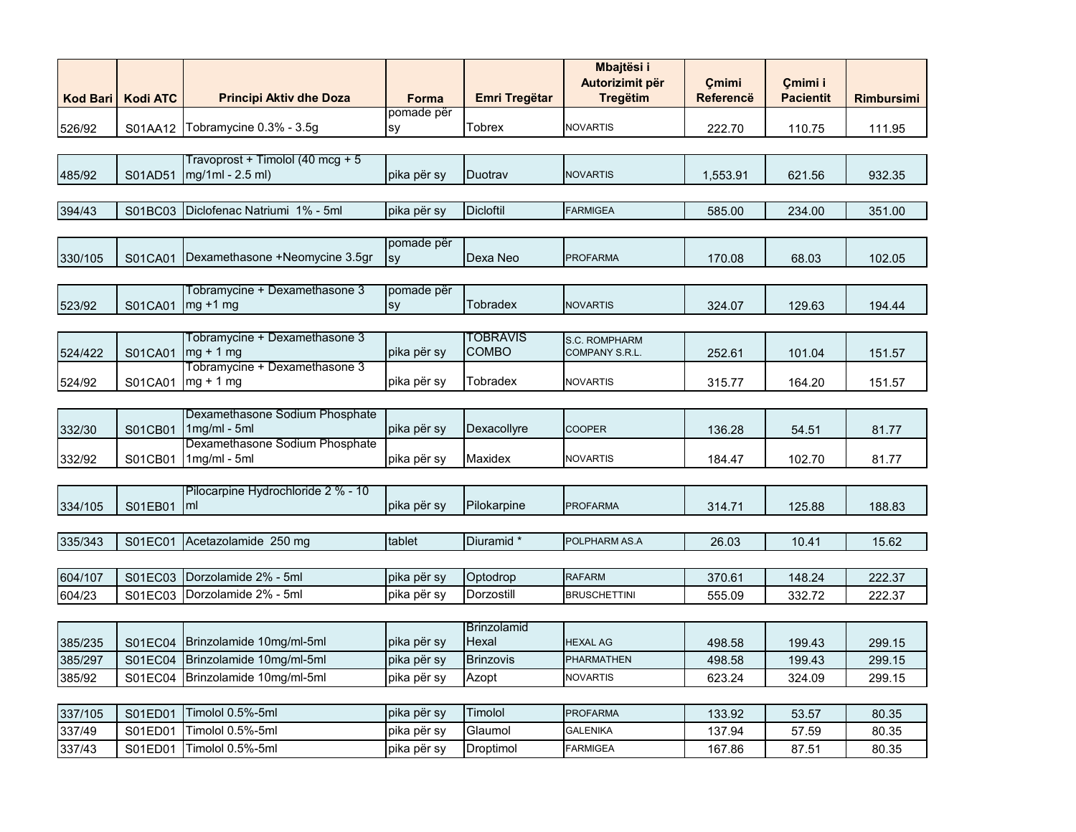|                 |                 |                                                      |                  |                      | <b>Mbajtësi i</b><br>Autorizimit për | <b>Çmimi</b>     | Çmimi i          |                   |
|-----------------|-----------------|------------------------------------------------------|------------------|----------------------|--------------------------------------|------------------|------------------|-------------------|
| <b>Kod Bari</b> | <b>Kodi ATC</b> | <b>Principi Aktiv dhe Doza</b>                       | Forma            | <b>Emri Tregëtar</b> | <b>Tregëtim</b>                      | <b>Referencë</b> | <b>Pacientit</b> | <b>Rimbursimi</b> |
| 526/92          | S01AA12         | Tobramycine 0.3% - 3.5g                              | pomade për<br>sy | <b>Tobrex</b>        | <b>NOVARTIS</b>                      | 222.70           | 110.75           | 111.95            |
|                 |                 |                                                      |                  |                      |                                      |                  |                  |                   |
| 485/92          | S01AD51         | Travoprost + Timolol (40 mcg + 5<br>mg/1ml - 2.5 ml) | pika për sy      | Duotrav              | <b>NOVARTIS</b>                      | 1,553.91         | 621.56           | 932.35            |
|                 |                 |                                                      |                  |                      |                                      |                  |                  |                   |
| 394/43          | S01BC03         | Diclofenac Natriumi 1% - 5ml                         | pika për sy      | <b>Dicloftil</b>     | <b>FARMIGEA</b>                      | 585.00           | 234.00           | 351.00            |
|                 |                 |                                                      |                  |                      |                                      |                  |                  |                   |
| 330/105         | S01CA01         | Dexamethasone +Neomycine 3.5gr                       | pomade për<br>sy | Dexa Neo             | <b>PROFARMA</b>                      | 170.08           | 68.03            | 102.05            |
|                 |                 |                                                      |                  |                      |                                      |                  |                  |                   |
| 523/92          | S01CA01         | Tobramycine + Dexamethasone 3<br>$mg + 1 mg$         | pomade për<br>sy | Tobradex             | <b>NOVARTIS</b>                      | 324.07           | 129.63           | 194.44            |
|                 |                 |                                                      |                  |                      |                                      |                  |                  |                   |
|                 |                 | Tobramycine + Dexamethasone 3                        |                  | <b>TOBRAVIS</b>      | S.C. ROMPHARM                        |                  |                  |                   |
| 524/422         | S01CA01         | $mg + 1 mg$                                          | pika për sy      | <b>COMBO</b>         | COMPANY S.R.L.                       | 252.61           | 101.04           | 151.57            |
|                 |                 | Tobramycine + Dexamethasone 3                        |                  |                      |                                      |                  |                  |                   |
| 524/92          | S01CA01         | $mg + 1 mg$                                          | pika për sy      | Tobradex             | <b>NOVARTIS</b>                      | 315.77           | 164.20           | 151.57            |
|                 |                 |                                                      |                  |                      |                                      |                  |                  |                   |
| 332/30          | S01CB01         | Dexamethasone Sodium Phosphate<br>$1mg/ml - 5ml$     | pika për sy      | Dexacollyre          | <b>COOPER</b>                        | 136.28           | 54.51            | 81.77             |
|                 |                 | Dexamethasone Sodium Phosphate                       |                  |                      |                                      |                  |                  |                   |
| 332/92          | S01CB01         | $1$ mg/m $l - 5$ m $l$                               | pika për sy      | Maxidex              | <b>NOVARTIS</b>                      | 184.47           | 102.70           | 81.77             |
|                 |                 |                                                      |                  |                      |                                      |                  |                  |                   |
| 334/105         | S01EB01         | Pilocarpine Hydrochloride 2 % - 10<br>ml             | pika për sy      | Pilokarpine          | <b>PROFARMA</b>                      | 314.71           | 125.88           | 188.83            |
|                 |                 |                                                      |                  |                      |                                      |                  |                  |                   |
| 335/343         | S01EC01         | Acetazolamide 250 mg                                 | tablet           | Diuramid *           | POLPHARM AS.A                        | 26.03            | 10.41            | 15.62             |
|                 |                 |                                                      |                  |                      |                                      |                  |                  |                   |
| 604/107         | S01EC03         | Dorzolamide 2% - 5ml                                 | pika për sy      | Optodrop             | <b>RAFARM</b>                        | 370.61           | 148.24           | 222.37            |
| 604/23          | S01EC03         | Dorzolamide 2% - 5ml                                 | pika për sy      | Dorzostill           | <b>BRUSCHETTINI</b>                  | 555.09           | 332.72           | 222.37            |
|                 |                 |                                                      |                  |                      |                                      |                  |                  |                   |
|                 |                 |                                                      |                  | <b>Brinzolamid</b>   |                                      |                  |                  |                   |
| 385/235         | S01EC04         | Brinzolamide 10mg/ml-5ml                             | pika për sy      | Hexal                | <b>HEXAL AG</b>                      | 498.58           | 199.43           | 299.15            |
| 385/297         | S01EC04         | Brinzolamide 10mg/ml-5ml                             | pika për sy      | <b>Brinzovis</b>     | PHARMATHEN                           | 498.58           | 199.43           | 299.15            |
| 385/92          | S01EC04         | Brinzolamide 10mg/ml-5ml                             | pika për sy      | Azopt                | <b>NOVARTIS</b>                      | 623.24           | 324.09           | 299.15            |
|                 |                 |                                                      |                  |                      |                                      |                  |                  |                   |
| 337/105         | S01ED01         | Timolol 0.5%-5ml                                     | pika për sy      | Timolol              | <b>PROFARMA</b>                      | 133.92           | 53.57            | 80.35             |
| 337/49          | S01ED01         | Timolol 0.5%-5ml                                     | pika për sy      | Glaumol              | <b>GALENIKA</b>                      | 137.94           | 57.59            | 80.35             |
| 337/43          | S01ED01         | Timolol 0.5%-5ml                                     | pika për sy      | Droptimol            | <b>FARMIGEA</b>                      | 167.86           | 87.51            | 80.35             |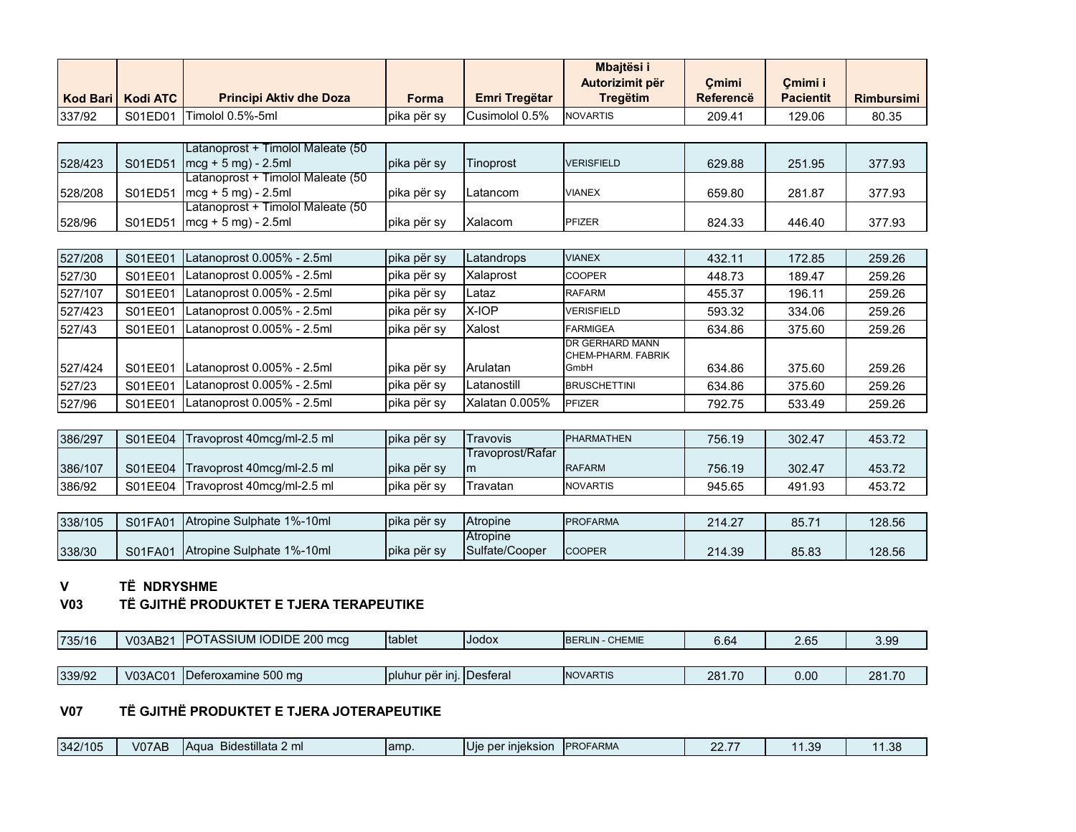|                 |                 |                                                            |             |                      | Mbajtësi i<br>Autorizimit për | Cmimi            | Cmimi i          |                   |
|-----------------|-----------------|------------------------------------------------------------|-------------|----------------------|-------------------------------|------------------|------------------|-------------------|
| <b>Kod Bari</b> | <b>Kodi ATC</b> | <b>Principi Aktiv dhe Doza</b>                             | Forma       | <b>Emri Tregëtar</b> | <b>Tregëtim</b>               | <b>Referencë</b> | <b>Pacientit</b> | <b>Rimbursimi</b> |
| 337/92          | S01ED01         | Timolol 0.5%-5ml                                           | pika për sy | Cusimolol 0.5%       | <b>NOVARTIS</b>               | 209.41           | 129.06           | 80.35             |
|                 |                 |                                                            |             |                      |                               |                  |                  |                   |
|                 |                 | Latanoprost + Timolol Maleate (50                          |             |                      |                               |                  |                  |                   |
| 528/423         | S01ED51         | ${~}$ mcg + 5 mg) - 2.5ml                                  | pika për sy | Tinoprost            | <b>VERISFIELD</b>             | 629.88           | 251.95           | 377.93            |
|                 |                 | Latanoprost + Timolol Maleate (50                          |             |                      |                               |                  |                  |                   |
| 528/208         | S01ED51         | $mcg + 5 mg - 2.5 ml$<br>Latanoprost + Timolol Maleate (50 | pika për sy | Latancom             | <b>VIANEX</b>                 | 659.80           | 281.87           | 377.93            |
| 528/96          | S01ED51         | $mcg + 5 mg - 2.5 ml$                                      | pika për sy | Xalacom              | PFIZER                        | 824.33           | 446.40           | 377.93            |
|                 |                 |                                                            |             |                      |                               |                  |                  |                   |
| 527/208         | S01EE01         | Latanoprost 0.005% - 2.5ml                                 | pika për sy | Latandrops           | <b>VIANEX</b>                 | 432.11           | 172.85           | 259.26            |
| 527/30          | S01EE01         | Latanoprost 0.005% - 2.5ml                                 | pika për sy | Xalaprost            | <b>COOPER</b>                 | 448.73           | 189.47           | 259.26            |
| 527/107         | S01EE01         | Latanoprost 0.005% - 2.5ml                                 | pika për sy | Lataz                | <b>RAFARM</b>                 | 455.37           | 196.11           | 259.26            |
| 527/423         | S01EE01         | Latanoprost 0.005% - 2.5ml                                 | pika për sy | X-IOP                | <b>VERISFIELD</b>             | 593.32           | 334.06           | 259.26            |
| 527/43          | S01EE01         | Latanoprost 0.005% - 2.5ml                                 | pika për sy | Xalost               | <b>FARMIGEA</b>               | 634.86           | 375.60           | 259.26            |
|                 |                 |                                                            |             |                      | DR GERHARD MANN               |                  |                  |                   |
| 527/424         | S01EE01         | Latanoprost 0.005% - 2.5ml                                 | pika për sy | Arulatan             | CHEM-PHARM, FABRIK<br>GmbH    | 634.86           | 375.60           | 259.26            |
| 527/23          | S01EE01         | Latanoprost 0.005% - 2.5ml                                 | pika për sy | Latanostill          | <b>BRUSCHETTINI</b>           | 634.86           | 375.60           | 259.26            |
| 527/96          | S01EE01         | Latanoprost 0.005% - 2.5ml                                 | pika për sy | Xalatan 0.005%       | <b>PFIZER</b>                 | 792.75           | 533.49           | 259.26            |
|                 |                 |                                                            |             |                      |                               |                  |                  |                   |
| 386/297         | S01EE04         | Travoprost 40mcg/ml-2.5 ml                                 | pika për sy | Travovis             | <b>PHARMATHEN</b>             | 756.19           | 302.47           | 453.72            |
|                 |                 |                                                            |             | Travoprost/Rafar     |                               |                  |                  |                   |
| 386/107         | S01EE04         | Travoprost 40mcg/ml-2.5 ml                                 | pika për sy | m                    | <b>RAFARM</b>                 | 756.19           | 302.47           | 453.72            |
| 386/92          | S01EE04         | Travoprost 40mcg/ml-2.5 ml                                 | pika për sy | Travatan             | <b>NOVARTIS</b>               | 945.65           | 491.93           | 453.72            |
|                 |                 |                                                            |             |                      |                               |                  |                  |                   |
| 338/105         | S01FA01         | Atropine Sulphate 1%-10ml                                  | pika për sy | Atropine             | <b>PROFARMA</b>               | 214.27           | 85.71            | 128.56            |
|                 |                 |                                                            |             | Atropine             |                               |                  |                  |                   |

#### **V TË NDRYSHME**

# **V03 TË GJITHË PRODUKTET E TJERA TERAPEUTIKE**

338/30 S01FA01 Atropine Sulphate 1%-10ml pika për sy

| 735/16 | V03AB2 $\prime$ | <b>IPOTASSIUM IODIDE 200 mcg</b> | <b>Itablet</b>             | <b>IJodox</b> | <b>IBERLIN - CHEMIE</b> | 6.64   | 2.65 | 3.99   |
|--------|-----------------|----------------------------------|----------------------------|---------------|-------------------------|--------|------|--------|
|        |                 |                                  |                            |               |                         |        |      |        |
| 339/92 | V03AC01         | Deferoxamine 500 mg              | Ipluhur për ini. IDesferal |               | <b>INOVARTIS</b>        | 281.70 | 0.00 | 281.70 |

Sulfate/Cooper COOPER 214.39 85.83 128.56

# **V07 TË GJITHË PRODUKTET E TJERA JOTERAPEUTIKE**

| $\overline{\phantom{a}}$<br>342/105<br>V07AB<br>∕ Bidestillata 2 ml<br><b>IA</b> qua | lamp.<br>Uı | ner inieksion | <b>PROFARMA</b> | $- -$<br>$\sim$ | .39 <sub>1</sub> | ാഠ<br>$\sim$ |
|--------------------------------------------------------------------------------------|-------------|---------------|-----------------|-----------------|------------------|--------------|
|--------------------------------------------------------------------------------------|-------------|---------------|-----------------|-----------------|------------------|--------------|